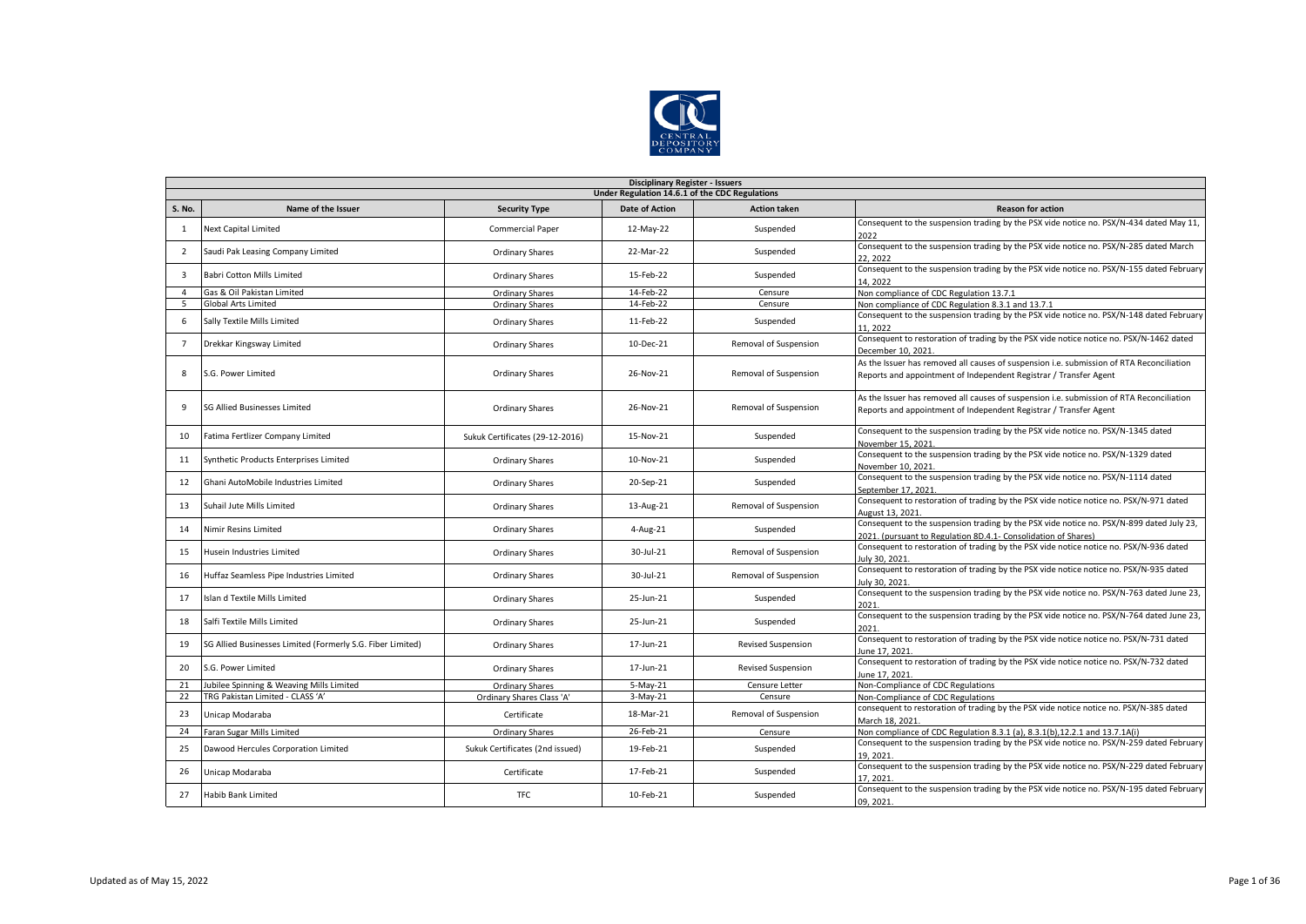

|                         | <b>Disciplinary Register - Issuers</b>                     |                                 |                       |                           |                                                                                                                                                               |  |  |  |  |
|-------------------------|------------------------------------------------------------|---------------------------------|-----------------------|---------------------------|---------------------------------------------------------------------------------------------------------------------------------------------------------------|--|--|--|--|
|                         | Under Regulation 14.6.1 of the CDC Regulations             |                                 |                       |                           |                                                                                                                                                               |  |  |  |  |
| <b>S. No.</b>           | Name of the Issuer                                         | <b>Security Type</b>            | <b>Date of Action</b> | <b>Action taken</b>       | <b>Reason for action</b>                                                                                                                                      |  |  |  |  |
| 1                       | <b>Next Capital Limited</b>                                | <b>Commercial Paper</b>         | 12-May-22             | Suspended                 | Consequent to the suspension trading by the PSX vide notice no. PSX/N-434 dated May 11,<br>2022                                                               |  |  |  |  |
| $\overline{2}$          | Saudi Pak Leasing Company Limited                          | <b>Ordinary Shares</b>          | 22-Mar-22             | Suspended                 | Consequent to the suspension trading by the PSX vide notice no. PSX/N-285 dated March<br>22, 2022                                                             |  |  |  |  |
| $\overline{\mathbf{3}}$ | <b>Babri Cotton Mills Limited</b>                          | <b>Ordinary Shares</b>          | 15-Feb-22             | Suspended                 | Consequent to the suspension trading by the PSX vide notice no. PSX/N-155 dated February<br>14.2022                                                           |  |  |  |  |
| $\overline{4}$          | Gas & Oil Pakistan Limited                                 | <b>Ordinary Shares</b>          | 14-Feb-22             | Censure                   | Non compliance of CDC Regulation 13.7.1                                                                                                                       |  |  |  |  |
| 5                       | <b>Global Arts Limited</b>                                 | Ordinary Shares                 | 14-Feb-22             | Censure                   | Non compliance of CDC Regulation 8.3.1 and 13.7.1                                                                                                             |  |  |  |  |
| 6                       | Sally Textile Mills Limited                                | Ordinary Shares                 | 11-Feb-22             | Suspended                 | Consequent to the suspension trading by the PSX vide notice no. PSX/N-148 dated February<br>11.2022                                                           |  |  |  |  |
| $\overline{7}$          | Drekkar Kingsway Limited                                   | <b>Ordinary Shares</b>          | 10-Dec-21             | Removal of Suspension     | Consequent to restoration of trading by the PSX vide notice notice no. PSX/N-1462 dated<br>December 10, 2021.                                                 |  |  |  |  |
| 8                       | S.G. Power Limited                                         | <b>Ordinary Shares</b>          | 26-Nov-21             | Removal of Suspension     | As the Issuer has removed all causes of suspension i.e. submission of RTA Reconciliation<br>Reports and appointment of Independent Registrar / Transfer Agent |  |  |  |  |
| 9                       | <b>SG Allied Businesses Limited</b>                        | <b>Ordinary Shares</b>          | 26-Nov-21             | Removal of Suspension     | As the Issuer has removed all causes of suspension i.e. submission of RTA Reconciliation<br>Reports and appointment of Independent Registrar / Transfer Agent |  |  |  |  |
| 10                      | Fatima Fertlizer Company Limited                           | Sukuk Certificates (29-12-2016) | 15-Nov-21             | Suspended                 | Consequent to the suspension trading by the PSX vide notice no. PSX/N-1345 dated<br>November 15, 2021.                                                        |  |  |  |  |
| 11                      | Synthetic Products Enterprises Limited                     | <b>Ordinary Shares</b>          | 10-Nov-21             | Suspended                 | Consequent to the suspension trading by the PSX vide notice no. PSX/N-1329 dated<br>November 10, 2021                                                         |  |  |  |  |
| 12                      | Ghani AutoMobile Industries Limited                        | <b>Ordinary Shares</b>          | 20-Sep-21             | Suspended                 | Consequent to the suspension trading by the PSX vide notice no. PSX/N-1114 dated<br>September 17, 2021.                                                       |  |  |  |  |
| 13                      | Suhail Jute Mills Limited                                  | <b>Ordinary Shares</b>          | 13-Aug-21             | Removal of Suspension     | Consequent to restoration of trading by the PSX vide notice notice no. PSX/N-971 dated<br>August 13, 2021                                                     |  |  |  |  |
| 14                      | Nimir Resins Limited                                       | <b>Ordinary Shares</b>          | 4-Aug-21              | Suspended                 | Consequent to the suspension trading by the PSX vide notice no. PSX/N-899 dated July 23,<br>2021. (pursuant to Regulation 8D.4.1- Consolidation of Shares)    |  |  |  |  |
| 15                      | Husein Industries Limited                                  | Ordinary Shares                 | 30-Jul-21             | Removal of Suspension     | Consequent to restoration of trading by the PSX vide notice notice no. PSX/N-936 dated<br>July 30, 2021                                                       |  |  |  |  |
| 16                      | Huffaz Seamless Pipe Industries Limited                    | <b>Ordinary Shares</b>          | 30-Jul-21             | Removal of Suspension     | Consequent to restoration of trading by the PSX vide notice notice no. PSX/N-935 dated<br>July 30, 2021.                                                      |  |  |  |  |
| 17                      | Islan d Textile Mills Limited                              | <b>Ordinary Shares</b>          | 25-Jun-21             | Suspended                 | Consequent to the suspension trading by the PSX vide notice no. PSX/N-763 dated June 23,<br>2021                                                              |  |  |  |  |
| 18                      | Salfi Textile Mills Limited                                | <b>Ordinary Shares</b>          | 25-Jun-21             | Suspended                 | Consequent to the suspension trading by the PSX vide notice no. PSX/N-764 dated June 23,<br>2021.                                                             |  |  |  |  |
| 19                      | SG Allied Businesses Limited (Formerly S.G. Fiber Limited) | <b>Ordinary Shares</b>          | 17-Jun-21             | <b>Revised Suspension</b> | Consequent to restoration of trading by the PSX vide notice notice no. PSX/N-731 dated<br>June 17, 2021                                                       |  |  |  |  |
| 20                      | S.G. Power Limited                                         | <b>Ordinary Shares</b>          | 17-Jun-21             | <b>Revised Suspension</b> | Consequent to restoration of trading by the PSX vide notice notice no. PSX/N-732 dated<br>June 17, 2021.                                                      |  |  |  |  |
| 21                      | Jubilee Spinning & Weaving Mills Limited                   | <b>Ordinary Shares</b>          | $5-May-21$            | Censure Letter            | Non-Compliance of CDC Regulations                                                                                                                             |  |  |  |  |
| 22                      | TRG Pakistan Limited - CLASS 'A'                           | Ordinary Shares Class 'A'       | 3-May-21              | Censure                   | Non-Compliance of CDC Regulations                                                                                                                             |  |  |  |  |
| 23                      | Unicap Modaraba                                            | Certificate                     | 18-Mar-21             | Removal of Suspension     | consequent to restoration of trading by the PSX vide notice notice no. PSX/N-385 dated<br>March 18, 2021                                                      |  |  |  |  |
| 24                      | Faran Sugar Mills Limited                                  | <b>Ordinary Shares</b>          | 26-Feb-21             | Censure                   | Non compliance of CDC Regulation 8.3.1 (a), 8.3.1(b), 12.2.1 and 13.7.1A(i)                                                                                   |  |  |  |  |
| 25                      | Dawood Hercules Corporation Limited                        | Sukuk Certificates (2nd issued) | 19-Feb-21             | Suspended                 | Consequent to the suspension trading by the PSX vide notice no. PSX/N-259 dated February<br>19.2021                                                           |  |  |  |  |
| 26                      | Unicap Modaraba                                            | Certificate                     | 17-Feb-21             | Suspended                 | Consequent to the suspension trading by the PSX vide notice no. PSX/N-229 dated February<br>17.2021                                                           |  |  |  |  |
| 27                      | <b>Habib Bank Limited</b>                                  | <b>TFC</b>                      | 10-Feb-21             | Suspended                 | Consequent to the suspension trading by the PSX vide notice no. PSX/N-195 dated February<br>09, 2021                                                          |  |  |  |  |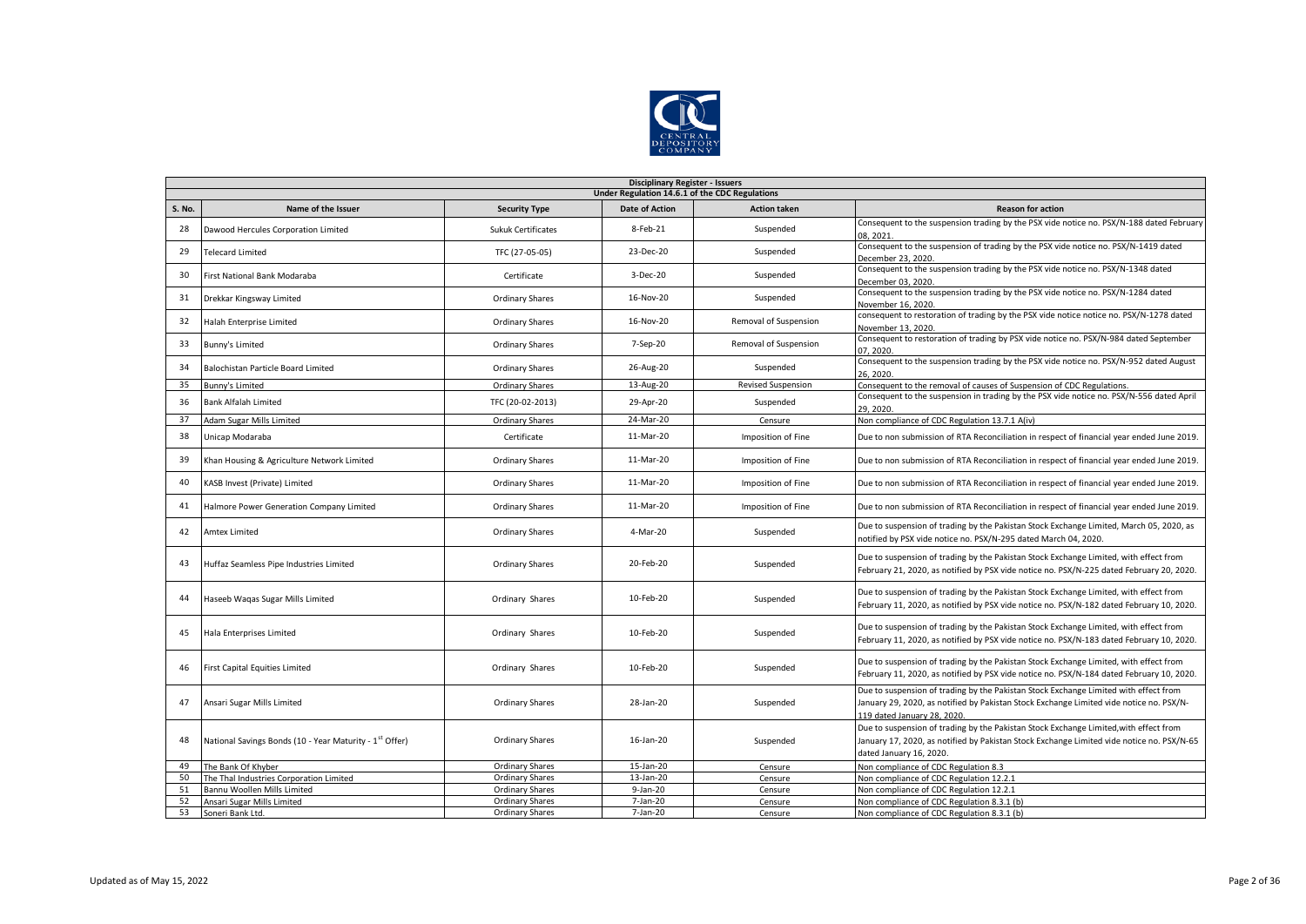

|        | <b>Disciplinary Register - Issuers</b>                              |                           |                       |                           |                                                                                                                                                                                                                |  |  |  |  |  |
|--------|---------------------------------------------------------------------|---------------------------|-----------------------|---------------------------|----------------------------------------------------------------------------------------------------------------------------------------------------------------------------------------------------------------|--|--|--|--|--|
|        | Under Regulation 14.6.1 of the CDC Regulations                      |                           |                       |                           |                                                                                                                                                                                                                |  |  |  |  |  |
| S. No. | Name of the Issuer                                                  | <b>Security Type</b>      | <b>Date of Action</b> | <b>Action taken</b>       | <b>Reason for action</b>                                                                                                                                                                                       |  |  |  |  |  |
| 28     | Dawood Hercules Corporation Limited                                 | <b>Sukuk Certificates</b> | 8-Feb-21              | Suspended                 | Consequent to the suspension trading by the PSX vide notice no. PSX/N-188 dated February<br>08.2021                                                                                                            |  |  |  |  |  |
| 29     | <b>Telecard Limited</b>                                             | TFC (27-05-05)            | 23-Dec-20             | Suspended                 | Consequent to the suspension of trading by the PSX vide notice no. PSX/N-1419 dated<br>December 23, 2020.                                                                                                      |  |  |  |  |  |
| 30     | First National Bank Modaraba                                        | Certificate               | 3-Dec-20              | Suspended                 | Consequent to the suspension trading by the PSX vide notice no. PSX/N-1348 dated<br>December 03, 2020.                                                                                                         |  |  |  |  |  |
| 31     | Drekkar Kingsway Limited                                            | <b>Ordinary Shares</b>    | 16-Nov-20             | Suspended                 | Consequent to the suspension trading by the PSX vide notice no. PSX/N-1284 dated<br>November 16, 2020.                                                                                                         |  |  |  |  |  |
| 32     | Halah Enterprise Limited                                            | <b>Ordinary Shares</b>    | 16-Nov-20             | Removal of Suspension     | consequent to restoration of trading by the PSX vide notice notice no. PSX/N-1278 dated<br>November 13, 2020.                                                                                                  |  |  |  |  |  |
| 33     | Bunny's Limited                                                     | <b>Ordinary Shares</b>    | 7-Sep-20              | Removal of Suspension     | Consequent to restoration of trading by PSX vide notice no. PSX/N-984 dated September<br>07.2020.                                                                                                              |  |  |  |  |  |
| 34     | Balochistan Particle Board Limited                                  | <b>Ordinary Shares</b>    | 26-Aug-20             | Suspended                 | Consequent to the suspension trading by the PSX vide notice no. PSX/N-952 dated August<br>26.2020                                                                                                              |  |  |  |  |  |
| 35     | Bunny's Limited                                                     | <b>Ordinary Shares</b>    | 13-Aug-20             | <b>Revised Suspension</b> | Consequent to the removal of causes of Suspension of CDC Regulations.                                                                                                                                          |  |  |  |  |  |
| 36     | <b>Bank Alfalah Limited</b>                                         | TFC (20-02-2013)          | 29-Apr-20             | Suspended                 | Consequent to the suspension in trading by the PSX vide notice no. PSX/N-556 dated April<br>29.2020.                                                                                                           |  |  |  |  |  |
| 37     | Adam Sugar Mills Limited                                            | <b>Ordinary Shares</b>    | 24-Mar-20             | Censure                   | Non compliance of CDC Regulation 13.7.1 A(iv)                                                                                                                                                                  |  |  |  |  |  |
| 38     | Unicap Modaraba                                                     | Certificate               | 11-Mar-20             | Imposition of Fine        | Due to non submission of RTA Reconciliation in respect of financial year ended June 2019.                                                                                                                      |  |  |  |  |  |
| 39     | Khan Housing & Agriculture Network Limited                          | <b>Ordinary Shares</b>    | 11-Mar-20             | Imposition of Fine        | Due to non submission of RTA Reconciliation in respect of financial year ended June 2019.                                                                                                                      |  |  |  |  |  |
| 40     | KASB Invest (Private) Limited                                       | <b>Ordinary Shares</b>    | 11-Mar-20             | Imposition of Fine        | Due to non submission of RTA Reconciliation in respect of financial year ended June 2019.                                                                                                                      |  |  |  |  |  |
| 41     | Halmore Power Generation Company Limited                            | Ordinary Shares           | 11-Mar-20             | Imposition of Fine        | Due to non submission of RTA Reconciliation in respect of financial year ended June 2019.                                                                                                                      |  |  |  |  |  |
| 42     | <b>Amtex Limited</b>                                                | <b>Ordinary Shares</b>    | 4-Mar-20              | Suspended                 | Due to suspension of trading by the Pakistan Stock Exchange Limited, March 05, 2020, as<br>notified by PSX vide notice no. PSX/N-295 dated March 04, 2020.                                                     |  |  |  |  |  |
| 43     | Huffaz Seamless Pipe Industries Limited                             | <b>Ordinary Shares</b>    | 20-Feb-20             | Suspended                 | Due to suspension of trading by the Pakistan Stock Exchange Limited, with effect from<br>February 21, 2020, as notified by PSX vide notice no. PSX/N-225 dated February 20, 2020.                              |  |  |  |  |  |
| 44     | Haseeb Waqas Sugar Mills Limited                                    | Ordinary Shares           | 10-Feb-20             | Suspended                 | Due to suspension of trading by the Pakistan Stock Exchange Limited, with effect from<br>February 11, 2020, as notified by PSX vide notice no. PSX/N-182 dated February 10, 2020.                              |  |  |  |  |  |
| 45     | Hala Enterprises Limited                                            | Ordinary Shares           | 10-Feb-20             | Suspended                 | Due to suspension of trading by the Pakistan Stock Exchange Limited, with effect from<br>February 11, 2020, as notified by PSX vide notice no. PSX/N-183 dated February 10, 2020.                              |  |  |  |  |  |
| 46     | <b>First Capital Equities Limited</b>                               | Ordinary Shares           | 10-Feb-20             | Suspended                 | Due to suspension of trading by the Pakistan Stock Exchange Limited, with effect from<br>February 11, 2020, as notified by PSX vide notice no. PSX/N-184 dated February 10, 2020.                              |  |  |  |  |  |
| 47     | Ansari Sugar Mills Limited                                          | <b>Ordinary Shares</b>    | 28-Jan-20             | Suspended                 | Due to suspension of trading by the Pakistan Stock Exchange Limited with effect from<br>January 29, 2020, as notified by Pakistan Stock Exchange Limited vide notice no. PSX/N-<br>119 dated January 28, 2020. |  |  |  |  |  |
| 48     | National Savings Bonds (10 - Year Maturity - 1 <sup>st</sup> Offer) | <b>Ordinary Shares</b>    | 16-Jan-20             | Suspended                 | Due to suspension of trading by the Pakistan Stock Exchange Limited, with effect from<br>January 17, 2020, as notified by Pakistan Stock Exchange Limited vide notice no. PSX/N-65<br>dated January 16, 2020.  |  |  |  |  |  |
| 49     | The Bank Of Khyber                                                  | <b>Ordinary Shares</b>    | 15-Jan-20             | Censure                   | Non compliance of CDC Regulation 8.3                                                                                                                                                                           |  |  |  |  |  |
| 50     | The Thal Industries Corporation Limited                             | <b>Ordinary Shares</b>    | 13-Jan-20             | Censure                   | Non compliance of CDC Regulation 12.2.1                                                                                                                                                                        |  |  |  |  |  |
| 51     | Bannu Woollen Mills Limited                                         | <b>Ordinary Shares</b>    | $9-$ Jan $-20$        | Censure                   | Non compliance of CDC Regulation 12.2.1                                                                                                                                                                        |  |  |  |  |  |
| 52     | Ansari Sugar Mills Limited                                          | <b>Ordinary Shares</b>    | 7-Jan-20              | Censure                   | Non compliance of CDC Regulation 8.3.1 (b)                                                                                                                                                                     |  |  |  |  |  |
| 53     | Soneri Bank Ltd.                                                    | <b>Ordinary Shares</b>    | 7-Jan-20              | Censure                   | Non compliance of CDC Regulation 8.3.1 (b)                                                                                                                                                                     |  |  |  |  |  |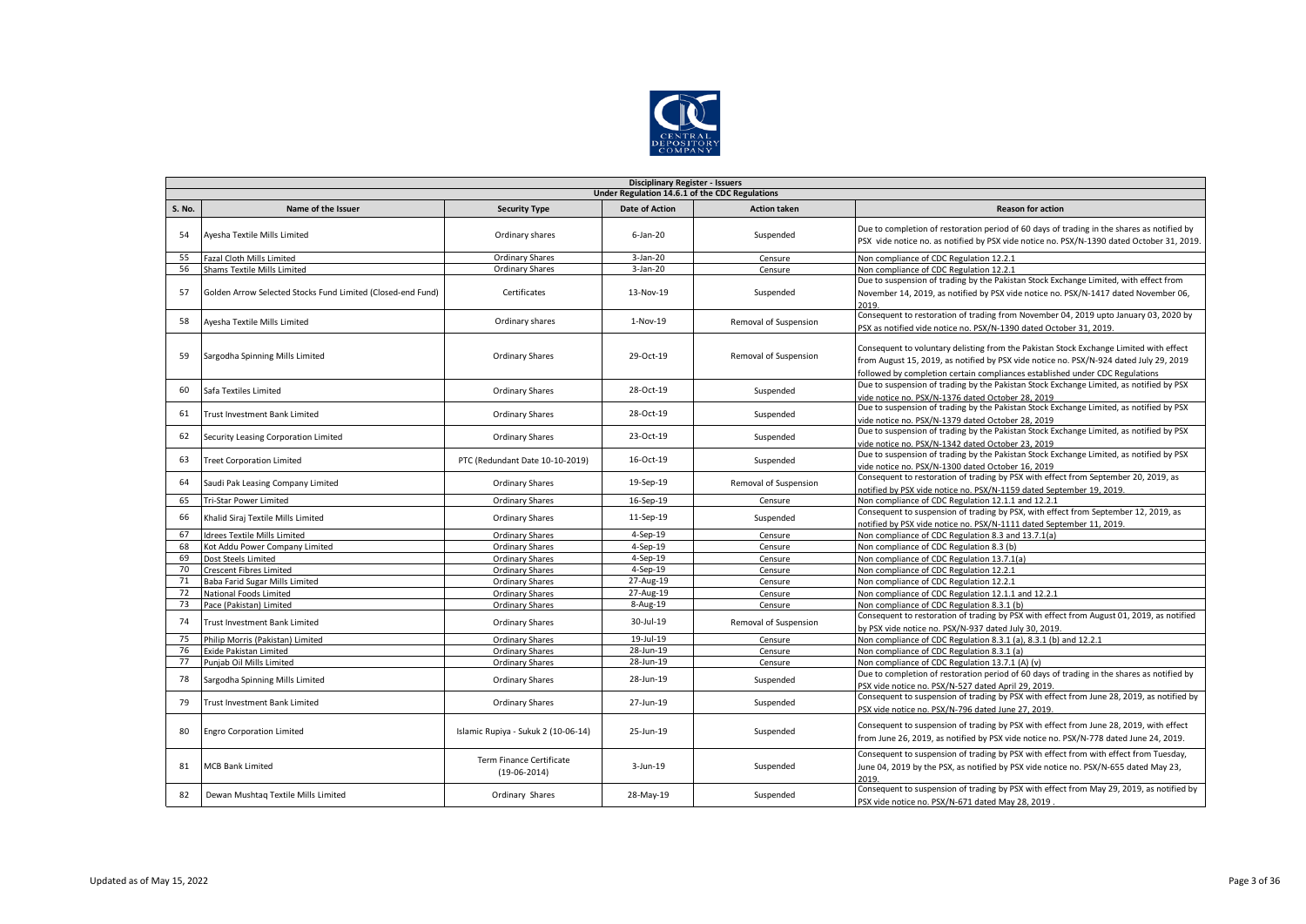

|               | <b>Disciplinary Register - Issuers</b>                      |                                            |                       |                       |                                                                                                                                                                                                                                                                  |  |  |  |  |  |
|---------------|-------------------------------------------------------------|--------------------------------------------|-----------------------|-----------------------|------------------------------------------------------------------------------------------------------------------------------------------------------------------------------------------------------------------------------------------------------------------|--|--|--|--|--|
|               | Under Regulation 14.6.1 of the CDC Regulations              |                                            |                       |                       |                                                                                                                                                                                                                                                                  |  |  |  |  |  |
| <b>S. No.</b> | Name of the Issuer                                          | <b>Security Type</b>                       | <b>Date of Action</b> | <b>Action taken</b>   | <b>Reason for action</b>                                                                                                                                                                                                                                         |  |  |  |  |  |
| 54            | Ayesha Textile Mills Limited                                | Ordinary shares                            | $6$ -Jan-20           | Suspended             | Due to completion of restoration period of 60 days of trading in the shares as notified by<br>PSX vide notice no. as notified by PSX vide notice no. PSX/N-1390 dated October 31, 2019.                                                                          |  |  |  |  |  |
| 55            | Fazal Cloth Mills Limited                                   | Ordinary Shares                            | $3-Jan-20$            | Censure               | Non compliance of CDC Regulation 12.2.1                                                                                                                                                                                                                          |  |  |  |  |  |
| 56            | Shams Textile Mills Limited                                 | <b>Ordinary Shares</b>                     | 3-Jan-20              | Censure               | Non compliance of CDC Regulation 12.2.1                                                                                                                                                                                                                          |  |  |  |  |  |
| -57           | Golden Arrow Selected Stocks Fund Limited (Closed-end Fund) | Certificates                               | 13-Nov-19             | Suspended             | Due to suspension of trading by the Pakistan Stock Exchange Limited, with effect from<br>November 14, 2019, as notified by PSX vide notice no. PSX/N-1417 dated November 06,<br>2019.                                                                            |  |  |  |  |  |
| 58            | Ayesha Textile Mills Limited                                | Ordinary shares                            | 1-Nov-19              | Removal of Suspension | Consequent to restoration of trading from November 04, 2019 upto January 03, 2020 by<br>PSX as notified vide notice no. PSX/N-1390 dated October 31, 2019.                                                                                                       |  |  |  |  |  |
| 59            | Sargodha Spinning Mills Limited                             | <b>Ordinary Shares</b>                     | 29-Oct-19             | Removal of Suspension | Consequent to voluntary delisting from the Pakistan Stock Exchange Limited with effect<br>from August 15, 2019, as notified by PSX vide notice no. PSX/N-924 dated July 29, 2019<br>followed by completion certain compliances established under CDC Regulations |  |  |  |  |  |
| 60            | Safa Textiles Limited                                       | <b>Ordinary Shares</b>                     | 28-Oct-19             | Suspended             | Due to suspension of trading by the Pakistan Stock Exchange Limited, as notified by PSX<br>vide notice no. PSX/N-1376 dated October 28, 2019                                                                                                                     |  |  |  |  |  |
| 61            | Trust Investment Bank Limited                               | <b>Ordinary Shares</b>                     | 28-Oct-19             | Suspended             | Due to suspension of trading by the Pakistan Stock Exchange Limited, as notified by PSX<br>vide notice no. PSX/N-1379 dated October 28, 2019                                                                                                                     |  |  |  |  |  |
| 62            | Security Leasing Corporation Limited                        | <b>Ordinary Shares</b>                     | 23-Oct-19             | Suspended             | Due to suspension of trading by the Pakistan Stock Exchange Limited, as notified by PSX<br>vide notice no. PSX/N-1342 dated October 23, 2019                                                                                                                     |  |  |  |  |  |
| 63            | <b>Treet Corporation Limited</b>                            | PTC (Redundant Date 10-10-2019)            | 16-Oct-19             | Suspended             | Due to suspension of trading by the Pakistan Stock Exchange Limited, as notified by PSX<br>vide notice no. PSX/N-1300 dated October 16, 2019                                                                                                                     |  |  |  |  |  |
| 64            | Saudi Pak Leasing Company Limited                           | Ordinary Shares                            | 19-Sep-19             | Removal of Suspension | Consequent to restoration of trading by PSX with effect from September 20, 2019, as<br>notified by PSX vide notice no. PSX/N-1159 dated September 19, 2019.                                                                                                      |  |  |  |  |  |
| 65            | <b>Tri-Star Power Limited</b>                               | Ordinary Shares                            | 16-Sep-19             | Censure               | Non compliance of CDC Regulation 12.1.1 and 12.2.1                                                                                                                                                                                                               |  |  |  |  |  |
| 66            | Khalid Siraj Textile Mills Limited                          | <b>Ordinary Shares</b>                     | 11-Sep-19             | Suspended             | Consequent to suspension of trading by PSX, with effect from September 12, 2019, as<br>notified by PSX vide notice no. PSX/N-1111 dated September 11, 2019.                                                                                                      |  |  |  |  |  |
| 67            | <b>Idrees Textile Mills Limited</b>                         | <b>Ordinary Shares</b>                     | 4-Sep-19              | Censure               | Non compliance of CDC Regulation 8.3 and 13.7.1(a)                                                                                                                                                                                                               |  |  |  |  |  |
| 68            | Kot Addu Power Company Limited                              | Ordinary Shares                            | 4-Sep-19              | Censure               | Non compliance of CDC Regulation 8.3 (b)                                                                                                                                                                                                                         |  |  |  |  |  |
| 69            | Dost Steels Limited                                         | <b>Ordinary Shares</b>                     | 4-Sep-19              | Censure               | Non compliance of CDC Regulation 13.7.1(a)                                                                                                                                                                                                                       |  |  |  |  |  |
| 70            | <b>Crescent Fibres Limited</b>                              | Ordinary Shares                            | 4-Sep-19              | Censure               | Non compliance of CDC Regulation 12.2.1                                                                                                                                                                                                                          |  |  |  |  |  |
| 71            | Baba Farid Sugar Mills Limited                              | <b>Ordinary Shares</b>                     | 27-Aug-19             | Censure               | Non compliance of CDC Regulation 12.2.1                                                                                                                                                                                                                          |  |  |  |  |  |
| 72            | National Foods Limited                                      | <b>Ordinary Shares</b>                     | 27-Aug-19             | Censure               | Non compliance of CDC Regulation 12.1.1 and 12.2.1                                                                                                                                                                                                               |  |  |  |  |  |
| 73            | Pace (Pakistan) Limited                                     | <b>Ordinary Shares</b>                     | 8-Aug-19              | Censure               | Non compliance of CDC Regulation 8.3.1 (b)                                                                                                                                                                                                                       |  |  |  |  |  |
| 74            | Trust Investment Bank Limited                               | <b>Ordinary Shares</b>                     | 30-Jul-19             | Removal of Suspension | Consequent to restoration of trading by PSX with effect from August 01, 2019, as notified<br>by PSX vide notice no. PSX/N-937 dated July 30, 2019.                                                                                                               |  |  |  |  |  |
| 75            | Philip Morris (Pakistan) Limited                            | Ordinary Shares                            | 19-Jul-19             | Censure               | Non compliance of CDC Regulation 8.3.1 (a), 8.3.1 (b) and 12.2.1                                                                                                                                                                                                 |  |  |  |  |  |
| 76            | <b>Exide Pakistan Limited</b>                               | <b>Ordinary Shares</b>                     | 28-Jun-19             | Censure               | Non compliance of CDC Regulation 8.3.1 (a)                                                                                                                                                                                                                       |  |  |  |  |  |
| 77            | Puniab Oil Mills Limited                                    | <b>Ordinary Shares</b>                     | 28-Jun-19             | Censure               | Non compliance of CDC Regulation 13.7.1 (A) (v)                                                                                                                                                                                                                  |  |  |  |  |  |
| 78            | Sargodha Spinning Mills Limited                             | <b>Ordinary Shares</b>                     | 28-Jun-19             | Suspended             | Due to completion of restoration period of 60 days of trading in the shares as notified by<br>PSX vide notice no. PSX/N-527 dated April 29, 2019.                                                                                                                |  |  |  |  |  |
| 79            | Trust Investment Bank Limited                               | <b>Ordinary Shares</b>                     | 27-Jun-19             | Suspended             | Consequent to suspension of trading by PSX with effect from June 28, 2019, as notified by<br>PSX vide notice no. PSX/N-796 dated June 27, 2019.                                                                                                                  |  |  |  |  |  |
| 80            | <b>Engro Corporation Limited</b>                            | Islamic Rupiya - Sukuk 2 (10-06-14)        | 25-Jun-19             | Suspended             | Consequent to suspension of trading by PSX with effect from June 28, 2019, with effect<br>from June 26, 2019, as notified by PSX vide notice no. PSX/N-778 dated June 24, 2019.                                                                                  |  |  |  |  |  |
| 81            | <b>MCB Bank Limited</b>                                     | Term Finance Certificate<br>$(19-06-2014)$ | 3-Jun-19              | Suspended             | Consequent to suspension of trading by PSX with effect from with effect from Tuesday,<br>June 04, 2019 by the PSX, as notified by PSX vide notice no. PSX/N-655 dated May 23,<br>2019.                                                                           |  |  |  |  |  |
| 82            | Dewan Mushtag Textile Mills Limited                         | Ordinary Shares                            | 28-May-19             | Suspended             | Consequent to suspension of trading by PSX with effect from May 29, 2019, as notified by<br>PSX vide notice no. PSX/N-671 dated May 28, 2019                                                                                                                     |  |  |  |  |  |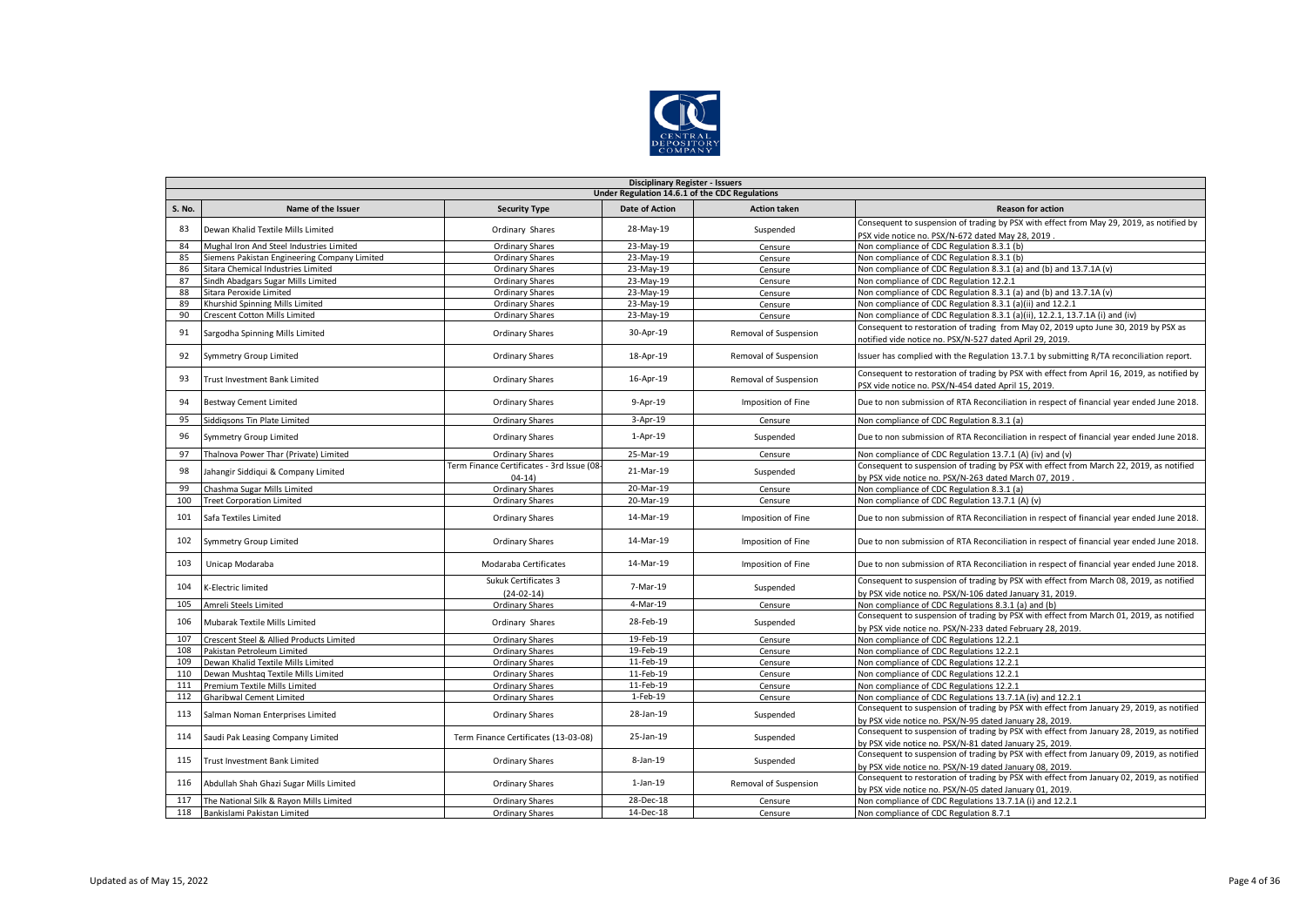

|        | <b>Disciplinary Register - Issuers</b>         |                                                       |                       |                       |                                                                                                                                                       |  |  |  |  |  |
|--------|------------------------------------------------|-------------------------------------------------------|-----------------------|-----------------------|-------------------------------------------------------------------------------------------------------------------------------------------------------|--|--|--|--|--|
|        | Under Regulation 14.6.1 of the CDC Regulations |                                                       |                       |                       |                                                                                                                                                       |  |  |  |  |  |
| S. No. | Name of the Issuer                             | <b>Security Type</b>                                  | <b>Date of Action</b> | <b>Action taken</b>   | <b>Reason for action</b>                                                                                                                              |  |  |  |  |  |
| 83     | Dewan Khalid Textile Mills Limited             | Ordinary Shares                                       | 28-May-19             | Suspended             | Consequent to suspension of trading by PSX with effect from May 29, 2019, as notified by<br>PSX vide notice no. PSX/N-672 dated May 28, 2019          |  |  |  |  |  |
| 84     | Mughal Iron And Steel Industries Limited       | <b>Ordinary Shares</b>                                | 23-May-19             | Censure               | Non compliance of CDC Regulation 8.3.1 (b)                                                                                                            |  |  |  |  |  |
| 85     | Siemens Pakistan Engineering Company Limited   | Ordinary Shares                                       | $23$ -May-19          | Censure               | Non compliance of CDC Regulation 8.3.1 (b)                                                                                                            |  |  |  |  |  |
| 86     | Sitara Chemical Industries Limited             | Ordinary Shares                                       | 23-May-19             | Censure               | Non compliance of CDC Regulation 8.3.1 (a) and (b) and 13.7.1A (v)                                                                                    |  |  |  |  |  |
| 87     | Sindh Abadgars Sugar Mills Limited             | <b>Ordinary Shares</b>                                | 23-May-19             | Censure               | Non compliance of CDC Regulation 12.2.1                                                                                                               |  |  |  |  |  |
| 88     | Sitara Peroxide Limited                        | <b>Ordinary Shares</b>                                | 23-May-19             | Censure               | Non compliance of CDC Regulation 8.3.1 (a) and (b) and 13.7.1A (v)                                                                                    |  |  |  |  |  |
| 89     | Khurshid Spinning Mills Limited                | Ordinary Shares                                       | $23$ -May-19          | Censure               | Non compliance of CDC Regulation 8.3.1 (a)(ii) and 12.2.1                                                                                             |  |  |  |  |  |
| 90     | Crescent Cotton Mills Limited                  | <b>Ordinary Shares</b>                                | 23-May-19             | Censure               | Non compliance of CDC Regulation 8.3.1 (a)(ii), 12.2.1, 13.7.1A (i) and (iv)                                                                          |  |  |  |  |  |
| 91     | Sargodha Spinning Mills Limited                | Ordinary Shares                                       | 30-Apr-19             | Removal of Suspension | Consequent to restoration of trading from May 02, 2019 upto June 30, 2019 by PSX as<br>notified vide notice no. PSX/N-527 dated April 29, 2019.       |  |  |  |  |  |
| 92     | <b>Symmetry Group Limited</b>                  | <b>Ordinary Shares</b>                                | 18-Apr-19             | Removal of Suspension | Issuer has complied with the Regulation 13.7.1 by submitting R/TA reconciliation report.                                                              |  |  |  |  |  |
| 93     | <b>Trust Investment Bank Limited</b>           | Ordinary Shares                                       | 16-Apr-19             | Removal of Suspension | Consequent to restoration of trading by PSX with effect from April 16, 2019, as notified by<br>PSX vide notice no. PSX/N-454 dated April 15, 2019.    |  |  |  |  |  |
| 94     | <b>Bestway Cement Limited</b>                  | Ordinary Shares                                       | 9-Apr-19              | Imposition of Fine    | Due to non submission of RTA Reconciliation in respect of financial year ended June 2018.                                                             |  |  |  |  |  |
| 95     | Siddigsons Tin Plate Limited                   | <b>Ordinary Shares</b>                                | 3-Apr-19              | Censure               | Non compliance of CDC Regulation 8.3.1 (a)                                                                                                            |  |  |  |  |  |
| 96     | Symmetry Group Limited                         | Ordinary Shares                                       | $1-Apr-19$            | Suspended             | Due to non submission of RTA Reconciliation in respect of financial year ended June 2018.                                                             |  |  |  |  |  |
| 97     | Thalnova Power Thar (Private) Limited          | <b>Ordinary Shares</b>                                | 25-Mar-19             | Censure               | Non compliance of CDC Regulation 13.7.1 (A) (iv) and (v)                                                                                              |  |  |  |  |  |
| 98     | Jahangir Siddiqui & Company Limited            | Term Finance Certificates - 3rd Issue (08-<br>$04-14$ | 21-Mar-19             | Suspended             | Consequent to suspension of trading by PSX with effect from March 22, 2019, as notified<br>by PSX vide notice no. PSX/N-263 dated March 07, 2019      |  |  |  |  |  |
| 99     | Chashma Sugar Mills Limited                    | Ordinary Shares                                       | 20-Mar-19             | Censure               | Non compliance of CDC Regulation 8.3.1 (a)                                                                                                            |  |  |  |  |  |
| 100    | <b>Treet Corporation Limited</b>               | <b>Ordinary Shares</b>                                | 20-Mar-19             | Censure               | Non compliance of CDC Regulation 13.7.1 (A) (v)                                                                                                       |  |  |  |  |  |
| 101    | Safa Textiles Limited                          | Ordinary Shares                                       | 14-Mar-19             | Imposition of Fine    | Due to non submission of RTA Reconciliation in respect of financial year ended June 2018.                                                             |  |  |  |  |  |
| 102    | Symmetry Group Limited                         | <b>Ordinary Shares</b>                                | 14-Mar-19             | Imposition of Fine    | Due to non submission of RTA Reconciliation in respect of financial year ended June 2018.                                                             |  |  |  |  |  |
| 103    | Unicap Modaraba                                | Modaraba Certificates                                 | 14-Mar-19             | Imposition of Fine    | Due to non submission of RTA Reconciliation in respect of financial year ended June 2018.                                                             |  |  |  |  |  |
| 104    | K-Electric limited                             | Sukuk Certificates 3<br>$(24-02-14)$                  | 7-Mar-19              | Suspended             | Consequent to suspension of trading by PSX with effect from March 08, 2019, as notified<br>by PSX vide notice no. PSX/N-106 dated January 31, 2019.   |  |  |  |  |  |
| 105    | Amreli Steels Limited                          | <b>Ordinary Shares</b>                                | 4-Mar-19              | Censure               | Non compliance of CDC Regulations 8.3.1 (a) and (b)                                                                                                   |  |  |  |  |  |
| 106    | <b>Mubarak Textile Mills Limited</b>           | Ordinary Shares                                       | 28-Feb-19             | Suspended             | Consequent to suspension of trading by PSX with effect from March 01, 2019, as notified<br>by PSX vide notice no. PSX/N-233 dated February 28, 2019.  |  |  |  |  |  |
| 107    | Crescent Steel & Allied Products Limited       | Ordinary Shares                                       | 19-Feb-19             | Censure               | Non compliance of CDC Regulations 12.2.1                                                                                                              |  |  |  |  |  |
| 108    | Pakistan Petroleum Limited                     | Ordinary Shares                                       | 19-Feb-19             | Censure               | Non compliance of CDC Regulations 12.2.1                                                                                                              |  |  |  |  |  |
| 109    | Dewan Khalid Textile Mills Limited             | Ordinary Shares                                       | 11-Feb-19             | Censure               | Non compliance of CDC Regulations 12.2.1                                                                                                              |  |  |  |  |  |
| 110    | Dewan Mushtag Textile Mills Limited            | Ordinary Shares                                       | 11-Feb-19             | Censure               | Non compliance of CDC Regulations 12.2.1                                                                                                              |  |  |  |  |  |
| 111    | Premium Textile Mills Limited                  | Ordinary Shares                                       | 11-Feb-19             | Censure               | Non compliance of CDC Regulations 12.2.1                                                                                                              |  |  |  |  |  |
| 112    | <b>Gharibwal Cement Limited</b>                | <b>Ordinary Shares</b>                                | 1-Feb-19              | Censure               | Non compliance of CDC Regulations 13.7.1A (iv) and 12.2.1                                                                                             |  |  |  |  |  |
| 113    | Salman Noman Enterprises Limited               | Ordinary Shares                                       | 28-Jan-19             | Suspended             | Consequent to suspension of trading by PSX with effect from January 29, 2019, as notified<br>by PSX vide notice no. PSX/N-95 dated January 28, 2019.  |  |  |  |  |  |
| 114    | Saudi Pak Leasing Company Limited              | Term Finance Certificates (13-03-08)                  | 25-Jan-19             | Suspended             | Consequent to suspension of trading by PSX with effect from January 28, 2019, as notified<br>by PSX vide notice no. PSX/N-81 dated January 25, 2019   |  |  |  |  |  |
| 115    | Trust Investment Bank Limited                  | <b>Ordinary Shares</b>                                | 8-Jan-19              | Suspended             | Consequent to suspension of trading by PSX with effect from January 09, 2019, as notified<br>by PSX vide notice no. PSX/N-19 dated January 08, 2019.  |  |  |  |  |  |
| 116    | Abdullah Shah Ghazi Sugar Mills Limited        | Ordinary Shares                                       | $1$ -Jan- $19$        | Removal of Suspension | Consequent to restoration of trading by PSX with effect from January 02, 2019, as notified<br>by PSX vide notice no. PSX/N-05 dated January 01, 2019. |  |  |  |  |  |
| 117    | The National Silk & Rayon Mills Limited        | <b>Ordinary Shares</b>                                | 28-Dec-18             | Censure               | Non compliance of CDC Regulations 13.7.1A (i) and 12.2.1                                                                                              |  |  |  |  |  |
| 118    | Bankislami Pakistan Limited                    | Ordinary Shares                                       | 14-Dec-18             | Censure               | Non compliance of CDC Regulation 8.7.1                                                                                                                |  |  |  |  |  |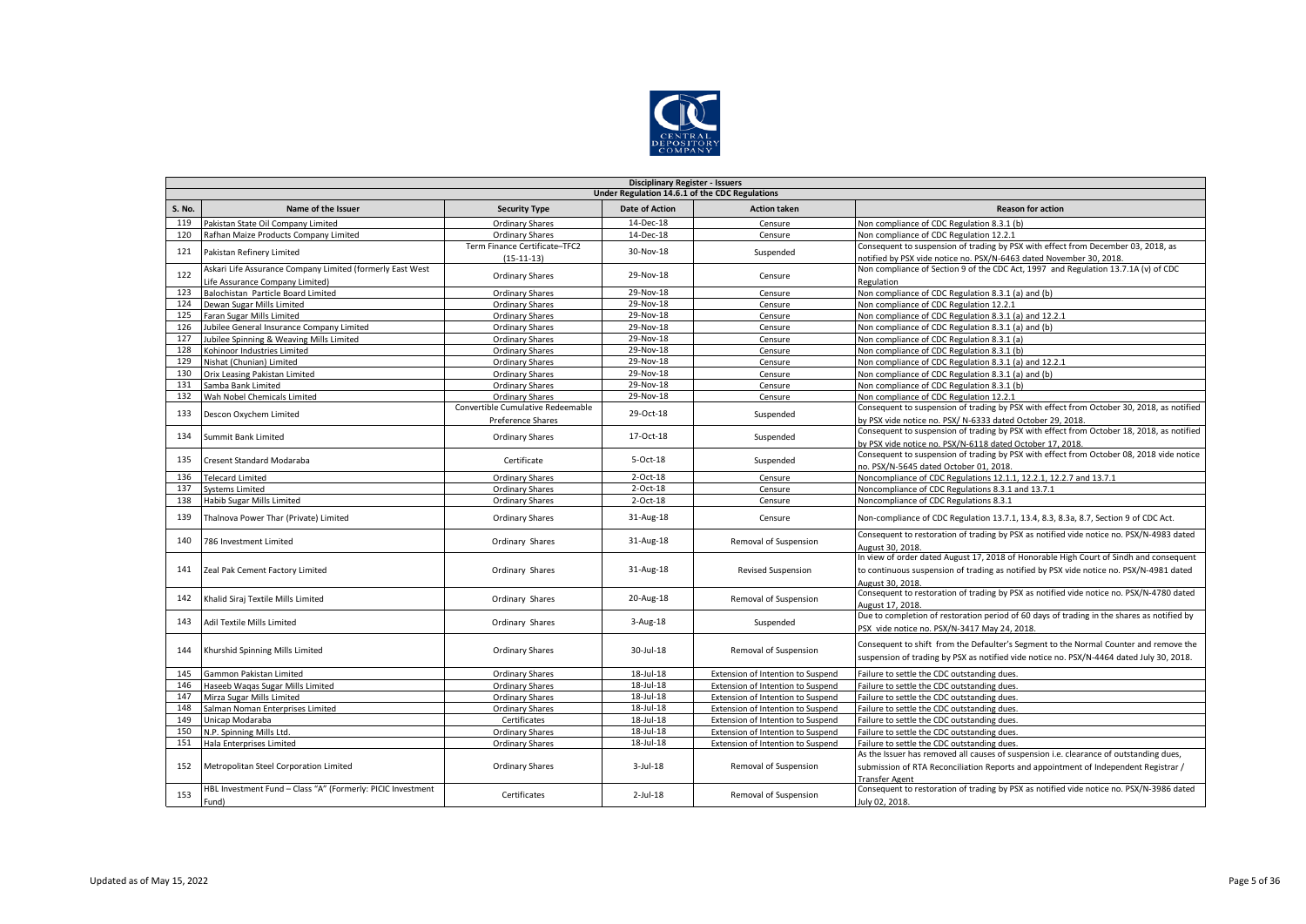

|        | <b>Disciplinary Register - Issuers</b>                      |                                   |                       |                                   |                                                                                                              |  |  |  |  |  |
|--------|-------------------------------------------------------------|-----------------------------------|-----------------------|-----------------------------------|--------------------------------------------------------------------------------------------------------------|--|--|--|--|--|
|        | Under Regulation 14.6.1 of the CDC Regulations              |                                   |                       |                                   |                                                                                                              |  |  |  |  |  |
| S. No. | Name of the Issuer                                          | <b>Security Type</b>              | <b>Date of Action</b> | <b>Action taken</b>               | <b>Reason for action</b>                                                                                     |  |  |  |  |  |
| 119    | Pakistan State Oil Company Limited                          | <b>Ordinary Shares</b>            | 14-Dec-18             | Censure                           | Non compliance of CDC Regulation 8.3.1 (b)                                                                   |  |  |  |  |  |
| 120    | Rafhan Maize Products Company Limited                       | <b>Ordinary Shares</b>            | 14-Dec-18             | Censure                           | Non compliance of CDC Regulation 12.2.1                                                                      |  |  |  |  |  |
|        |                                                             | Term Finance Certificate-TFC2     | 30-Nov-18             |                                   | Consequent to suspension of trading by PSX with effect from December 03, 2018, as                            |  |  |  |  |  |
| 121    | Pakistan Refinery Limited                                   | $(15-11-13)$                      |                       | Suspended                         | notified by PSX vide notice no. PSX/N-6463 dated November 30, 2018.                                          |  |  |  |  |  |
|        | Askari Life Assurance Company Limited (formerly East West   |                                   | 29-Nov-18             |                                   | Non compliance of Section 9 of the CDC Act, 1997 and Regulation 13.7.1A (v) of CDC                           |  |  |  |  |  |
| 122    | Life Assurance Company Limited)                             | <b>Ordinary Shares</b>            |                       | Censure                           | Regulation                                                                                                   |  |  |  |  |  |
| 123    | Balochistan Particle Board Limited                          | <b>Ordinary Shares</b>            | 29-Nov-18             | Censure                           | Non compliance of CDC Regulation 8.3.1 (a) and (b)                                                           |  |  |  |  |  |
| 124    | Dewan Sugar Mills Limited                                   | Ordinary Shares                   | 29-Nov-18             | Censure                           | Non compliance of CDC Regulation 12.2.1                                                                      |  |  |  |  |  |
| 125    | Faran Sugar Mills Limited                                   | Ordinary Shares                   | 29-Nov-18             | Censure                           | Non compliance of CDC Regulation 8.3.1 (a) and 12.2.1                                                        |  |  |  |  |  |
| 126    | Jubilee General Insurance Company Limited                   | <b>Ordinary Shares</b>            | 29-Nov-18             | Censure                           | Non compliance of CDC Regulation 8.3.1 (a) and (b)                                                           |  |  |  |  |  |
| 127    | Jubilee Spinning & Weaving Mills Limited                    | <b>Ordinary Shares</b>            | 29-Nov-18             | Censure                           | Non compliance of CDC Regulation 8.3.1 (a)                                                                   |  |  |  |  |  |
| 128    | Kohinoor Industries Limited                                 | <b>Ordinary Shares</b>            | 29-Nov-18             | Censure                           | Non compliance of CDC Regulation 8.3.1 (b)                                                                   |  |  |  |  |  |
| 129    | Nishat (Chunian) Limited                                    | Ordinary Shares                   | 29-Nov-18             | Censure                           | Non compliance of CDC Regulation 8.3.1 (a) and 12.2.1                                                        |  |  |  |  |  |
| 130    | Orix Leasing Pakistan Limited                               | <b>Ordinary Shares</b>            | 29-Nov-18             | Censure                           | Non compliance of CDC Regulation 8.3.1 (a) and (b)                                                           |  |  |  |  |  |
| 131    | Samba Bank Limited                                          | Ordinary Shares                   | 29-Nov-18             | Censure                           | Non compliance of CDC Regulation 8.3.1 (b)                                                                   |  |  |  |  |  |
| 132    | Wah Nobel Chemicals Limited                                 | <b>Ordinary Shares</b>            | 29-Nov-18             | Censure                           | Non compliance of CDC Regulation 12.2.1                                                                      |  |  |  |  |  |
| 133    |                                                             | Convertible Cumulative Redeemable | 29-Oct-18             |                                   | Consequent to suspension of trading by PSX with effect from October 30, 2018, as notified                    |  |  |  |  |  |
|        | Descon Oxychem Limited                                      | Preference Shares                 |                       | Suspended                         | by PSX vide notice no. PSX/ N-6333 dated October 29, 2018.                                                   |  |  |  |  |  |
| 134    |                                                             |                                   | 17-Oct-18             |                                   | Consequent to suspension of trading by PSX with effect from October 18, 2018, as notified                    |  |  |  |  |  |
|        | Summit Bank Limited                                         | <b>Ordinary Shares</b>            |                       | Suspended                         | by PSX vide notice no. PSX/N-6118 dated October 17, 2018.                                                    |  |  |  |  |  |
|        |                                                             |                                   | 5-Oct-18              |                                   | Consequent to suspension of trading by PSX with effect from October 08, 2018 vide notice                     |  |  |  |  |  |
| 135    | Cresent Standard Modaraba                                   | Certificate                       |                       | Suspended                         | no. PSX/N-5645 dated October 01, 2018.                                                                       |  |  |  |  |  |
| 136    | <b>Telecard Limited</b>                                     | Ordinary Shares                   | 2-Oct-18              | Censure                           | Noncompliance of CDC Regulations 12.1.1, 12.2.1, 12.2.7 and 13.7.1                                           |  |  |  |  |  |
| 137    | <b>Systems Limited</b>                                      | <b>Ordinary Shares</b>            | $2$ -Oct-18           | Censure                           | Noncompliance of CDC Regulations 8.3.1 and 13.7.1                                                            |  |  |  |  |  |
| 138    | Habib Sugar Mills Limited                                   | <b>Ordinary Shares</b>            | $2$ -Oct-18           | Censure                           | Noncompliance of CDC Regulations 8.3.1                                                                       |  |  |  |  |  |
| 139    | Thalnova Power Thar (Private) Limited                       | <b>Ordinary Shares</b>            | 31-Aug-18             | Censure                           | Non-compliance of CDC Regulation 13.7.1, 13.4, 8.3, 8.3a, 8.7, Section 9 of CDC Act.                         |  |  |  |  |  |
| 140    | 786 Investment Limited                                      | Ordinary Shares                   | 31-Aug-18             | Removal of Suspension             | Consequent to restoration of trading by PSX as notified vide notice no. PSX/N-4983 dated<br>August 30, 2018. |  |  |  |  |  |
|        |                                                             |                                   |                       |                                   | In view of order dated August 17, 2018 of Honorable High Court of Sindh and consequent                       |  |  |  |  |  |
| 141    | Zeal Pak Cement Factory Limited                             | Ordinary Shares                   | 31-Aug-18             | <b>Revised Suspension</b>         | to continuous suspension of trading as notified by PSX vide notice no. PSX/N-4981 dated                      |  |  |  |  |  |
|        |                                                             |                                   |                       |                                   | August 30, 2018.                                                                                             |  |  |  |  |  |
|        |                                                             |                                   | 20-Aug-18             |                                   | Consequent to restoration of trading by PSX as notified vide notice no. PSX/N-4780 dated                     |  |  |  |  |  |
| 142    | Chalid Siraj Textile Mills Limited                          | Ordinary Shares                   |                       | Removal of Suspension             | August 17, 2018.                                                                                             |  |  |  |  |  |
| 143    | Adil Textile Mills Limited                                  | Ordinary Shares                   | $3$ -Aug-18           | Suspended                         | Due to completion of restoration period of 60 days of trading in the shares as notified by                   |  |  |  |  |  |
|        |                                                             |                                   |                       |                                   | PSX vide notice no. PSX/N-3417 May 24, 2018.                                                                 |  |  |  |  |  |
| 144    | Khurshid Spinning Mills Limited                             | <b>Ordinary Shares</b>            | 30-Jul-18             | Removal of Suspension             | Consequent to shift from the Defaulter's Segment to the Normal Counter and remove the                        |  |  |  |  |  |
|        |                                                             |                                   |                       |                                   | suspension of trading by PSX as notified vide notice no. PSX/N-4464 dated July 30, 2018.                     |  |  |  |  |  |
| 145    | Gammon Pakistan Limited                                     | <b>Ordinary Shares</b>            | 18-Jul-18             | Extension of Intention to Suspend | Failure to settle the CDC outstanding dues.                                                                  |  |  |  |  |  |
| 146    | Haseeb Wagas Sugar Mills Limited                            | <b>Ordinary Shares</b>            | 18-Jul-18             | Extension of Intention to Suspend | Failure to settle the CDC outstanding dues.                                                                  |  |  |  |  |  |
| 147    | Mirza Sugar Mills Limited                                   | <b>Ordinary Shares</b>            | 18-Jul-18             | Extension of Intention to Suspend | Failure to settle the CDC outstanding dues.                                                                  |  |  |  |  |  |
| 148    | Salman Noman Enterprises Limited                            | <b>Ordinary Shares</b>            | 18-Jul-18             | Extension of Intention to Suspend | Failure to settle the CDC outstanding dues.                                                                  |  |  |  |  |  |
| 149    | Unicap Modaraba                                             | Certificates                      | 18-Jul-18             | Extension of Intention to Suspend | Failure to settle the CDC outstanding dues.                                                                  |  |  |  |  |  |
| 150    | N.P. Spinning Mills Ltd.                                    | <b>Ordinary Shares</b>            | 18-Jul-18             | Extension of Intention to Suspend | Failure to settle the CDC outstanding dues.                                                                  |  |  |  |  |  |
| 151    | Hala Enterprises Limited                                    | Ordinary Shares                   | 18-Jul-18             | Extension of Intention to Suspend | Failure to settle the CDC outstanding dues.                                                                  |  |  |  |  |  |
|        |                                                             |                                   |                       |                                   | As the Issuer has removed all causes of suspension i.e. clearance of outstanding dues,                       |  |  |  |  |  |
| 152    | Metropolitan Steel Corporation Limited                      | <b>Ordinary Shares</b>            | $3$ -Jul-18           | Removal of Suspension             | submission of RTA Reconciliation Reports and appointment of Independent Registrar /                          |  |  |  |  |  |
|        |                                                             |                                   |                       |                                   | <b>Transfer Agent</b>                                                                                        |  |  |  |  |  |
| 153    | HBL Investment Fund - Class "A" (Formerly: PICIC Investment | Certificates                      | $2$ -Jul-18           | Removal of Suspension             | Consequent to restoration of trading by PSX as notified vide notice no. PSX/N-3986 dated                     |  |  |  |  |  |
|        | Fund)                                                       |                                   |                       |                                   | July 02, 2018.                                                                                               |  |  |  |  |  |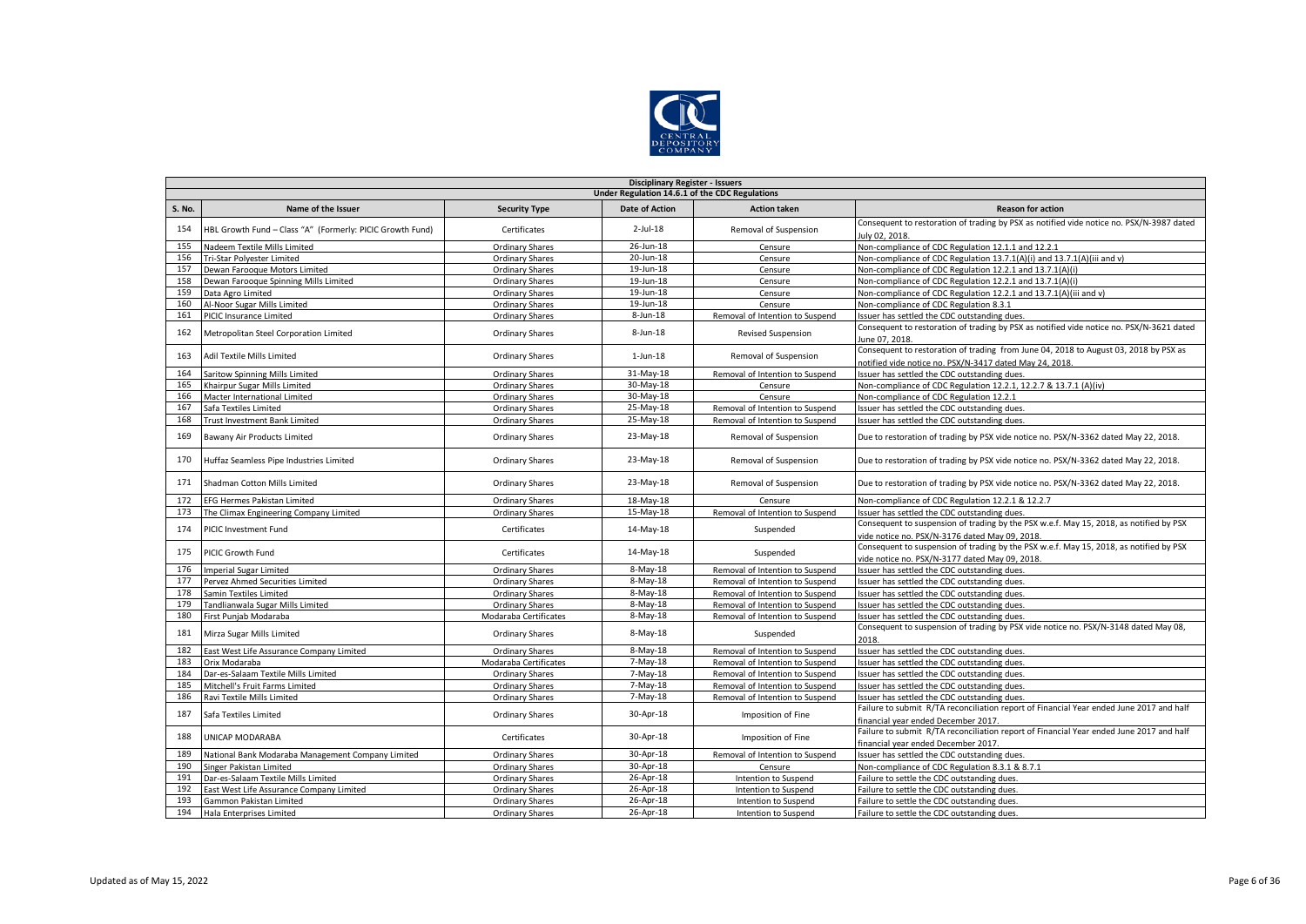

|               | <b>Disciplinary Register - Issuers</b>                    |                        |                       |                                 |                                                                                                                                                 |  |  |  |  |  |
|---------------|-----------------------------------------------------------|------------------------|-----------------------|---------------------------------|-------------------------------------------------------------------------------------------------------------------------------------------------|--|--|--|--|--|
|               | Under Regulation 14.6.1 of the CDC Regulations            |                        |                       |                                 |                                                                                                                                                 |  |  |  |  |  |
| <b>S. No.</b> | Name of the Issuer                                        | <b>Security Type</b>   | <b>Date of Action</b> | <b>Action taken</b>             | <b>Reason for action</b>                                                                                                                        |  |  |  |  |  |
| 154           | HBL Growth Fund - Class "A" (Formerly: PICIC Growth Fund) | Certificates           | $2$ -Jul-18           | Removal of Suspension           | Consequent to restoration of trading by PSX as notified vide notice no. PSX/N-3987 dated<br>luly 02, 2018.                                      |  |  |  |  |  |
| 155           | Nadeem Textile Mills Limited                              | Ordinary Shares        | 26-Jun-18             | Censure                         | Non-compliance of CDC Regulation 12.1.1 and 12.2.1                                                                                              |  |  |  |  |  |
| 156           | Tri-Star Polyester Limited                                | <b>Ordinary Shares</b> | 20-Jun-18             | Censure                         | Non-compliance of CDC Regulation 13.7.1(A)(i) and 13.7.1(A)(iii and v)                                                                          |  |  |  |  |  |
| 157           | Dewan Farooque Motors Limited                             | <b>Ordinary Shares</b> | 19-Jun-18             | Censure                         | Non-compliance of CDC Regulation 12.2.1 and 13.7.1(A)(i)                                                                                        |  |  |  |  |  |
| 158           | Dewan Farooque Spinning Mills Limited                     | <b>Ordinary Shares</b> | 19-Jun-18             | Censure                         | Non-compliance of CDC Regulation 12.2.1 and 13.7.1(A)(i)                                                                                        |  |  |  |  |  |
| 159           | Data Agro Limited                                         | <b>Ordinary Shares</b> | 19-Jun-18             | Censure                         | Non-compliance of CDC Regulation 12.2.1 and 13.7.1(A)(iii and v)                                                                                |  |  |  |  |  |
| 160           | Al-Noor Sugar Mills Limited                               | Ordinary Shares        | 19-Jun-18             | Censure                         | Non-compliance of CDC Regulation 8.3.1                                                                                                          |  |  |  |  |  |
| 161           | PICIC Insurance Limited                                   | <b>Ordinary Shares</b> | 8-Jun-18              | Removal of Intention to Suspend | ssuer has settled the CDC outstanding dues.                                                                                                     |  |  |  |  |  |
| 162           | Metropolitan Steel Corporation Limited                    | Ordinary Shares        | 8-Jun-18              | <b>Revised Suspension</b>       | Consequent to restoration of trading by PSX as notified vide notice no. PSX/N-3621 dated<br>June 07, 2018.                                      |  |  |  |  |  |
| 163           | Adil Textile Mills Limited                                | <b>Ordinary Shares</b> | $1$ -Jun- $18$        | Removal of Suspension           | Consequent to restoration of trading from June 04, 2018 to August 03, 2018 by PSX as<br>notified vide notice no. PSX/N-3417 dated May 24, 2018. |  |  |  |  |  |
| 164           | Saritow Spinning Mills Limited                            | <b>Ordinary Shares</b> | 31-May-18             | Removal of Intention to Suspend | Issuer has settled the CDC outstanding dues.                                                                                                    |  |  |  |  |  |
| 165           | Khairpur Sugar Mills Limited                              | <b>Ordinary Shares</b> | 30-May-18             | Censure                         | Non-compliance of CDC Regulation 12.2.1, 12.2.7 & 13.7.1 (A)(iv)                                                                                |  |  |  |  |  |
| 166           | Macter International Limited                              | <b>Ordinary Shares</b> | 30-May-18             | Censure                         | Non-compliance of CDC Regulation 12.2.1                                                                                                         |  |  |  |  |  |
| 167           | Safa Textiles Limited                                     | Ordinary Shares        | 25-May-18             | Removal of Intention to Suspend | ssuer has settled the CDC outstanding dues.                                                                                                     |  |  |  |  |  |
| 168           | <b>Trust Investment Bank Limited</b>                      | <b>Ordinary Shares</b> | 25-May-18             | Removal of Intention to Suspend | ssuer has settled the CDC outstanding dues.                                                                                                     |  |  |  |  |  |
| 169           | Bawany Air Products Limited                               | <b>Ordinary Shares</b> | 23-May-18             | Removal of Suspension           | Due to restoration of trading by PSX vide notice no. PSX/N-3362 dated May 22, 2018.                                                             |  |  |  |  |  |
| 170           | Huffaz Seamless Pipe Industries Limited                   | <b>Ordinary Shares</b> | 23-May-18             | Removal of Suspension           | Due to restoration of trading by PSX vide notice no. PSX/N-3362 dated May 22, 2018.                                                             |  |  |  |  |  |
| 171           | Shadman Cotton Mills Limited                              | <b>Ordinary Shares</b> | 23-May-18             | Removal of Suspension           | Due to restoration of trading by PSX vide notice no. PSX/N-3362 dated May 22, 2018.                                                             |  |  |  |  |  |
| 172           | <b>EFG Hermes Pakistan Limited</b>                        | <b>Ordinary Shares</b> | 18-May-18             | Censure                         | Non-compliance of CDC Regulation 12.2.1 & 12.2.7                                                                                                |  |  |  |  |  |
| 173           | The Climax Engineering Company Limited                    | <b>Ordinary Shares</b> | 15-May-18             | Removal of Intention to Suspend | Issuer has settled the CDC outstanding dues.                                                                                                    |  |  |  |  |  |
| 174           | PICIC Investment Fund                                     | Certificates           | 14-May-18             | Suspended                       | Consequent to suspension of trading by the PSX w.e.f. May 15, 2018, as notified by PSX<br>vide notice no. PSX/N-3176 dated May 09, 2018.        |  |  |  |  |  |
| 175           | PICIC Growth Fund                                         | Certificates           | 14-May-18             | Suspended                       | Consequent to suspension of trading by the PSX w.e.f. May 15, 2018, as notified by PSX<br>vide notice no. PSX/N-3177 dated May 09, 2018.        |  |  |  |  |  |
| 176           | <b>Imperial Sugar Limited</b>                             | Ordinary Shares        | 8-May-18              | Removal of Intention to Suspend | Issuer has settled the CDC outstanding dues.                                                                                                    |  |  |  |  |  |
| 177           | Pervez Ahmed Securities Limited                           | <b>Ordinary Shares</b> | 8-May-18              | Removal of Intention to Suspend | ssuer has settled the CDC outstanding dues.                                                                                                     |  |  |  |  |  |
| 178           | Samin Textiles Limited                                    | <b>Ordinary Shares</b> | 8-May-18              | Removal of Intention to Suspend | ssuer has settled the CDC outstanding dues.                                                                                                     |  |  |  |  |  |
| 179           | Tandlianwala Sugar Mills Limited                          | <b>Ordinary Shares</b> | 8-May-18              | Removal of Intention to Suspend | Issuer has settled the CDC outstanding dues.                                                                                                    |  |  |  |  |  |
| 180           | First Punjab Modaraba                                     | Modaraba Certificates  | 8-May-18              | Removal of Intention to Suspend | ssuer has settled the CDC outstanding dues.                                                                                                     |  |  |  |  |  |
| 181           | Mirza Sugar Mills Limited                                 | <b>Ordinary Shares</b> | 8-May-18              | Suspended                       | Consequent to suspension of trading by PSX vide notice no. PSX/N-3148 dated May 08,<br>2018                                                     |  |  |  |  |  |
| 182           | East West Life Assurance Company Limited                  | <b>Ordinary Shares</b> | $8 - May-18$          | Removal of Intention to Suspend | ssuer has settled the CDC outstanding dues.                                                                                                     |  |  |  |  |  |
| 183           | Orix Modaraba                                             | Modaraba Certificates  | $7-May-18$            | Removal of Intention to Suspend | ssuer has settled the CDC outstanding dues.                                                                                                     |  |  |  |  |  |
| 184           | Dar-es-Salaam Textile Mills Limited                       | Ordinary Shares        | 7-May-18              | Removal of Intention to Suspend | ssuer has settled the CDC outstanding dues.                                                                                                     |  |  |  |  |  |
| 185           | Mitchell's Fruit Farms Limited                            | Ordinary Shares        | $7-May-18$            | Removal of Intention to Suspend | ssuer has settled the CDC outstanding dues.                                                                                                     |  |  |  |  |  |
| 186           | Ravi Textile Mills Limited                                | Ordinary Shares        | 7-May-18              | Removal of Intention to Suspend | ssuer has settled the CDC outstanding dues.                                                                                                     |  |  |  |  |  |
| 187           | Safa Textiles Limited                                     | <b>Ordinary Shares</b> | 30-Apr-18             | Imposition of Fine              | Failure to submit R/TA reconciliation report of Financial Year ended June 2017 and half<br>financial year ended December 2017.                  |  |  |  |  |  |
| 188           | UNICAP MODARABA                                           | Certificates           | 30-Apr-18             | Imposition of Fine              | Failure to submit R/TA reconciliation report of Financial Year ended June 2017 and half<br>financial year ended December 2017.                  |  |  |  |  |  |
| 189           | National Bank Modaraba Management Company Limited         | Ordinary Shares        | 30-Apr-18             | Removal of Intention to Suspend | Issuer has settled the CDC outstanding dues.                                                                                                    |  |  |  |  |  |
| 190           | Singer Pakistan Limited                                   | Ordinary Shares        | 30-Apr-18             | Censure                         | Non-compliance of CDC Regulation 8.3.1 & 8.7.1                                                                                                  |  |  |  |  |  |
| 191           | Dar-es-Salaam Textile Mills Limited                       | <b>Ordinary Shares</b> | 26-Apr-18             | Intention to Suspend            | Failure to settle the CDC outstanding dues.                                                                                                     |  |  |  |  |  |
| 192           | East West Life Assurance Company Limited                  | Ordinary Shares        | 26-Apr-18             | Intention to Suspend            | Failure to settle the CDC outstanding dues.                                                                                                     |  |  |  |  |  |
| 193           | Gammon Pakistan Limited                                   | Ordinary Shares        | 26-Apr-18             | Intention to Suspend            | Failure to settle the CDC outstanding dues.                                                                                                     |  |  |  |  |  |
| 194           | Hala Enterprises Limited                                  | Ordinary Shares        | 26-Apr-18             | Intention to Suspend            | Failure to settle the CDC outstanding dues.                                                                                                     |  |  |  |  |  |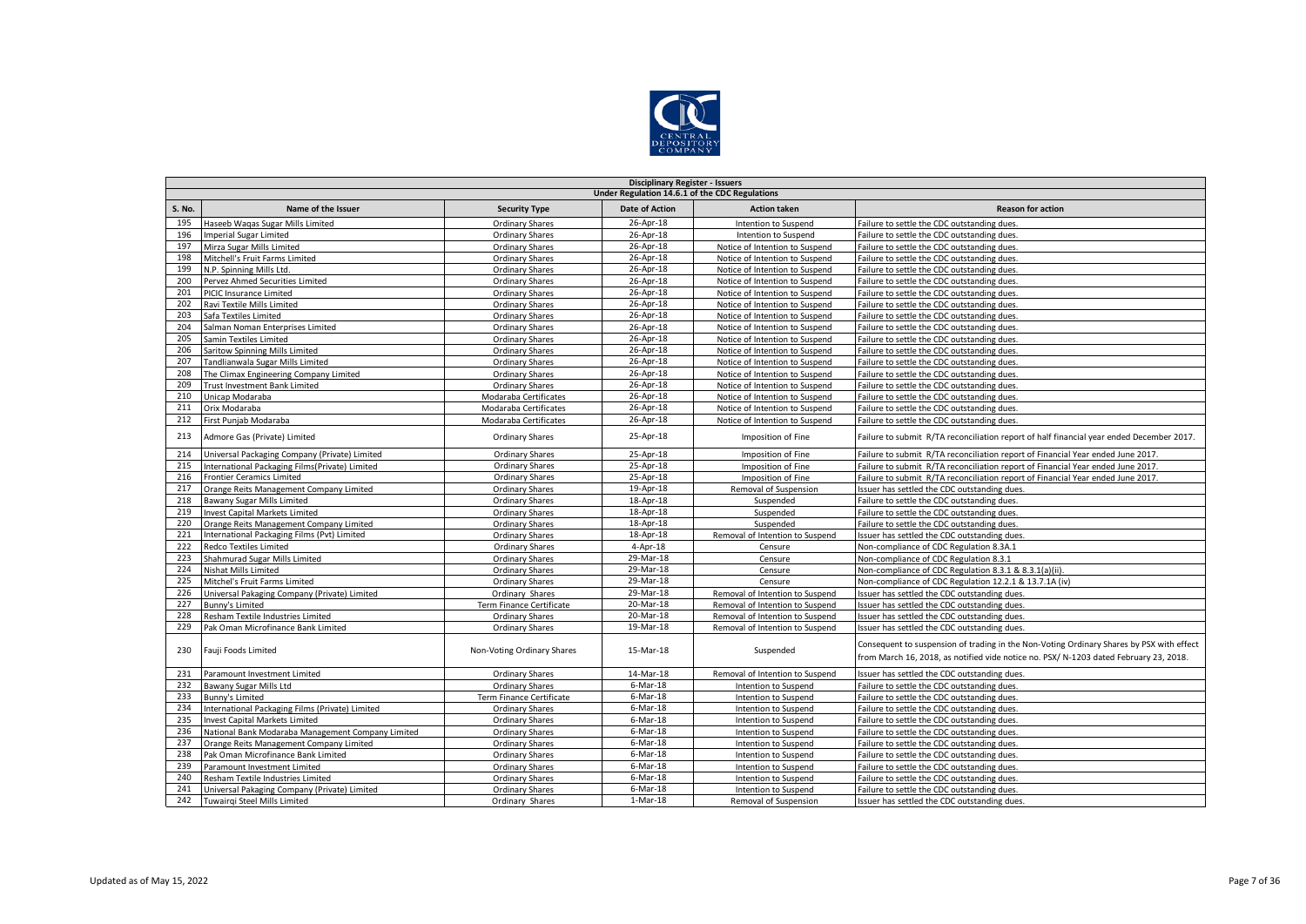

|               | <b>Disciplinary Register - Issuers</b>            |                            |                       |                                 |                                                                                                                                                                                   |  |  |  |  |
|---------------|---------------------------------------------------|----------------------------|-----------------------|---------------------------------|-----------------------------------------------------------------------------------------------------------------------------------------------------------------------------------|--|--|--|--|
|               | Under Regulation 14.6.1 of the CDC Regulations    |                            |                       |                                 |                                                                                                                                                                                   |  |  |  |  |
| <b>S. No.</b> | Name of the Issuer                                | <b>Security Type</b>       | <b>Date of Action</b> | <b>Action taken</b>             | <b>Reason for action</b>                                                                                                                                                          |  |  |  |  |
| 195           | Haseeb Wagas Sugar Mills Limited                  | <b>Ordinary Shares</b>     | 26-Apr-18             | Intention to Suspend            | Failure to settle the CDC outstanding dues.                                                                                                                                       |  |  |  |  |
| 196           | <b>Imperial Sugar Limited</b>                     | <b>Ordinary Shares</b>     | 26-Apr-18             | Intention to Suspend            | Failure to settle the CDC outstanding dues.                                                                                                                                       |  |  |  |  |
| 197           | Mirza Sugar Mills Limited                         | <b>Ordinary Shares</b>     | 26-Apr-18             | Notice of Intention to Suspend  | Failure to settle the CDC outstanding dues.                                                                                                                                       |  |  |  |  |
| 198           | Mitchell's Fruit Farms Limited                    | <b>Ordinary Shares</b>     | 26-Apr-18             | Notice of Intention to Suspend  | Failure to settle the CDC outstanding dues.                                                                                                                                       |  |  |  |  |
| 199           | N.P. Spinning Mills Ltd.                          | <b>Ordinary Shares</b>     | 26-Apr-18             | Notice of Intention to Suspend  | Failure to settle the CDC outstanding dues.                                                                                                                                       |  |  |  |  |
| 200           | Pervez Ahmed Securities Limited                   | <b>Ordinary Shares</b>     | 26-Apr-18             | Notice of Intention to Suspend  | Failure to settle the CDC outstanding dues.                                                                                                                                       |  |  |  |  |
| 201           | PICIC Insurance Limited                           | <b>Ordinary Shares</b>     | 26-Apr-18             | Notice of Intention to Suspend  | Failure to settle the CDC outstanding dues.                                                                                                                                       |  |  |  |  |
| 202           | Ravi Textile Mills Limited                        | <b>Ordinary Shares</b>     | 26-Apr-18             | Notice of Intention to Suspend  | Failure to settle the CDC outstanding dues.                                                                                                                                       |  |  |  |  |
| 203           | Safa Textiles Limited                             | <b>Ordinary Shares</b>     | 26-Apr-18             | Notice of Intention to Suspend  | Failure to settle the CDC outstanding dues.                                                                                                                                       |  |  |  |  |
| 204           | Salman Noman Enterprises Limited                  | <b>Ordinary Shares</b>     | 26-Apr-18             | Notice of Intention to Suspend  | Failure to settle the CDC outstanding dues.                                                                                                                                       |  |  |  |  |
| 205           | Samin Textiles Limited                            | <b>Ordinary Shares</b>     | 26-Apr-18             | Notice of Intention to Suspend  | Failure to settle the CDC outstanding dues.                                                                                                                                       |  |  |  |  |
| 206           | Saritow Spinning Mills Limited                    | <b>Ordinary Shares</b>     | 26-Apr-18             | Notice of Intention to Suspend  | Failure to settle the CDC outstanding dues.                                                                                                                                       |  |  |  |  |
| 207           | Tandlianwala Sugar Mills Limited                  | <b>Ordinary Shares</b>     | 26-Apr-18             | Notice of Intention to Suspend  | Failure to settle the CDC outstanding dues.                                                                                                                                       |  |  |  |  |
| 208           | The Climax Engineering Company Limited            | <b>Ordinary Shares</b>     | 26-Apr-18             | Notice of Intention to Suspend  | Failure to settle the CDC outstanding dues.                                                                                                                                       |  |  |  |  |
| 209           | Trust Investment Bank Limited                     | Ordinary Shares            | 26-Apr-18             | Notice of Intention to Suspend  | Failure to settle the CDC outstanding dues.                                                                                                                                       |  |  |  |  |
| 210           | Unicap Modaraba                                   | Modaraba Certificates      | 26-Apr-18             | Notice of Intention to Suspend  | Failure to settle the CDC outstanding dues.                                                                                                                                       |  |  |  |  |
| 211           | Orix Modaraba                                     | Modaraba Certificates      | 26-Apr-18             | Notice of Intention to Suspend  | Failure to settle the CDC outstanding dues.                                                                                                                                       |  |  |  |  |
| 212           | First Punjab Modaraba                             | Modaraba Certificates      | 26-Apr-18             | Notice of Intention to Suspend  | Failure to settle the CDC outstanding dues.                                                                                                                                       |  |  |  |  |
| 213           | Admore Gas (Private) Limited                      | <b>Ordinary Shares</b>     | 25-Apr-18             | Imposition of Fine              | Failure to submit R/TA reconciliation report of half financial year ended December 2017.                                                                                          |  |  |  |  |
| 214           | Universal Packaging Company (Private) Limited     | <b>Ordinary Shares</b>     | 25-Apr-18             | Imposition of Fine              | Failure to submit R/TA reconciliation report of Financial Year ended June 2017.                                                                                                   |  |  |  |  |
| 215           | International Packaging Films(Private) Limited    | <b>Ordinary Shares</b>     | 25-Apr-18             | Imposition of Fine              | Failure to submit R/TA reconciliation report of Financial Year ended June 2017.                                                                                                   |  |  |  |  |
| 216           | <b>Frontier Ceramics Limited</b>                  | <b>Ordinary Shares</b>     | 25-Apr-18             | Imposition of Fine              | Failure to submit R/TA reconciliation report of Financial Year ended June 2017.                                                                                                   |  |  |  |  |
| 217           | Orange Reits Management Company Limited           | <b>Ordinary Shares</b>     | 19-Apr-18             | Removal of Suspension           | ssuer has settled the CDC outstanding dues.                                                                                                                                       |  |  |  |  |
| 218           | Bawany Sugar Mills Limited                        | <b>Ordinary Shares</b>     | 18-Apr-18             | Suspended                       | Failure to settle the CDC outstanding dues.                                                                                                                                       |  |  |  |  |
| 219           | <b>Invest Capital Markets Limited</b>             | <b>Ordinary Shares</b>     | 18-Apr-18             | Suspended                       | Failure to settle the CDC outstanding dues.                                                                                                                                       |  |  |  |  |
| 220           | Orange Reits Management Company Limited           | <b>Ordinary Shares</b>     | 18-Apr-18             | Suspended                       | Failure to settle the CDC outstanding dues.                                                                                                                                       |  |  |  |  |
| 221           | International Packaging Films (Pvt) Limited       | <b>Ordinary Shares</b>     | 18-Apr-18             | Removal of Intention to Suspend | Issuer has settled the CDC outstanding dues.                                                                                                                                      |  |  |  |  |
| 222           | Redco Textiles Limited                            | <b>Ordinary Shares</b>     | $4 - Apr - 18$        | Censure                         | Non-compliance of CDC Regulation 8.3A.1                                                                                                                                           |  |  |  |  |
| 223           | Shahmurad Sugar Mills Limited                     | <b>Ordinary Shares</b>     | 29-Mar-18             | Censure                         | Non-compliance of CDC Regulation 8.3.1                                                                                                                                            |  |  |  |  |
| 224           | <b>Nishat Mills Limited</b>                       | <b>Ordinary Shares</b>     | 29-Mar-18             | Censure                         | Non-compliance of CDC Regulation 8.3.1 & 8.3.1(a)(ii).                                                                                                                            |  |  |  |  |
| 225           | Mitchel's Fruit Farms Limited                     | <b>Ordinary Shares</b>     | 29-Mar-18             | Censure                         | Non-compliance of CDC Regulation 12.2.1 & 13.7.1A (iv)                                                                                                                            |  |  |  |  |
| 226           | Universal Pakaging Company (Private) Limited      | Ordinary Shares            | 29-Mar-18             | Removal of Intention to Suspend | ssuer has settled the CDC outstanding dues.                                                                                                                                       |  |  |  |  |
| 227           | Bunny's Limited                                   | Term Finance Certificate   | 20-Mar-18             | Removal of Intention to Suspend | Issuer has settled the CDC outstanding dues.                                                                                                                                      |  |  |  |  |
| 228           | Resham Textile Industries Limited                 | Ordinary Shares            | 20-Mar-18             | Removal of Intention to Suspend | ssuer has settled the CDC outstanding dues.                                                                                                                                       |  |  |  |  |
| 229           | Pak Oman Microfinance Bank Limited                | Ordinary Shares            | 19-Mar-18             | Removal of Intention to Suspend | ssuer has settled the CDC outstanding dues.                                                                                                                                       |  |  |  |  |
| 230           | Fauji Foods Limited                               | Non-Voting Ordinary Shares | 15-Mar-18             | Suspended                       | Consequent to suspension of trading in the Non-Voting Ordinary Shares by PSX with effect<br>from March 16, 2018, as notified vide notice no. PSX/ N-1203 dated February 23, 2018. |  |  |  |  |
| 231           | Paramount Investment Limited                      | <b>Ordinary Shares</b>     | 14-Mar-18             | Removal of Intention to Suspend | Issuer has settled the CDC outstanding dues.                                                                                                                                      |  |  |  |  |
| 232           | Bawany Sugar Mills Ltd                            | <b>Ordinary Shares</b>     | $6$ -Mar-18           | Intention to Suspend            | Failure to settle the CDC outstanding dues.                                                                                                                                       |  |  |  |  |
| 233           | <b>Bunny's Limited</b>                            | Term Finance Certificate   | $6$ -Mar-18           | Intention to Suspend            | Failure to settle the CDC outstanding dues.                                                                                                                                       |  |  |  |  |
| 234           | International Packaging Films (Private) Limited   | <b>Ordinary Shares</b>     | $6$ -Mar-18           | Intention to Suspend            | Failure to settle the CDC outstanding dues.                                                                                                                                       |  |  |  |  |
| 235           | <b>Invest Capital Markets Limited</b>             | Ordinary Shares            | $6$ -Mar-18           | Intention to Suspend            | Failure to settle the CDC outstanding dues.                                                                                                                                       |  |  |  |  |
| 236           | National Bank Modaraba Management Company Limited | <b>Ordinary Shares</b>     | 6-Mar-18              | Intention to Suspend            | Failure to settle the CDC outstanding dues.                                                                                                                                       |  |  |  |  |
| 237           | Orange Reits Management Company Limited           | <b>Ordinary Shares</b>     | $6$ -Mar-18           | Intention to Suspend            | Failure to settle the CDC outstanding dues.                                                                                                                                       |  |  |  |  |
| 238           | Pak Oman Microfinance Bank Limited                | <b>Ordinary Shares</b>     | $6$ -Mar-18           | Intention to Suspend            | Failure to settle the CDC outstanding dues.                                                                                                                                       |  |  |  |  |
| 239           | Paramount Investment Limited                      | <b>Ordinary Shares</b>     | $6$ -Mar-18           | Intention to Suspend            | Failure to settle the CDC outstanding dues.                                                                                                                                       |  |  |  |  |
| 240           | Resham Textile Industries Limited                 | <b>Ordinary Shares</b>     | $6$ -Mar-18           | Intention to Suspend            | Failure to settle the CDC outstanding dues.                                                                                                                                       |  |  |  |  |
| 241           | Universal Pakaging Company (Private) Limited      | <b>Ordinary Shares</b>     | $6$ -Mar-18           | Intention to Suspend            | Failure to settle the CDC outstanding dues.                                                                                                                                       |  |  |  |  |
| 242           | Tuwairgi Steel Mills Limited                      | Ordinary Shares            | $1-Mar-18$            | Removal of Suspension           | Issuer has settled the CDC outstanding dues.                                                                                                                                      |  |  |  |  |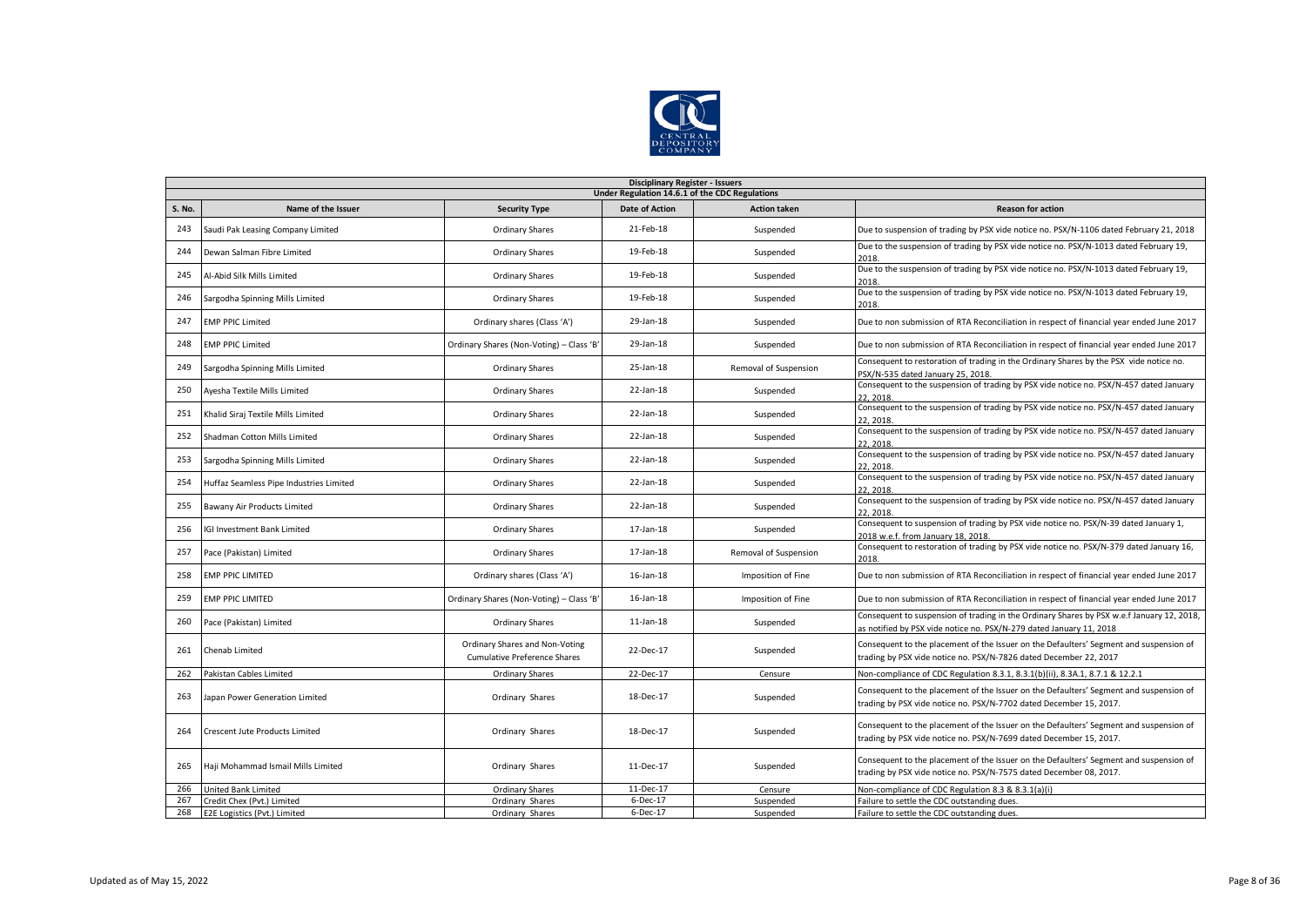

|        | <b>Disciplinary Register - Issuers</b>         |                                                                       |                       |                       |                                                                                                                                                                  |  |  |  |  |
|--------|------------------------------------------------|-----------------------------------------------------------------------|-----------------------|-----------------------|------------------------------------------------------------------------------------------------------------------------------------------------------------------|--|--|--|--|
|        | Under Regulation 14.6.1 of the CDC Regulations |                                                                       |                       |                       |                                                                                                                                                                  |  |  |  |  |
| S. No. | Name of the Issuer                             | <b>Security Type</b>                                                  | <b>Date of Action</b> | <b>Action taken</b>   | <b>Reason for action</b>                                                                                                                                         |  |  |  |  |
| 243    | Saudi Pak Leasing Company Limited              | <b>Ordinary Shares</b>                                                | 21-Feb-18             | Suspended             | Due to suspension of trading by PSX vide notice no. PSX/N-1106 dated February 21, 2018                                                                           |  |  |  |  |
| 244    | Dewan Salman Fibre Limited                     | Ordinary Shares                                                       | 19-Feb-18             | Suspended             | Due to the suspension of trading by PSX vide notice no. PSX/N-1013 dated February 19,<br>2018.                                                                   |  |  |  |  |
| 245    | Al-Abid Silk Mills Limited                     | <b>Ordinary Shares</b>                                                | 19-Feb-18             | Suspended             | Due to the suspension of trading by PSX vide notice no. PSX/N-1013 dated February 19,                                                                            |  |  |  |  |
| 246    | Sargodha Spinning Mills Limited                | <b>Ordinary Shares</b>                                                | 19-Feb-18             | Suspended             | Due to the suspension of trading by PSX vide notice no. PSX/N-1013 dated February 19,<br>2018                                                                    |  |  |  |  |
| 247    | <b>EMP PPIC Limited</b>                        | Ordinary shares (Class 'A')                                           | 29-Jan-18             | Suspended             | Due to non submission of RTA Reconciliation in respect of financial year ended June 2017                                                                         |  |  |  |  |
| 248    | <b>EMP PPIC Limited</b>                        | Ordinary Shares (Non-Voting) - Class 'B'                              | 29-Jan-18             | Suspended             | Due to non submission of RTA Reconciliation in respect of financial year ended June 2017                                                                         |  |  |  |  |
| 249    | Sargodha Spinning Mills Limited                | <b>Ordinary Shares</b>                                                | 25-Jan-18             | Removal of Suspension | Consequent to restoration of trading in the Ordinary Shares by the PSX vide notice no.<br>PSX/N-535 dated January 25, 2018.                                      |  |  |  |  |
| 250    | Ayesha Textile Mills Limited                   | <b>Ordinary Shares</b>                                                | 22-Jan-18             | Suspended             | Consequent to the suspension of trading by PSX vide notice no. PSX/N-457 dated January<br>22.2018                                                                |  |  |  |  |
| 251    | Khalid Siraj Textile Mills Limited             | <b>Ordinary Shares</b>                                                | 22-Jan-18             | Suspended             | Consequent to the suspension of trading by PSX vide notice no. PSX/N-457 dated January<br>22, 2018                                                               |  |  |  |  |
| 252    | Shadman Cotton Mills Limited                   | <b>Ordinary Shares</b>                                                | 22-Jan-18             | Suspended             | Consequent to the suspension of trading by PSX vide notice no. PSX/N-457 dated January<br>22.2018.                                                               |  |  |  |  |
| 253    | Sargodha Spinning Mills Limited                | <b>Ordinary Shares</b>                                                | 22-Jan-18             | Suspended             | Consequent to the suspension of trading by PSX vide notice no. PSX/N-457 dated January<br>22, 2018                                                               |  |  |  |  |
| 254    | Huffaz Seamless Pipe Industries Limited        | <b>Ordinary Shares</b>                                                | 22-Jan-18             | Suspended             | Consequent to the suspension of trading by PSX vide notice no. PSX/N-457 dated January<br>22.2018                                                                |  |  |  |  |
| 255    | Bawany Air Products Limited                    | <b>Ordinary Shares</b>                                                | 22-Jan-18             | Suspended             | Consequent to the suspension of trading by PSX vide notice no. PSX/N-457 dated January<br>22.2018.                                                               |  |  |  |  |
| 256    | <b>IGI Investment Bank Limited</b>             | <b>Ordinary Shares</b>                                                | 17-Jan-18             | Suspended             | Consequent to suspension of trading by PSX vide notice no. PSX/N-39 dated January 1,<br>2018 w.e.f. from January 18, 2018                                        |  |  |  |  |
| 257    | Pace (Pakistan) Limited                        | <b>Ordinary Shares</b>                                                | 17-Jan-18             | Removal of Suspension | Consequent to restoration of trading by PSX vide notice no. PSX/N-379 dated January 16,<br>2018                                                                  |  |  |  |  |
| 258    | <b>EMP PPIC LIMITED</b>                        | Ordinary shares (Class 'A')                                           | 16-Jan-18             | Imposition of Fine    | Due to non submission of RTA Reconciliation in respect of financial year ended June 2017                                                                         |  |  |  |  |
| 259    | <b>EMP PPIC LIMITED</b>                        | Ordinary Shares (Non-Voting) - Class 'B'                              | 16-Jan-18             | Imposition of Fine    | Due to non submission of RTA Reconciliation in respect of financial year ended June 2017                                                                         |  |  |  |  |
| 260    | Pace (Pakistan) Limited                        | <b>Ordinary Shares</b>                                                | $11$ -Jan- $18$       | Suspended             | Consequent to suspension of trading in the Ordinary Shares by PSX w.e.f January 12, 2018,<br>as notified by PSX vide notice no. PSX/N-279 dated January 11, 2018 |  |  |  |  |
| 261    | Chenab Limited                                 | Ordinary Shares and Non-Voting<br><b>Cumulative Preference Shares</b> | 22-Dec-17             | Suspended             | Consequent to the placement of the Issuer on the Defaulters' Segment and suspension of<br>trading by PSX vide notice no. PSX/N-7826 dated December 22, 2017      |  |  |  |  |
| 262    | Pakistan Cables Limited                        | <b>Ordinary Shares</b>                                                | 22-Dec-17             | Censure               | Non-compliance of CDC Regulation 8.3.1, 8.3.1(b)(ii), 8.3A.1, 8.7.1 & 12.2.1                                                                                     |  |  |  |  |
| 263    | Japan Power Generation Limited                 | Ordinary Shares                                                       | 18-Dec-17             | Suspended             | Consequent to the placement of the Issuer on the Defaulters' Segment and suspension of<br>trading by PSX vide notice no. PSX/N-7702 dated December 15, 2017.     |  |  |  |  |
| 264    | Crescent Jute Products Limited                 | Ordinary Shares                                                       | 18-Dec-17             | Suspended             | Consequent to the placement of the Issuer on the Defaulters' Segment and suspension of<br>trading by PSX vide notice no. PSX/N-7699 dated December 15, 2017.     |  |  |  |  |
| 265    | Haji Mohammad Ismail Mills Limited             | Ordinary Shares                                                       | 11-Dec-17             | Suspended             | Consequent to the placement of the Issuer on the Defaulters' Segment and suspension of<br>trading by PSX vide notice no. PSX/N-7575 dated December 08, 2017.     |  |  |  |  |
| 266    | United Bank Limited                            | <b>Ordinary Shares</b>                                                | 11-Dec-17             | Censure               | Non-compliance of CDC Regulation 8.3 & 8.3.1(a)(i)                                                                                                               |  |  |  |  |
| 267    | Credit Chex (Pvt.) Limited                     | Ordinary Shares                                                       | 6-Dec-17              | Suspended             | Failure to settle the CDC outstanding dues.                                                                                                                      |  |  |  |  |
| 268    | E2E Logistics (Pvt.) Limited                   | Ordinary Shares                                                       | 6-Dec-17              | Suspended             | Failure to settle the CDC outstanding dues.                                                                                                                      |  |  |  |  |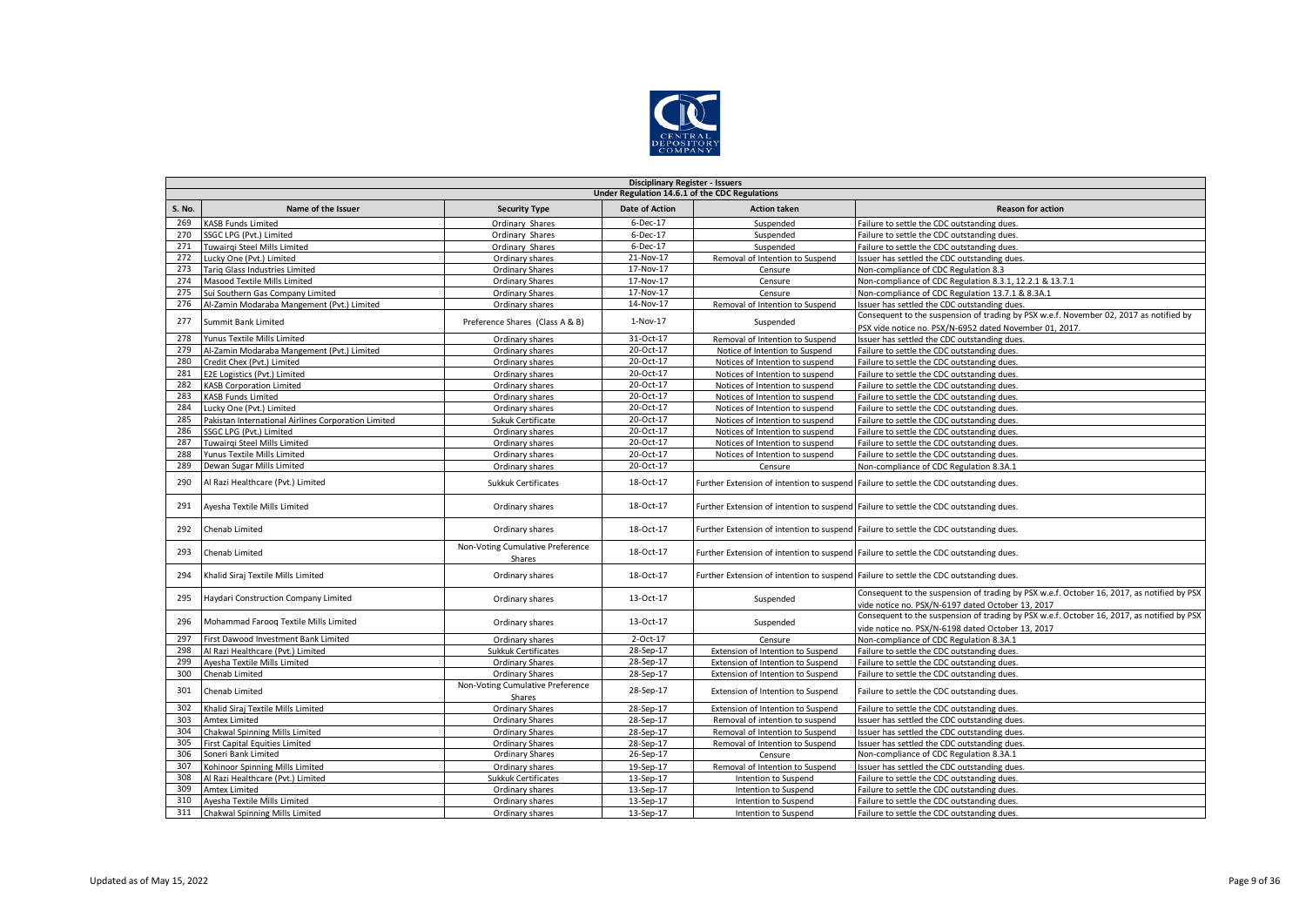

|               | <b>Disciplinary Register - Issuers</b>              |                                            |                       |                                   |                                                                                                                                                   |  |  |  |  |  |
|---------------|-----------------------------------------------------|--------------------------------------------|-----------------------|-----------------------------------|---------------------------------------------------------------------------------------------------------------------------------------------------|--|--|--|--|--|
|               | Under Regulation 14.6.1 of the CDC Regulations      |                                            |                       |                                   |                                                                                                                                                   |  |  |  |  |  |
| <b>S. No.</b> | Name of the Issuer                                  | <b>Security Type</b>                       | <b>Date of Action</b> | <b>Action taken</b>               | <b>Reason for action</b>                                                                                                                          |  |  |  |  |  |
| 269           | <b>KASB Funds Limited</b>                           | Ordinary Shares                            | 6-Dec-17              | Suspended                         | Failure to settle the CDC outstanding dues.                                                                                                       |  |  |  |  |  |
| 270           | SSGC LPG (Pvt.) Limited                             | Ordinary Shares                            | 6-Dec-17              | Suspended                         | Failure to settle the CDC outstanding dues.                                                                                                       |  |  |  |  |  |
| 271           | Tuwairgi Steel Mills Limited                        | Ordinary Shares                            | 6-Dec-17              | Suspended                         | Failure to settle the CDC outstanding dues.                                                                                                       |  |  |  |  |  |
| 272           | ucky One (Pvt.) Limited                             | Ordinary shares                            | 21-Nov-17             | Removal of Intention to Suspend   | Issuer has settled the CDC outstanding dues.                                                                                                      |  |  |  |  |  |
| 273           | Tariq Glass Industries Limited                      | <b>Ordinary Shares</b>                     | 17-Nov-17             | Censure                           | Non-compliance of CDC Regulation 8.3                                                                                                              |  |  |  |  |  |
| 274           | Masood Textile Mills Limited                        | Ordinary Shares                            | 17-Nov-17             | Censure                           | Non-compliance of CDC Regulation 8.3.1, 12.2.1 & 13.7.1                                                                                           |  |  |  |  |  |
| 275           | Sui Southern Gas Company Limited                    | <b>Ordinary Shares</b>                     | 17-Nov-17             | Censure                           | Non-compliance of CDC Regulation 13.7.1 & 8.3A.1                                                                                                  |  |  |  |  |  |
| 276           | Al-Zamin Modaraba Mangement (Pvt.) Limited          | Ordinary shares                            | 14-Nov-17             | Removal of Intention to Suspend   | Issuer has settled the CDC outstanding dues.                                                                                                      |  |  |  |  |  |
| 277           | Summit Bank Limited                                 | Preference Shares (Class A & B)            | 1-Nov-17              | Suspended                         | Consequent to the suspension of trading by PSX w.e.f. November 02, 2017 as notified by<br>PSX vide notice no. PSX/N-6952 dated November 01, 2017. |  |  |  |  |  |
| 278           | Yunus Textile Mills Limited                         | Ordinary shares                            | 31-Oct-17             | Removal of Intention to Suspend   | Issuer has settled the CDC outstanding dues.                                                                                                      |  |  |  |  |  |
| 279           | Al-Zamin Modaraba Mangement (Pvt.) Limited          | Ordinary shares                            | 20-Oct-17             | Notice of Intention to Suspend    | Failure to settle the CDC outstanding dues.                                                                                                       |  |  |  |  |  |
| 280           | Credit Chex (Pvt.) Limited                          | Ordinary shares                            | 20-Oct-17             | Notices of Intention to suspend   | Failure to settle the CDC outstanding dues.                                                                                                       |  |  |  |  |  |
| 281           | E2E Logistics (Pvt.) Limited                        | Ordinary shares                            | 20-Oct-17             | Notices of Intention to suspend   | Failure to settle the CDC outstanding dues.                                                                                                       |  |  |  |  |  |
| 282           | <b>KASB Corporation Limited</b>                     | Ordinary shares                            | 20-Oct-17             | Notices of Intention to suspend   | Failure to settle the CDC outstanding dues.                                                                                                       |  |  |  |  |  |
| 283           | <b>KASB Funds Limited</b>                           | Ordinary shares                            | 20-Oct-17             | Notices of Intention to suspend   | Failure to settle the CDC outstanding dues.                                                                                                       |  |  |  |  |  |
| 284           | Lucky One (Pvt.) Limited                            | Ordinary shares                            | 20-Oct-17             | Notices of Intention to suspend   | Failure to settle the CDC outstanding dues.                                                                                                       |  |  |  |  |  |
| 285           | Pakistan International Airlines Corporation Limited | Sukuk Certificate                          | 20-Oct-17             | Notices of Intention to suspend   | Failure to settle the CDC outstanding dues.                                                                                                       |  |  |  |  |  |
| 286           | SSGC LPG (Pvt.) Limited                             | Ordinary shares                            | 20-Oct-17             | Notices of Intention to suspend   | Failure to settle the CDC outstanding dues.                                                                                                       |  |  |  |  |  |
| 287           | Tuwairqi Steel Mills Limited                        | Ordinary shares                            | 20-Oct-17             | Notices of Intention to suspend   | Failure to settle the CDC outstanding dues.                                                                                                       |  |  |  |  |  |
| 288           | Yunus Textile Mills Limited                         | Ordinary shares                            | 20-Oct-17             | Notices of Intention to suspend   | Failure to settle the CDC outstanding dues.                                                                                                       |  |  |  |  |  |
| 289           | Dewan Sugar Mills Limited                           | Ordinary shares                            | 20-Oct-17             | Censure                           | Non-compliance of CDC Regulation 8.3A.1                                                                                                           |  |  |  |  |  |
| 290           | Al Razi Healthcare (Pvt.) Limited                   | <b>Sukkuk Certificates</b>                 | 18-Oct-17             |                                   | Further Extension of intention to suspend Failure to settle the CDC outstanding dues.                                                             |  |  |  |  |  |
| 291           | Ayesha Textile Mills Limited                        | Ordinary shares                            | 18-Oct-17             |                                   | Further Extension of intention to suspend Failure to settle the CDC outstanding dues.                                                             |  |  |  |  |  |
| 292           | Chenab Limited                                      | Ordinary shares                            | 18-Oct-17             |                                   | Further Extension of intention to suspend Failure to settle the CDC outstanding dues.                                                             |  |  |  |  |  |
| 293           | Chenab Limited                                      | Non-Voting Cumulative Preference<br>Shares | 18-Oct-17             |                                   | Further Extension of intention to suspend Failure to settle the CDC outstanding dues.                                                             |  |  |  |  |  |
| 294           | Khalid Siraj Textile Mills Limited                  | Ordinary shares                            | 18-Oct-17             |                                   | Further Extension of intention to suspend Failure to settle the CDC outstanding dues.                                                             |  |  |  |  |  |
| 295           | Haydari Construction Company Limited                | Ordinary shares                            | 13-Oct-17             | Suspended                         | Consequent to the suspension of trading by PSX w.e.f. October 16, 2017, as notified by PSX                                                        |  |  |  |  |  |
|               |                                                     |                                            |                       |                                   | vide notice no. PSX/N-6197 dated October 13, 2017                                                                                                 |  |  |  |  |  |
| 296           | Mohammad Farooq Textile Mills Limited               | Ordinary shares                            | 13-Oct-17             | Suspended                         | Consequent to the suspension of trading by PSX w.e.f. October 16, 2017, as notified by PSX<br>vide notice no. PSX/N-6198 dated October 13, 2017   |  |  |  |  |  |
| 297           | First Dawood Investment Bank Limited                | Ordinary shares                            | 2-Oct-17              | Censure                           | Non-compliance of CDC Regulation 8.3A.1                                                                                                           |  |  |  |  |  |
| 298           | Al Razi Healthcare (Pvt.) Limited                   | Sukkuk Certificates                        | 28-Sep-17             | Extension of Intention to Suspend | Failure to settle the CDC outstanding dues.                                                                                                       |  |  |  |  |  |
| 299           | Avesha Textile Mills Limited                        | <b>Ordinary Shares</b>                     | 28-Sep-17             | Extension of Intention to Suspend | Failure to settle the CDC outstanding dues.                                                                                                       |  |  |  |  |  |
| 300           | Chenab Limited                                      | Ordinary Shares                            | 28-Sep-17             | Extension of Intention to Suspend | Failure to settle the CDC outstanding dues.                                                                                                       |  |  |  |  |  |
| 301           | Chenab Limited                                      | Non-Voting Cumulative Preference<br>Shares | 28-Sep-17             | Extension of Intention to Suspend | Failure to settle the CDC outstanding dues.                                                                                                       |  |  |  |  |  |
| 302           | Khalid Siraj Textile Mills Limited                  | <b>Ordinary Shares</b>                     | 28-Sep-17             | Extension of Intention to Suspend | Failure to settle the CDC outstanding dues.                                                                                                       |  |  |  |  |  |
| 303           | <b>Amtex Limited</b>                                | <b>Ordinary Shares</b>                     | 28-Sep-17             | Removal of intention to suspend   | ssuer has settled the CDC outstanding dues.                                                                                                       |  |  |  |  |  |
| 304           | Chakwal Spinning Mills Limited                      | Ordinary Shares                            | 28-Sep-17             | Removal of Intention to Suspend   | ssuer has settled the CDC outstanding dues.                                                                                                       |  |  |  |  |  |
| 305           | <b>First Capital Equities Limited</b>               | <b>Ordinary Shares</b>                     | 28-Sep-17             | Removal of Intention to Suspend   | ssuer has settled the CDC outstanding dues.                                                                                                       |  |  |  |  |  |
| 306           | Soneri Bank Limited                                 | <b>Ordinary Shares</b>                     | 26-Sep-17             | Censure                           | Non-compliance of CDC Regulation 8.3A.1                                                                                                           |  |  |  |  |  |
| 307           | Kohinoor Spinning Mills Limited                     | Ordinary shares                            | 19-Sep-17             | Removal of Intention to Suspend   | Issuer has settled the CDC outstanding dues.                                                                                                      |  |  |  |  |  |
| 308           | Al Razi Healthcare (Pvt.) Limited                   | Sukkuk Certificates                        | 13-Sep-17             | Intention to Suspend              | Failure to settle the CDC outstanding dues.                                                                                                       |  |  |  |  |  |
| 309           | <b>Amtex Limited</b>                                | Ordinary shares                            | 13-Sep-17             | Intention to Suspend              | Failure to settle the CDC outstanding dues.                                                                                                       |  |  |  |  |  |
| 310           | Ayesha Textile Mills Limited                        | Ordinary shares                            | 13-Sep-17             | Intention to Suspend              | Failure to settle the CDC outstanding dues.                                                                                                       |  |  |  |  |  |
| 311           | Chakwal Spinning Mills Limited                      | Ordinary shares                            | 13-Sep-17             | Intention to Suspend              | Failure to settle the CDC outstanding dues.                                                                                                       |  |  |  |  |  |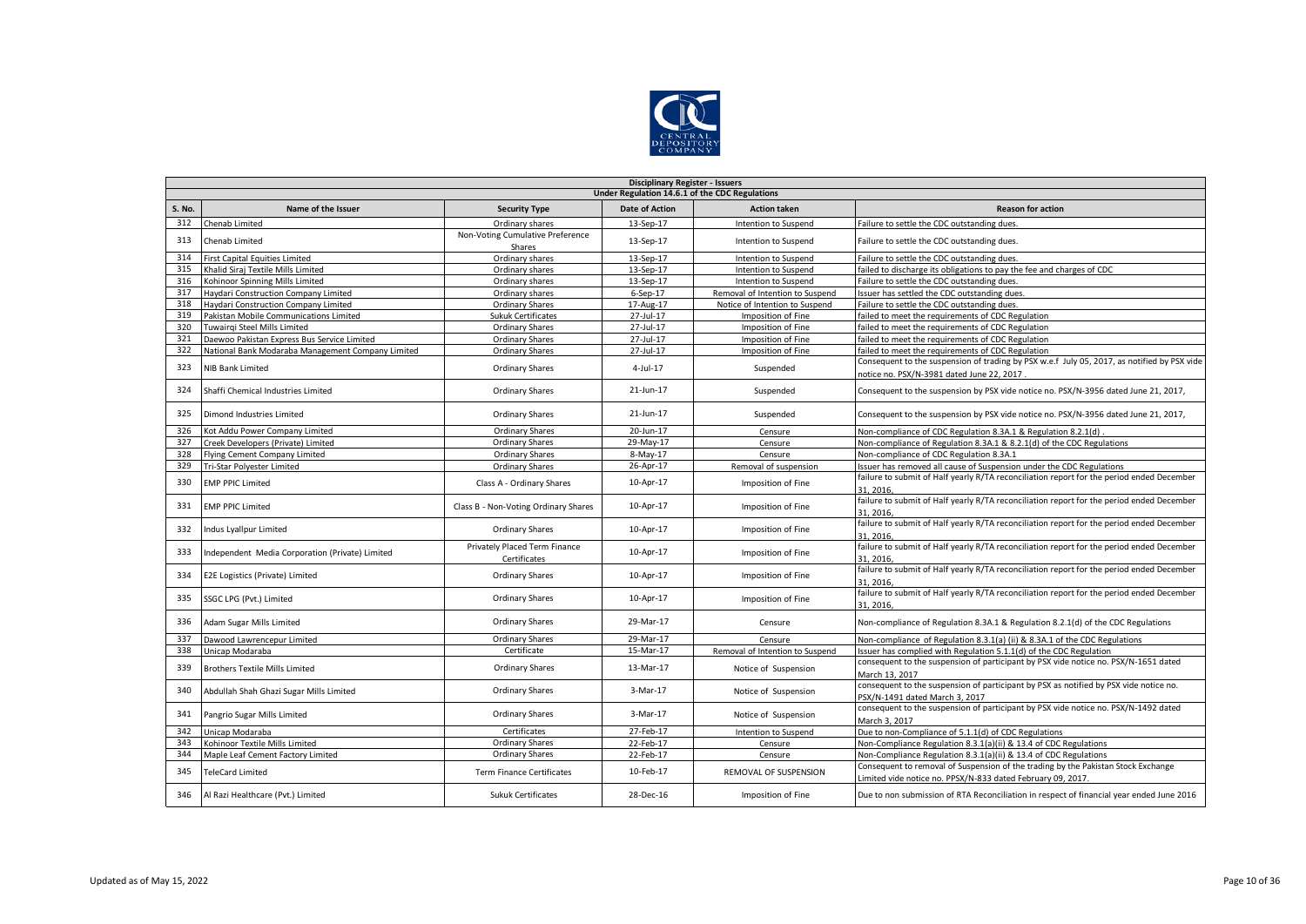

|               | <b>Disciplinary Register - Issuers</b>            |                                               |                                                |                                 |                                                                                                                                                  |  |  |  |  |
|---------------|---------------------------------------------------|-----------------------------------------------|------------------------------------------------|---------------------------------|--------------------------------------------------------------------------------------------------------------------------------------------------|--|--|--|--|
|               |                                                   |                                               | Under Regulation 14.6.1 of the CDC Regulations |                                 |                                                                                                                                                  |  |  |  |  |
| <b>S. No.</b> | Name of the Issuer                                | <b>Security Type</b>                          | <b>Date of Action</b>                          | <b>Action taken</b>             | <b>Reason for action</b>                                                                                                                         |  |  |  |  |
| 312           | Chenab Limited                                    | Ordinary shares                               | 13-Sep-17                                      | Intention to Suspend            | Failure to settle the CDC outstanding dues.                                                                                                      |  |  |  |  |
| 313           | Chenab Limited                                    | Non-Voting Cumulative Preference<br>Shares    | 13-Sep-17                                      | Intention to Suspend            | Failure to settle the CDC outstanding dues.                                                                                                      |  |  |  |  |
| 314           | <b>First Capital Equities Limited</b>             | Ordinary shares                               | 13-Sep-17                                      | Intention to Suspend            | Failure to settle the CDC outstanding dues.                                                                                                      |  |  |  |  |
| 315           | Khalid Siraj Textile Mills Limited                | Ordinary shares                               | 13-Sep-17                                      | Intention to Suspend            | failed to discharge its obligations to pay the fee and charges of CDC                                                                            |  |  |  |  |
| 316           | Kohinoor Spinning Mills Limited                   | Ordinary shares                               | 13-Sep-17                                      | Intention to Suspend            | Failure to settle the CDC outstanding dues.                                                                                                      |  |  |  |  |
| 317           | <b>Haydari Construction Company Limited</b>       | Ordinary shares                               | $6-Sep-17$                                     | Removal of Intention to Suspend | Issuer has settled the CDC outstanding dues.                                                                                                     |  |  |  |  |
| 318           | Haydari Construction Company Limited              | Ordinary Shares                               | 17-Aug-17                                      | Notice of Intention to Suspend  | Failure to settle the CDC outstanding dues.                                                                                                      |  |  |  |  |
| 319           | Pakistan Mobile Communications Limited            | <b>Sukuk Certificates</b>                     | 27-Jul-17                                      | Imposition of Fine              | failed to meet the requirements of CDC Regulation                                                                                                |  |  |  |  |
| 320           | Tuwairgi Steel Mills Limited                      | Ordinary Shares                               | 27-Jul-17                                      | Imposition of Fine              | failed to meet the requirements of CDC Regulation                                                                                                |  |  |  |  |
| 321           | Daewoo Pakistan Express Bus Service Limited       | Ordinary Shares                               | 27-Jul-17                                      | Imposition of Fine              | failed to meet the requirements of CDC Regulation                                                                                                |  |  |  |  |
| 322           | National Bank Modaraba Management Company Limited | Ordinary Shares                               | 27-Jul-17                                      | Imposition of Fine              | failed to meet the requirements of CDC Regulation                                                                                                |  |  |  |  |
| 323           | <b>NIB Bank Limited</b>                           | Ordinary Shares                               | 4-Jul-17                                       | Suspended                       | Consequent to the suspension of trading by PSX w.e.f July 05, 2017, as notified by PSX vide<br>notice no. PSX/N-3981 dated June 22, 2017         |  |  |  |  |
| 324           | Shaffi Chemical Industries Limited                | Ordinary Shares                               | 21-Jun-17                                      | Suspended                       | Consequent to the suspension by PSX vide notice no. PSX/N-3956 dated June 21, 2017,                                                              |  |  |  |  |
| 325           | Dimond Industries Limited                         | Ordinary Shares                               | 21-Jun-17                                      | Suspended                       | Consequent to the suspension by PSX vide notice no. PSX/N-3956 dated June 21, 2017,                                                              |  |  |  |  |
| 326           | Kot Addu Power Company Limited                    | <b>Ordinary Shares</b>                        | 20-Jun-17                                      | Censure                         | Non-compliance of CDC Regulation 8.3A.1 & Regulation 8.2.1(d)                                                                                    |  |  |  |  |
| 327           | Creek Developers (Private) Limited                | Ordinary Shares                               | 29-May-17                                      | Censure                         | Non-compliance of Regulation 8.3A.1 & 8.2.1(d) of the CDC Regulations                                                                            |  |  |  |  |
| 328           | Flying Cement Company Limited                     | <b>Ordinary Shares</b>                        | 8-May-17                                       | Censure                         | Non-compliance of CDC Regulation 8.3A.1                                                                                                          |  |  |  |  |
| 329           | Tri-Star Polyester Limited                        | Ordinary Shares                               | 26-Apr-17                                      | Removal of suspension           | Issuer has removed all cause of Suspension under the CDC Regulations                                                                             |  |  |  |  |
| 330           | <b>EMP PPIC Limited</b>                           | Class A - Ordinary Shares                     | 10-Apr-17                                      | Imposition of Fine              | failure to submit of Half yearly R/TA reconciliation report for the period ended December<br>31.2016.                                            |  |  |  |  |
| 331           | <b>EMP PPIC Limited</b>                           | Class B - Non-Voting Ordinary Shares          | 10-Apr-17                                      | Imposition of Fine              | failure to submit of Half yearly R/TA reconciliation report for the period ended December<br>31.2016.                                            |  |  |  |  |
| 332           | Indus Lyallpur Limited                            | <b>Ordinary Shares</b>                        | 10-Apr-17                                      | Imposition of Fine              | failure to submit of Half yearly R/TA reconciliation report for the period ended December<br>31.2016.                                            |  |  |  |  |
| 333           | Independent Media Corporation (Private) Limited   | Privately Placed Term Finance<br>Certificates | 10-Apr-17                                      | Imposition of Fine              | failure to submit of Half yearly R/TA reconciliation report for the period ended December<br>31.2016.                                            |  |  |  |  |
| 334           | E2E Logistics (Private) Limited                   | Ordinary Shares                               | 10-Apr-17                                      | Imposition of Fine              | failure to submit of Half yearly R/TA reconciliation report for the period ended December<br>31.2016.                                            |  |  |  |  |
| 335           | SSGC LPG (Pvt.) Limited                           | Ordinary Shares                               | 10-Apr-17                                      | Imposition of Fine              | failure to submit of Half yearly R/TA reconciliation report for the period ended December<br>31, 2016,                                           |  |  |  |  |
| 336           | Adam Sugar Mills Limited                          | Ordinary Shares                               | 29-Mar-17                                      | Censure                         | Non-compliance of Regulation 8.3A.1 & Regulation 8.2.1(d) of the CDC Regulations                                                                 |  |  |  |  |
| 337           | Dawood Lawrencepur Limited                        | Ordinary Shares                               | 29-Mar-17                                      | Censure                         | Non-compliance of Regulation 8.3.1(a) (ii) & 8.3A.1 of the CDC Regulations                                                                       |  |  |  |  |
| 338           | Unicap Modaraba                                   | Certificate                                   | 15-Mar-17                                      | Removal of Intention to Suspend | Issuer has complied with Regulation 5.1.1(d) of the CDC Regulation                                                                               |  |  |  |  |
| 339           | <b>Brothers Textile Mills Limited</b>             | <b>Ordinary Shares</b>                        | 13-Mar-17                                      | Notice of Suspension            | consequent to the suspension of participant by PSX vide notice no. PSX/N-1651 dated<br>March 13, 2017                                            |  |  |  |  |
| 340           | Abdullah Shah Ghazi Sugar Mills Limited           | Ordinary Shares                               | 3-Mar-17                                       | Notice of Suspension            | consequent to the suspension of participant by PSX as notified by PSX vide notice no.<br>PSX/N-1491 dated March 3, 2017                          |  |  |  |  |
| 341           | Pangrio Sugar Mills Limited                       | Ordinary Shares                               | 3-Mar-17                                       | Notice of Suspension            | consequent to the suspension of participant by PSX vide notice no. PSX/N-1492 dated<br>March 3, 2017                                             |  |  |  |  |
| 342           | Unicap Modaraba                                   | Certificates                                  | 27-Feb-17                                      | Intention to Suspend            | Due to non-Compliance of 5.1.1(d) of CDC Regulations                                                                                             |  |  |  |  |
| 343           | Kohinoor Textile Mills Limited                    | Ordinary Shares                               | 22-Feb-17                                      | Censure                         | Non-Compliance Regulation 8.3.1(a)(ii) & 13.4 of CDC Regulations                                                                                 |  |  |  |  |
| 344           | Maple Leaf Cement Factory Limited                 | Ordinary Shares                               | 22-Feb-17                                      | Censure                         | Non-Compliance Regulation 8.3.1(a)(ii) & 13.4 of CDC Regulations                                                                                 |  |  |  |  |
| 345           | <b>TeleCard Limited</b>                           | <b>Term Finance Certificates</b>              | 10-Feb-17                                      | REMOVAL OF SUSPENSION           | Consequent to removal of Suspension of the trading by the Pakistan Stock Exchange<br>Limited vide notice no. PPSX/N-833 dated February 09. 2017. |  |  |  |  |
| 346           | Al Razi Healthcare (Pvt.) Limited                 | <b>Sukuk Certificates</b>                     | 28-Dec-16                                      | Imposition of Fine              | Due to non submission of RTA Reconciliation in respect of financial year ended June 2016                                                         |  |  |  |  |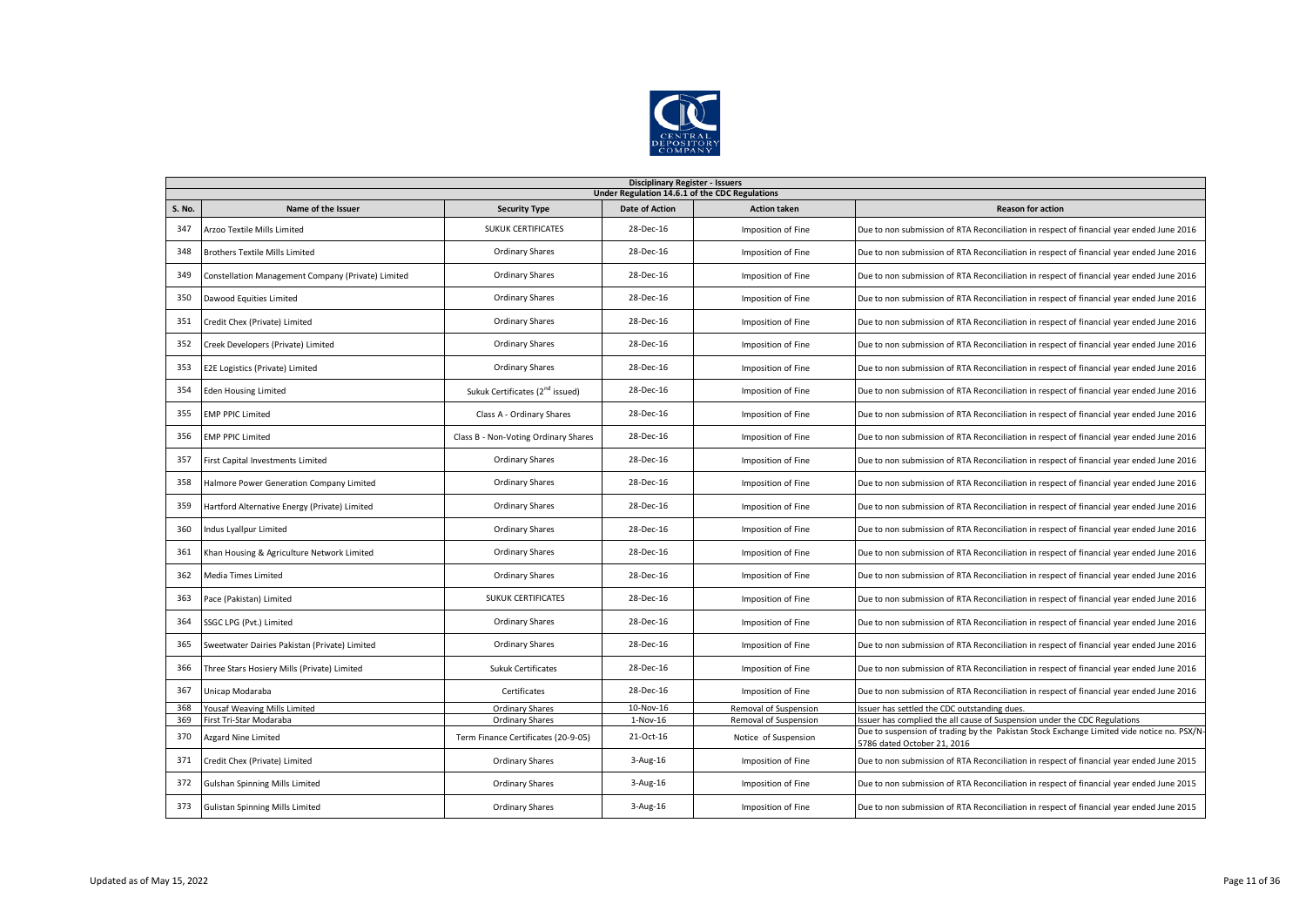

|               | <b>Disciplinary Register - Issuers</b><br>Under Regulation 14.6.1 of the CDC Regulations |                                             |                       |                       |                                                                                                                           |  |  |  |
|---------------|------------------------------------------------------------------------------------------|---------------------------------------------|-----------------------|-----------------------|---------------------------------------------------------------------------------------------------------------------------|--|--|--|
| <b>S. No.</b> | Name of the Issuer                                                                       | <b>Security Type</b>                        | <b>Date of Action</b> | <b>Action taken</b>   | <b>Reason for action</b>                                                                                                  |  |  |  |
| 347           | Arzoo Textile Mills Limited                                                              | <b>SUKUK CERTIFICATES</b>                   | 28-Dec-16             | Imposition of Fine    | Due to non submission of RTA Reconciliation in respect of financial year ended June 2016                                  |  |  |  |
| 348           | <b>Brothers Textile Mills Limited</b>                                                    | <b>Ordinary Shares</b>                      | 28-Dec-16             | Imposition of Fine    | Due to non submission of RTA Reconciliation in respect of financial year ended June 2016                                  |  |  |  |
| 349           | Constellation Management Company (Private) Limited                                       | Ordinary Shares                             | 28-Dec-16             | Imposition of Fine    | Due to non submission of RTA Reconciliation in respect of financial year ended June 2016                                  |  |  |  |
| 350           | Dawood Equities Limited                                                                  | Ordinary Shares                             | 28-Dec-16             | Imposition of Fine    | Due to non submission of RTA Reconciliation in respect of financial year ended June 2016                                  |  |  |  |
| 351           | Credit Chex (Private) Limited                                                            | <b>Ordinary Shares</b>                      | 28-Dec-16             | Imposition of Fine    | Due to non submission of RTA Reconciliation in respect of financial year ended June 2016                                  |  |  |  |
| 352           | Creek Developers (Private) Limited                                                       | <b>Ordinary Shares</b>                      | 28-Dec-16             | Imposition of Fine    | Due to non submission of RTA Reconciliation in respect of financial year ended June 2016                                  |  |  |  |
| 353           | E2E Logistics (Private) Limited                                                          | <b>Ordinary Shares</b>                      | 28-Dec-16             | Imposition of Fine    | Due to non submission of RTA Reconciliation in respect of financial year ended June 2016                                  |  |  |  |
| 354           | <b>Eden Housing Limited</b>                                                              | Sukuk Certificates (2 <sup>nd</sup> issued) | 28-Dec-16             | Imposition of Fine    | Due to non submission of RTA Reconciliation in respect of financial year ended June 2016                                  |  |  |  |
| 355           | <b>EMP PPIC Limited</b>                                                                  | Class A - Ordinary Shares                   | 28-Dec-16             | Imposition of Fine    | Due to non submission of RTA Reconciliation in respect of financial year ended June 2016                                  |  |  |  |
| 356           | <b>EMP PPIC Limited</b>                                                                  | Class B - Non-Voting Ordinary Shares        | 28-Dec-16             | Imposition of Fine    | Due to non submission of RTA Reconciliation in respect of financial year ended June 2016                                  |  |  |  |
| 357           | First Capital Investments Limited                                                        | <b>Ordinary Shares</b>                      | 28-Dec-16             | Imposition of Fine    | Due to non submission of RTA Reconciliation in respect of financial year ended June 2016                                  |  |  |  |
| 358           | Halmore Power Generation Company Limited                                                 | <b>Ordinary Shares</b>                      | 28-Dec-16             | Imposition of Fine    | Due to non submission of RTA Reconciliation in respect of financial year ended June 2016                                  |  |  |  |
| 359           | Hartford Alternative Energy (Private) Limited                                            | <b>Ordinary Shares</b>                      | 28-Dec-16             | Imposition of Fine    | Due to non submission of RTA Reconciliation in respect of financial year ended June 2016                                  |  |  |  |
| 360           | ndus Lyallpur Limited                                                                    | <b>Ordinary Shares</b>                      | 28-Dec-16             | Imposition of Fine    | Due to non submission of RTA Reconciliation in respect of financial year ended June 2016                                  |  |  |  |
| 361           | Khan Housing & Agriculture Network Limited                                               | <b>Ordinary Shares</b>                      | 28-Dec-16             | Imposition of Fine    | Due to non submission of RTA Reconciliation in respect of financial year ended June 2016                                  |  |  |  |
| 362           | Media Times Limited                                                                      | Ordinary Shares                             | 28-Dec-16             | Imposition of Fine    | Due to non submission of RTA Reconciliation in respect of financial year ended June 2016                                  |  |  |  |
| 363           | Pace (Pakistan) Limited                                                                  | <b>SUKUK CERTIFICATES</b>                   | 28-Dec-16             | Imposition of Fine    | Due to non submission of RTA Reconciliation in respect of financial year ended June 2016                                  |  |  |  |
| 364           | SSGC LPG (Pvt.) Limited                                                                  | <b>Ordinary Shares</b>                      | 28-Dec-16             | Imposition of Fine    | Due to non submission of RTA Reconciliation in respect of financial year ended June 2016                                  |  |  |  |
| 365           | Sweetwater Dairies Pakistan (Private) Limited                                            | Ordinary Shares                             | 28-Dec-16             | Imposition of Fine    | Due to non submission of RTA Reconciliation in respect of financial year ended June 2016                                  |  |  |  |
| 366           | Three Stars Hosiery Mills (Private) Limited                                              | <b>Sukuk Certificates</b>                   | 28-Dec-16             | Imposition of Fine    | Due to non submission of RTA Reconciliation in respect of financial year ended June 2016                                  |  |  |  |
| 367           | Unicap Modaraba                                                                          | Certificates                                | 28-Dec-16             | Imposition of Fine    | Due to non submission of RTA Reconciliation in respect of financial year ended June 2016                                  |  |  |  |
| 368           | Yousaf Weaving Mills Limited                                                             | <b>Ordinary Shares</b>                      | 10-Nov-16             | Removal of Suspension | ssuer has settled the CDC outstanding dues                                                                                |  |  |  |
| 369           | First Tri-Star Modaraba                                                                  | <b>Ordinary Shares</b>                      | $1-Nov-16$            | Removal of Suspension | Issuer has complied the all cause of Suspension under the CDC Regulations                                                 |  |  |  |
| 370           | Azgard Nine Limited                                                                      | Term Finance Certificates (20-9-05)         | 21-Oct-16             | Notice of Suspension  | Due to suspension of trading by the Pakistan Stock Exchange Limited vide notice no. PSX/N-<br>5786 dated October 21, 2016 |  |  |  |
| 371           | Credit Chex (Private) Limited                                                            | Ordinary Shares                             | 3-Aug-16              | Imposition of Fine    | Due to non submission of RTA Reconciliation in respect of financial year ended June 2015                                  |  |  |  |
| 372           | Gulshan Spinning Mills Limited                                                           | <b>Ordinary Shares</b>                      | $3-Aug-16$            | Imposition of Fine    | Due to non submission of RTA Reconciliation in respect of financial year ended June 2015                                  |  |  |  |
| 373           | <b>Gulistan Spinning Mills Limited</b>                                                   | <b>Ordinary Shares</b>                      | $3-Aug-16$            | Imposition of Fine    | Due to non submission of RTA Reconciliation in respect of financial year ended June 2015                                  |  |  |  |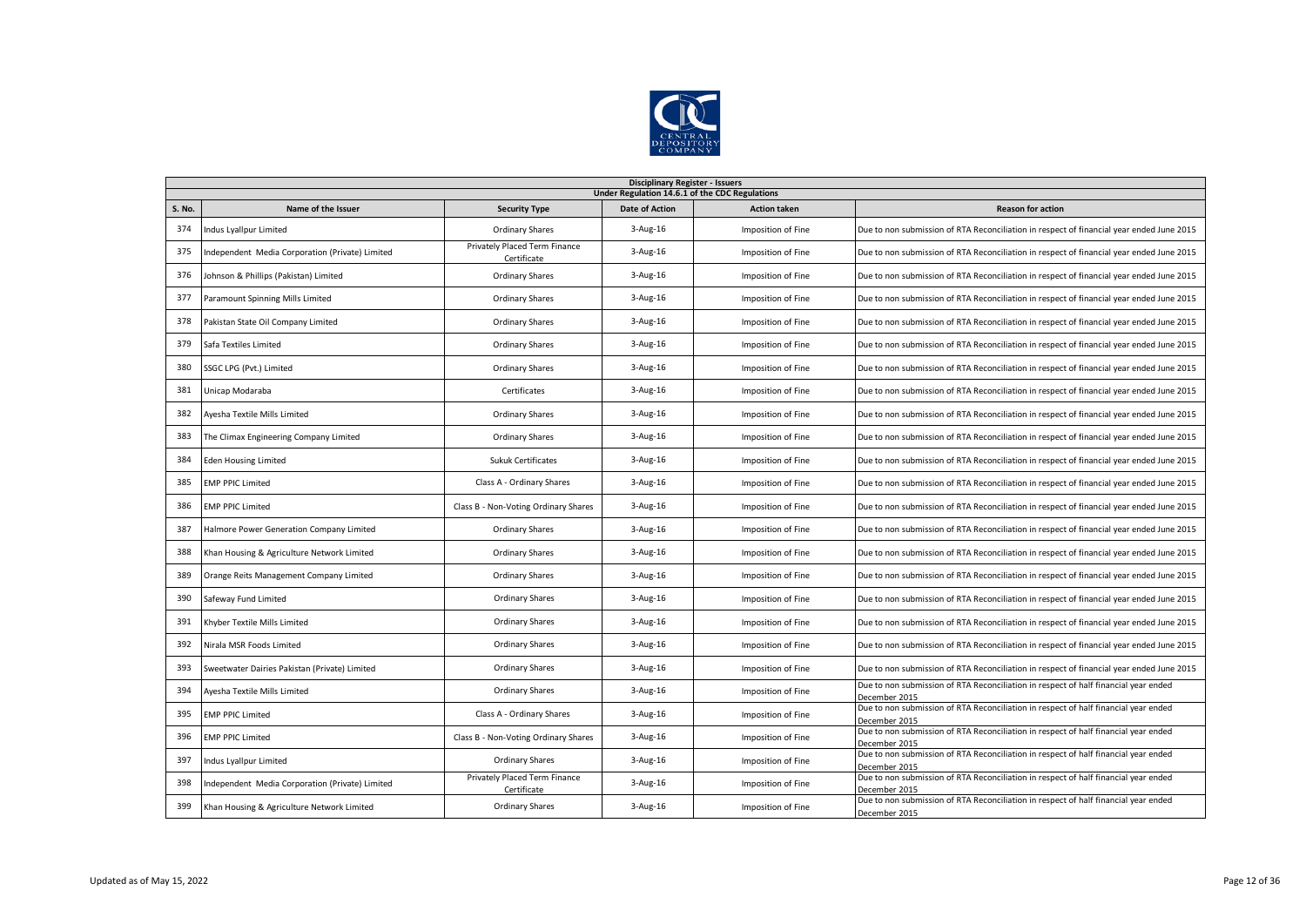

|        | <b>Disciplinary Register - Issuers</b><br>Under Regulation 14.6.1 of the CDC Regulations |                                              |                       |                     |                                                                                                      |  |  |  |
|--------|------------------------------------------------------------------------------------------|----------------------------------------------|-----------------------|---------------------|------------------------------------------------------------------------------------------------------|--|--|--|
| S. No. | Name of the Issuer                                                                       | <b>Security Type</b>                         | <b>Date of Action</b> | <b>Action taken</b> | <b>Reason for action</b>                                                                             |  |  |  |
| 374    | Indus Lyallpur Limited                                                                   | <b>Ordinary Shares</b>                       | $3 - Aug-16$          | Imposition of Fine  | Due to non submission of RTA Reconciliation in respect of financial year ended June 2015             |  |  |  |
| 375    | Independent Media Corporation (Private) Limited                                          | Privately Placed Term Finance<br>Certificate | 3-Aug-16              | Imposition of Fine  | Due to non submission of RTA Reconciliation in respect of financial year ended June 2015             |  |  |  |
| 376    | Johnson & Phillips (Pakistan) Limited                                                    | <b>Ordinary Shares</b>                       | $3 - Aug-16$          | Imposition of Fine  | Due to non submission of RTA Reconciliation in respect of financial year ended June 2015             |  |  |  |
| 377    | Paramount Spinning Mills Limited                                                         | Ordinary Shares                              | $3 - Aug-16$          | Imposition of Fine  | Due to non submission of RTA Reconciliation in respect of financial year ended June 2015             |  |  |  |
| 378    | Pakistan State Oil Company Limited                                                       | Ordinary Shares                              | 3-Aug-16              | Imposition of Fine  | Due to non submission of RTA Reconciliation in respect of financial year ended June 2015             |  |  |  |
| 379    | Safa Textiles Limited                                                                    | Ordinary Shares                              | 3-Aug-16              | Imposition of Fine  | Due to non submission of RTA Reconciliation in respect of financial year ended June 2015             |  |  |  |
| 380    | SSGC LPG (Pvt.) Limited                                                                  | <b>Ordinary Shares</b>                       | $3 - Aug-16$          | Imposition of Fine  | Due to non submission of RTA Reconciliation in respect of financial year ended June 2015             |  |  |  |
| 381    | Unicap Modaraba                                                                          | Certificates                                 | 3-Aug-16              | Imposition of Fine  | Due to non submission of RTA Reconciliation in respect of financial year ended June 2015             |  |  |  |
| 382    | Ayesha Textile Mills Limited                                                             | Ordinary Shares                              | $3 - Aug-16$          | Imposition of Fine  | Due to non submission of RTA Reconciliation in respect of financial year ended June 2015             |  |  |  |
| 383    | The Climax Engineering Company Limited                                                   | Ordinary Shares                              | 3-Aug-16              | Imposition of Fine  | Due to non submission of RTA Reconciliation in respect of financial year ended June 2015             |  |  |  |
| 384    | <b>Eden Housing Limited</b>                                                              | <b>Sukuk Certificates</b>                    | 3-Aug-16              | Imposition of Fine  | Due to non submission of RTA Reconciliation in respect of financial year ended June 2015             |  |  |  |
| 385    | <b>EMP PPIC Limited</b>                                                                  | Class A - Ordinary Shares                    | $3 - Aug-16$          | Imposition of Fine  | Due to non submission of RTA Reconciliation in respect of financial year ended June 2015             |  |  |  |
| 386    | <b>EMP PPIC Limited</b>                                                                  | Class B - Non-Voting Ordinary Shares         | $3 - Aug-16$          | Imposition of Fine  | Due to non submission of RTA Reconciliation in respect of financial year ended June 2015             |  |  |  |
| 387    | Halmore Power Generation Company Limited                                                 | Ordinary Shares                              | $3 - Aug-16$          | Imposition of Fine  | Due to non submission of RTA Reconciliation in respect of financial year ended June 2015             |  |  |  |
| 388    | Khan Housing & Agriculture Network Limited                                               | Ordinary Shares                              | 3-Aug-16              | Imposition of Fine  | Due to non submission of RTA Reconciliation in respect of financial year ended June 2015             |  |  |  |
| 389    | Orange Reits Management Company Limited                                                  | <b>Ordinary Shares</b>                       | 3-Aug-16              | Imposition of Fine  | Due to non submission of RTA Reconciliation in respect of financial year ended June 2015             |  |  |  |
| 390    | Safeway Fund Limited                                                                     | <b>Ordinary Shares</b>                       | $3 - Aug-16$          | Imposition of Fine  | Due to non submission of RTA Reconciliation in respect of financial year ended June 2015             |  |  |  |
| 391    | Khyber Textile Mills Limited                                                             | <b>Ordinary Shares</b>                       | $3 - Aug-16$          | Imposition of Fine  | Due to non submission of RTA Reconciliation in respect of financial year ended June 2015             |  |  |  |
| 392    | Nirala MSR Foods Limited                                                                 | <b>Ordinary Shares</b>                       | $3 - Aug-16$          | Imposition of Fine  | Due to non submission of RTA Reconciliation in respect of financial year ended June 2015             |  |  |  |
| 393    | Sweetwater Dairies Pakistan (Private) Limited                                            | <b>Ordinary Shares</b>                       | $3 - Aug-16$          | Imposition of Fine  | Due to non submission of RTA Reconciliation in respect of financial year ended June 2015             |  |  |  |
| 394    | Ayesha Textile Mills Limited                                                             | <b>Ordinary Shares</b>                       | 3-Aug-16              | Imposition of Fine  | Due to non submission of RTA Reconciliation in respect of half financial year ended<br>December 2015 |  |  |  |
| 395    | <b>EMP PPIC Limited</b>                                                                  | Class A - Ordinary Shares                    | $3 - Aug-16$          | Imposition of Fine  | Due to non submission of RTA Reconciliation in respect of half financial year ended<br>December 2015 |  |  |  |
| 396    | <b>EMP PPIC Limited</b>                                                                  | Class B - Non-Voting Ordinary Shares         | $3 - Aug-16$          | Imposition of Fine  | Due to non submission of RTA Reconciliation in respect of half financial year ended<br>December 2015 |  |  |  |
| 397    | Indus Lyallpur Limited                                                                   | <b>Ordinary Shares</b>                       | $3 - Aug-16$          | Imposition of Fine  | Due to non submission of RTA Reconciliation in respect of half financial year ended<br>December 2015 |  |  |  |
| 398    | Independent Media Corporation (Private) Limited                                          | Privately Placed Term Finance<br>Certificate | $3 - Aug-16$          | Imposition of Fine  | Due to non submission of RTA Reconciliation in respect of half financial year ended<br>December 2015 |  |  |  |
| 399    | Khan Housing & Agriculture Network Limited                                               | <b>Ordinary Shares</b>                       | 3-Aug-16              | Imposition of Fine  | Due to non submission of RTA Reconciliation in respect of half financial year ended<br>December 2015 |  |  |  |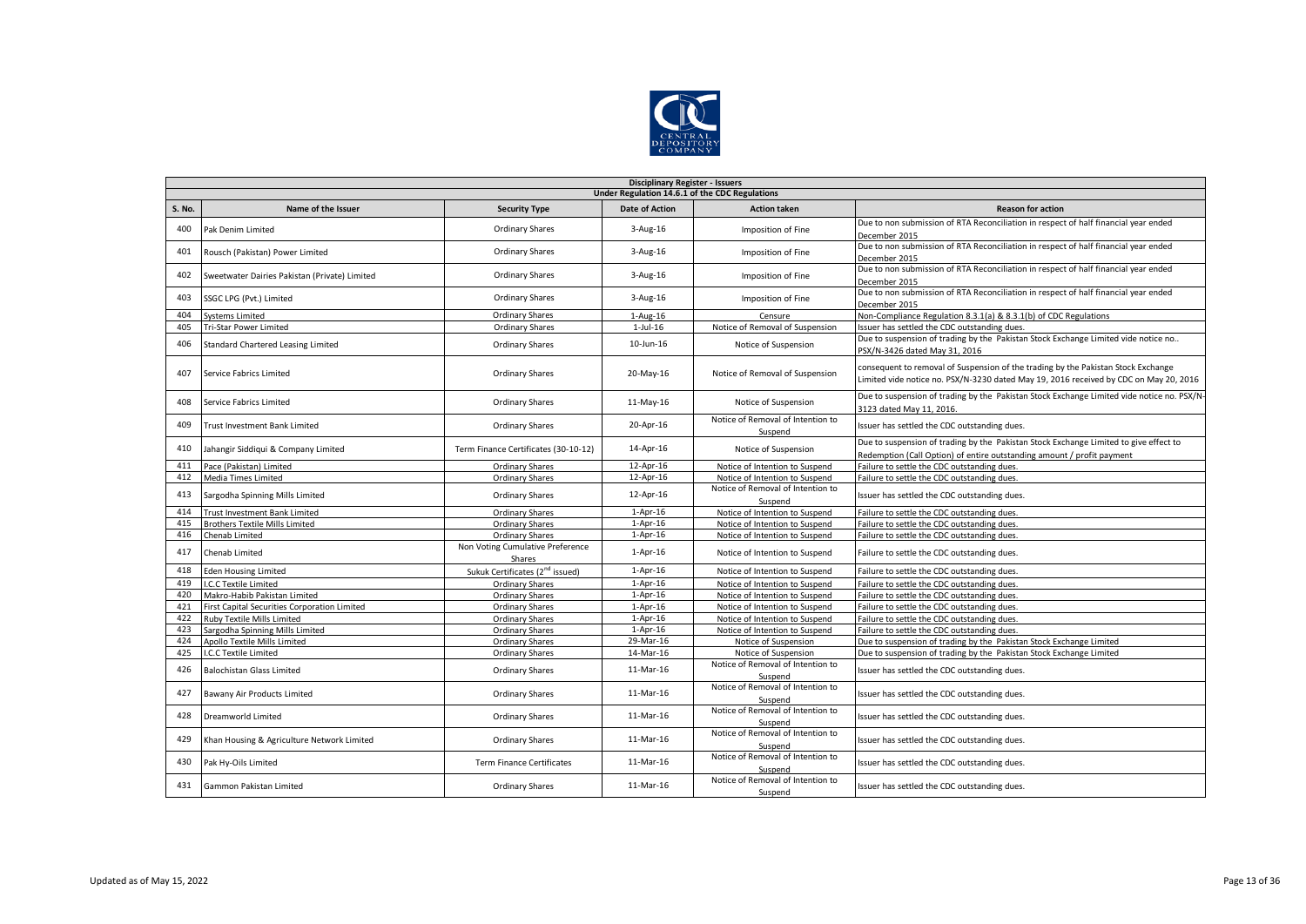

|        | <b>Disciplinary Register - Issuers</b>         |                                             |                       |                                              |                                                                                                                                                                            |  |  |  |  |
|--------|------------------------------------------------|---------------------------------------------|-----------------------|----------------------------------------------|----------------------------------------------------------------------------------------------------------------------------------------------------------------------------|--|--|--|--|
|        | Under Regulation 14.6.1 of the CDC Regulations |                                             |                       |                                              |                                                                                                                                                                            |  |  |  |  |
| S. No. | Name of the Issuer                             | <b>Security Type</b>                        | <b>Date of Action</b> | <b>Action taken</b>                          | <b>Reason for action</b>                                                                                                                                                   |  |  |  |  |
| 400    | Pak Denim Limited                              | <b>Ordinary Shares</b>                      | 3-Aug-16              | Imposition of Fine                           | Due to non submission of RTA Reconciliation in respect of half financial year ended                                                                                        |  |  |  |  |
|        |                                                |                                             |                       |                                              | December 2015                                                                                                                                                              |  |  |  |  |
| 401    | Rousch (Pakistan) Power Limited                | <b>Ordinary Shares</b>                      | $3-Aug-16$            | Imposition of Fine                           | Due to non submission of RTA Reconciliation in respect of half financial year ended<br>December 2015                                                                       |  |  |  |  |
|        |                                                |                                             |                       |                                              | Due to non submission of RTA Reconciliation in respect of half financial year ended                                                                                        |  |  |  |  |
| 402    | Sweetwater Dairies Pakistan (Private) Limited  | Ordinary Shares                             | $3-Aug-16$            | Imposition of Fine                           | December 2015                                                                                                                                                              |  |  |  |  |
| 403    | SSGC LPG (Pvt.) Limited                        | Ordinary Shares                             | $3 - Aug-16$          | Imposition of Fine                           | Due to non submission of RTA Reconciliation in respect of half financial year ended<br>December 2015                                                                       |  |  |  |  |
| 404    | <b>Systems Limited</b>                         | Ordinary Shares                             | $1-Aug-16$            | Censure                                      | Non-Compliance Regulation 8.3.1(a) & 8.3.1(b) of CDC Regulations                                                                                                           |  |  |  |  |
| 405    | Tri-Star Power Limited                         | <b>Ordinary Shares</b>                      | $1$ -Jul- $16$        | Notice of Removal of Suspension              | Issuer has settled the CDC outstanding dues.                                                                                                                               |  |  |  |  |
| 406    | Standard Chartered Leasing Limited             | <b>Ordinary Shares</b>                      | 10-Jun-16             | Notice of Suspension                         | Due to suspension of trading by the Pakistan Stock Exchange Limited vide notice no<br>PSX/N-3426 dated May 31, 2016                                                        |  |  |  |  |
| 407    | Service Fabrics Limited                        | <b>Ordinary Shares</b>                      | 20-May-16             | Notice of Removal of Suspension              | consequent to removal of Suspension of the trading by the Pakistan Stock Exchange<br>Limited vide notice no. PSX/N-3230 dated May 19, 2016 received by CDC on May 20, 2016 |  |  |  |  |
| 408    | <b>Service Fabrics Limited</b>                 | <b>Ordinary Shares</b>                      | 11-May-16             | Notice of Suspension                         | Due to suspension of trading by the Pakistan Stock Exchange Limited vide notice no. PSX/N-<br>3123 dated May 11, 2016.                                                     |  |  |  |  |
| 409    | <b>Trust Investment Bank Limited</b>           | <b>Ordinary Shares</b>                      | 20-Apr-16             | Notice of Removal of Intention to<br>Suspend | Issuer has settled the CDC outstanding dues.                                                                                                                               |  |  |  |  |
| 410    | Jahangir Siddiqui & Company Limited            | Term Finance Certificates (30-10-12)        | 14-Apr-16             | Notice of Suspension                         | Due to suspension of trading by the Pakistan Stock Exchange Limited to give effect to<br>Redemption (Call Option) of entire outstanding amount / profit payment            |  |  |  |  |
| 411    | Pace (Pakistan) Limited                        | Ordinary Shares                             | 12-Apr-16             | Notice of Intention to Suspend               | Failure to settle the CDC outstanding dues.                                                                                                                                |  |  |  |  |
| 412    | Media Times Limited                            | Ordinary Shares                             | 12-Apr-16             | Notice of Intention to Suspend               | Failure to settle the CDC outstanding dues.                                                                                                                                |  |  |  |  |
| 413    | Sargodha Spinning Mills Limited                | <b>Ordinary Shares</b>                      | 12-Apr-16             | Notice of Removal of Intention to<br>Suspend | Issuer has settled the CDC outstanding dues.                                                                                                                               |  |  |  |  |
| 414    | <b>Trust Investment Bank Limited</b>           | <b>Ordinary Shares</b>                      | $1-Apr-16$            | Notice of Intention to Suspend               | Failure to settle the CDC outstanding dues.                                                                                                                                |  |  |  |  |
| 415    | <b>Brothers Textile Mills Limited</b>          | Ordinary Shares                             | $1-Apr-16$            | Notice of Intention to Suspend               | Failure to settle the CDC outstanding dues.                                                                                                                                |  |  |  |  |
| 416    | Chenab Limited                                 | Ordinary Shares                             | $1-Apr-16$            | Notice of Intention to Suspend               | Failure to settle the CDC outstanding dues.                                                                                                                                |  |  |  |  |
| 417    | Chenab Limited                                 | Non Voting Cumulative Preference<br>Shares  | $1-Apr-16$            | Notice of Intention to Suspend               | Failure to settle the CDC outstanding dues.                                                                                                                                |  |  |  |  |
| 418    | <b>Eden Housing Limited</b>                    | Sukuk Certificates (2 <sup>nd</sup> issued) | $1-Apr-16$            | Notice of Intention to Suspend               | Failure to settle the CDC outstanding dues.                                                                                                                                |  |  |  |  |
| 419    | .C.C Textile Limited                           | <b>Ordinary Shares</b>                      | $1-Apr-16$            | Notice of Intention to Suspend               | Failure to settle the CDC outstanding dues.                                                                                                                                |  |  |  |  |
| 420    | Makro-Habib Pakistan Limited                   | Ordinary Shares                             | $1-Apr-16$            | Notice of Intention to Suspend               | Failure to settle the CDC outstanding dues.                                                                                                                                |  |  |  |  |
| 421    | First Capital Securities Corporation Limited   | Ordinary Shares                             | $1-Apr-16$            | Notice of Intention to Suspend               | Failure to settle the CDC outstanding dues.                                                                                                                                |  |  |  |  |
| 422    | <b>Ruby Textile Mills Limited</b>              | <b>Ordinary Shares</b>                      | $1-Apr-16$            | Notice of Intention to Suspend               | Failure to settle the CDC outstanding dues.                                                                                                                                |  |  |  |  |
| 423    | Sargodha Spinning Mills Limited                | <b>Ordinary Shares</b>                      | $1-Apr-16$            | Notice of Intention to Suspend               | Failure to settle the CDC outstanding dues.                                                                                                                                |  |  |  |  |
| 424    | Apollo Textile Mills Limited                   | <b>Ordinary Shares</b>                      | 29-Mar-16             | Notice of Suspension                         | Due to suspension of trading by the Pakistan Stock Exchange Limited                                                                                                        |  |  |  |  |
| 425    | .C.C Textile Limited                           | Ordinary Shares                             | 14-Mar-16             | Notice of Suspension                         | Due to suspension of trading by the Pakistan Stock Exchange Limited                                                                                                        |  |  |  |  |
| 426    | <b>Balochistan Glass Limited</b>               | <b>Ordinary Shares</b>                      | 11-Mar-16             | Notice of Removal of Intention to<br>Suspend | Issuer has settled the CDC outstanding dues.                                                                                                                               |  |  |  |  |
| 427    | Bawany Air Products Limited                    | Ordinary Shares                             | 11-Mar-16             | Notice of Removal of Intention to<br>Suspend | Issuer has settled the CDC outstanding dues.                                                                                                                               |  |  |  |  |
| 428    | Dreamworld Limited                             | <b>Ordinary Shares</b>                      | 11-Mar-16             | Notice of Removal of Intention to<br>Suspend | Issuer has settled the CDC outstanding dues.                                                                                                                               |  |  |  |  |
| 429    | Khan Housing & Agriculture Network Limited     | Ordinary Shares                             | 11-Mar-16             | Notice of Removal of Intention to<br>Suspend | Issuer has settled the CDC outstanding dues.                                                                                                                               |  |  |  |  |
| 430    | Pak Hy-Oils Limited                            | <b>Term Finance Certificates</b>            | 11-Mar-16             | Notice of Removal of Intention to<br>Suspend | Issuer has settled the CDC outstanding dues.                                                                                                                               |  |  |  |  |
| 431    | Gammon Pakistan Limited                        | <b>Ordinary Shares</b>                      | 11-Mar-16             | Notice of Removal of Intention to<br>Suspend | Issuer has settled the CDC outstanding dues.                                                                                                                               |  |  |  |  |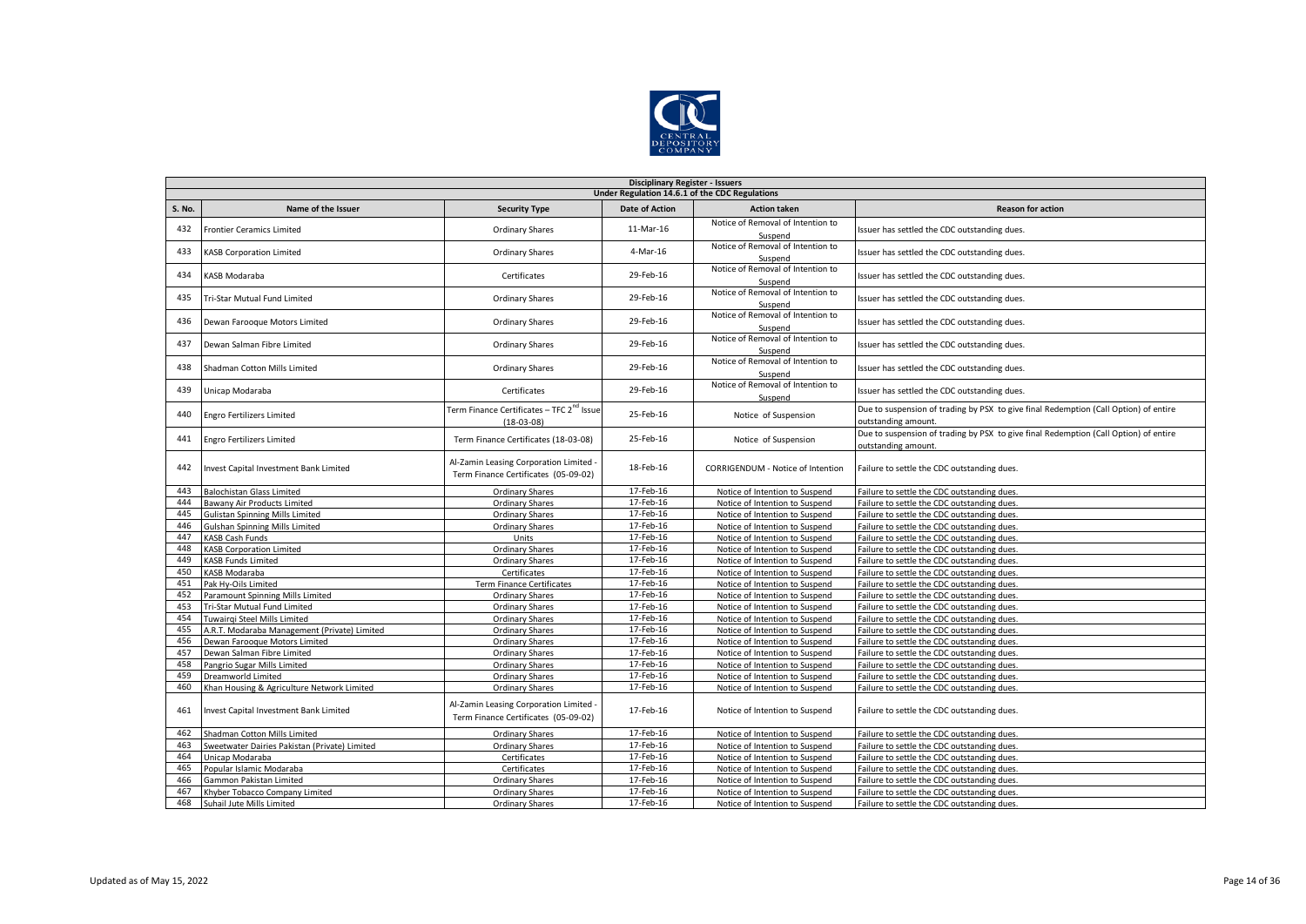

|               | <b>Disciplinary Register - Issuers</b>                      |                                                                                |                        |                                                                  |                                                                                                             |  |  |  |  |
|---------------|-------------------------------------------------------------|--------------------------------------------------------------------------------|------------------------|------------------------------------------------------------------|-------------------------------------------------------------------------------------------------------------|--|--|--|--|
|               | Under Regulation 14.6.1 of the CDC Regulations              |                                                                                |                        |                                                                  |                                                                                                             |  |  |  |  |
| <b>S. No.</b> | Name of the Issuer                                          | <b>Security Type</b>                                                           | <b>Date of Action</b>  | <b>Action taken</b>                                              | <b>Reason for action</b>                                                                                    |  |  |  |  |
| 432           | <b>Frontier Ceramics Limited</b>                            | <b>Ordinary Shares</b>                                                         | 11-Mar-16              | Notice of Removal of Intention to<br>Suspend                     | Issuer has settled the CDC outstanding dues.                                                                |  |  |  |  |
| 433           | KASB Corporation Limited                                    | <b>Ordinary Shares</b>                                                         | 4-Mar-16               | Notice of Removal of Intention to<br>Suspend                     | Issuer has settled the CDC outstanding dues.                                                                |  |  |  |  |
| 434           | KASB Modaraba                                               | Certificates                                                                   | 29-Feb-16              | Notice of Removal of Intention to<br>Suspend                     | Issuer has settled the CDC outstanding dues.                                                                |  |  |  |  |
| 435           | Tri-Star Mutual Fund Limited                                | <b>Ordinary Shares</b>                                                         | 29-Feb-16              | Notice of Removal of Intention to<br>Suspend                     | Issuer has settled the CDC outstanding dues.                                                                |  |  |  |  |
| 436           | Dewan Farooque Motors Limited                               | <b>Ordinary Shares</b>                                                         | 29-Feb-16              | Notice of Removal of Intention to<br>Suspend                     | Issuer has settled the CDC outstanding dues.                                                                |  |  |  |  |
| 437           | Dewan Salman Fibre Limited                                  | Ordinary Shares                                                                | 29-Feb-16              | Notice of Removal of Intention to<br>Suspend                     | Issuer has settled the CDC outstanding dues.                                                                |  |  |  |  |
| 438           | Shadman Cotton Mills Limited                                | Ordinary Shares                                                                | 29-Feb-16              | Notice of Removal of Intention to<br>Suspend                     | Issuer has settled the CDC outstanding dues.                                                                |  |  |  |  |
| 439           | Unicap Modaraba                                             | Certificates                                                                   | 29-Feb-16              | Notice of Removal of Intention to<br>Suspend                     | Issuer has settled the CDC outstanding dues.                                                                |  |  |  |  |
| 440           | <b>Engro Fertilizers Limited</b>                            | Term Finance Certificates - TFC 2 <sup>nd</sup> Issue<br>$(18-03-08)$          | 25-Feb-16              | Notice of Suspension                                             | Due to suspension of trading by PSX to give final Redemption (Call Option) of entire<br>outstanding amount. |  |  |  |  |
| 441           | <b>Engro Fertilizers Limited</b>                            | Term Finance Certificates (18-03-08)                                           | 25-Feb-16              | Notice of Suspension                                             | Due to suspension of trading by PSX to give final Redemption (Call Option) of entire<br>outstanding amount. |  |  |  |  |
| 442           | Invest Capital Investment Bank Limited                      | Al-Zamin Leasing Corporation Limited -<br>Term Finance Certificates (05-09-02) | 18-Feb-16              | CORRIGENDUM - Notice of Intention                                | Failure to settle the CDC outstanding dues.                                                                 |  |  |  |  |
| 443           | <b>Balochistan Glass Limited</b>                            | <b>Ordinary Shares</b>                                                         | 17-Feb-16              | Notice of Intention to Suspend                                   | Failure to settle the CDC outstanding dues.                                                                 |  |  |  |  |
| 444           | Bawany Air Products Limited                                 | Ordinary Shares                                                                | 17-Feb-16              | Notice of Intention to Suspend                                   | Failure to settle the CDC outstanding dues.                                                                 |  |  |  |  |
| 445           | <b>Gulistan Spinning Mills Limited</b>                      | Ordinary Shares                                                                | 17-Feb-16              | Notice of Intention to Suspend                                   | Failure to settle the CDC outstanding dues.                                                                 |  |  |  |  |
| 446           | Gulshan Spinning Mills Limited                              | <b>Ordinary Shares</b>                                                         | 17-Feb-16              | Notice of Intention to Suspend                                   | Failure to settle the CDC outstanding dues.                                                                 |  |  |  |  |
| 447           | <b>KASB Cash Funds</b>                                      | Units                                                                          | 17-Feb-16              | Notice of Intention to Suspend                                   | Failure to settle the CDC outstanding dues.                                                                 |  |  |  |  |
| 448           | <b>KASB Corporation Limited</b>                             | <b>Ordinary Shares</b>                                                         | 17-Feb-16              | Notice of Intention to Suspend                                   | Failure to settle the CDC outstanding dues.                                                                 |  |  |  |  |
| 449           | <b>KASB Funds Limited</b>                                   | <b>Ordinary Shares</b>                                                         | 17-Feb-16              | Notice of Intention to Suspend                                   | Failure to settle the CDC outstanding dues.                                                                 |  |  |  |  |
| 450           | KASB Modaraba                                               | Certificates                                                                   | 17-Feb-16              | Notice of Intention to Suspend                                   | Failure to settle the CDC outstanding dues.                                                                 |  |  |  |  |
| 451           | Pak Hv-Oils Limited                                         | <b>Term Finance Certificates</b>                                               | 17-Feb-16              | Notice of Intention to Suspend                                   | Failure to settle the CDC outstanding dues.                                                                 |  |  |  |  |
| 452           | Paramount Spinning Mills Limited                            | <b>Ordinary Shares</b>                                                         | 17-Feb-16              | Notice of Intention to Suspend                                   | Failure to settle the CDC outstanding dues.                                                                 |  |  |  |  |
| 453           | Tri-Star Mutual Fund Limited                                | <b>Ordinary Shares</b>                                                         | 17-Feb-16              | Notice of Intention to Suspend                                   | Failure to settle the CDC outstanding dues.                                                                 |  |  |  |  |
| 454<br>455    | Tuwairgi Steel Mills Limited                                | <b>Ordinary Shares</b><br><b>Ordinary Shares</b>                               | 17-Feb-16<br>17-Feb-16 | Notice of Intention to Suspend                                   | Failure to settle the CDC outstanding dues.<br>Failure to settle the CDC outstanding dues.                  |  |  |  |  |
| 456           | A.R.T. Modaraba Management (Private) Limited                |                                                                                | 17-Feb-16              | Notice of Intention to Suspend                                   | Failure to settle the CDC outstanding dues.                                                                 |  |  |  |  |
| 457           | Dewan Farooque Motors Limited<br>Dewan Salman Fibre Limited | <b>Ordinary Shares</b><br><b>Ordinary Shares</b>                               | 17-Feb-16              | Notice of Intention to Suspend<br>Notice of Intention to Suspend | Failure to settle the CDC outstanding dues.                                                                 |  |  |  |  |
| 458           | Pangrio Sugar Mills Limited                                 | Ordinary Shares                                                                | 17-Feb-16              | Notice of Intention to Suspend                                   | Failure to settle the CDC outstanding dues.                                                                 |  |  |  |  |
| 459           | Dreamworld Limited                                          | <b>Ordinary Shares</b>                                                         | 17-Feb-16              | Notice of Intention to Suspend                                   | Failure to settle the CDC outstanding dues.                                                                 |  |  |  |  |
| 460           | Khan Housing & Agriculture Network Limited                  | <b>Ordinary Shares</b>                                                         | 17-Feb-16              | Notice of Intention to Suspend                                   | Failure to settle the CDC outstanding dues.                                                                 |  |  |  |  |
| 461           | Invest Capital Investment Bank Limited                      | Al-Zamin Leasing Corporation Limited -<br>Term Finance Certificates (05-09-02) | 17-Feb-16              | Notice of Intention to Suspend                                   | Failure to settle the CDC outstanding dues.                                                                 |  |  |  |  |
| 462           | Shadman Cotton Mills Limited                                | <b>Ordinary Shares</b>                                                         | 17-Feb-16              | Notice of Intention to Suspend                                   | Failure to settle the CDC outstanding dues.                                                                 |  |  |  |  |
| 463           | Sweetwater Dairies Pakistan (Private) Limited               | <b>Ordinary Shares</b>                                                         | 17-Feb-16              | Notice of Intention to Suspend                                   | Failure to settle the CDC outstanding dues.                                                                 |  |  |  |  |
| 464           | Unicap Modaraba                                             | Certificates                                                                   | 17-Feb-16              | Notice of Intention to Suspend                                   | Failure to settle the CDC outstanding dues.                                                                 |  |  |  |  |
| 465           | Popular Islamic Modaraba                                    | Certificates                                                                   | 17-Feb-16              | Notice of Intention to Suspend                                   | Failure to settle the CDC outstanding dues.                                                                 |  |  |  |  |
| 466           | Gammon Pakistan Limited                                     | <b>Ordinary Shares</b>                                                         | 17-Feb-16              | Notice of Intention to Suspend                                   | Failure to settle the CDC outstanding dues.                                                                 |  |  |  |  |
| 467           | Khyber Tobacco Company Limited                              | <b>Ordinary Shares</b>                                                         | 17-Feb-16              | Notice of Intention to Suspend                                   | Failure to settle the CDC outstanding dues.                                                                 |  |  |  |  |
| 468           | Suhail Jute Mills Limited                                   | <b>Ordinary Shares</b>                                                         | 17-Feb-16              | Notice of Intention to Suspend                                   | Failure to settle the CDC outstanding dues.                                                                 |  |  |  |  |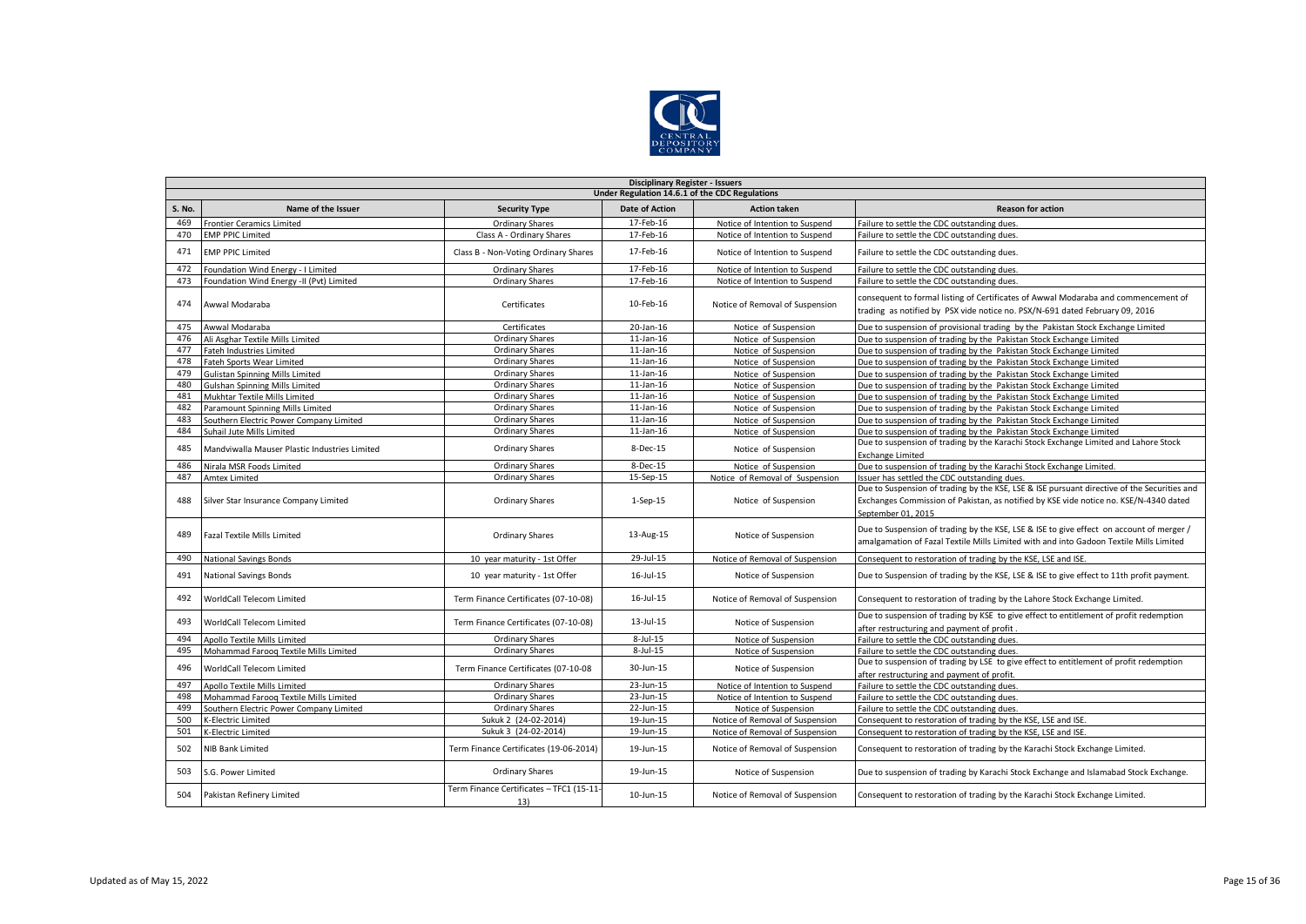

|        | <b>Disciplinary Register - Issuers</b>        |                                                 |                                                |                                 |                                                                                                                                                                                                            |  |  |  |  |
|--------|-----------------------------------------------|-------------------------------------------------|------------------------------------------------|---------------------------------|------------------------------------------------------------------------------------------------------------------------------------------------------------------------------------------------------------|--|--|--|--|
|        |                                               |                                                 | Under Regulation 14.6.1 of the CDC Regulations |                                 |                                                                                                                                                                                                            |  |  |  |  |
| S. No. | Name of the Issuer                            | <b>Security Type</b>                            | <b>Date of Action</b>                          | <b>Action taken</b>             | <b>Reason for action</b>                                                                                                                                                                                   |  |  |  |  |
| 469    | <b>Frontier Ceramics Limited</b>              | <b>Ordinary Shares</b>                          | 17-Feb-16                                      | Notice of Intention to Suspend  | Failure to settle the CDC outstanding dues.                                                                                                                                                                |  |  |  |  |
| 470    | <b>EMP PPIC Limited</b>                       | Class A - Ordinary Shares                       | 17-Feb-16                                      | Notice of Intention to Suspend  | Failure to settle the CDC outstanding dues.                                                                                                                                                                |  |  |  |  |
| 471    | <b>EMP PPIC Limited</b>                       | Class B - Non-Voting Ordinary Shares            | 17-Feb-16                                      | Notice of Intention to Suspend  | Failure to settle the CDC outstanding dues.                                                                                                                                                                |  |  |  |  |
| 472    | Foundation Wind Energy - I Limited            | <b>Ordinary Shares</b>                          | 17-Feb-16                                      | Notice of Intention to Suspend  | Failure to settle the CDC outstanding dues.                                                                                                                                                                |  |  |  |  |
| 473    | Foundation Wind Energy -II (Pvt) Limited      | <b>Ordinary Shares</b>                          | 17-Feb-16                                      | Notice of Intention to Suspend  | Failure to settle the CDC outstanding dues.                                                                                                                                                                |  |  |  |  |
| 474    | Awwal Modaraba                                | Certificates                                    | 10-Feb-16                                      | Notice of Removal of Suspension | consequent to formal listing of Certificates of Awwal Modaraba and commencement of<br>trading as notified by PSX vide notice no. PSX/N-691 dated February 09, 2016                                         |  |  |  |  |
| 475    | Awwal Modaraba                                | Certificates                                    | 20-Jan-16                                      | Notice of Suspension            | Due to suspension of provisional trading by the Pakistan Stock Exchange Limited                                                                                                                            |  |  |  |  |
| 476    | Ali Asghar Textile Mills Limited              | Ordinary Shares                                 | $11$ -Jan- $16$                                | Notice of Suspension            | Due to suspension of trading by the Pakistan Stock Exchange Limited                                                                                                                                        |  |  |  |  |
| 477    | Fateh Industries Limited                      | <b>Ordinary Shares</b>                          | $11$ -Jan- $16$                                | Notice of Suspension            | Due to suspension of trading by the Pakistan Stock Exchange Limited                                                                                                                                        |  |  |  |  |
| 478    | Fateh Sports Wear Limited                     | <b>Ordinary Shares</b>                          | $11$ -Jan- $16$                                | Notice of Suspension            | Due to suspension of trading by the Pakistan Stock Exchange Limited                                                                                                                                        |  |  |  |  |
| 479    | <b>Gulistan Spinning Mills Limited</b>        | <b>Ordinary Shares</b>                          | $11$ -Jan- $16$                                | Notice of Suspension            | Due to suspension of trading by the Pakistan Stock Exchange Limited                                                                                                                                        |  |  |  |  |
| 480    | Gulshan Spinning Mills Limited                | <b>Ordinary Shares</b>                          | $11$ -Jan- $16$                                | Notice of Suspension            | Due to suspension of trading by the Pakistan Stock Exchange Limited                                                                                                                                        |  |  |  |  |
| 481    | Mukhtar Textile Mills Limited                 | <b>Ordinary Shares</b>                          | $11$ -Jan- $16$                                | Notice of Suspension            | Due to suspension of trading by the Pakistan Stock Exchange Limited                                                                                                                                        |  |  |  |  |
| 482    | Paramount Spinning Mills Limited              | <b>Ordinary Shares</b>                          | $11$ -Jan- $16$                                | Notice of Suspension            | Due to suspension of trading by the Pakistan Stock Exchange Limited                                                                                                                                        |  |  |  |  |
| 483    | Southern Electric Power Company Limited       | <b>Ordinary Shares</b>                          | $11$ -Jan- $16$                                | Notice of Suspension            | Due to suspension of trading by the Pakistan Stock Exchange Limited                                                                                                                                        |  |  |  |  |
| 484    | Suhail Jute Mills Limited                     | <b>Ordinary Shares</b>                          | $11$ -Jan- $16$                                | Notice of Suspension            | Due to suspension of trading by the Pakistan Stock Exchange Limited                                                                                                                                        |  |  |  |  |
| 485    | Mandviwalla Mauser Plastic Industries Limited | <b>Ordinary Shares</b>                          | 8-Dec-15                                       | Notice of Suspension            | Due to suspension of trading by the Karachi Stock Exchange Limited and Lahore Stock<br><b>Exchange Limited</b>                                                                                             |  |  |  |  |
| 486    | Nirala MSR Foods Limited                      | <b>Ordinary Shares</b>                          | 8-Dec-15                                       | Notice of Suspension            | Due to suspension of trading by the Karachi Stock Exchange Limited.                                                                                                                                        |  |  |  |  |
| 487    | <b>Amtex Limited</b>                          | <b>Ordinary Shares</b>                          | 15-Sep-15                                      | Notice of Removal of Suspension | Issuer has settled the CDC outstanding dues.                                                                                                                                                               |  |  |  |  |
| 488    | Silver Star Insurance Company Limited         | <b>Ordinary Shares</b>                          | $1-Sep-15$                                     | Notice of Suspension            | Due to Suspension of trading by the KSE, LSE & ISE pursuant directive of the Securities and<br>Exchanges Commission of Pakistan, as notified by KSE vide notice no. KSE/N-4340 dated<br>September 01, 2015 |  |  |  |  |
| 489    | <b>Fazal Textile Mills Limited</b>            | <b>Ordinary Shares</b>                          | 13-Aug-15                                      | Notice of Suspension            | Due to Suspension of trading by the KSE, LSE & ISE to give effect on account of merger /<br>amalgamation of Fazal Textile Mills Limited with and into Gadoon Textile Mills Limited                         |  |  |  |  |
| 490    | <b>National Savings Bonds</b>                 | 10 year maturity - 1st Offer                    | 29-Jul-15                                      | Notice of Removal of Suspension | Consequent to restoration of trading by the KSE, LSE and ISE.                                                                                                                                              |  |  |  |  |
| 491    | National Savings Bonds                        | 10 year maturity - 1st Offer                    | 16-Jul-15                                      | Notice of Suspension            | Due to Suspension of trading by the KSE, LSE & ISE to give effect to 11th profit payment.                                                                                                                  |  |  |  |  |
| 492    | WorldCall Telecom Limited                     | Term Finance Certificates (07-10-08)            | $16$ -Jul- $15$                                | Notice of Removal of Suspension | Consequent to restoration of trading by the Lahore Stock Exchange Limited.                                                                                                                                 |  |  |  |  |
| 493    | WorldCall Telecom Limited                     | Term Finance Certificates (07-10-08)            | 13-Jul-15                                      | Notice of Suspension            | Due to suspension of trading by KSE to give effect to entitlement of profit redemption<br>after restructuring and payment of profit                                                                        |  |  |  |  |
| 494    | Apollo Textile Mills Limited                  | Ordinary Shares                                 | 8-Jul-15                                       | Notice of Suspension            | Failure to settle the CDC outstanding dues.                                                                                                                                                                |  |  |  |  |
| 495    | Mohammad Faroog Textile Mills Limited         | <b>Ordinary Shares</b>                          | $8$ -Jul-15                                    | Notice of Suspension            | Failure to settle the CDC outstanding dues.                                                                                                                                                                |  |  |  |  |
| 496    | WorldCall Telecom Limited                     | Term Finance Certificates (07-10-08             | 30-Jun-15                                      | Notice of Suspension            | Due to suspension of trading by LSE to give effect to entitlement of profit redemption<br>after restructuring and payment of profit.                                                                       |  |  |  |  |
| 497    | Apollo Textile Mills Limited                  | Ordinary Shares                                 | 23-Jun-15                                      | Notice of Intention to Suspend  | Failure to settle the CDC outstanding dues.                                                                                                                                                                |  |  |  |  |
| 498    | Mohammad Faroog Textile Mills Limited         | <b>Ordinary Shares</b>                          | 23-Jun-15                                      | Notice of Intention to Suspend  | Failure to settle the CDC outstanding dues.                                                                                                                                                                |  |  |  |  |
| 499    | Southern Electric Power Company Limited       | Ordinary Shares                                 | 22-Jun-15                                      | Notice of Suspension            | Failure to settle the CDC outstanding dues.                                                                                                                                                                |  |  |  |  |
| 500    | K-Electric Limited                            | Sukuk 2 (24-02-2014)                            | 19-Jun-15                                      | Notice of Removal of Suspension | Consequent to restoration of trading by the KSE, LSE and ISE.                                                                                                                                              |  |  |  |  |
| 501    | K-Electric Limited                            | Sukuk 3 (24-02-2014)                            | 19-Jun-15                                      | Notice of Removal of Suspension | Consequent to restoration of trading by the KSE, LSE and ISE.                                                                                                                                              |  |  |  |  |
| 502    | <b>NIB Bank Limited</b>                       | Term Finance Certificates (19-06-2014)          | 19-Jun-15                                      | Notice of Removal of Suspension | Consequent to restoration of trading by the Karachi Stock Exchange Limited.                                                                                                                                |  |  |  |  |
| 503    | S.G. Power Limited                            | Ordinary Shares                                 | 19-Jun-15                                      | Notice of Suspension            | Due to suspension of trading by Karachi Stock Exchange and Islamabad Stock Exchange.                                                                                                                       |  |  |  |  |
| 504    | Pakistan Refinery Limited                     | Term Finance Certificates - TFC1 (15-11-<br>13) | 10-Jun-15                                      | Notice of Removal of Suspension | Consequent to restoration of trading by the Karachi Stock Exchange Limited.                                                                                                                                |  |  |  |  |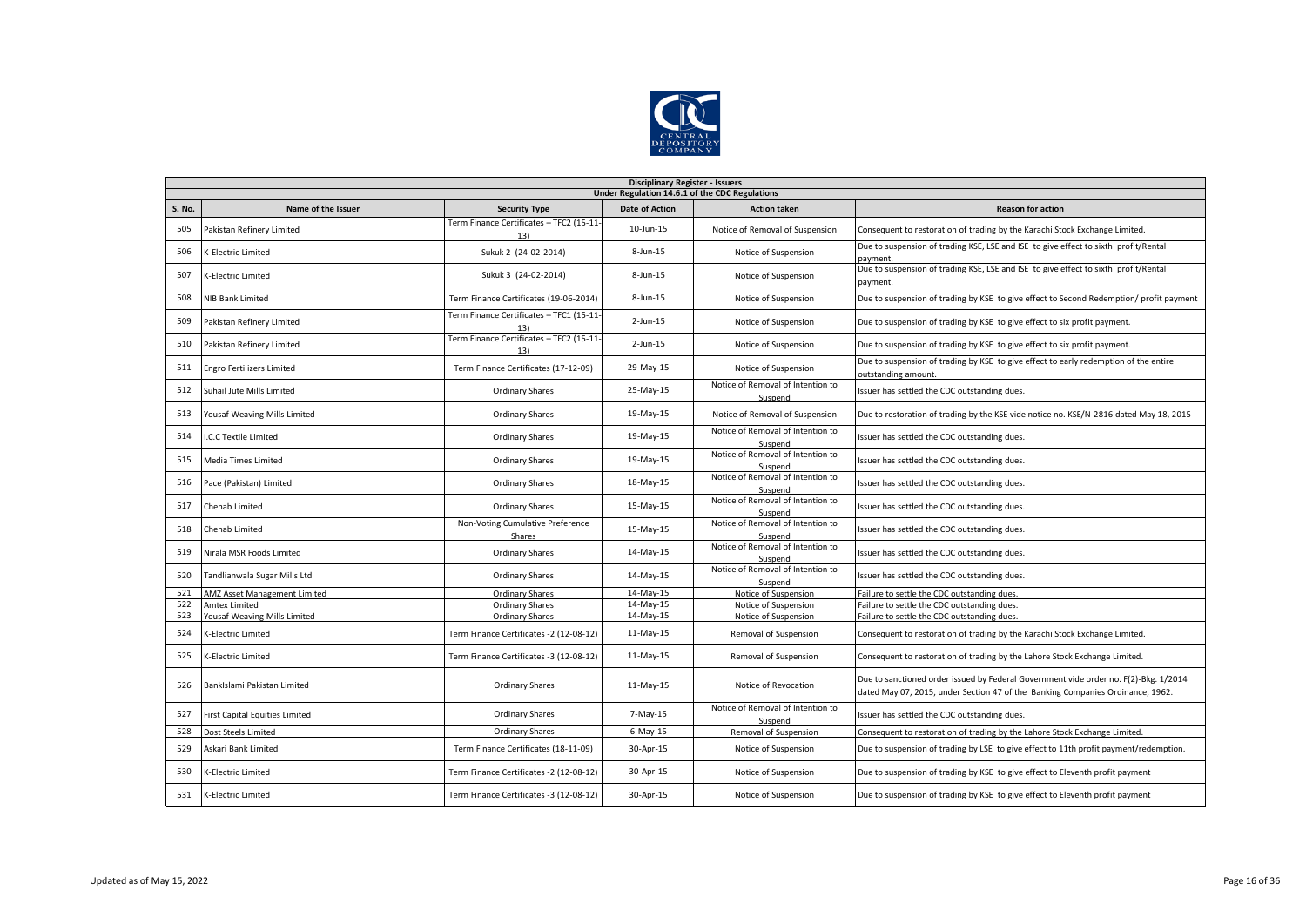

|               | <b>Disciplinary Register - Issuers</b>         |                                                 |                       |                                              |                                                                                                                                                                        |  |  |  |  |  |
|---------------|------------------------------------------------|-------------------------------------------------|-----------------------|----------------------------------------------|------------------------------------------------------------------------------------------------------------------------------------------------------------------------|--|--|--|--|--|
|               | Under Regulation 14.6.1 of the CDC Regulations |                                                 |                       |                                              |                                                                                                                                                                        |  |  |  |  |  |
| <b>S. No.</b> | Name of the Issuer                             | <b>Security Type</b>                            | <b>Date of Action</b> | <b>Action taken</b>                          | <b>Reason for action</b>                                                                                                                                               |  |  |  |  |  |
| 505           | Pakistan Refinery Limited                      | Term Finance Certificates - TFC2 (15-11-<br>13) | 10-Jun-15             | Notice of Removal of Suspension              | Consequent to restoration of trading by the Karachi Stock Exchange Limited.                                                                                            |  |  |  |  |  |
| 506           | K-Electric Limited                             | Sukuk 2 (24-02-2014)                            | 8-Jun-15              | Notice of Suspension                         | Due to suspension of trading KSE, LSE and ISE to give effect to sixth profit/Rental<br>payment.                                                                        |  |  |  |  |  |
| 507           | <b>K-Electric Limited</b>                      | Sukuk 3 (24-02-2014)                            | 8-Jun-15              | Notice of Suspension                         | Due to suspension of trading KSE, LSE and ISE to give effect to sixth profit/Rental<br>payment                                                                         |  |  |  |  |  |
| 508           | NIB Bank Limited                               | Term Finance Certificates (19-06-2014)          | 8-Jun-15              | Notice of Suspension                         | Due to suspension of trading by KSE to give effect to Second Redemption/ profit payment                                                                                |  |  |  |  |  |
| 509           | Pakistan Refinery Limited                      | Term Finance Certificates - TFC1 (15-11-<br>13) | $2$ -Jun-15           | Notice of Suspension                         | Due to suspension of trading by KSE to give effect to six profit payment.                                                                                              |  |  |  |  |  |
| 510           | Pakistan Refinery Limited                      | Term Finance Certificates - TFC2 (15-11-<br>13) | $2$ -Jun-15           | Notice of Suspension                         | Due to suspension of trading by KSE to give effect to six profit payment.                                                                                              |  |  |  |  |  |
| 511           | <b>Engro Fertilizers Limited</b>               | Term Finance Certificates (17-12-09)            | 29-May-15             | Notice of Suspension                         | Due to suspension of trading by KSE to give effect to early redemption of the entire<br>outstanding amount.                                                            |  |  |  |  |  |
| 512           | Suhail Jute Mills Limited                      | <b>Ordinary Shares</b>                          | 25-May-15             | Notice of Removal of Intention to<br>Suspend | Issuer has settled the CDC outstanding dues.                                                                                                                           |  |  |  |  |  |
| 513           | Yousaf Weaving Mills Limited                   | <b>Ordinary Shares</b>                          | 19-May-15             | Notice of Removal of Suspension              | Due to restoration of trading by the KSE vide notice no. KSE/N-2816 dated May 18, 2015                                                                                 |  |  |  |  |  |
| 514           | I.C.C Textile Limited                          | Ordinary Shares                                 | 19-May-15             | Notice of Removal of Intention to<br>Suspend | Issuer has settled the CDC outstanding dues.                                                                                                                           |  |  |  |  |  |
| 515           | Media Times Limited                            | <b>Ordinary Shares</b>                          | 19-May-15             | Notice of Removal of Intention to<br>Suspend | Issuer has settled the CDC outstanding dues.                                                                                                                           |  |  |  |  |  |
| 516           | Pace (Pakistan) Limited                        | Ordinary Shares                                 | 18-May-15             | Notice of Removal of Intention to<br>Suspend | Issuer has settled the CDC outstanding dues.                                                                                                                           |  |  |  |  |  |
| 517           | Chenab Limited                                 | <b>Ordinary Shares</b>                          | 15-May-15             | Notice of Removal of Intention to<br>Suspend | Issuer has settled the CDC outstanding dues.                                                                                                                           |  |  |  |  |  |
| 518           | Chenab Limited                                 | Non-Voting Cumulative Preference<br>Shares      | 15-May-15             | Notice of Removal of Intention to<br>Suspend | Issuer has settled the CDC outstanding dues.                                                                                                                           |  |  |  |  |  |
| 519           | Nirala MSR Foods Limited                       | <b>Ordinary Shares</b>                          | 14-May-15             | Notice of Removal of Intention to<br>Suspend | Issuer has settled the CDC outstanding dues.                                                                                                                           |  |  |  |  |  |
| 520           | Tandlianwala Sugar Mills Ltd                   | <b>Ordinary Shares</b>                          | 14-May-15             | Notice of Removal of Intention to<br>Suspend | Issuer has settled the CDC outstanding dues.                                                                                                                           |  |  |  |  |  |
| 521           | AMZ Asset Management Limited                   | <b>Ordinary Shares</b>                          | 14-May-15             | Notice of Suspension                         | Failure to settle the CDC outstanding dues.                                                                                                                            |  |  |  |  |  |
| 522           | <b>Amtex Limited</b>                           | <b>Ordinary Shares</b>                          | 14-May-15             | Notice of Suspension                         | Failure to settle the CDC outstanding dues.                                                                                                                            |  |  |  |  |  |
| 523           | Yousaf Weaving Mills Limited                   | <b>Ordinary Shares</b>                          | 14-May-15             | Notice of Suspension                         | Failure to settle the CDC outstanding dues.                                                                                                                            |  |  |  |  |  |
| 524           | K-Electric Limited                             | Term Finance Certificates -2 (12-08-12)         | 11-May-15             | Removal of Suspension                        | Consequent to restoration of trading by the Karachi Stock Exchange Limited.                                                                                            |  |  |  |  |  |
| 525           | K-Electric Limited                             | Term Finance Certificates -3 (12-08-12)         | 11-May-15             | Removal of Suspension                        | Consequent to restoration of trading by the Lahore Stock Exchange Limited.                                                                                             |  |  |  |  |  |
| 526           | BankIslami Pakistan Limited                    | <b>Ordinary Shares</b>                          | 11-May-15             | Notice of Revocation                         | Due to sanctioned order issued by Federal Government vide order no. F(2)-Bkg. 1/2014<br>dated May 07, 2015, under Section 47 of the Banking Companies Ordinance, 1962. |  |  |  |  |  |
| 527           | <b>First Capital Equities Limited</b>          | <b>Ordinary Shares</b>                          | 7-May-15              | Notice of Removal of Intention to<br>Suspend | Issuer has settled the CDC outstanding dues.                                                                                                                           |  |  |  |  |  |
| 528           | Dost Steels Limited                            | <b>Ordinary Shares</b>                          | $6$ -May-15           | Removal of Suspension                        | Consequent to restoration of trading by the Lahore Stock Exchange Limited.                                                                                             |  |  |  |  |  |
| 529           | Askari Bank Limited                            | Term Finance Certificates (18-11-09)            | 30-Apr-15             | Notice of Suspension                         | Due to suspension of trading by LSE to give effect to 11th profit payment/redemption.                                                                                  |  |  |  |  |  |
| 530           | <b>K-Electric Limited</b>                      | Term Finance Certificates -2 (12-08-12)         | 30-Apr-15             | Notice of Suspension                         | Due to suspension of trading by KSE to give effect to Eleventh profit payment                                                                                          |  |  |  |  |  |
| 531           | <b>K-Electric Limited</b>                      | Term Finance Certificates -3 (12-08-12)         | 30-Apr-15             | Notice of Suspension                         | Due to suspension of trading by KSE to give effect to Eleventh profit payment                                                                                          |  |  |  |  |  |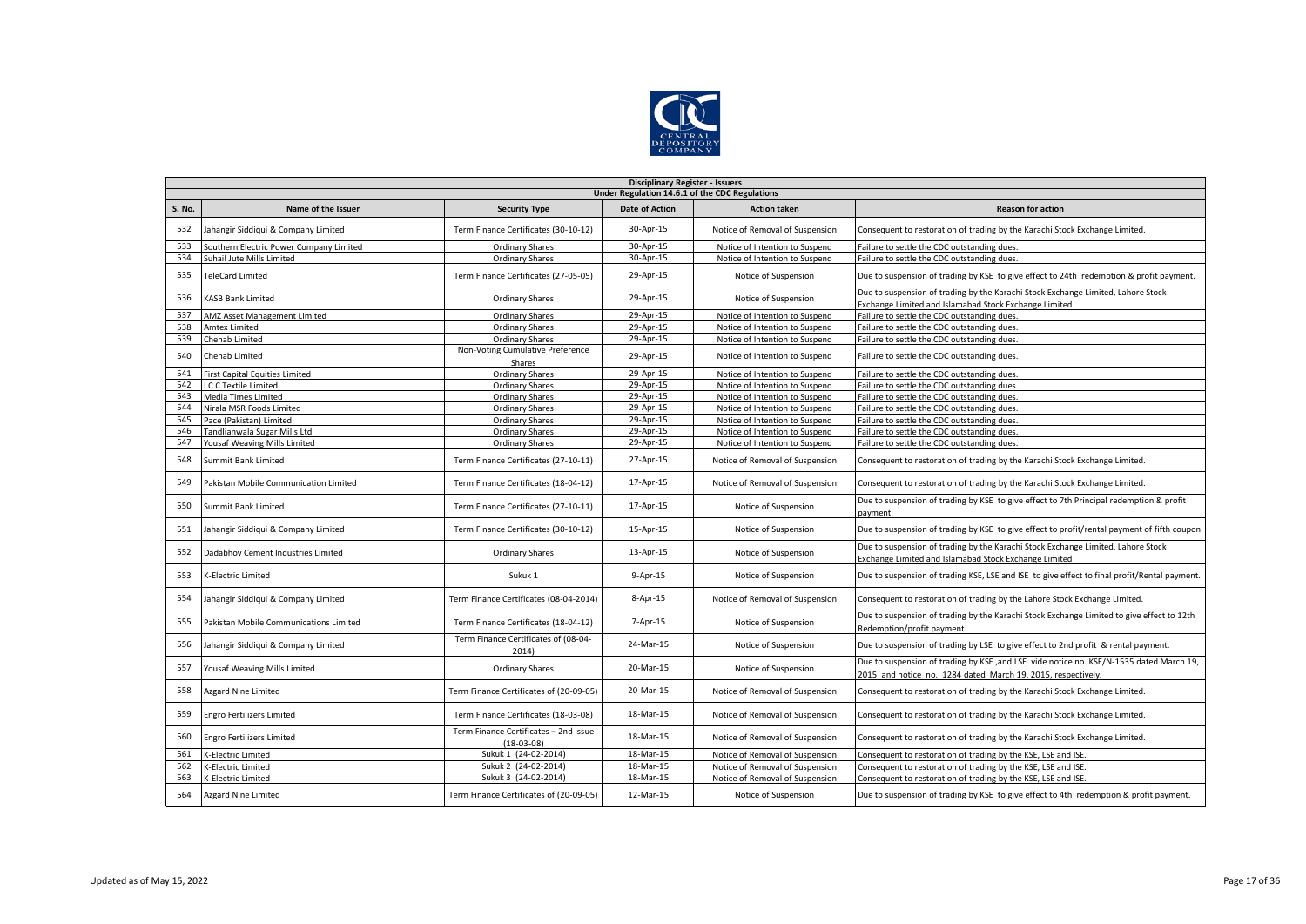

|        | <b>Disciplinary Register - Issuers</b>         |                                                       |                       |                                 |                                                                                                                                                         |  |  |  |  |
|--------|------------------------------------------------|-------------------------------------------------------|-----------------------|---------------------------------|---------------------------------------------------------------------------------------------------------------------------------------------------------|--|--|--|--|
|        | Under Regulation 14.6.1 of the CDC Regulations |                                                       |                       |                                 |                                                                                                                                                         |  |  |  |  |
| S. No. | Name of the Issuer                             | <b>Security Type</b>                                  | <b>Date of Action</b> | <b>Action taken</b>             | <b>Reason for action</b>                                                                                                                                |  |  |  |  |
| 532    | Jahangir Siddiqui & Company Limited            | Term Finance Certificates (30-10-12)                  | 30-Apr-15             | Notice of Removal of Suspension | Consequent to restoration of trading by the Karachi Stock Exchange Limited.                                                                             |  |  |  |  |
| 533    | Southern Electric Power Company Limited        | <b>Ordinary Shares</b>                                | 30-Apr-15             | Notice of Intention to Suspend  | Failure to settle the CDC outstanding dues.                                                                                                             |  |  |  |  |
| 534    | Suhail Jute Mills Limited                      | <b>Ordinary Shares</b>                                | 30-Apr-15             | Notice of Intention to Suspend  | Failure to settle the CDC outstanding dues.                                                                                                             |  |  |  |  |
| 535    | <b>TeleCard Limited</b>                        | Term Finance Certificates (27-05-05)                  | 29-Apr-15             | Notice of Suspension            | Due to suspension of trading by KSE to give effect to 24th redemption & profit payment.                                                                 |  |  |  |  |
| 536    | <b>KASB Bank Limited</b>                       | <b>Ordinary Shares</b>                                | 29-Apr-15             | Notice of Suspension            | Due to suspension of trading by the Karachi Stock Exchange Limited, Lahore Stock<br>Exchange Limited and Islamabad Stock Exchange Limited               |  |  |  |  |
| 537    | AMZ Asset Management Limited                   | <b>Ordinary Shares</b>                                | 29-Apr-15             | Notice of Intention to Suspend  | Failure to settle the CDC outstanding dues.                                                                                                             |  |  |  |  |
| 538    | <b>Amtex Limited</b>                           | Ordinary Shares                                       | 29-Apr-15             | Notice of Intention to Suspend  | Failure to settle the CDC outstanding dues.                                                                                                             |  |  |  |  |
| 539    | Chenab Limited                                 | <b>Ordinary Shares</b>                                | 29-Apr-15             | Notice of Intention to Suspend  | Failure to settle the CDC outstanding dues.                                                                                                             |  |  |  |  |
| 540    | Chenab Limited                                 | Non-Voting Cumulative Preference<br>Shares            | 29-Apr-15             | Notice of Intention to Suspend  | Failure to settle the CDC outstanding dues.                                                                                                             |  |  |  |  |
| 541    | <b>First Capital Equities Limited</b>          | <b>Ordinary Shares</b>                                | 29-Apr-15             | Notice of Intention to Suspend  | Failure to settle the CDC outstanding dues.                                                                                                             |  |  |  |  |
| 542    | I.C.C Textile Limited                          | <b>Ordinary Shares</b>                                | 29-Apr-15             | Notice of Intention to Suspend  | Failure to settle the CDC outstanding dues.                                                                                                             |  |  |  |  |
| 543    | Media Times Limited                            | Ordinary Shares                                       | 29-Apr-15             | Notice of Intention to Suspend  | Failure to settle the CDC outstanding dues.                                                                                                             |  |  |  |  |
| 544    | Nirala MSR Foods Limited                       | Ordinary Shares                                       | 29-Apr-15             | Notice of Intention to Suspend  | Failure to settle the CDC outstanding dues.                                                                                                             |  |  |  |  |
| 545    | Pace (Pakistan) Limited                        | Ordinary Shares                                       | 29-Apr-15             | Notice of Intention to Suspend  | Failure to settle the CDC outstanding dues.                                                                                                             |  |  |  |  |
| 546    | Tandlianwala Sugar Mills Ltd                   | <b>Ordinary Shares</b>                                | 29-Apr-15             | Notice of Intention to Suspend  | Failure to settle the CDC outstanding dues.                                                                                                             |  |  |  |  |
| 547    | Yousaf Weaving Mills Limited                   | <b>Ordinary Shares</b>                                | 29-Apr-15             | Notice of Intention to Suspend  | Failure to settle the CDC outstanding dues.                                                                                                             |  |  |  |  |
| 548    | Summit Bank Limited                            | Term Finance Certificates (27-10-11)                  | 27-Apr-15             | Notice of Removal of Suspension | Consequent to restoration of trading by the Karachi Stock Exchange Limited.                                                                             |  |  |  |  |
| 549    | Pakistan Mobile Communication Limited          | Term Finance Certificates (18-04-12)                  | 17-Apr-15             | Notice of Removal of Suspension | Consequent to restoration of trading by the Karachi Stock Exchange Limited.                                                                             |  |  |  |  |
| 550    | Summit Bank Limited                            | Term Finance Certificates (27-10-11)                  | 17-Apr-15             | Notice of Suspension            | Due to suspension of trading by KSE to give effect to 7th Principal redemption & profit<br>payment.                                                     |  |  |  |  |
| 551    | Jahangir Siddiqui & Company Limited            | Term Finance Certificates (30-10-12)                  | 15-Apr-15             | Notice of Suspension            | Due to suspension of trading by KSE to give effect to profit/rental payment of fifth coupon                                                             |  |  |  |  |
| 552    | Dadabhoy Cement Industries Limited             | Ordinary Shares                                       | 13-Apr-15             | Notice of Suspension            | Due to suspension of trading by the Karachi Stock Exchange Limited, Lahore Stock<br>Exchange Limited and Islamabad Stock Exchange Limited               |  |  |  |  |
| 553    | K-Electric Limited                             | Sukuk 1                                               | 9-Apr-15              | Notice of Suspension            | Due to suspension of trading KSE, LSE and ISE to give effect to final profit/Rental payment.                                                            |  |  |  |  |
| 554    | Jahangir Siddiqui & Company Limited            | Term Finance Certificates (08-04-2014)                | 8-Apr-15              | Notice of Removal of Suspension | Consequent to restoration of trading by the Lahore Stock Exchange Limited.                                                                              |  |  |  |  |
| 555    | Pakistan Mobile Communications Limited         | Term Finance Certificates (18-04-12)                  | 7-Apr-15              | Notice of Suspension            | Due to suspension of trading by the Karachi Stock Exchange Limited to give effect to 12th<br>Redemption/profit payment.                                 |  |  |  |  |
| 556    | Jahangir Siddiqui & Company Limited            | Term Finance Certificates of (08-04-<br>2014)         | 24-Mar-15             | Notice of Suspension            | Due to suspension of trading by LSE to give effect to 2nd profit & rental payment.                                                                      |  |  |  |  |
| 557    | Yousaf Weaving Mills Limited                   | <b>Ordinary Shares</b>                                | 20-Mar-15             | Notice of Suspension            | Due to suspension of trading by KSE, and LSE vide notice no. KSE/N-1535 dated March 19,<br>2015 and notice no. 1284 dated March 19, 2015, respectively. |  |  |  |  |
| 558    | <b>Azgard Nine Limited</b>                     | Term Finance Certificates of (20-09-05)               | 20-Mar-15             | Notice of Removal of Suspension | Consequent to restoration of trading by the Karachi Stock Exchange Limited.                                                                             |  |  |  |  |
| 559    | <b>Engro Fertilizers Limited</b>               | Term Finance Certificates (18-03-08)                  | 18-Mar-15             | Notice of Removal of Suspension | Consequent to restoration of trading by the Karachi Stock Exchange Limited.                                                                             |  |  |  |  |
| 560    | <b>Engro Fertilizers Limited</b>               | Term Finance Certificates - 2nd Issue<br>$(18-03-08)$ | 18-Mar-15             | Notice of Removal of Suspension | Consequent to restoration of trading by the Karachi Stock Exchange Limited.                                                                             |  |  |  |  |
| 561    | K-Electric Limited                             | Sukuk 1 (24-02-2014)                                  | 18-Mar-15             | Notice of Removal of Suspension | Consequent to restoration of trading by the KSE, LSE and ISE.                                                                                           |  |  |  |  |
| 562    | K-Electric Limited                             | Sukuk 2 (24-02-2014)                                  | 18-Mar-15             | Notice of Removal of Suspension | Consequent to restoration of trading by the KSE, LSE and ISE.                                                                                           |  |  |  |  |
| 563    | K-Electric Limited                             | Sukuk 3 (24-02-2014)                                  | 18-Mar-15             | Notice of Removal of Suspension | Consequent to restoration of trading by the KSE, LSE and ISE.                                                                                           |  |  |  |  |
| 564    | Azgard Nine Limited                            | Term Finance Certificates of (20-09-05)               | 12-Mar-15             | Notice of Suspension            | Due to suspension of trading by KSE to give effect to 4th redemption & profit payment.                                                                  |  |  |  |  |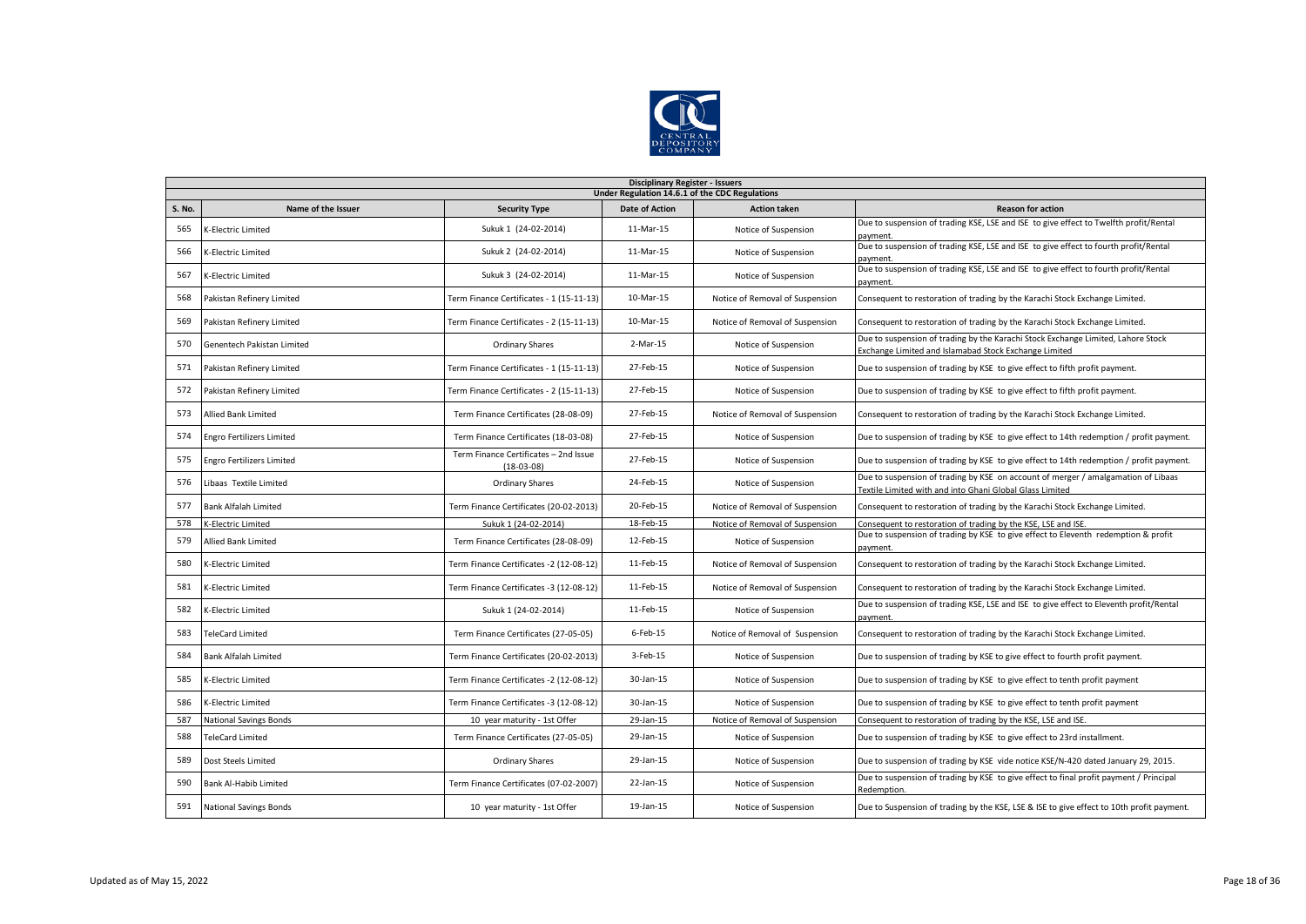

|               | <b>Disciplinary Register - Issuers</b>         |                                                       |                |                                 |                                                                                                                                               |  |  |  |  |
|---------------|------------------------------------------------|-------------------------------------------------------|----------------|---------------------------------|-----------------------------------------------------------------------------------------------------------------------------------------------|--|--|--|--|
|               | Under Regulation 14.6.1 of the CDC Regulations |                                                       |                |                                 |                                                                                                                                               |  |  |  |  |
| <b>S. No.</b> | Name of the Issuer                             | <b>Security Type</b>                                  | Date of Action | <b>Action taken</b>             | <b>Reason for action</b>                                                                                                                      |  |  |  |  |
| 565           | K-Electric Limited                             | Sukuk 1 (24-02-2014)                                  | 11-Mar-15      | Notice of Suspension            | Due to suspension of trading KSE, LSE and ISE to give effect to Twelfth profit/Rental<br>payment                                              |  |  |  |  |
| 566           | K-Electric Limited                             | Sukuk 2 (24-02-2014)                                  | 11-Mar-15      | Notice of Suspension            | Due to suspension of trading KSE, LSE and ISE to give effect to fourth profit/Rental<br>payment.                                              |  |  |  |  |
| 567           | K-Electric Limited                             | Sukuk 3 (24-02-2014)                                  | 11-Mar-15      | Notice of Suspension            | Due to suspension of trading KSE, LSE and ISE to give effect to fourth profit/Rental<br>payment.                                              |  |  |  |  |
| 568           | Pakistan Refinery Limited                      | Term Finance Certificates - 1 (15-11-13)              | 10-Mar-15      | Notice of Removal of Suspension | Consequent to restoration of trading by the Karachi Stock Exchange Limited.                                                                   |  |  |  |  |
| 569           | Pakistan Refinery Limited                      | Term Finance Certificates - 2 (15-11-13)              | 10-Mar-15      | Notice of Removal of Suspension | Consequent to restoration of trading by the Karachi Stock Exchange Limited.                                                                   |  |  |  |  |
| 570           | Genentech Pakistan Limited                     | Ordinary Shares                                       | 2-Mar-15       | Notice of Suspension            | Due to suspension of trading by the Karachi Stock Exchange Limited, Lahore Stock<br>Exchange Limited and Islamabad Stock Exchange Limited     |  |  |  |  |
| 571           | Pakistan Refinery Limited                      | Ferm Finance Certificates - 1 (15-11-13)              | 27-Feb-15      | Notice of Suspension            | Due to suspension of trading by KSE to give effect to fifth profit payment.                                                                   |  |  |  |  |
| 572           | Pakistan Refinery Limited                      | Ferm Finance Certificates - 2 (15-11-13)              | 27-Feb-15      | Notice of Suspension            | Due to suspension of trading by KSE to give effect to fifth profit payment.                                                                   |  |  |  |  |
| 573           | <b>Allied Bank Limited</b>                     | Term Finance Certificates (28-08-09)                  | 27-Feb-15      | Notice of Removal of Suspension | Consequent to restoration of trading by the Karachi Stock Exchange Limited.                                                                   |  |  |  |  |
| 574           | <b>Engro Fertilizers Limited</b>               | Term Finance Certificates (18-03-08)                  | 27-Feb-15      | Notice of Suspension            | Due to suspension of trading by KSE to give effect to 14th redemption / profit payment.                                                       |  |  |  |  |
| 575           | <b>Engro Fertilizers Limited</b>               | Term Finance Certificates - 2nd Issue<br>$(18-03-08)$ | 27-Feb-15      | Notice of Suspension            | Due to suspension of trading by KSE to give effect to 14th redemption / profit payment.                                                       |  |  |  |  |
| 576           | Libaas Textile Limited                         | <b>Ordinary Shares</b>                                | 24-Feb-15      | Notice of Suspension            | Due to suspension of trading by KSE on account of merger / amalgamation of Libaas<br>Textile Limited with and into Ghani Global Glass Limited |  |  |  |  |
| 577           | Bank Alfalah Limited                           | Term Finance Certificates (20-02-2013)                | 20-Feb-15      | Notice of Removal of Suspension | Consequent to restoration of trading by the Karachi Stock Exchange Limited.                                                                   |  |  |  |  |
| 578           | K-Electric Limited                             | Sukuk 1 (24-02-2014)                                  | 18-Feb-15      | Notice of Removal of Suspension | Consequent to restoration of trading by the KSE, LSE and ISE.                                                                                 |  |  |  |  |
| 579           | <b>Allied Bank Limited</b>                     | Term Finance Certificates (28-08-09)                  | 12-Feb-15      | Notice of Suspension            | Due to suspension of trading by KSE to give effect to Eleventh redemption & profit<br>payment                                                 |  |  |  |  |
| 580           | K-Electric Limited                             | Term Finance Certificates -2 (12-08-12)               | 11-Feb-15      | Notice of Removal of Suspension | Consequent to restoration of trading by the Karachi Stock Exchange Limited.                                                                   |  |  |  |  |
| 581           | K-Electric Limited                             | Term Finance Certificates -3 (12-08-12)               | 11-Feb-15      | Notice of Removal of Suspension | Consequent to restoration of trading by the Karachi Stock Exchange Limited.                                                                   |  |  |  |  |
| 582           | K-Electric Limited                             | Sukuk 1 (24-02-2014)                                  | 11-Feb-15      | Notice of Suspension            | Due to suspension of trading KSE, LSE and ISE to give effect to Eleventh profit/Rental<br>payment                                             |  |  |  |  |
| 583           | <b>TeleCard Limited</b>                        | Term Finance Certificates (27-05-05)                  | $6$ -Feb-15    | Notice of Removal of Suspension | Consequent to restoration of trading by the Karachi Stock Exchange Limited.                                                                   |  |  |  |  |
| 584           | Bank Alfalah Limited                           | Term Finance Certificates (20-02-2013)                | 3-Feb-15       | Notice of Suspension            | Due to suspension of trading by KSE to give effect to fourth profit payment.                                                                  |  |  |  |  |
| 585           | K-Electric Limited                             | Term Finance Certificates -2 (12-08-12)               | 30-Jan-15      | Notice of Suspension            | Due to suspension of trading by KSE to give effect to tenth profit payment                                                                    |  |  |  |  |
| 586           | K-Electric Limited                             | Term Finance Certificates -3 (12-08-12)               | 30-Jan-15      | Notice of Suspension            | Due to suspension of trading by KSE to give effect to tenth profit payment                                                                    |  |  |  |  |
| 587           | <b>National Savings Bonds</b>                  | 10 year maturity - 1st Offer                          | 29-Jan-15      | Notice of Removal of Suspension | Consequent to restoration of trading by the KSE, LSE and ISE.                                                                                 |  |  |  |  |
| 588           | <b>TeleCard Limited</b>                        | Term Finance Certificates (27-05-05)                  | 29-Jan-15      | Notice of Suspension            | Due to suspension of trading by KSE to give effect to 23rd installment.                                                                       |  |  |  |  |
| 589           | Dost Steels Limited                            | <b>Ordinary Shares</b>                                | 29-Jan-15      | Notice of Suspension            | Due to suspension of trading by KSE vide notice KSE/N-420 dated January 29, 2015.                                                             |  |  |  |  |
| 590           | <b>Bank Al-Habib Limited</b>                   | Term Finance Certificates (07-02-2007)                | 22-Jan-15      | Notice of Suspension            | Due to suspension of trading by KSE to give effect to final profit payment / Principal<br>Redemption.                                         |  |  |  |  |
| 591           | <b>National Savings Bonds</b>                  | 10 year maturity - 1st Offer                          | 19-Jan-15      | Notice of Suspension            | Due to Suspension of trading by the KSE, LSE & ISE to give effect to 10th profit payment.                                                     |  |  |  |  |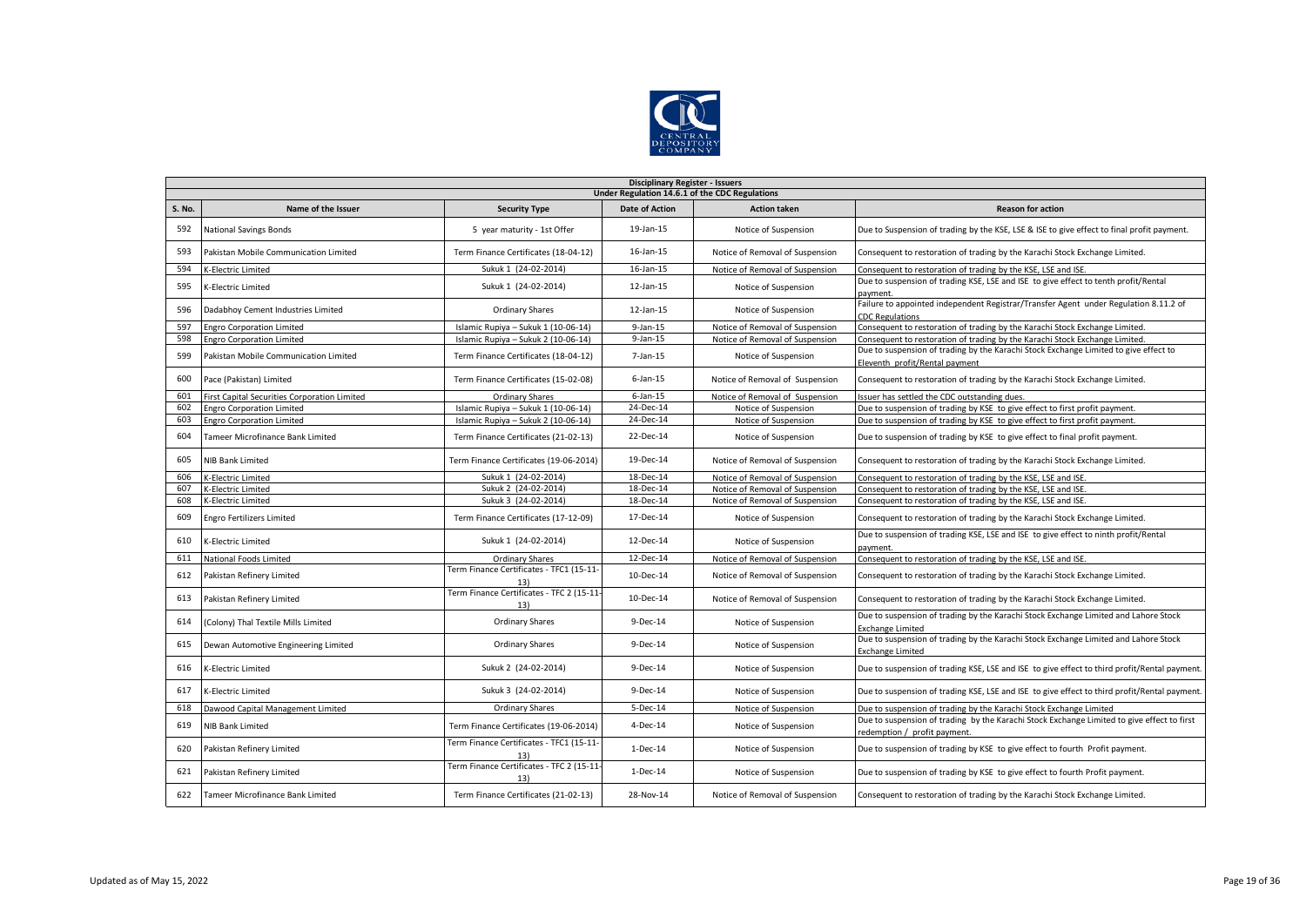

|        | <b>Disciplinary Register - Issuers</b>       |                                                  |                                                |                                 |                                                                                                                            |  |  |  |  |
|--------|----------------------------------------------|--------------------------------------------------|------------------------------------------------|---------------------------------|----------------------------------------------------------------------------------------------------------------------------|--|--|--|--|
|        |                                              |                                                  | Under Regulation 14.6.1 of the CDC Regulations |                                 |                                                                                                                            |  |  |  |  |
| S. No. | Name of the Issuer                           | <b>Security Type</b>                             | <b>Date of Action</b>                          | <b>Action taken</b>             | <b>Reason for action</b>                                                                                                   |  |  |  |  |
| 592    | <b>National Savings Bonds</b>                | 5 year maturity - 1st Offer                      | 19-Jan-15                                      | Notice of Suspension            | Due to Suspension of trading by the KSE, LSE & ISE to give effect to final profit payment.                                 |  |  |  |  |
| 593    | Pakistan Mobile Communication Limited        | Term Finance Certificates (18-04-12)             | 16-Jan-15                                      | Notice of Removal of Suspension | Consequent to restoration of trading by the Karachi Stock Exchange Limited.                                                |  |  |  |  |
| 594    | K-Electric Limited                           | Sukuk 1 (24-02-2014)                             | $16$ -Jan- $15$                                | Notice of Removal of Suspension | Consequent to restoration of trading by the KSE, LSE and ISE.                                                              |  |  |  |  |
| 595    | K-Electric Limited                           | Sukuk 1 (24-02-2014)                             | $12$ -Jan- $15$                                | Notice of Suspension            | Due to suspension of trading KSE, LSE and ISE to give effect to tenth profit/Rental<br>payment.                            |  |  |  |  |
| 596    | Dadabhoy Cement Industries Limited           | <b>Ordinary Shares</b>                           | $12$ -Jan- $15$                                | Notice of Suspension            | Failure to appointed independent Registrar/Transfer Agent under Regulation 8.11.2 of<br><b>CDC Regulations</b>             |  |  |  |  |
| 597    | <b>Engro Corporation Limited</b>             | Islamic Rupiya - Sukuk 1 (10-06-14)              | $9$ -Jan-15                                    | Notice of Removal of Suspension | Consequent to restoration of trading by the Karachi Stock Exchange Limited.                                                |  |  |  |  |
| 598    | <b>Engro Corporation Limited</b>             | Islamic Rupiya - Sukuk 2 (10-06-14)              | $9$ -Jan-15                                    | Notice of Removal of Suspension | Consequent to restoration of trading by the Karachi Stock Exchange Limited.                                                |  |  |  |  |
| 599    | Pakistan Mobile Communication Limited        | Term Finance Certificates (18-04-12)             | 7-Jan-15                                       | Notice of Suspension            | Due to suspension of trading by the Karachi Stock Exchange Limited to give effect to<br>Eleventh profit/Rental payment     |  |  |  |  |
| 600    | Pace (Pakistan) Limited                      | Term Finance Certificates (15-02-08)             | $6$ -Jan-15                                    | Notice of Removal of Suspension | Consequent to restoration of trading by the Karachi Stock Exchange Limited.                                                |  |  |  |  |
| 601    | First Capital Securities Corporation Limited | <b>Ordinary Shares</b>                           | $6$ -Jan-15                                    | Notice of Removal of Suspension | Issuer has settled the CDC outstanding dues.                                                                               |  |  |  |  |
| 602    | <b>Engro Corporation Limited</b>             | Islamic Rupiya - Sukuk 1 (10-06-14)              | 24-Dec-14                                      | Notice of Suspension            | Due to suspension of trading by KSE to give effect to first profit payment.                                                |  |  |  |  |
| 603    | <b>Engro Corporation Limited</b>             | Islamic Rupiya - Sukuk 2 (10-06-14)              | 24-Dec-14                                      | Notice of Suspension            | Due to suspension of trading by KSE to give effect to first profit payment.                                                |  |  |  |  |
| 604    | Tameer Microfinance Bank Limited             | Term Finance Certificates (21-02-13)             | 22-Dec-14                                      | Notice of Suspension            | Due to suspension of trading by KSE to give effect to final profit payment.                                                |  |  |  |  |
| 605    | NIB Bank Limited                             | Term Finance Certificates (19-06-2014)           | 19-Dec-14                                      | Notice of Removal of Suspension | Consequent to restoration of trading by the Karachi Stock Exchange Limited.                                                |  |  |  |  |
| 606    | K-Electric Limited                           | Sukuk 1 (24-02-2014)                             | 18-Dec-14                                      | Notice of Removal of Suspension | Consequent to restoration of trading by the KSE, LSE and ISE.                                                              |  |  |  |  |
| 607    | K-Electric Limited                           | Sukuk 2 (24-02-2014)                             | 18-Dec-14                                      | Notice of Removal of Suspension | Consequent to restoration of trading by the KSE, LSE and ISE.                                                              |  |  |  |  |
| 608    | K-Electric Limited                           | Sukuk 3 (24-02-2014)                             | 18-Dec-14                                      | Notice of Removal of Suspension | Consequent to restoration of trading by the KSE, LSE and ISE.                                                              |  |  |  |  |
| 609    | Engro Fertilizers Limited                    | Term Finance Certificates (17-12-09)             | 17-Dec-14                                      | Notice of Suspension            | Consequent to restoration of trading by the Karachi Stock Exchange Limited.                                                |  |  |  |  |
| 610    | K-Electric Limited                           | Sukuk 1 (24-02-2014)                             | 12-Dec-14                                      | Notice of Suspension            | Due to suspension of trading KSE, LSE and ISE to give effect to ninth profit/Rental<br>payment.                            |  |  |  |  |
| 611    | National Foods Limited                       | Ordinary Shares                                  | 12-Dec-14                                      | Notice of Removal of Suspension | Consequent to restoration of trading by the KSE, LSE and ISE.                                                              |  |  |  |  |
| 612    | Pakistan Refinery Limited                    | Term Finance Certificates - TFC1 (15-11-<br>13)  | 10-Dec-14                                      | Notice of Removal of Suspension | Consequent to restoration of trading by the Karachi Stock Exchange Limited.                                                |  |  |  |  |
| 613    | Pakistan Refinery Limited                    | Term Finance Certificates - TFC 2 (15-11-<br>13) | 10-Dec-14                                      | Notice of Removal of Suspension | Consequent to restoration of trading by the Karachi Stock Exchange Limited.                                                |  |  |  |  |
| 614    | (Colony) Thal Textile Mills Limited          | Ordinary Shares                                  | 9-Dec-14                                       | Notice of Suspension            | Due to suspension of trading by the Karachi Stock Exchange Limited and Lahore Stock<br><b>Exchange Limited</b>             |  |  |  |  |
| 615    | Dewan Automotive Engineering Limited         | <b>Ordinary Shares</b>                           | 9-Dec-14                                       | Notice of Suspension            | Due to suspension of trading by the Karachi Stock Exchange Limited and Lahore Stock<br><b>Exchange Limited</b>             |  |  |  |  |
| 616    | K-Electric Limited                           | Sukuk 2 (24-02-2014)                             | 9-Dec-14                                       | Notice of Suspension            | Due to suspension of trading KSE, LSE and ISE to give effect to third profit/Rental payment.                               |  |  |  |  |
| 617    | K-Electric Limited                           | Sukuk 3 (24-02-2014)                             | $9-Dec-14$                                     | Notice of Suspension            | Due to suspension of trading KSE, LSE and ISE to give effect to third profit/Rental payment.                               |  |  |  |  |
| 618    | Dawood Capital Management Limited            | Ordinary Shares                                  | 5-Dec-14                                       | Notice of Suspension            | Due to suspension of trading by the Karachi Stock Exchange Limited                                                         |  |  |  |  |
| 619    | <b>NIB Bank Limited</b>                      | Term Finance Certificates (19-06-2014)           | 4-Dec-14                                       | Notice of Suspension            | Due to suspension of trading by the Karachi Stock Exchange Limited to give effect to first<br>redemption / profit payment. |  |  |  |  |
| 620    | Pakistan Refinery Limited                    | Term Finance Certificates - TFC1 (15-11-<br>13)  | 1-Dec-14                                       | Notice of Suspension            | Due to suspension of trading by KSE to give effect to fourth Profit payment.                                               |  |  |  |  |
| 621    | Pakistan Refinery Limited                    | Term Finance Certificates - TFC 2 (15-11-<br>13) | $1-Dec-14$                                     | Notice of Suspension            | Due to suspension of trading by KSE to give effect to fourth Profit payment.                                               |  |  |  |  |
| 622    | Tameer Microfinance Bank Limited             | Term Finance Certificates (21-02-13)             | 28-Nov-14                                      | Notice of Removal of Suspension | Consequent to restoration of trading by the Karachi Stock Exchange Limited.                                                |  |  |  |  |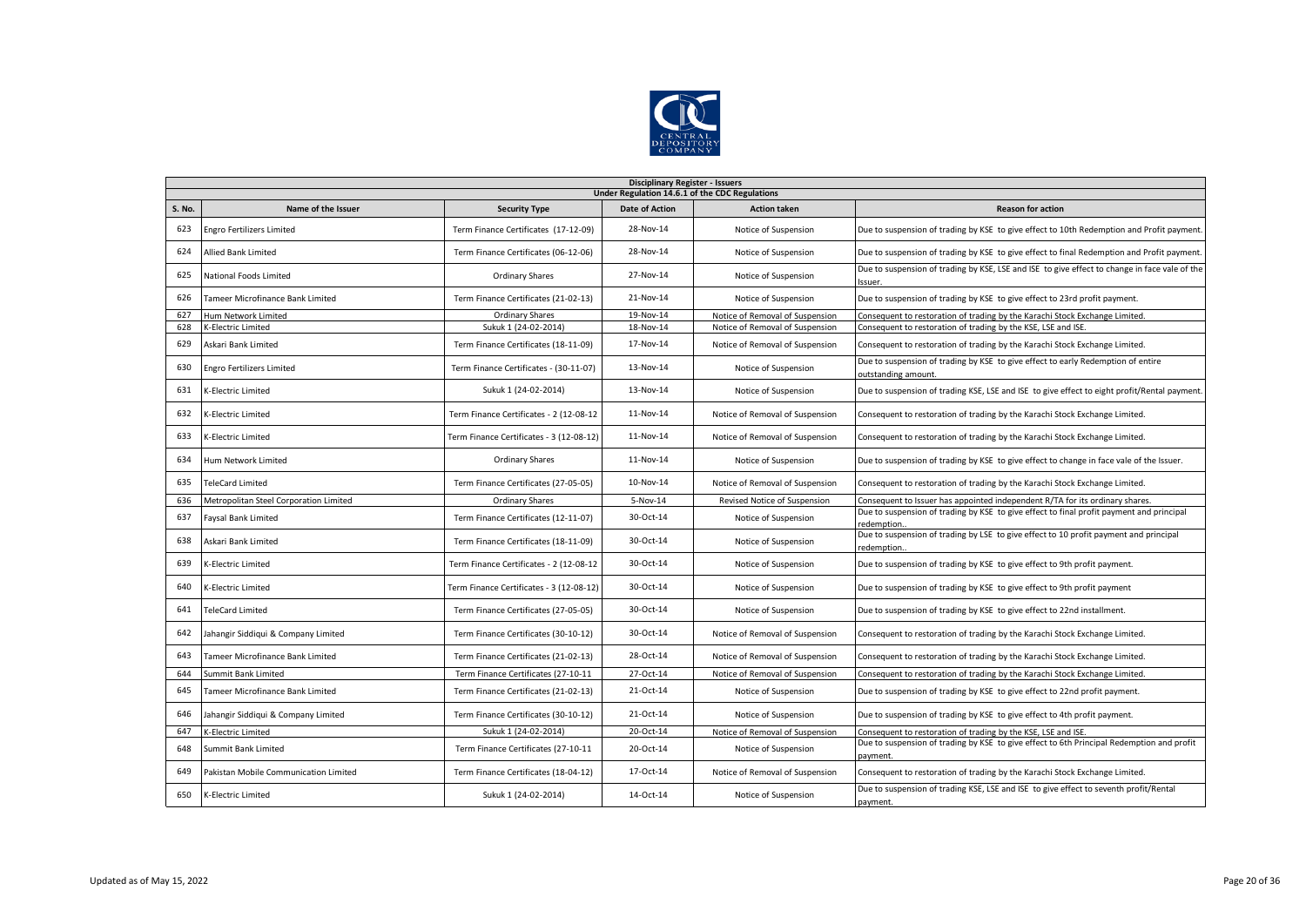

|                                                | <b>Disciplinary Register - Issuers</b> |                                          |                       |                                 |                                                                                                          |  |  |  |  |
|------------------------------------------------|----------------------------------------|------------------------------------------|-----------------------|---------------------------------|----------------------------------------------------------------------------------------------------------|--|--|--|--|
| Under Regulation 14.6.1 of the CDC Regulations |                                        |                                          |                       |                                 |                                                                                                          |  |  |  |  |
| S. No.                                         | Name of the Issuer                     | <b>Security Type</b>                     | <b>Date of Action</b> | <b>Action taken</b>             | <b>Reason for action</b>                                                                                 |  |  |  |  |
| 623                                            | <b>Engro Fertilizers Limited</b>       | Term Finance Certificates (17-12-09)     | 28-Nov-14             | Notice of Suspension            | Due to suspension of trading by KSE to give effect to 10th Redemption and Profit payment.                |  |  |  |  |
| 624                                            | Allied Bank Limited                    | Term Finance Certificates (06-12-06)     | 28-Nov-14             | Notice of Suspension            | Due to suspension of trading by KSE to give effect to final Redemption and Profit payment.               |  |  |  |  |
| 625                                            | National Foods Limited                 | Ordinary Shares                          | 27-Nov-14             | Notice of Suspension            | Due to suspension of trading by KSE, LSE and ISE to give effect to change in face vale of the<br>Issuer. |  |  |  |  |
| 626                                            | Tameer Microfinance Bank Limited       | Term Finance Certificates (21-02-13)     | 21-Nov-14             | Notice of Suspension            | Due to suspension of trading by KSE to give effect to 23rd profit payment.                               |  |  |  |  |
| 627                                            | <b>Hum Network Limited</b>             | <b>Ordinary Shares</b>                   | 19-Nov-14             | Notice of Removal of Suspension | Consequent to restoration of trading by the Karachi Stock Exchange Limited.                              |  |  |  |  |
| 628                                            | K-Electric Limited                     | Sukuk 1 (24-02-2014)                     | 18-Nov-14             | Notice of Removal of Suspension | Consequent to restoration of trading by the KSE, LSE and ISE.                                            |  |  |  |  |
| 629                                            | Askari Bank Limited                    | Term Finance Certificates (18-11-09)     | 17-Nov-14             | Notice of Removal of Suspension | Consequent to restoration of trading by the Karachi Stock Exchange Limited.                              |  |  |  |  |
| 630                                            | Engro Fertilizers Limited              | Term Finance Certificates - (30-11-07)   | 13-Nov-14             | Notice of Suspension            | Due to suspension of trading by KSE to give effect to early Redemption of entire<br>outstanding amount.  |  |  |  |  |
| 631                                            | K-Electric Limited                     | Sukuk 1 (24-02-2014)                     | 13-Nov-14             | Notice of Suspension            | Due to suspension of trading KSE, LSE and ISE to give effect to eight profit/Rental payment.             |  |  |  |  |
| 632                                            | <-Electric Limited                     | Term Finance Certificates - 2 (12-08-12  | 11-Nov-14             | Notice of Removal of Suspension | Consequent to restoration of trading by the Karachi Stock Exchange Limited.                              |  |  |  |  |
| 633                                            | K-Electric Limited                     | Term Finance Certificates - 3 (12-08-12) | 11-Nov-14             | Notice of Removal of Suspension | Consequent to restoration of trading by the Karachi Stock Exchange Limited.                              |  |  |  |  |
| 634                                            | Hum Network Limited                    | <b>Ordinary Shares</b>                   | 11-Nov-14             | Notice of Suspension            | Due to suspension of trading by KSE to give effect to change in face vale of the Issuer.                 |  |  |  |  |
| 635                                            | <b>TeleCard Limited</b>                | Term Finance Certificates (27-05-05)     | 10-Nov-14             | Notice of Removal of Suspension | Consequent to restoration of trading by the Karachi Stock Exchange Limited.                              |  |  |  |  |
| 636                                            | Metropolitan Steel Corporation Limited | <b>Ordinary Shares</b>                   | 5-Nov-14              | Revised Notice of Suspension    | Consequent to Issuer has appointed independent R/TA for its ordinary shares.                             |  |  |  |  |
| 637                                            | Faysal Bank Limited                    | Term Finance Certificates (12-11-07)     | 30-Oct-14             | Notice of Suspension            | Due to suspension of trading by KSE to give effect to final profit payment and principal<br>redemption   |  |  |  |  |
| 638                                            | Askari Bank Limited                    | Term Finance Certificates (18-11-09)     | 30-Oct-14             | Notice of Suspension            | Due to suspension of trading by LSE to give effect to 10 profit payment and principal<br>redemption.     |  |  |  |  |
| 639                                            | K-Electric Limited                     | Term Finance Certificates - 2 (12-08-12  | 30-Oct-14             | Notice of Suspension            | Due to suspension of trading by KSE to give effect to 9th profit payment.                                |  |  |  |  |
| 640                                            | K-Electric Limited                     | Term Finance Certificates - 3 (12-08-12) | 30-Oct-14             | Notice of Suspension            | Due to suspension of trading by KSE to give effect to 9th profit payment                                 |  |  |  |  |
| 641                                            | <b>TeleCard Limited</b>                | Term Finance Certificates (27-05-05)     | 30-Oct-14             | Notice of Suspension            | Due to suspension of trading by KSE to give effect to 22nd installment.                                  |  |  |  |  |
| 642                                            | Jahangir Siddigui & Company Limited    | Term Finance Certificates (30-10-12)     | 30-Oct-14             | Notice of Removal of Suspension | Consequent to restoration of trading by the Karachi Stock Exchange Limited.                              |  |  |  |  |
| 643                                            | Tameer Microfinance Bank Limited       | Term Finance Certificates (21-02-13)     | 28-Oct-14             | Notice of Removal of Suspension | Consequent to restoration of trading by the Karachi Stock Exchange Limited.                              |  |  |  |  |
| 644                                            | Summit Bank Limited                    | Term Finance Certificates (27-10-11      | 27-Oct-14             | Notice of Removal of Suspension | Consequent to restoration of trading by the Karachi Stock Exchange Limited.                              |  |  |  |  |
| 645                                            | Tameer Microfinance Bank Limited       | Term Finance Certificates (21-02-13)     | 21-Oct-14             | Notice of Suspension            | Due to suspension of trading by KSE to give effect to 22nd profit payment.                               |  |  |  |  |
| 646                                            | Jahangir Siddiqui & Company Limited    | Term Finance Certificates (30-10-12)     | 21-Oct-14             | Notice of Suspension            | Due to suspension of trading by KSE to give effect to 4th profit payment.                                |  |  |  |  |
| 647                                            | K-Electric Limited                     | Sukuk 1 (24-02-2014)                     | 20-Oct-14             | Notice of Removal of Suspension | Consequent to restoration of trading by the KSE, LSE and ISE.                                            |  |  |  |  |
| 648                                            | Summit Bank Limited                    | Term Finance Certificates (27-10-11      | 20-Oct-14             | Notice of Suspension            | Due to suspension of trading by KSE to give effect to 6th Principal Redemption and profit<br>payment.    |  |  |  |  |
| 649                                            | Pakistan Mobile Communication Limited  | Term Finance Certificates (18-04-12)     | 17-Oct-14             | Notice of Removal of Suspension | Consequent to restoration of trading by the Karachi Stock Exchange Limited.                              |  |  |  |  |
| 650                                            | K-Electric Limited                     | Sukuk 1 (24-02-2014)                     | 14-Oct-14             | Notice of Suspension            | Due to suspension of trading KSE, LSE and ISE to give effect to seventh profit/Rental<br>payment.        |  |  |  |  |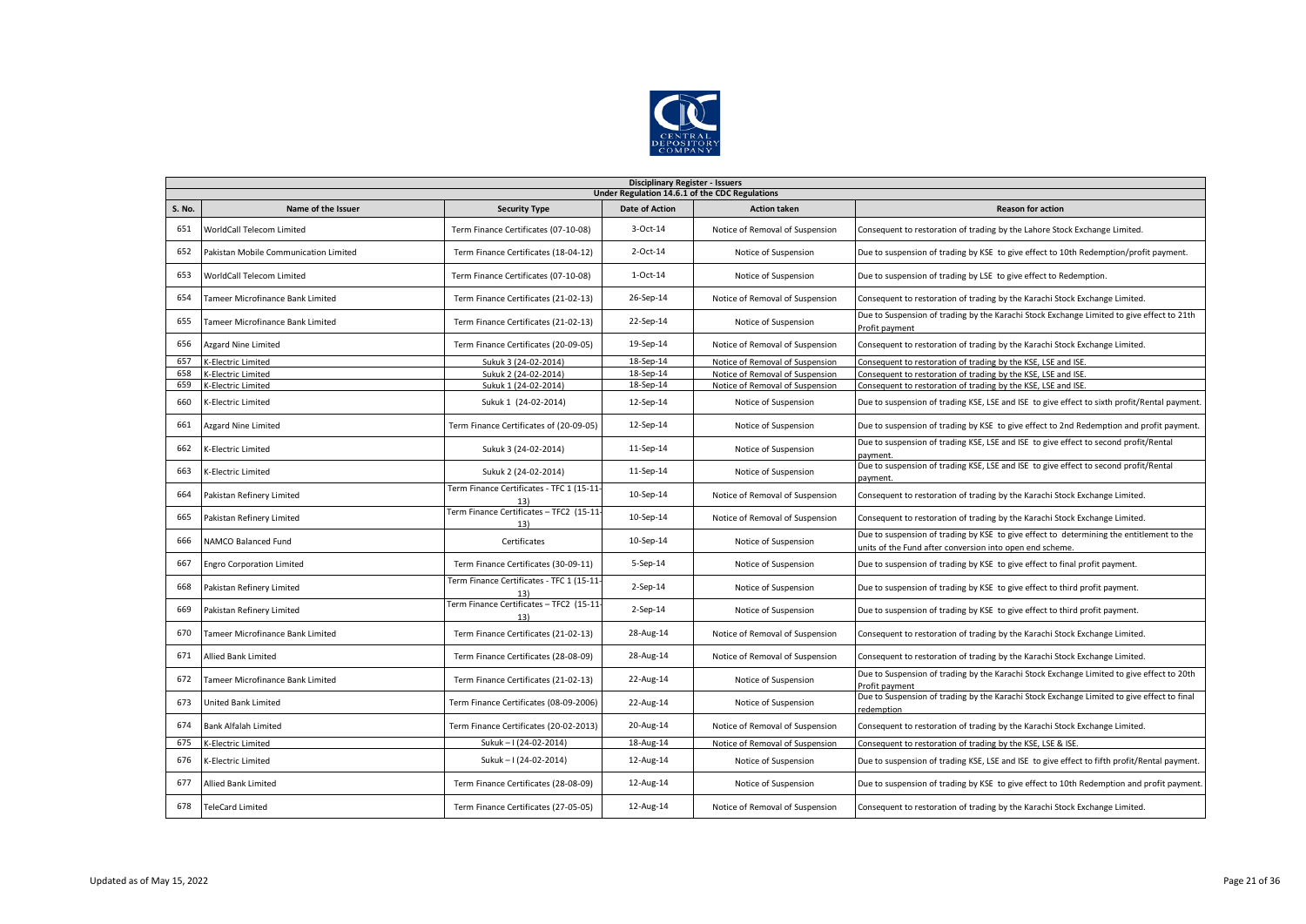

|               | <b>Disciplinary Register - Issuers</b>  |                                                  |                                                |                                 |                                                                                                                                                      |  |  |  |
|---------------|-----------------------------------------|--------------------------------------------------|------------------------------------------------|---------------------------------|------------------------------------------------------------------------------------------------------------------------------------------------------|--|--|--|
|               |                                         |                                                  | Under Regulation 14.6.1 of the CDC Regulations |                                 |                                                                                                                                                      |  |  |  |
| <b>S. No.</b> | Name of the Issuer                      | <b>Security Type</b>                             | <b>Date of Action</b>                          | <b>Action taken</b>             | <b>Reason for action</b>                                                                                                                             |  |  |  |
| 651           | <b>WorldCall Telecom Limited</b>        | Term Finance Certificates (07-10-08)             | 3-Oct-14                                       | Notice of Removal of Suspension | Consequent to restoration of trading by the Lahore Stock Exchange Limited.                                                                           |  |  |  |
| 652           | Pakistan Mobile Communication Limited   | Term Finance Certificates (18-04-12)             | 2-Oct-14                                       | Notice of Suspension            | Due to suspension of trading by KSE to give effect to 10th Redemption/profit payment.                                                                |  |  |  |
| 653           | WorldCall Telecom Limited               | Term Finance Certificates (07-10-08)             | $1-Oct-14$                                     | Notice of Suspension            | Due to suspension of trading by LSE to give effect to Redemption.                                                                                    |  |  |  |
| 654           | <b>Tameer Microfinance Bank Limited</b> | Term Finance Certificates (21-02-13)             | 26-Sep-14                                      | Notice of Removal of Suspension | Consequent to restoration of trading by the Karachi Stock Exchange Limited.                                                                          |  |  |  |
| 655           | Tameer Microfinance Bank Limited        | Term Finance Certificates (21-02-13)             | 22-Sep-14                                      | Notice of Suspension            | Due to Suspension of trading by the Karachi Stock Exchange Limited to give effect to 21th<br>Profit payment                                          |  |  |  |
| 656           | Azgard Nine Limited                     | Term Finance Certificates (20-09-05)             | 19-Sep-14                                      | Notice of Removal of Suspension | Consequent to restoration of trading by the Karachi Stock Exchange Limited.                                                                          |  |  |  |
| 657           | <b>K-Electric Limited</b>               | Sukuk 3 (24-02-2014)                             | 18-Sep-14                                      | Notice of Removal of Suspension | Consequent to restoration of trading by the KSE, LSE and ISE.                                                                                        |  |  |  |
| 658           | K-Electric Limited                      | Sukuk 2 (24-02-2014)                             | 18-Sep-14                                      | Notice of Removal of Suspension | Consequent to restoration of trading by the KSE, LSE and ISE.                                                                                        |  |  |  |
| 659           | K-Electric Limited                      | Sukuk 1 (24-02-2014)                             | 18-Sep-14                                      | Notice of Removal of Suspension | Consequent to restoration of trading by the KSE, LSE and ISE.                                                                                        |  |  |  |
| 660           | K-Electric Limited                      | Sukuk 1 (24-02-2014)                             | 12-Sep-14                                      | Notice of Suspension            | Due to suspension of trading KSE, LSE and ISE to give effect to sixth profit/Rental payment.                                                         |  |  |  |
| 661           | Azgard Nine Limited                     | Term Finance Certificates of (20-09-05)          | 12-Sep-14                                      | Notice of Suspension            | Due to suspension of trading by KSE to give effect to 2nd Redemption and profit payment.                                                             |  |  |  |
| 662           | K-Electric Limited                      | Sukuk 3 (24-02-2014)                             | 11-Sep-14                                      | Notice of Suspension            | Due to suspension of trading KSE, LSE and ISE to give effect to second profit/Rental<br>payment.                                                     |  |  |  |
| 663           | K-Electric Limited                      | Sukuk 2 (24-02-2014)                             | 11-Sep-14                                      | Notice of Suspension            | Due to suspension of trading KSE, LSE and ISE to give effect to second profit/Rental<br>payment                                                      |  |  |  |
| 664           | Pakistan Refinery Limited               | Term Finance Certificates - TFC 1 (15-11-<br>13) | 10-Sep-14                                      | Notice of Removal of Suspension | Consequent to restoration of trading by the Karachi Stock Exchange Limited.                                                                          |  |  |  |
| 665           | Pakistan Refinery Limited               | Term Finance Certificates - TFC2 (15-11<br>13)   | 10-Sep-14                                      | Notice of Removal of Suspension | Consequent to restoration of trading by the Karachi Stock Exchange Limited.                                                                          |  |  |  |
| 666           | <b>NAMCO Balanced Fund</b>              | Certificates                                     | 10-Sep-14                                      | Notice of Suspension            | Due to suspension of trading by KSE to give effect to determining the entitlement to the<br>units of the Fund after conversion into open end scheme. |  |  |  |
| 667           | <b>Engro Corporation Limited</b>        | Term Finance Certificates (30-09-11)             | 5-Sep-14                                       | Notice of Suspension            | Due to suspension of trading by KSE to give effect to final profit payment.                                                                          |  |  |  |
| 668           | Pakistan Refinery Limited               | Term Finance Certificates - TFC 1 (15-11-<br>13) | $2-$ Sep $-14$                                 | Notice of Suspension            | Due to suspension of trading by KSE to give effect to third profit payment.                                                                          |  |  |  |
| 669           | Pakistan Refinery Limited               | Term Finance Certificates - TFC2 (15-11<br>13)   | $2-Sep-14$                                     | Notice of Suspension            | Due to suspension of trading by KSE to give effect to third profit payment.                                                                          |  |  |  |
| 670           | Tameer Microfinance Bank Limited        | Term Finance Certificates (21-02-13)             | 28-Aug-14                                      | Notice of Removal of Suspension | Consequent to restoration of trading by the Karachi Stock Exchange Limited.                                                                          |  |  |  |
| 671           | <b>Allied Bank Limited</b>              | Term Finance Certificates (28-08-09)             | 28-Aug-14                                      | Notice of Removal of Suspension | Consequent to restoration of trading by the Karachi Stock Exchange Limited.                                                                          |  |  |  |
| 672           | Tameer Microfinance Bank Limited        | Term Finance Certificates (21-02-13)             | 22-Aug-14                                      | Notice of Suspension            | Due to Suspension of trading by the Karachi Stock Exchange Limited to give effect to 20th<br>Profit pavment                                          |  |  |  |
| 673           | <b>United Bank Limited</b>              | Term Finance Certificates (08-09-2006)           | 22-Aug-14                                      | Notice of Suspension            | Due to Suspension of trading by the Karachi Stock Exchange Limited to give effect to final<br>redemption                                             |  |  |  |
| 674           | Bank Alfalah Limited                    | Term Finance Certificates (20-02-2013)           | 20-Aug-14                                      | Notice of Removal of Suspension | Consequent to restoration of trading by the Karachi Stock Exchange Limited.                                                                          |  |  |  |
| 675           | K-Electric Limited                      | Sukuk - I (24-02-2014)                           | 18-Aug-14                                      | Notice of Removal of Suspension | Consequent to restoration of trading by the KSE, LSE & ISE.                                                                                          |  |  |  |
| 676           | <-Electric Limited                      | Sukuk - I (24-02-2014)                           | 12-Aug-14                                      | Notice of Suspension            | Due to suspension of trading KSE, LSE and ISE to give effect to fifth profit/Rental payment.                                                         |  |  |  |
| 677           | <b>Allied Bank Limited</b>              | Term Finance Certificates (28-08-09)             | 12-Aug-14                                      | Notice of Suspension            | Due to suspension of trading by KSE to give effect to 10th Redemption and profit payment.                                                            |  |  |  |
| 678           | <b>TeleCard Limited</b>                 | Term Finance Certificates (27-05-05)             | 12-Aug-14                                      | Notice of Removal of Suspension | Consequent to restoration of trading by the Karachi Stock Exchange Limited.                                                                          |  |  |  |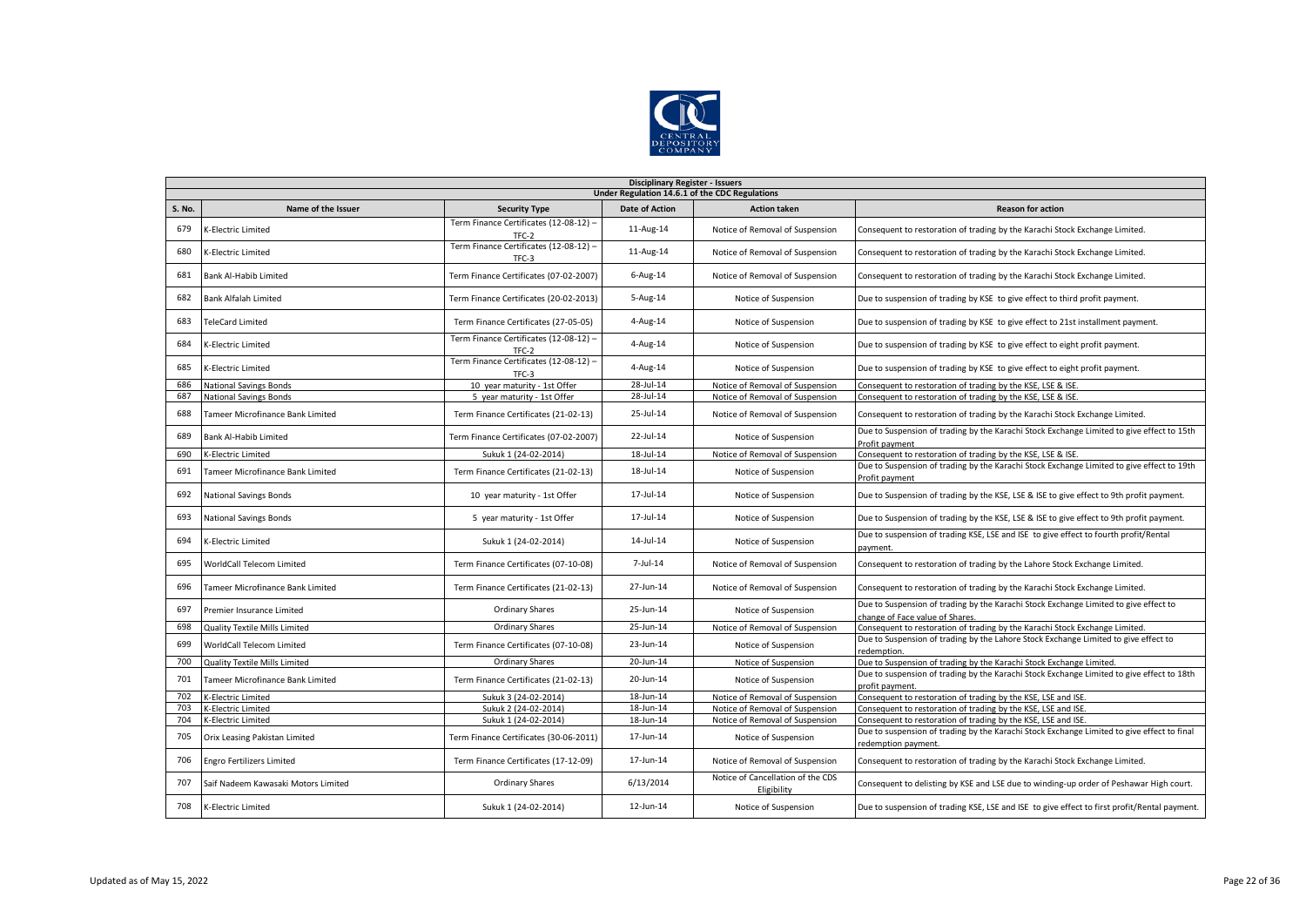

|               | <b>Disciplinary Register - Issuers</b>         |                                                 |                |                                                  |                                                                                                                         |  |  |  |  |
|---------------|------------------------------------------------|-------------------------------------------------|----------------|--------------------------------------------------|-------------------------------------------------------------------------------------------------------------------------|--|--|--|--|
|               | Under Regulation 14.6.1 of the CDC Regulations |                                                 |                |                                                  |                                                                                                                         |  |  |  |  |
| <b>S. No.</b> | Name of the Issuer                             | <b>Security Type</b>                            | Date of Action | <b>Action taken</b>                              | <b>Reason for action</b>                                                                                                |  |  |  |  |
| 679           | K-Electric Limited                             | Term Finance Certificates (12-08-12) -          | 11-Aug-14      | Notice of Removal of Suspension                  | Consequent to restoration of trading by the Karachi Stock Exchange Limited.                                             |  |  |  |  |
| 680           | K-Electric Limited                             | Term Finance Certificates (12-08-12) -<br>TFC-3 | 11-Aug-14      | Notice of Removal of Suspension                  | Consequent to restoration of trading by the Karachi Stock Exchange Limited.                                             |  |  |  |  |
| 681           | <b>Bank Al-Habib Limited</b>                   | Term Finance Certificates (07-02-2007)          | $6$ -Aug-14    | Notice of Removal of Suspension                  | Consequent to restoration of trading by the Karachi Stock Exchange Limited.                                             |  |  |  |  |
| 682           | <b>Bank Alfalah Limited</b>                    | Term Finance Certificates (20-02-2013)          | $5 - Aug-14$   | Notice of Suspension                             | Due to suspension of trading by KSE to give effect to third profit payment.                                             |  |  |  |  |
| 683           | <b>TeleCard Limited</b>                        | Term Finance Certificates (27-05-05)            | 4-Aug-14       | Notice of Suspension                             | Due to suspension of trading by KSE to give effect to 21st installment payment.                                         |  |  |  |  |
| 684           | K-Electric Limited                             | Term Finance Certificates (12-08-12) -<br>TFC-2 | 4-Aug-14       | Notice of Suspension                             | Due to suspension of trading by KSE to give effect to eight profit payment.                                             |  |  |  |  |
| 685           | K-Electric Limited                             | Term Finance Certificates (12-08-12) -<br>TFC-3 | 4-Aug-14       | Notice of Suspension                             | Due to suspension of trading by KSE to give effect to eight profit payment.                                             |  |  |  |  |
| 686           | <b>National Savings Bonds</b>                  | 10 year maturity - 1st Offer                    | 28-Jul-14      | Notice of Removal of Suspension                  | Consequent to restoration of trading by the KSE, LSE & ISE.                                                             |  |  |  |  |
| 687           | <b>National Savings Bonds</b>                  | 5 year maturity - 1st Offer                     | 28-Jul-14      | Notice of Removal of Suspension                  | Consequent to restoration of trading by the KSE, LSE & ISE.                                                             |  |  |  |  |
| 688           | Tameer Microfinance Bank Limited               | Term Finance Certificates (21-02-13)            | 25-Jul-14      | Notice of Removal of Suspension                  | Consequent to restoration of trading by the Karachi Stock Exchange Limited.                                             |  |  |  |  |
| 689           | <b>Bank Al-Habib Limited</b>                   | Term Finance Certificates (07-02-2007)          | 22-Jul-14      | Notice of Suspension                             | Due to Suspension of trading by the Karachi Stock Exchange Limited to give effect to 15th<br>Profit payment             |  |  |  |  |
| 690           | <b>K-Electric Limited</b>                      | Sukuk 1 (24-02-2014)                            | 18-Jul-14      | Notice of Removal of Suspension                  | Consequent to restoration of trading by the KSE, LSE & ISE.                                                             |  |  |  |  |
| 691           | Tameer Microfinance Bank Limited               | Term Finance Certificates (21-02-13)            | 18-Jul-14      | Notice of Suspension                             | Due to Suspension of trading by the Karachi Stock Exchange Limited to give effect to 19th<br>Profit payment             |  |  |  |  |
| 692           | <b>National Savings Bonds</b>                  | 10 year maturity - 1st Offer                    | 17-Jul-14      | Notice of Suspension                             | Due to Suspension of trading by the KSE, LSE & ISE to give effect to 9th profit payment.                                |  |  |  |  |
| 693           | <b>National Savings Bonds</b>                  | 5 year maturity - 1st Offer                     | 17-Jul-14      | Notice of Suspension                             | Due to Suspension of trading by the KSE, LSE & ISE to give effect to 9th profit payment.                                |  |  |  |  |
| 694           | K-Electric Limited                             | Sukuk 1 (24-02-2014)                            | $14$ -Jul-14   | Notice of Suspension                             | Due to suspension of trading KSE, LSE and ISE to give effect to fourth profit/Rental<br>payment                         |  |  |  |  |
| 695           | WorldCall Telecom Limited                      | Term Finance Certificates (07-10-08)            | 7-Jul-14       | Notice of Removal of Suspension                  | Consequent to restoration of trading by the Lahore Stock Exchange Limited.                                              |  |  |  |  |
| 696           | Tameer Microfinance Bank Limited               | Term Finance Certificates (21-02-13)            | 27-Jun-14      | Notice of Removal of Suspension                  | Consequent to restoration of trading by the Karachi Stock Exchange Limited.                                             |  |  |  |  |
| 697           | Premier Insurance Limited                      | <b>Ordinary Shares</b>                          | 25-Jun-14      | Notice of Suspension                             | Due to Suspension of trading by the Karachi Stock Exchange Limited to give effect to<br>change of Face value of Shares. |  |  |  |  |
| 698           | Quality Textile Mills Limited                  | <b>Ordinary Shares</b>                          | 25-Jun-14      | Notice of Removal of Suspension                  | Consequent to restoration of trading by the Karachi Stock Exchange Limited.                                             |  |  |  |  |
| 699           | WorldCall Telecom Limited                      | Term Finance Certificates (07-10-08)            | 23-Jun-14      | Notice of Suspension                             | Due to Suspension of trading by the Lahore Stock Exchange Limited to give effect to<br>redemption.                      |  |  |  |  |
| 700           | <b>Quality Textile Mills Limited</b>           | <b>Ordinary Shares</b>                          | 20-Jun-14      | Notice of Suspension                             | Due to Suspension of trading by the Karachi Stock Exchange Limited.                                                     |  |  |  |  |
| 701           | Tameer Microfinance Bank Limited               | Term Finance Certificates (21-02-13)            | 20-Jun-14      | Notice of Suspension                             | Due to suspension of trading by the Karachi Stock Exchange Limited to give effect to 18th<br>profit payment.            |  |  |  |  |
| 702           | K-Electric Limited                             | Sukuk 3 (24-02-2014)                            | 18-Jun-14      | Notice of Removal of Suspension                  | Consequent to restoration of trading by the KSE, LSE and ISE.                                                           |  |  |  |  |
| 703           | K-Electric Limited                             | Sukuk 2 (24-02-2014)                            | 18-Jun-14      | Notice of Removal of Suspension                  | Consequent to restoration of trading by the KSE, LSE and ISE.                                                           |  |  |  |  |
| 704           | K-Electric Limited                             | Sukuk 1 (24-02-2014)                            | 18-Jun-14      | Notice of Removal of Suspension                  | Consequent to restoration of trading by the KSE, LSE and ISE.                                                           |  |  |  |  |
| 705           | Orix Leasing Pakistan Limited                  | Term Finance Certificates (30-06-2011)          | 17-Jun-14      | Notice of Suspension                             | Due to suspension of trading by the Karachi Stock Exchange Limited to give effect to final<br>redemption payment.       |  |  |  |  |
| 706           | <b>Engro Fertilizers Limited</b>               | Term Finance Certificates (17-12-09)            | 17-Jun-14      | Notice of Removal of Suspension                  | Consequent to restoration of trading by the Karachi Stock Exchange Limited.                                             |  |  |  |  |
| 707           | Saif Nadeem Kawasaki Motors Limited            | <b>Ordinary Shares</b>                          | 6/13/2014      | Notice of Cancellation of the CDS<br>Eligibility | Consequent to delisting by KSE and LSE due to winding-up order of Peshawar High court.                                  |  |  |  |  |
| 708           | K-Electric Limited                             | Sukuk 1 (24-02-2014)                            | 12-Jun-14      | Notice of Suspension                             | Due to suspension of trading KSE, LSE and ISE to give effect to first profit/Rental payment.                            |  |  |  |  |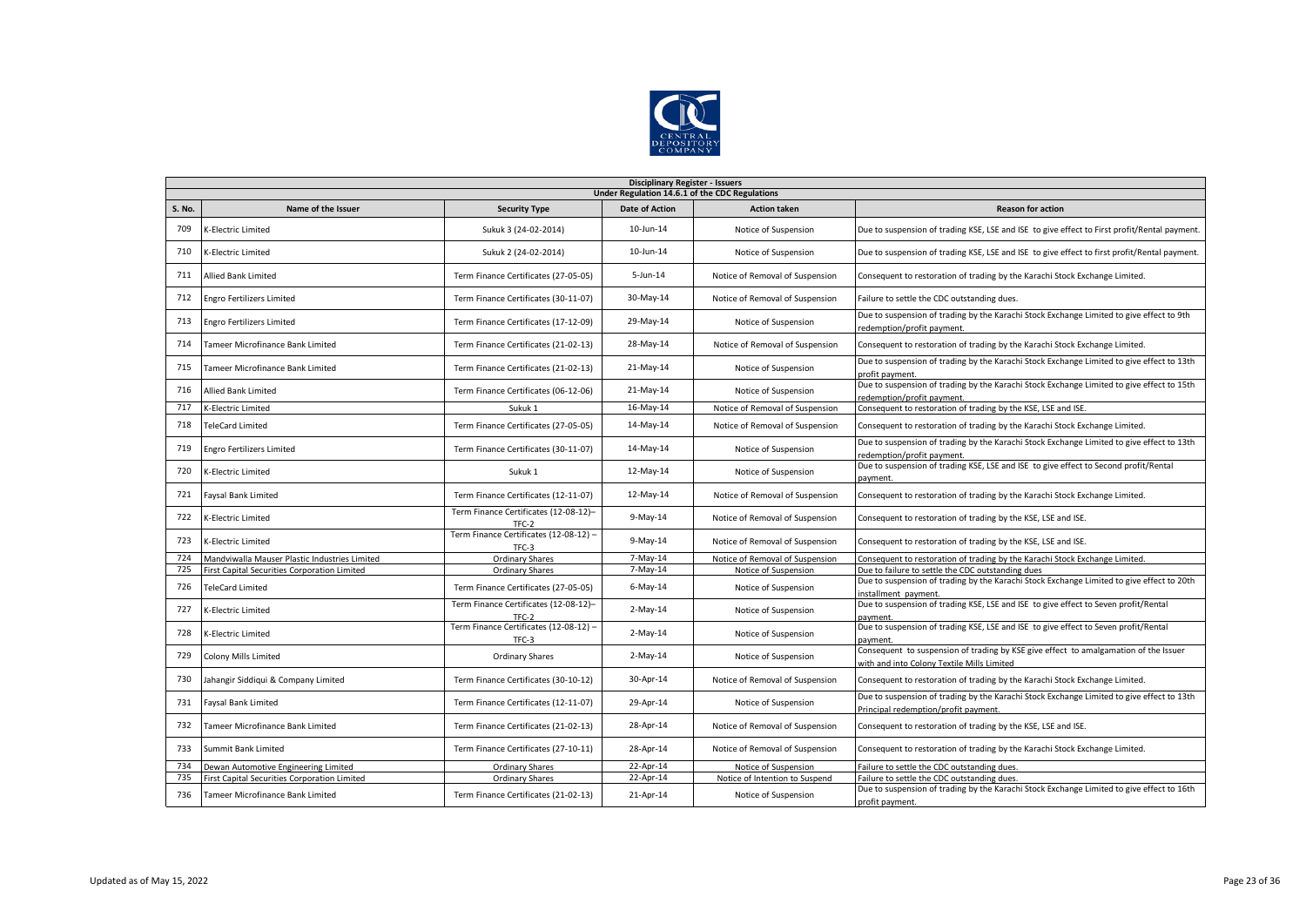

|               | <b>Disciplinary Register - Issuers</b>         |                                                 |                       |                                 |                                                                                                                                    |  |  |  |  |  |
|---------------|------------------------------------------------|-------------------------------------------------|-----------------------|---------------------------------|------------------------------------------------------------------------------------------------------------------------------------|--|--|--|--|--|
|               | Under Regulation 14.6.1 of the CDC Regulations |                                                 |                       |                                 |                                                                                                                                    |  |  |  |  |  |
| <b>S. No.</b> | Name of the Issuer                             | <b>Security Type</b>                            | <b>Date of Action</b> | <b>Action taken</b>             | <b>Reason for action</b>                                                                                                           |  |  |  |  |  |
| 709           | K-Electric Limited                             | Sukuk 3 (24-02-2014)                            | 10-Jun-14             | Notice of Suspension            | Due to suspension of trading KSE, LSE and ISE to give effect to First profit/Rental payment.                                       |  |  |  |  |  |
| 710           | K-Electric Limited                             | Sukuk 2 (24-02-2014)                            | 10-Jun-14             | Notice of Suspension            | Due to suspension of trading KSE, LSE and ISE to give effect to first profit/Rental payment.                                       |  |  |  |  |  |
| 711           | <b>Allied Bank Limited</b>                     | Term Finance Certificates (27-05-05)            | $5 - Jun-14$          | Notice of Removal of Suspension | Consequent to restoration of trading by the Karachi Stock Exchange Limited.                                                        |  |  |  |  |  |
| 712           | <b>Engro Fertilizers Limited</b>               | Term Finance Certificates (30-11-07)            | 30-May-14             | Notice of Removal of Suspension | Failure to settle the CDC outstanding dues.                                                                                        |  |  |  |  |  |
| 713           | <b>Engro Fertilizers Limited</b>               | Term Finance Certificates (17-12-09)            | 29-May-14             | Notice of Suspension            | Due to suspension of trading by the Karachi Stock Exchange Limited to give effect to 9th<br>redemption/profit payment.             |  |  |  |  |  |
| 714           | Tameer Microfinance Bank Limited               | Term Finance Certificates (21-02-13)            | 28-May-14             | Notice of Removal of Suspension | Consequent to restoration of trading by the Karachi Stock Exchange Limited.                                                        |  |  |  |  |  |
| 715           | Tameer Microfinance Bank Limited               | Term Finance Certificates (21-02-13)            | 21-May-14             | Notice of Suspension            | Due to suspension of trading by the Karachi Stock Exchange Limited to give effect to 13th<br>profit payment                        |  |  |  |  |  |
| 716           | Allied Bank Limited                            | Term Finance Certificates (06-12-06)            | 21-May-14             | Notice of Suspension            | Due to suspension of trading by the Karachi Stock Exchange Limited to give effect to 15th<br>edemption/profit payment.             |  |  |  |  |  |
| 717           | K-Electric Limited                             | Sukuk 1                                         | 16-May-14             | Notice of Removal of Suspension | Consequent to restoration of trading by the KSE, LSE and ISE.                                                                      |  |  |  |  |  |
| 718           | <b>TeleCard Limited</b>                        | Term Finance Certificates (27-05-05)            | 14-May-14             | Notice of Removal of Suspension | Consequent to restoration of trading by the Karachi Stock Exchange Limited.                                                        |  |  |  |  |  |
| 719           | <b>Engro Fertilizers Limited</b>               | Term Finance Certificates (30-11-07)            | 14-May-14             | Notice of Suspension            | Due to suspension of trading by the Karachi Stock Exchange Limited to give effect to 13th<br>redemption/profit payment.            |  |  |  |  |  |
| 720           | <b>K-Electric Limited</b>                      | Sukuk 1                                         | $12$ -May-14          | Notice of Suspension            | Due to suspension of trading KSE, LSE and ISE to give effect to Second profit/Rental<br>payment                                    |  |  |  |  |  |
| 721           | Faysal Bank Limited                            | Term Finance Certificates (12-11-07)            | 12-May-14             | Notice of Removal of Suspension | Consequent to restoration of trading by the Karachi Stock Exchange Limited.                                                        |  |  |  |  |  |
| 722           | K-Electric Limited                             | Term Finance Certificates (12-08-12)-<br>TFC-2  | $9$ -May-14           | Notice of Removal of Suspension | Consequent to restoration of trading by the KSE, LSE and ISE.                                                                      |  |  |  |  |  |
| 723           | <b>K-Electric Limited</b>                      | Term Finance Certificates (12-08-12) -<br>TFC-3 | $9$ -May-14           | Notice of Removal of Suspension | Consequent to restoration of trading by the KSE, LSE and ISE.                                                                      |  |  |  |  |  |
| 724           | Mandviwalla Mauser Plastic Industries Limited  | <b>Ordinary Shares</b>                          | 7-May-14              | Notice of Removal of Suspension | Consequent to restoration of trading by the Karachi Stock Exchange Limited.                                                        |  |  |  |  |  |
| 725           | First Capital Securities Corporation Limited   | <b>Ordinary Shares</b>                          | 7-May-14              | Notice of Suspension            | Due to failure to settle the CDC outstanding dues                                                                                  |  |  |  |  |  |
| 726           | <b>TeleCard Limited</b>                        | Term Finance Certificates (27-05-05)            | $6$ -May-14           | Notice of Suspension            | Due to suspension of trading by the Karachi Stock Exchange Limited to give effect to 20th<br>installment payment.                  |  |  |  |  |  |
| 727           | K-Electric Limited                             | Term Finance Certificates (12-08-12)-<br>TFC-2  | $2-May-14$            | Notice of Suspension            | Due to suspension of trading KSE, LSE and ISE to give effect to Seven profit/Rental<br>payment                                     |  |  |  |  |  |
| 728           | K-Electric Limited                             | Term Finance Certificates (12-08-12) -<br>TFC-3 | $2-May-14$            | Notice of Suspension            | Due to suspension of trading KSE, LSE and ISE to give effect to Seven profit/Rental<br>payment.                                    |  |  |  |  |  |
| 729           | Colony Mills Limited                           | <b>Ordinary Shares</b>                          | $2-May-14$            | Notice of Suspension            | Consequent to suspension of trading by KSE give effect to amalgamation of the Issuer<br>with and into Colony Textile Mills Limited |  |  |  |  |  |
| 730           | Jahangir Siddiqui & Company Limited            | Term Finance Certificates (30-10-12)            | 30-Apr-14             | Notice of Removal of Suspension | Consequent to restoration of trading by the Karachi Stock Exchange Limited.                                                        |  |  |  |  |  |
| 731           | Faysal Bank Limited                            | Term Finance Certificates (12-11-07)            | 29-Apr-14             | Notice of Suspension            | Due to suspension of trading by the Karachi Stock Exchange Limited to give effect to 13th<br>Principal redemption/profit payment.  |  |  |  |  |  |
| 732           | Tameer Microfinance Bank Limited               | Term Finance Certificates (21-02-13)            | 28-Apr-14             | Notice of Removal of Suspension | Consequent to restoration of trading by the KSE, LSE and ISE.                                                                      |  |  |  |  |  |
| 733           | Summit Bank Limited                            | Term Finance Certificates (27-10-11)            | 28-Apr-14             | Notice of Removal of Suspension | Consequent to restoration of trading by the Karachi Stock Exchange Limited.                                                        |  |  |  |  |  |
| 734           | Dewan Automotive Engineering Limited           | <b>Ordinary Shares</b>                          | 22-Apr-14             | Notice of Suspension            | Failure to settle the CDC outstanding dues.                                                                                        |  |  |  |  |  |
| 735           | First Capital Securities Corporation Limited   | <b>Ordinary Shares</b>                          | 22-Apr-14             | Notice of Intention to Suspend  | Failure to settle the CDC outstanding dues.                                                                                        |  |  |  |  |  |
| 736           | Tameer Microfinance Bank Limited               | Term Finance Certificates (21-02-13)            | 21-Apr-14             | Notice of Suspension            | Due to suspension of trading by the Karachi Stock Exchange Limited to give effect to 16th<br>profit payment.                       |  |  |  |  |  |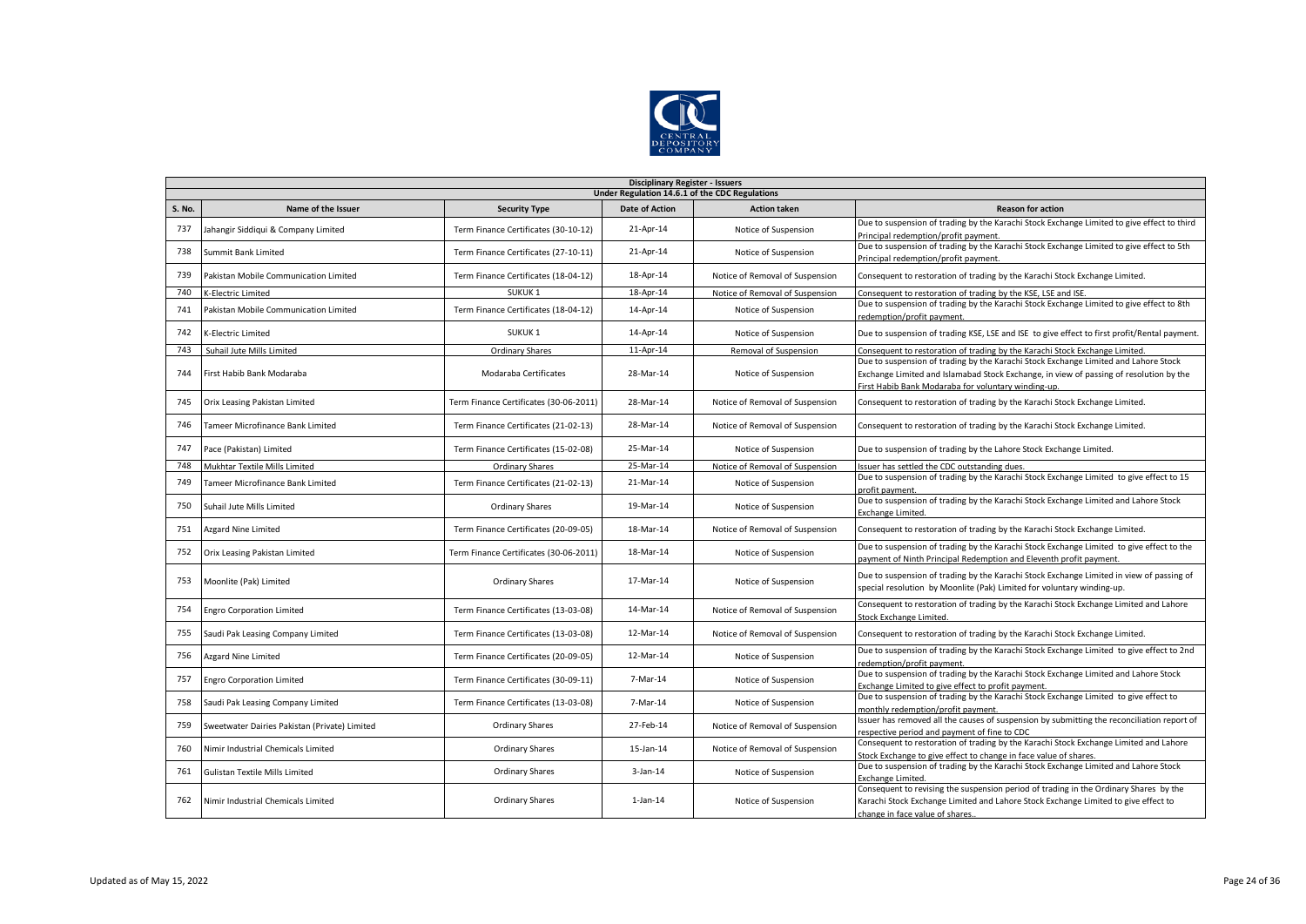

|        | <b>Disciplinary Register - Issuers</b>         |                                        |                       |                                 |                                                                                                                                                                                                                                      |  |  |  |  |  |
|--------|------------------------------------------------|----------------------------------------|-----------------------|---------------------------------|--------------------------------------------------------------------------------------------------------------------------------------------------------------------------------------------------------------------------------------|--|--|--|--|--|
|        | Under Regulation 14.6.1 of the CDC Regulations |                                        |                       |                                 |                                                                                                                                                                                                                                      |  |  |  |  |  |
| S. No. | Name of the Issuer                             | <b>Security Type</b>                   | <b>Date of Action</b> | <b>Action taken</b>             | <b>Reason for action</b>                                                                                                                                                                                                             |  |  |  |  |  |
| 737    | Jahangir Siddiqui & Company Limited            | Term Finance Certificates (30-10-12)   | 21-Apr-14             | Notice of Suspension            | Due to suspension of trading by the Karachi Stock Exchange Limited to give effect to third<br>Principal redemption/profit payment.                                                                                                   |  |  |  |  |  |
| 738    | Summit Bank Limited                            | Term Finance Certificates (27-10-11)   | 21-Apr-14             | Notice of Suspension            | Due to suspension of trading by the Karachi Stock Exchange Limited to give effect to 5th<br>Principal redemption/profit payment.                                                                                                     |  |  |  |  |  |
| 739    | Pakistan Mobile Communication Limited          | Term Finance Certificates (18-04-12)   | 18-Apr-14             | Notice of Removal of Suspension | Consequent to restoration of trading by the Karachi Stock Exchange Limited.                                                                                                                                                          |  |  |  |  |  |
| 740    | K-Electric Limited                             | SUKUK <sub>1</sub>                     | 18-Apr-14             | Notice of Removal of Suspension | Consequent to restoration of trading by the KSE, LSE and ISE.                                                                                                                                                                        |  |  |  |  |  |
| 741    | Pakistan Mobile Communication Limited          | Term Finance Certificates (18-04-12)   | 14-Apr-14             | Notice of Suspension            | Due to suspension of trading by the Karachi Stock Exchange Limited to give effect to 8th<br>redemption/profit payment                                                                                                                |  |  |  |  |  |
| 742    | K-Electric Limited                             | SUKUK <sub>1</sub>                     | 14-Apr-14             | Notice of Suspension            | Due to suspension of trading KSE, LSE and ISE to give effect to first profit/Rental payment.                                                                                                                                         |  |  |  |  |  |
| 743    | Suhail Jute Mills Limited                      | <b>Ordinary Shares</b>                 | 11-Apr-14             | Removal of Suspension           | Consequent to restoration of trading by the Karachi Stock Exchange Limited.                                                                                                                                                          |  |  |  |  |  |
| 744    | First Habib Bank Modaraba                      | Modaraba Certificates                  | 28-Mar-14             | Notice of Suspension            | Due to suspension of trading by the Karachi Stock Exchange Limited and Lahore Stock<br>Exchange Limited and Islamabad Stock Exchange, in view of passing of resolution by the<br>First Habib Bank Modaraba for voluntary winding-up. |  |  |  |  |  |
| 745    | Orix Leasing Pakistan Limited                  | Term Finance Certificates (30-06-2011) | 28-Mar-14             | Notice of Removal of Suspension | Consequent to restoration of trading by the Karachi Stock Exchange Limited.                                                                                                                                                          |  |  |  |  |  |
| 746    | Tameer Microfinance Bank Limited               | Term Finance Certificates (21-02-13)   | 28-Mar-14             | Notice of Removal of Suspension | Consequent to restoration of trading by the Karachi Stock Exchange Limited.                                                                                                                                                          |  |  |  |  |  |
| 747    | Pace (Pakistan) Limited                        | Term Finance Certificates (15-02-08)   | 25-Mar-14             | Notice of Suspension            | Due to suspension of trading by the Lahore Stock Exchange Limited.                                                                                                                                                                   |  |  |  |  |  |
| 748    | Mukhtar Textile Mills Limited                  | Ordinary Shares                        | 25-Mar-14             | Notice of Removal of Suspension | Issuer has settled the CDC outstanding dues.                                                                                                                                                                                         |  |  |  |  |  |
| 749    | Tameer Microfinance Bank Limited               | Term Finance Certificates (21-02-13)   | 21-Mar-14             | Notice of Suspension            | Due to suspension of trading by the Karachi Stock Exchange Limited to give effect to 15<br>profit payment.                                                                                                                           |  |  |  |  |  |
| 750    | Suhail Jute Mills Limited                      | <b>Ordinary Shares</b>                 | 19-Mar-14             | Notice of Suspension            | Due to suspension of trading by the Karachi Stock Exchange Limited and Lahore Stock<br>Exchange Limited.                                                                                                                             |  |  |  |  |  |
| 751    | <b>Azgard Nine Limited</b>                     | Term Finance Certificates (20-09-05)   | 18-Mar-14             | Notice of Removal of Suspension | Consequent to restoration of trading by the Karachi Stock Exchange Limited.                                                                                                                                                          |  |  |  |  |  |
| 752    | Orix Leasing Pakistan Limited                  | Term Finance Certificates (30-06-2011) | 18-Mar-14             | Notice of Suspension            | Due to suspension of trading by the Karachi Stock Exchange Limited to give effect to the<br>payment of Ninth Principal Redemption and Eleventh profit payment.                                                                       |  |  |  |  |  |
| 753    | Moonlite (Pak) Limited                         | <b>Ordinary Shares</b>                 | 17-Mar-14             | Notice of Suspension            | Due to suspension of trading by the Karachi Stock Exchange Limited in view of passing of<br>special resolution by Moonlite (Pak) Limited for voluntary winding-up.                                                                   |  |  |  |  |  |
| 754    | <b>Engro Corporation Limited</b>               | Term Finance Certificates (13-03-08)   | 14-Mar-14             | Notice of Removal of Suspension | Consequent to restoration of trading by the Karachi Stock Exchange Limited and Lahore<br>Stock Exchange Limited.                                                                                                                     |  |  |  |  |  |
| 755    | Saudi Pak Leasing Company Limited              | Term Finance Certificates (13-03-08)   | 12-Mar-14             | Notice of Removal of Suspension | Consequent to restoration of trading by the Karachi Stock Exchange Limited.                                                                                                                                                          |  |  |  |  |  |
| 756    | Azgard Nine Limited                            | Term Finance Certificates (20-09-05)   | 12-Mar-14             | Notice of Suspension            | Due to suspension of trading by the Karachi Stock Exchange Limited to give effect to 2nd<br>redemption/profit payment.                                                                                                               |  |  |  |  |  |
| 757    | <b>Engro Corporation Limited</b>               | Term Finance Certificates (30-09-11)   | 7-Mar-14              | Notice of Suspension            | Due to suspension of trading by the Karachi Stock Exchange Limited and Lahore Stock<br>Exchange Limited to give effect to profit payment.                                                                                            |  |  |  |  |  |
| 758    | Saudi Pak Leasing Company Limited              | Term Finance Certificates (13-03-08)   | 7-Mar-14              | Notice of Suspension            | Due to suspension of trading by the Karachi Stock Exchange Limited to give effect to<br>monthly redemption/profit payment.                                                                                                           |  |  |  |  |  |
| 759    | Sweetwater Dairies Pakistan (Private) Limited  | <b>Ordinary Shares</b>                 | 27-Feb-14             | Notice of Removal of Suspension | Issuer has removed all the causes of suspension by submitting the reconciliation report of<br>respective period and payment of fine to CDC                                                                                           |  |  |  |  |  |
| 760    | Nimir Industrial Chemicals Limited             | Ordinary Shares                        | 15-Jan-14             | Notice of Removal of Suspension | Consequent to restoration of trading by the Karachi Stock Exchange Limited and Lahore<br>Stock Exchange to give effect to change in face value of shares.                                                                            |  |  |  |  |  |
| 761    | <b>Gulistan Textile Mills Limited</b>          | <b>Ordinary Shares</b>                 | $3$ -Jan-14           | Notice of Suspension            | Due to suspension of trading by the Karachi Stock Exchange Limited and Lahore Stock<br><b>Exchange Limited.</b>                                                                                                                      |  |  |  |  |  |
| 762    | Nimir Industrial Chemicals Limited             | <b>Ordinary Shares</b>                 | $1$ -Jan- $14$        | Notice of Suspension            | Consequent to revising the suspension period of trading in the Ordinary Shares by the<br>Karachi Stock Exchange Limited and Lahore Stock Exchange Limited to give effect to<br>change in face value of shares                        |  |  |  |  |  |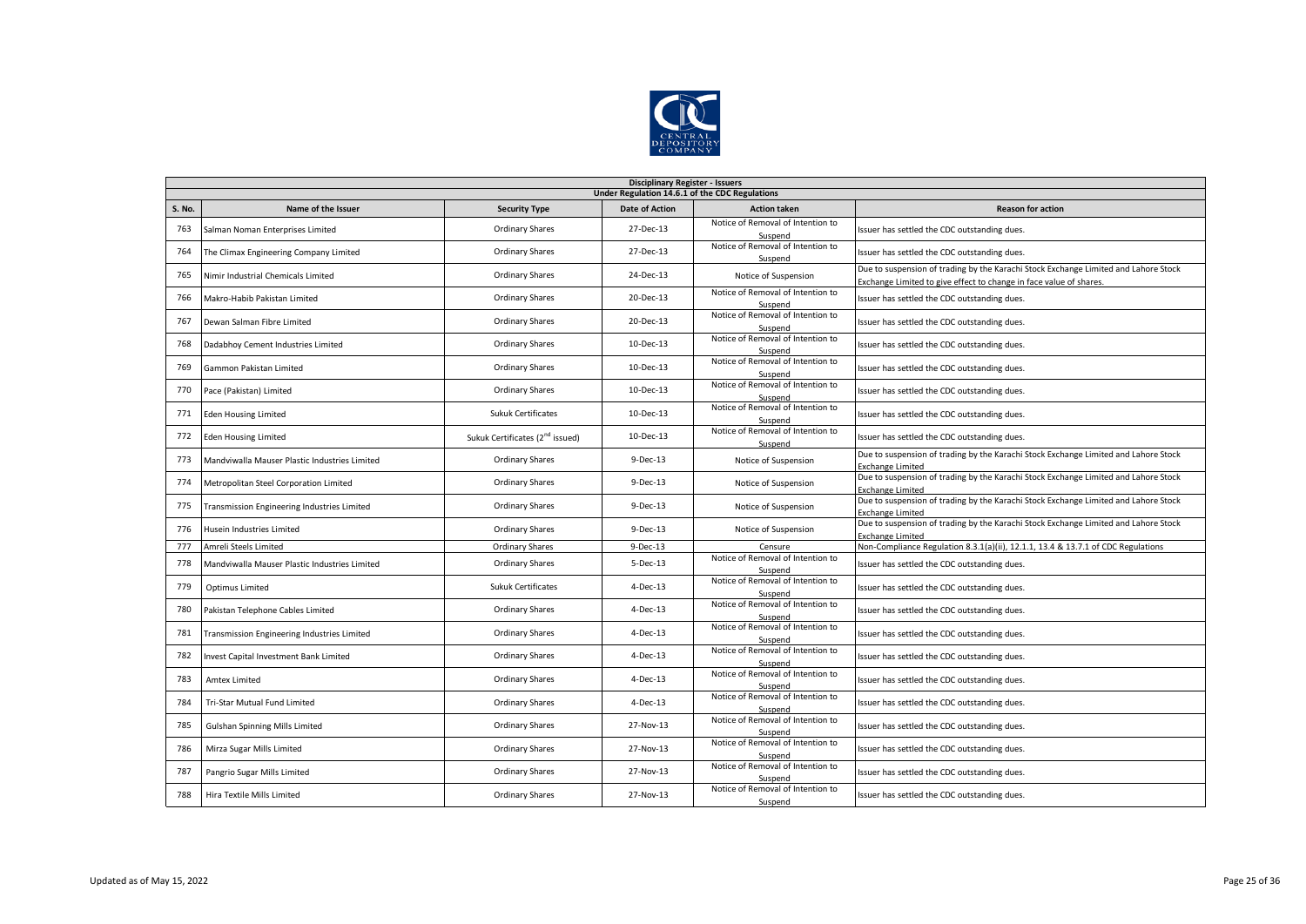

|        | <b>Disciplinary Register - Issuers</b>         |                                             |                       |                                              |                                                                                                                                                           |  |  |  |  |
|--------|------------------------------------------------|---------------------------------------------|-----------------------|----------------------------------------------|-----------------------------------------------------------------------------------------------------------------------------------------------------------|--|--|--|--|
|        | Under Regulation 14.6.1 of the CDC Regulations |                                             |                       |                                              |                                                                                                                                                           |  |  |  |  |
| S. No. | Name of the Issuer                             | <b>Security Type</b>                        | <b>Date of Action</b> | <b>Action taken</b>                          | <b>Reason for action</b>                                                                                                                                  |  |  |  |  |
| 763    | Salman Noman Enterprises Limited               | <b>Ordinary Shares</b>                      | 27-Dec-13             | Notice of Removal of Intention to<br>Suspend | Issuer has settled the CDC outstanding dues.                                                                                                              |  |  |  |  |
| 764    | The Climax Engineering Company Limited         | <b>Ordinary Shares</b>                      | 27-Dec-13             | Notice of Removal of Intention to<br>Suspend | Issuer has settled the CDC outstanding dues.                                                                                                              |  |  |  |  |
| 765    | Nimir Industrial Chemicals Limited             | <b>Ordinary Shares</b>                      | 24-Dec-13             | Notice of Suspension                         | Due to suspension of trading by the Karachi Stock Exchange Limited and Lahore Stock<br>Exchange Limited to give effect to change in face value of shares. |  |  |  |  |
| 766    | Makro-Habib Pakistan Limited                   | <b>Ordinary Shares</b>                      | 20-Dec-13             | Notice of Removal of Intention to<br>Suspend | Issuer has settled the CDC outstanding dues.                                                                                                              |  |  |  |  |
| 767    | Dewan Salman Fibre Limited                     | <b>Ordinary Shares</b>                      | 20-Dec-13             | Notice of Removal of Intention to<br>Suspend | Issuer has settled the CDC outstanding dues.                                                                                                              |  |  |  |  |
| 768    | Dadabhoy Cement Industries Limited             | <b>Ordinary Shares</b>                      | 10-Dec-13             | Notice of Removal of Intention to<br>Suspend | Issuer has settled the CDC outstanding dues.                                                                                                              |  |  |  |  |
| 769    | Gammon Pakistan Limited                        | <b>Ordinary Shares</b>                      | 10-Dec-13             | Notice of Removal of Intention to<br>Suspend | Issuer has settled the CDC outstanding dues.                                                                                                              |  |  |  |  |
| 770    | Pace (Pakistan) Limited                        | <b>Ordinary Shares</b>                      | 10-Dec-13             | Notice of Removal of Intention to<br>Suspend | Issuer has settled the CDC outstanding dues.                                                                                                              |  |  |  |  |
| 771    | <b>Eden Housing Limited</b>                    | <b>Sukuk Certificates</b>                   | 10-Dec-13             | Notice of Removal of Intention to<br>Suspend | Issuer has settled the CDC outstanding dues.                                                                                                              |  |  |  |  |
| 772    | <b>Eden Housing Limited</b>                    | Sukuk Certificates (2 <sup>nd</sup> issued) | 10-Dec-13             | Notice of Removal of Intention to<br>Suspend | Issuer has settled the CDC outstanding dues.                                                                                                              |  |  |  |  |
| 773    | Mandviwalla Mauser Plastic Industries Limited  | <b>Ordinary Shares</b>                      | $9-Dec-13$            | Notice of Suspension                         | Due to suspension of trading by the Karachi Stock Exchange Limited and Lahore Stock<br><b>Exchange Limited</b>                                            |  |  |  |  |
| 774    | Metropolitan Steel Corporation Limited         | <b>Ordinary Shares</b>                      | $9-Dec-13$            | Notice of Suspension                         | Due to suspension of trading by the Karachi Stock Exchange Limited and Lahore Stock<br><b>Exchange Limited</b>                                            |  |  |  |  |
| 775    | Transmission Engineering Industries Limited    | <b>Ordinary Shares</b>                      | $9-Dec-13$            | Notice of Suspension                         | Due to suspension of trading by the Karachi Stock Exchange Limited and Lahore Stock<br><b>Exchange Limited</b>                                            |  |  |  |  |
| 776    | Husein Industries Limited                      | <b>Ordinary Shares</b>                      | $9-Dec-13$            | Notice of Suspension                         | Due to suspension of trading by the Karachi Stock Exchange Limited and Lahore Stock<br><b>Exchange Limited</b>                                            |  |  |  |  |
| 777    | Amreli Steels Limited                          | Ordinary Shares                             | 9-Dec-13              | Censure                                      | Non-Compliance Regulation 8.3.1(a)(ii), 12.1.1, 13.4 & 13.7.1 of CDC Regulations                                                                          |  |  |  |  |
| 778    | Mandviwalla Mauser Plastic Industries Limited  | <b>Ordinary Shares</b>                      | $5-Dec-13$            | Notice of Removal of Intention to<br>Suspend | Issuer has settled the CDC outstanding dues.                                                                                                              |  |  |  |  |
| 779    | Optimus Limited                                | <b>Sukuk Certificates</b>                   | $4-Dec-13$            | Notice of Removal of Intention to<br>Suspend | Issuer has settled the CDC outstanding dues.                                                                                                              |  |  |  |  |
| 780    | Pakistan Telephone Cables Limited              | <b>Ordinary Shares</b>                      | $4-Dec-13$            | Notice of Removal of Intention to<br>Suspend | Issuer has settled the CDC outstanding dues.                                                                                                              |  |  |  |  |
| 781    | Transmission Engineering Industries Limited    | <b>Ordinary Shares</b>                      | $4-Dec-13$            | Notice of Removal of Intention to<br>Suspend | Issuer has settled the CDC outstanding dues.                                                                                                              |  |  |  |  |
| 782    | Invest Capital Investment Bank Limited         | <b>Ordinary Shares</b>                      | 4-Dec-13              | Notice of Removal of Intention to<br>Suspend | Issuer has settled the CDC outstanding dues.                                                                                                              |  |  |  |  |
| 783    | <b>Amtex Limited</b>                           | <b>Ordinary Shares</b>                      | $4-Dec-13$            | Notice of Removal of Intention to<br>Suspend | Issuer has settled the CDC outstanding dues.                                                                                                              |  |  |  |  |
| 784    | Tri-Star Mutual Fund Limited                   | <b>Ordinary Shares</b>                      | $4-Dec-13$            | Notice of Removal of Intention to<br>Suspend | Issuer has settled the CDC outstanding dues.                                                                                                              |  |  |  |  |
| 785    | Gulshan Spinning Mills Limited                 | <b>Ordinary Shares</b>                      | 27-Nov-13             | Notice of Removal of Intention to<br>Suspend | Issuer has settled the CDC outstanding dues.                                                                                                              |  |  |  |  |
| 786    | Mirza Sugar Mills Limited                      | <b>Ordinary Shares</b>                      | 27-Nov-13             | Notice of Removal of Intention to<br>Suspend | Issuer has settled the CDC outstanding dues.                                                                                                              |  |  |  |  |
| 787    | Pangrio Sugar Mills Limited                    | <b>Ordinary Shares</b>                      | 27-Nov-13             | Notice of Removal of Intention to<br>Suspend | Issuer has settled the CDC outstanding dues.                                                                                                              |  |  |  |  |
| 788    | Hira Textile Mills Limited                     | <b>Ordinary Shares</b>                      | 27-Nov-13             | Notice of Removal of Intention to<br>Suspend | Issuer has settled the CDC outstanding dues.                                                                                                              |  |  |  |  |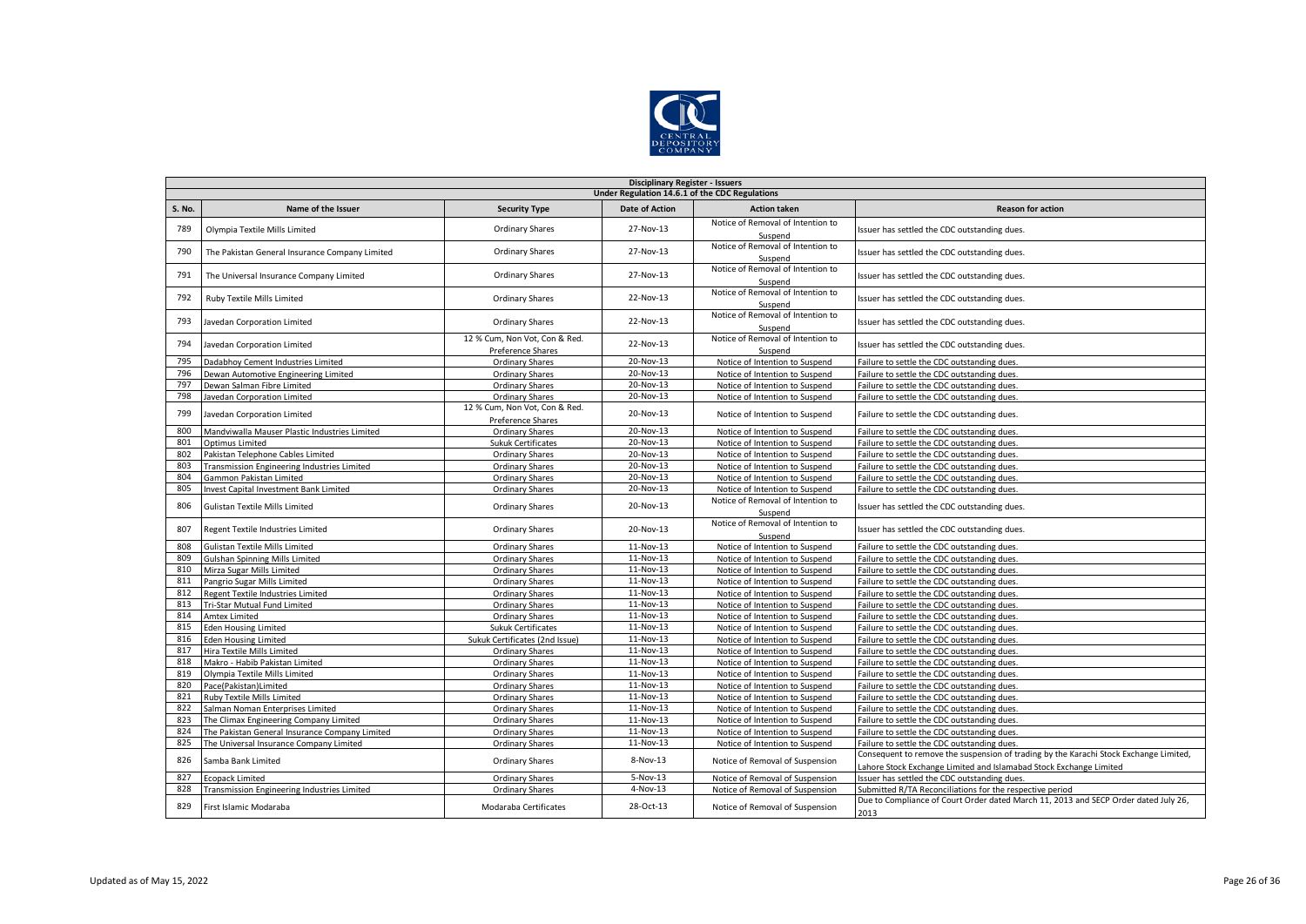

|               | <b>Disciplinary Register - Issuers</b>         |                                                    |                       |                                              |                                                                                                                                                             |  |  |  |
|---------------|------------------------------------------------|----------------------------------------------------|-----------------------|----------------------------------------------|-------------------------------------------------------------------------------------------------------------------------------------------------------------|--|--|--|
|               | Under Regulation 14.6.1 of the CDC Regulations |                                                    |                       |                                              |                                                                                                                                                             |  |  |  |
| <b>S. No.</b> | Name of the Issuer                             | <b>Security Type</b>                               | <b>Date of Action</b> | <b>Action taken</b>                          | <b>Reason for action</b>                                                                                                                                    |  |  |  |
| 789           | Olympia Textile Mills Limited                  | <b>Ordinary Shares</b>                             | 27-Nov-13             | Notice of Removal of Intention to<br>Suspend | Issuer has settled the CDC outstanding dues.                                                                                                                |  |  |  |
| 790           | The Pakistan General Insurance Company Limited | Ordinary Shares                                    | 27-Nov-13             | Notice of Removal of Intention to<br>Suspend | Issuer has settled the CDC outstanding dues.                                                                                                                |  |  |  |
| 791           | The Universal Insurance Company Limited        | <b>Ordinary Shares</b>                             | 27-Nov-13             | Notice of Removal of Intention to<br>Suspend | Issuer has settled the CDC outstanding dues.                                                                                                                |  |  |  |
| 792           | Ruby Textile Mills Limited                     | <b>Ordinary Shares</b>                             | 22-Nov-13             | Notice of Removal of Intention to<br>Suspend | Issuer has settled the CDC outstanding dues.                                                                                                                |  |  |  |
| 793           | Javedan Corporation Limited                    | <b>Ordinary Shares</b>                             | 22-Nov-13             | Notice of Removal of Intention to<br>Suspend | Issuer has settled the CDC outstanding dues.                                                                                                                |  |  |  |
| 794           | Javedan Corporation Limited                    | 12 % Cum, Non Vot, Con & Red.<br>Preference Shares | 22-Nov-13             | Notice of Removal of Intention to<br>Suspend | Issuer has settled the CDC outstanding dues.                                                                                                                |  |  |  |
| 795           | Dadabhov Cement Industries Limited             | <b>Ordinary Shares</b>                             | 20-Nov-13             | Notice of Intention to Suspend               | Failure to settle the CDC outstanding dues.                                                                                                                 |  |  |  |
| 796           | Dewan Automotive Engineering Limited           | <b>Ordinary Shares</b>                             | 20-Nov-13             | Notice of Intention to Suspend               | Failure to settle the CDC outstanding dues.                                                                                                                 |  |  |  |
| 797           | Dewan Salman Fibre Limited                     | Ordinary Shares                                    | 20-Nov-13             | Notice of Intention to Suspend               | Failure to settle the CDC outstanding dues.                                                                                                                 |  |  |  |
| 798           | Javedan Corporation Limited                    | <b>Ordinary Shares</b>                             | 20-Nov-13             | Notice of Intention to Suspend               | Failure to settle the CDC outstanding dues.                                                                                                                 |  |  |  |
| 799           | Javedan Corporation Limited                    | 12 % Cum, Non Vot, Con & Red.<br>Preference Shares | 20-Nov-13             | Notice of Intention to Suspend               | Failure to settle the CDC outstanding dues.                                                                                                                 |  |  |  |
| 800           | Mandviwalla Mauser Plastic Industries Limited  | Ordinary Shares                                    | 20-Nov-13             | Notice of Intention to Suspend               | Failure to settle the CDC outstanding dues.                                                                                                                 |  |  |  |
| 801           | Optimus Limited                                | <b>Sukuk Certificates</b>                          | $20-Nov-13$           | Notice of Intention to Suspend               | Failure to settle the CDC outstanding dues.                                                                                                                 |  |  |  |
| 802           | Pakistan Telephone Cables Limited              | Ordinary Shares                                    | 20-Nov-13             | Notice of Intention to Suspend               | Failure to settle the CDC outstanding dues.                                                                                                                 |  |  |  |
| 803           | Transmission Engineering Industries Limited    | Ordinary Shares                                    | 20-Nov-13             | Notice of Intention to Suspend               | Failure to settle the CDC outstanding dues.                                                                                                                 |  |  |  |
| 804           | Gammon Pakistan Limited                        | <b>Ordinary Shares</b>                             | 20-Nov-13             | Notice of Intention to Suspend               | Failure to settle the CDC outstanding dues.                                                                                                                 |  |  |  |
| 805           | Invest Capital Investment Bank Limited         | Ordinary Shares                                    | 20-Nov-13             | Notice of Intention to Suspend               | Failure to settle the CDC outstanding dues.                                                                                                                 |  |  |  |
| 806           | <b>Gulistan Textile Mills Limited</b>          | Ordinary Shares                                    | 20-Nov-13             | Notice of Removal of Intention to<br>Suspend | Issuer has settled the CDC outstanding dues.                                                                                                                |  |  |  |
| 807           | Regent Textile Industries Limited              | <b>Ordinary Shares</b>                             | 20-Nov-13             | Notice of Removal of Intention to<br>Suspend | Issuer has settled the CDC outstanding dues.                                                                                                                |  |  |  |
| 808           | <b>Gulistan Textile Mills Limited</b>          | <b>Ordinary Shares</b>                             | 11-Nov-13             | Notice of Intention to Suspend               | Failure to settle the CDC outstanding dues.                                                                                                                 |  |  |  |
| 809           | <b>Gulshan Spinning Mills Limited</b>          | <b>Ordinary Shares</b>                             | 11-Nov-13             | Notice of Intention to Suspend               | Failure to settle the CDC outstanding dues.                                                                                                                 |  |  |  |
| 810           | Mirza Sugar Mills Limited                      | Ordinary Shares                                    | 11-Nov-13             | Notice of Intention to Suspend               | Failure to settle the CDC outstanding dues.                                                                                                                 |  |  |  |
| 811           | Pangrio Sugar Mills Limited                    | Ordinary Shares                                    | 11-Nov-13             | Notice of Intention to Suspend               | Failure to settle the CDC outstanding dues.                                                                                                                 |  |  |  |
| 812           | Regent Textile Industries Limited              | <b>Ordinary Shares</b>                             | 11-Nov-13             | Notice of Intention to Suspend               | Failure to settle the CDC outstanding dues.                                                                                                                 |  |  |  |
| 813           | Tri-Star Mutual Fund Limited                   | <b>Ordinary Shares</b>                             | 11-Nov-13             | Notice of Intention to Suspend               | Failure to settle the CDC outstanding dues.                                                                                                                 |  |  |  |
| 814           | <b>Amtex Limited</b>                           | <b>Ordinary Shares</b>                             | 11-Nov-13             | Notice of Intention to Suspend               | Failure to settle the CDC outstanding dues.                                                                                                                 |  |  |  |
| 815           | <b>Eden Housing Limited</b>                    | <b>Sukuk Certificates</b>                          | 11-Nov-13             | Notice of Intention to Suspend               | Failure to settle the CDC outstanding dues.                                                                                                                 |  |  |  |
| 816           | <b>Eden Housing Limited</b>                    | Sukuk Certificates (2nd Issue)                     | 11-Nov-13             | Notice of Intention to Suspend               | Failure to settle the CDC outstanding dues.                                                                                                                 |  |  |  |
| 817           | Hira Textile Mills Limited                     | <b>Ordinary Shares</b>                             | 11-Nov-13             | Notice of Intention to Suspend               | Failure to settle the CDC outstanding dues.                                                                                                                 |  |  |  |
| 818           | Makro - Habib Pakistan Limited                 | <b>Ordinary Shares</b>                             | 11-Nov-13             | Notice of Intention to Suspend               | Failure to settle the CDC outstanding dues.                                                                                                                 |  |  |  |
| 819           | Olympia Textile Mills Limited                  | <b>Ordinary Shares</b>                             | 11-Nov-13             | Notice of Intention to Suspend               | Failure to settle the CDC outstanding dues.                                                                                                                 |  |  |  |
| 820           | Pace(Pakistan)Limited                          | <b>Ordinary Shares</b>                             | 11-Nov-13             | Notice of Intention to Suspend               | Failure to settle the CDC outstanding dues.                                                                                                                 |  |  |  |
| 821           | Ruby Textile Mills Limited                     | Ordinary Shares                                    | 11-Nov-13             | Notice of Intention to Suspend               | Failure to settle the CDC outstanding dues.                                                                                                                 |  |  |  |
| 822           | Salman Noman Enterprises Limited               | <b>Ordinary Shares</b>                             | 11-Nov-13             | Notice of Intention to Suspend               | Failure to settle the CDC outstanding dues.                                                                                                                 |  |  |  |
| 823           | The Climax Engineering Company Limited         | <b>Ordinary Shares</b>                             | 11-Nov-13             | Notice of Intention to Suspend               | Failure to settle the CDC outstanding dues.                                                                                                                 |  |  |  |
| 824           | The Pakistan General Insurance Company Limited | <b>Ordinary Shares</b>                             | 11-Nov-13             | Notice of Intention to Suspend               | Failure to settle the CDC outstanding dues.                                                                                                                 |  |  |  |
| 825           | The Universal Insurance Company Limited        | <b>Ordinary Shares</b>                             | 11-Nov-13             | Notice of Intention to Suspend               | Failure to settle the CDC outstanding dues.                                                                                                                 |  |  |  |
| 826           | Samba Bank Limited                             | <b>Ordinary Shares</b>                             | 8-Nov-13              | Notice of Removal of Suspension              | Consequent to remove the suspension of trading by the Karachi Stock Exchange Limited,<br>Lahore Stock Exchange Limited and Islamabad Stock Exchange Limited |  |  |  |
| 827           | <b>Ecopack Limited</b>                         | Ordinary Shares                                    | $5-Nov-13$            | Notice of Removal of Suspension              | Issuer has settled the CDC outstanding dues.                                                                                                                |  |  |  |
| 828           | Transmission Engineering Industries Limited    | <b>Ordinary Shares</b>                             | 4-Nov-13              | Notice of Removal of Suspension              | Submitted R/TA Reconciliations for the respective period                                                                                                    |  |  |  |
| 829           | First Islamic Modaraba                         | Modaraba Certificates                              | 28-Oct-13             | Notice of Removal of Suspension              | Due to Compliance of Court Order dated March 11, 2013 and SECP Order dated July 26,<br>2013                                                                 |  |  |  |
|               |                                                |                                                    |                       |                                              |                                                                                                                                                             |  |  |  |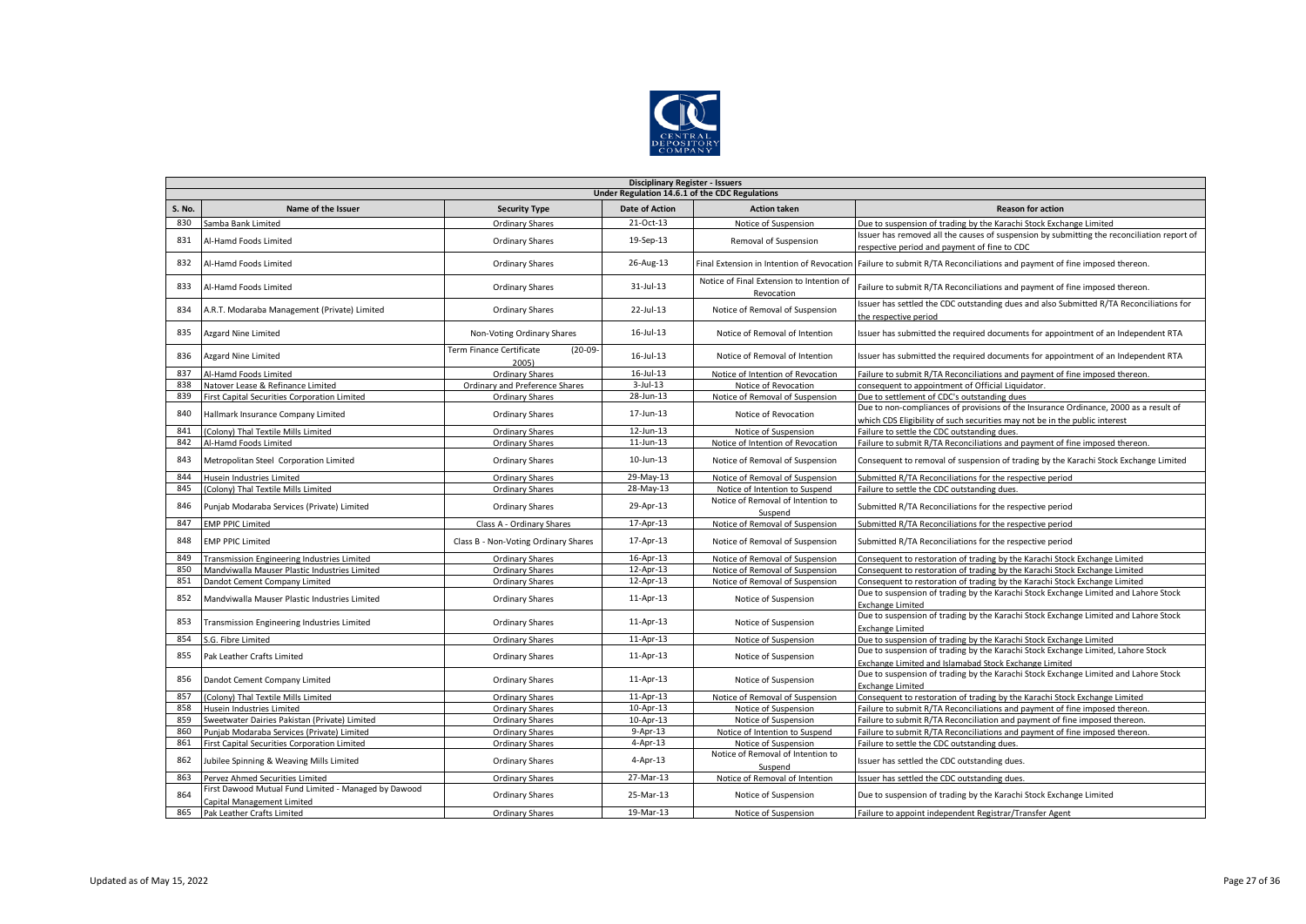

|        | <b>Disciplinary Register - Issuers</b>                                             |                                                |                       |                                                         |                                                                                                                                                                    |  |  |  |  |
|--------|------------------------------------------------------------------------------------|------------------------------------------------|-----------------------|---------------------------------------------------------|--------------------------------------------------------------------------------------------------------------------------------------------------------------------|--|--|--|--|
|        | Under Regulation 14.6.1 of the CDC Regulations                                     |                                                |                       |                                                         |                                                                                                                                                                    |  |  |  |  |
| S. No. | Name of the Issuer                                                                 | <b>Security Type</b>                           | <b>Date of Action</b> | <b>Action taken</b>                                     | <b>Reason for action</b>                                                                                                                                           |  |  |  |  |
| 830    | Samba Bank Limited                                                                 | <b>Ordinary Shares</b>                         | 21-Oct-13             | Notice of Suspension                                    | Due to suspension of trading by the Karachi Stock Exchange Limited                                                                                                 |  |  |  |  |
| 831    | Al-Hamd Foods Limited                                                              | <b>Ordinary Shares</b>                         | 19-Sep-13             | Removal of Suspension                                   | Issuer has removed all the causes of suspension by submitting the reconciliation report of<br>espective period and payment of fine to CDC                          |  |  |  |  |
| 832    | Al-Hamd Foods Limited                                                              | <b>Ordinary Shares</b>                         | 26-Aug-13             | Final Extension in Intention of Revocatior              | Failure to submit R/TA Reconciliations and payment of fine imposed thereon.                                                                                        |  |  |  |  |
| 833    | Al-Hamd Foods Limited                                                              | <b>Ordinary Shares</b>                         | 31-Jul-13             | Notice of Final Extension to Intention of<br>Revocation | Failure to submit R/TA Reconciliations and payment of fine imposed thereon.                                                                                        |  |  |  |  |
| 834    | A.R.T. Modaraba Management (Private) Limited                                       | Ordinary Shares                                | 22-Jul-13             | Notice of Removal of Suspension                         | Issuer has settled the CDC outstanding dues and also Submitted R/TA Reconciliations for<br>the respective period                                                   |  |  |  |  |
| 835    | <b>Azgard Nine Limited</b>                                                         | Non-Voting Ordinary Shares                     | $16$ -Jul- $13$       | Notice of Removal of Intention                          | Issuer has submitted the required documents for appointment of an Independent RTA                                                                                  |  |  |  |  |
| 836    | <b>Azgard Nine Limited</b>                                                         | Term Finance Certificate<br>$(20-09-$<br>2005) | $16$ -Jul- $13$       | Notice of Removal of Intention                          | Issuer has submitted the required documents for appointment of an Independent RTA                                                                                  |  |  |  |  |
| 837    | Al-Hamd Foods Limited                                                              | Ordinary Shares                                | $16$ -Jul-13          | Notice of Intention of Revocation                       | Failure to submit R/TA Reconciliations and payment of fine imposed thereon.                                                                                        |  |  |  |  |
| 838    | Natover Lease & Refinance Limited                                                  | Ordinary and Preference Shares                 | $3$ -Jul-13           | Notice of Revocation                                    | consequent to appointment of Official Liquidator.                                                                                                                  |  |  |  |  |
| 839    | First Capital Securities Corporation Limited                                       | <b>Ordinary Shares</b>                         | 28-Jun-13             | Notice of Removal of Suspension                         | Due to settlement of CDC's outstanding dues                                                                                                                        |  |  |  |  |
| 840    | Hallmark Insurance Company Limited                                                 | Ordinary Shares                                | 17-Jun-13             | Notice of Revocation                                    | Due to non-compliances of provisions of the Insurance Ordinance, 2000 as a result of<br>which CDS Eligibility of such securities may not be in the public interest |  |  |  |  |
| 841    | (Colony) Thal Textile Mills Limited                                                | <b>Ordinary Shares</b>                         | 12-Jun-13             | Notice of Suspension                                    | Failure to settle the CDC outstanding dues.                                                                                                                        |  |  |  |  |
| 842    | Al-Hamd Foods Limited                                                              | <b>Ordinary Shares</b>                         | $11$ -Jun-13          | Notice of Intention of Revocation                       | Failure to submit R/TA Reconciliations and payment of fine imposed thereon.                                                                                        |  |  |  |  |
| 843    | Metropolitan Steel Corporation Limited                                             | <b>Ordinary Shares</b>                         | 10-Jun-13             | Notice of Removal of Suspension                         | Consequent to removal of suspension of trading by the Karachi Stock Exchange Limited                                                                               |  |  |  |  |
| 844    | Husein Industries Limited                                                          | <b>Ordinary Shares</b>                         | 29-May-13             | Notice of Removal of Suspension                         | Submitted R/TA Reconciliations for the respective period                                                                                                           |  |  |  |  |
| 845    | (Colony) Thal Textile Mills Limited                                                | Ordinary Shares                                | 28-May-13             | Notice of Intention to Suspend                          | Failure to settle the CDC outstanding dues.                                                                                                                        |  |  |  |  |
| 846    | Punjab Modaraba Services (Private) Limited                                         | Ordinary Shares                                | 29-Apr-13             | Notice of Removal of Intention to<br>Suspend            | Submitted R/TA Reconciliations for the respective period                                                                                                           |  |  |  |  |
| 847    | <b>EMP PPIC Limited</b>                                                            | Class A - Ordinary Shares                      | 17-Apr-13             | Notice of Removal of Suspension                         | Submitted R/TA Reconciliations for the respective period                                                                                                           |  |  |  |  |
| 848    | <b>EMP PPIC Limited</b>                                                            | Class B - Non-Voting Ordinary Shares           | 17-Apr-13             | Notice of Removal of Suspension                         | Submitted R/TA Reconciliations for the respective period                                                                                                           |  |  |  |  |
| 849    | <b>Transmission Engineering Industries Limited</b>                                 | <b>Ordinary Shares</b>                         | 16-Apr-13             | Notice of Removal of Suspension                         | Consequent to restoration of trading by the Karachi Stock Exchange Limited                                                                                         |  |  |  |  |
| 850    | Mandviwalla Mauser Plastic Industries Limited                                      | <b>Ordinary Shares</b>                         | 12-Apr-13             | Notice of Removal of Suspension                         | Consequent to restoration of trading by the Karachi Stock Exchange Limited                                                                                         |  |  |  |  |
| 851    | Dandot Cement Company Limited                                                      | <b>Ordinary Shares</b>                         | 12-Apr-13             | Notice of Removal of Suspension                         | Consequent to restoration of trading by the Karachi Stock Exchange Limited                                                                                         |  |  |  |  |
| 852    | Mandviwalla Mauser Plastic Industries Limited                                      | <b>Ordinary Shares</b>                         | 11-Apr-13             | Notice of Suspension                                    | Due to suspension of trading by the Karachi Stock Exchange Limited and Lahore Stock<br><b>Exchange Limited</b>                                                     |  |  |  |  |
| 853    | Transmission Engineering Industries Limited                                        | <b>Ordinary Shares</b>                         | 11-Apr-13             | Notice of Suspension                                    | Due to suspension of trading by the Karachi Stock Exchange Limited and Lahore Stock<br><b>Exchange Limited</b>                                                     |  |  |  |  |
| 854    | S.G. Fibre Limited                                                                 | <b>Ordinary Shares</b>                         | 11-Apr-13             | Notice of Suspension                                    | Due to suspension of trading by the Karachi Stock Exchange Limited                                                                                                 |  |  |  |  |
| 855    | Pak Leather Crafts Limited                                                         | <b>Ordinary Shares</b>                         | 11-Apr-13             | Notice of Suspension                                    | Due to suspension of trading by the Karachi Stock Exchange Limited, Lahore Stock<br>Exchange Limited and Islamabad Stock Exchange Limited                          |  |  |  |  |
| 856    | Dandot Cement Company Limited                                                      | Ordinary Shares                                | 11-Apr-13             | Notice of Suspension                                    | Due to suspension of trading by the Karachi Stock Exchange Limited and Lahore Stock<br><b>Exchange Limited</b>                                                     |  |  |  |  |
| 857    | (Colony) Thal Textile Mills Limited                                                | <b>Ordinary Shares</b>                         | 11-Apr-13             | Notice of Removal of Suspension                         | Consequent to restoration of trading by the Karachi Stock Exchange Limited                                                                                         |  |  |  |  |
| 858    | Husein Industries Limited                                                          | <b>Ordinary Shares</b>                         | 10-Apr-13             | Notice of Suspension                                    | Failure to submit R/TA Reconciliations and payment of fine imposed thereon.                                                                                        |  |  |  |  |
| 859    | Sweetwater Dairies Pakistan (Private) Limited                                      | <b>Ordinary Shares</b>                         | 10-Apr-13             | Notice of Suspension                                    | Failure to submit R/TA Reconciliation and payment of fine imposed thereon.                                                                                         |  |  |  |  |
| 860    | Punjab Modaraba Services (Private) Limited                                         | <b>Ordinary Shares</b>                         | $9 - Apr - 13$        | Notice of Intention to Suspend                          | Failure to submit R/TA Reconciliations and payment of fine imposed thereon.                                                                                        |  |  |  |  |
| 861    | First Capital Securities Corporation Limited                                       | <b>Ordinary Shares</b>                         | 4-Apr-13              | Notice of Suspension                                    | Failure to settle the CDC outstanding dues.                                                                                                                        |  |  |  |  |
| 862    | Jubilee Spinning & Weaving Mills Limited                                           | <b>Ordinary Shares</b>                         | 4-Apr-13              | Notice of Removal of Intention to<br>Suspend            | Issuer has settled the CDC outstanding dues.                                                                                                                       |  |  |  |  |
| 863    | Pervez Ahmed Securities Limited                                                    | Ordinary Shares                                | 27-Mar-13             | Notice of Removal of Intention                          | Issuer has settled the CDC outstanding dues.                                                                                                                       |  |  |  |  |
| 864    | First Dawood Mutual Fund Limited - Managed by Dawood<br>Capital Management Limited | Ordinary Shares                                | 25-Mar-13             | Notice of Suspension                                    | Due to suspension of trading by the Karachi Stock Exchange Limited                                                                                                 |  |  |  |  |
| 865    | Pak Leather Crafts Limited                                                         | <b>Ordinary Shares</b>                         | 19-Mar-13             | Notice of Suspension                                    | Failure to appoint independent Registrar/Transfer Agent                                                                                                            |  |  |  |  |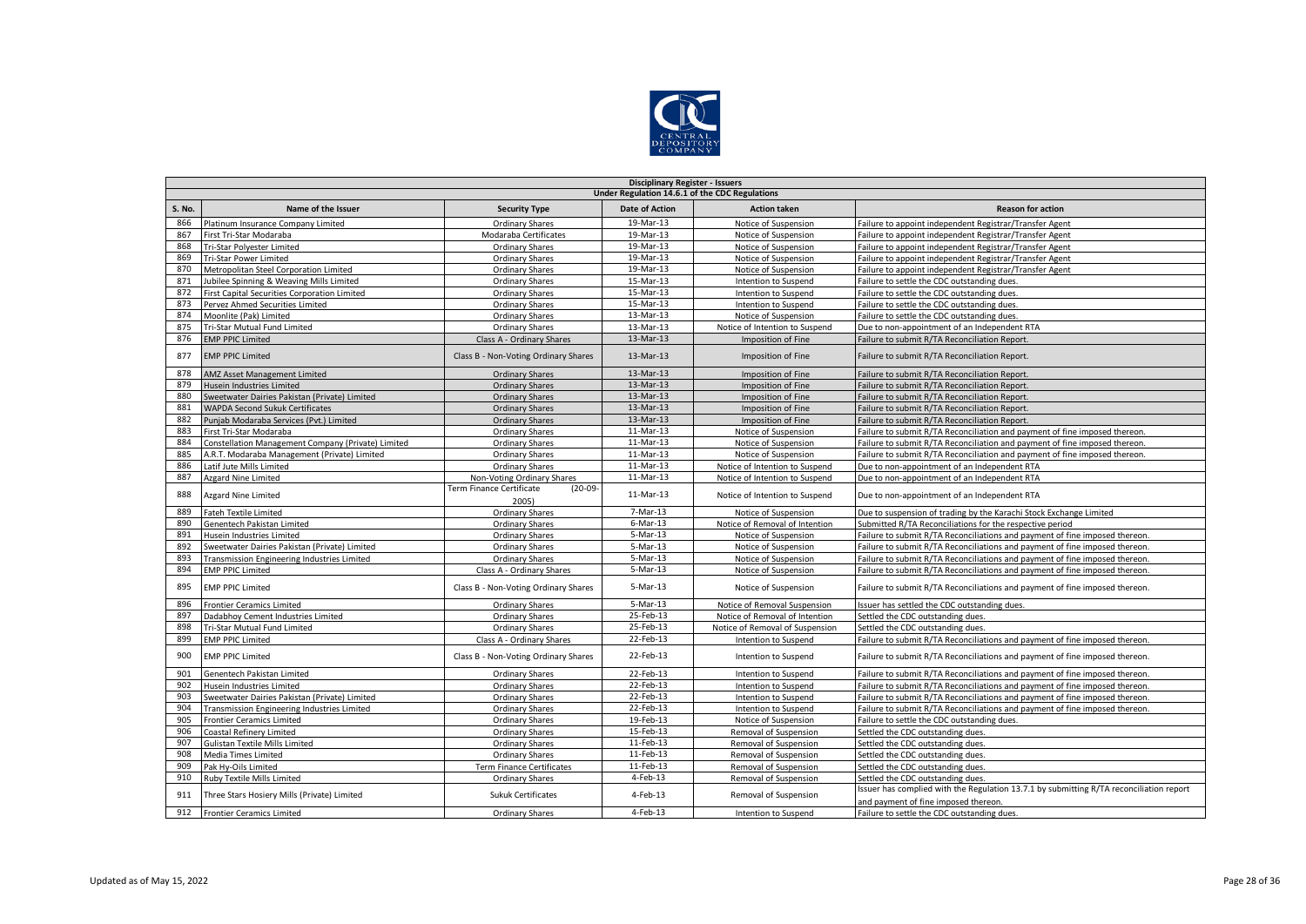

|               | <b>Disciplinary Register - Issuers</b>             |                                                |                       |                                 |                                                                                                                                 |  |  |  |  |
|---------------|----------------------------------------------------|------------------------------------------------|-----------------------|---------------------------------|---------------------------------------------------------------------------------------------------------------------------------|--|--|--|--|
|               | Under Regulation 14.6.1 of the CDC Regulations     |                                                |                       |                                 |                                                                                                                                 |  |  |  |  |
| <b>S. No.</b> | Name of the Issuer                                 | <b>Security Type</b>                           | <b>Date of Action</b> | <b>Action taken</b>             | <b>Reason for action</b>                                                                                                        |  |  |  |  |
| 866           | Platinum Insurance Company Limited                 | <b>Ordinary Shares</b>                         | 19-Mar-13             | Notice of Suspension            | Failure to appoint independent Registrar/Transfer Agent                                                                         |  |  |  |  |
| 867           | First Tri-Star Modaraba                            | Modaraba Certificates                          | 19-Mar-13             | Notice of Suspension            | Failure to appoint independent Registrar/Transfer Agent                                                                         |  |  |  |  |
| 868           | Tri-Star Polyester Limited                         | <b>Ordinary Shares</b>                         | 19-Mar-13             | Notice of Suspension            | Failure to appoint independent Registrar/Transfer Agent                                                                         |  |  |  |  |
| 869           | <b>Tri-Star Power Limited</b>                      | <b>Ordinary Shares</b>                         | 19-Mar-13             | Notice of Suspension            | Failure to appoint independent Registrar/Transfer Agent                                                                         |  |  |  |  |
| 870           | Metropolitan Steel Corporation Limited             | <b>Ordinary Shares</b>                         | 19-Mar-13             | Notice of Suspension            | Failure to appoint independent Registrar/Transfer Agent                                                                         |  |  |  |  |
| 871           | Jubilee Spinning & Weaving Mills Limited           | <b>Ordinary Shares</b>                         | 15-Mar-13             | Intention to Suspend            | Failure to settle the CDC outstanding dues.                                                                                     |  |  |  |  |
| 872           | First Capital Securities Corporation Limited       | <b>Ordinary Shares</b>                         | 15-Mar-13             | Intention to Suspend            | Failure to settle the CDC outstanding dues.                                                                                     |  |  |  |  |
| 873           | Pervez Ahmed Securities Limited                    | <b>Ordinary Shares</b>                         | 15-Mar-13             | Intention to Suspend            | Failure to settle the CDC outstanding dues.                                                                                     |  |  |  |  |
| 874           | Moonlite (Pak) Limited                             | <b>Ordinary Shares</b>                         | 13-Mar-13             | Notice of Suspension            | Failure to settle the CDC outstanding dues.                                                                                     |  |  |  |  |
| 875           | Tri-Star Mutual Fund Limited                       | <b>Ordinary Shares</b>                         | 13-Mar-13             | Notice of Intention to Suspend  | Due to non-appointment of an Independent RTA                                                                                    |  |  |  |  |
| 876           | <b>EMP PPIC Limited</b>                            | Class A - Ordinary Shares                      | 13-Mar-13             | Imposition of Fine              | Failure to submit R/TA Reconciliation Report.                                                                                   |  |  |  |  |
| 877           | <b>EMP PPIC Limited</b>                            | Class B - Non-Voting Ordinary Shares           | 13-Mar-13             | Imposition of Fine              | Failure to submit R/TA Reconciliation Report.                                                                                   |  |  |  |  |
| 878           | <b>AMZ Asset Management Limited</b>                | <b>Ordinary Shares</b>                         | 13-Mar-13             | Imposition of Fine              | Failure to submit R/TA Reconciliation Report.                                                                                   |  |  |  |  |
| 879           | Husein Industries Limited                          | <b>Ordinary Shares</b>                         | 13-Mar-13             | Imposition of Fine              | Failure to submit R/TA Reconciliation Report.                                                                                   |  |  |  |  |
| 880           | Sweetwater Dairies Pakistan (Private) Limited      | <b>Ordinary Shares</b>                         | 13-Mar-13             | Imposition of Fine              | Failure to submit R/TA Reconciliation Report.                                                                                   |  |  |  |  |
| 881           | <b>WAPDA Second Sukuk Certificates</b>             | <b>Ordinary Shares</b>                         | 13-Mar-13             | Imposition of Fine              | Failure to submit R/TA Reconciliation Report.                                                                                   |  |  |  |  |
| 882           | Punjab Modaraba Services (Pvt.) Limited            | <b>Ordinary Shares</b>                         | 13-Mar-13             | Imposition of Fine              | Failure to submit R/TA Reconciliation Report                                                                                    |  |  |  |  |
| 883           | First Tri-Star Modaraba                            | Ordinary Shares                                | 11-Mar-13             | Notice of Suspension            | Failure to submit R/TA Reconciliation and payment of fine imposed thereon.                                                      |  |  |  |  |
| 884           | Constellation Management Company (Private) Limited | <b>Ordinary Shares</b>                         | 11-Mar-13             | Notice of Suspension            | Failure to submit R/TA Reconciliation and payment of fine imposed thereon.                                                      |  |  |  |  |
| 885           | A.R.T. Modaraba Management (Private) Limited       | <b>Ordinary Shares</b>                         | 11-Mar-13             | Notice of Suspension            | Failure to submit R/TA Reconciliation and payment of fine imposed thereon.                                                      |  |  |  |  |
| 886           | Latif Jute Mills Limited                           | Ordinary Shares                                | 11-Mar-13             | Notice of Intention to Suspend  | Due to non-appointment of an Independent RTA                                                                                    |  |  |  |  |
| 887           | Azgard Nine Limited                                | Non-Voting Ordinary Shares                     | 11-Mar-13             | Notice of Intention to Suspend  | Due to non-appointment of an Independent RTA                                                                                    |  |  |  |  |
| 888           | Azgard Nine Limited                                | Term Finance Certificate<br>$(20-09-$<br>2005) | 11-Mar-13             | Notice of Intention to Suspend  | Due to non-appointment of an Independent RTA                                                                                    |  |  |  |  |
| 889           | <b>Fateh Textile Limited</b>                       | <b>Ordinary Shares</b>                         | 7-Mar-13              | Notice of Suspension            | Due to suspension of trading by the Karachi Stock Exchange Limited                                                              |  |  |  |  |
| 890           | Genentech Pakistan Limited                         | <b>Ordinary Shares</b>                         | $6$ -Mar-13           | Notice of Removal of Intention  | Submitted R/TA Reconciliations for the respective period                                                                        |  |  |  |  |
| 891           | <b>Husein Industries Limited</b>                   | <b>Ordinary Shares</b>                         | 5-Mar-13              | Notice of Suspension            | Failure to submit R/TA Reconciliations and payment of fine imposed thereon.                                                     |  |  |  |  |
| 892           | Sweetwater Dairies Pakistan (Private) Limited      | Ordinary Shares                                | 5-Mar-13              | Notice of Suspension            | Failure to submit R/TA Reconciliations and payment of fine imposed thereon.                                                     |  |  |  |  |
| 893           | Transmission Engineering Industries Limited        | <b>Ordinary Shares</b>                         | 5-Mar-13              | Notice of Suspension            | Failure to submit R/TA Reconciliations and payment of fine imposed thereon.                                                     |  |  |  |  |
| 894           | <b>EMP PPIC Limited</b>                            | Class A - Ordinary Shares                      | 5-Mar-13              | Notice of Suspension            | Failure to submit R/TA Reconciliations and payment of fine imposed thereon.                                                     |  |  |  |  |
| 895           | <b>EMP PPIC Limited</b>                            | Class B - Non-Voting Ordinary Shares           | 5-Mar-13              | Notice of Suspension            | Failure to submit R/TA Reconciliations and payment of fine imposed thereon.                                                     |  |  |  |  |
| 896           | <b>Frontier Ceramics Limited</b>                   | <b>Ordinary Shares</b>                         | 5-Mar-13              | Notice of Removal Suspension    | Issuer has settled the CDC outstanding dues.                                                                                    |  |  |  |  |
| 897           | Dadabhoy Cement Industries Limited                 | <b>Ordinary Shares</b>                         | 25-Feb-13             | Notice of Removal of Intention  | Settled the CDC outstanding dues.                                                                                               |  |  |  |  |
| 898           | Tri-Star Mutual Fund Limited                       | <b>Ordinary Shares</b>                         | 25-Feb-13             | Notice of Removal of Suspension | Settled the CDC outstanding dues.                                                                                               |  |  |  |  |
| 899           | <b>EMP PPIC Limited</b>                            | Class A - Ordinary Shares                      | 22-Feb-13             | Intention to Suspend            | Failure to submit R/TA Reconciliations and payment of fine imposed thereon.                                                     |  |  |  |  |
| 900           | <b>EMP PPIC Limited</b>                            | Class B - Non-Voting Ordinary Shares           | 22-Feb-13             | Intention to Suspend            | Failure to submit R/TA Reconciliations and payment of fine imposed thereon.                                                     |  |  |  |  |
| 901           | Genentech Pakistan Limited                         | <b>Ordinary Shares</b>                         | 22-Feb-13             | Intention to Suspend            | Failure to submit R/TA Reconciliations and payment of fine imposed thereon.                                                     |  |  |  |  |
| 902           | Husein Industries Limited                          | <b>Ordinary Shares</b>                         | 22-Feb-13             | Intention to Suspend            | Failure to submit R/TA Reconciliations and payment of fine imposed thereon.                                                     |  |  |  |  |
| 903           | Sweetwater Dairies Pakistan (Private) Limited      | <b>Ordinary Shares</b>                         | 22-Feb-13             | Intention to Suspend            | Failure to submit R/TA Reconciliations and payment of fine imposed thereon.                                                     |  |  |  |  |
| 904           | Transmission Engineering Industries Limited        | <b>Ordinary Shares</b>                         | 22-Feb-13             | Intention to Suspend            | Failure to submit R/TA Reconciliations and payment of fine imposed thereon.                                                     |  |  |  |  |
| 905           | <b>Frontier Ceramics Limited</b>                   | <b>Ordinary Shares</b>                         | 19-Feb-13             | Notice of Suspension            | Failure to settle the CDC outstanding dues.                                                                                     |  |  |  |  |
| 906           | <b>Coastal Refinery Limited</b>                    | <b>Ordinary Shares</b>                         | 15-Feb-13             | Removal of Suspension           | Settled the CDC outstanding dues.                                                                                               |  |  |  |  |
| 907           | Gulistan Textile Mills Limited                     | <b>Ordinary Shares</b>                         | 11-Feb-13             | Removal of Suspension           | Settled the CDC outstanding dues.                                                                                               |  |  |  |  |
| 908           | Media Times Limited                                | <b>Ordinary Shares</b>                         | 11-Feb-13             | Removal of Suspension           | Settled the CDC outstanding dues.                                                                                               |  |  |  |  |
| 909           | Pak Hy-Oils Limited                                | Term Finance Certificates                      | 11-Feb-13             | Removal of Suspension           | Settled the CDC outstanding dues.                                                                                               |  |  |  |  |
| 910           | Ruby Textile Mills Limited                         | <b>Ordinary Shares</b>                         | 4-Feb-13              | Removal of Suspension           | Settled the CDC outstanding dues.                                                                                               |  |  |  |  |
| 911           | Three Stars Hosiery Mills (Private) Limited        | <b>Sukuk Certificates</b>                      | 4-Feb-13              | Removal of Suspension           | Issuer has complied with the Regulation 13.7.1 by submitting R/TA reconciliation report<br>and payment of fine imposed thereon. |  |  |  |  |
| 912           | <b>Frontier Ceramics Limited</b>                   | <b>Ordinary Shares</b>                         | 4-Feb-13              | Intention to Suspend            | Failure to settle the CDC outstanding dues.                                                                                     |  |  |  |  |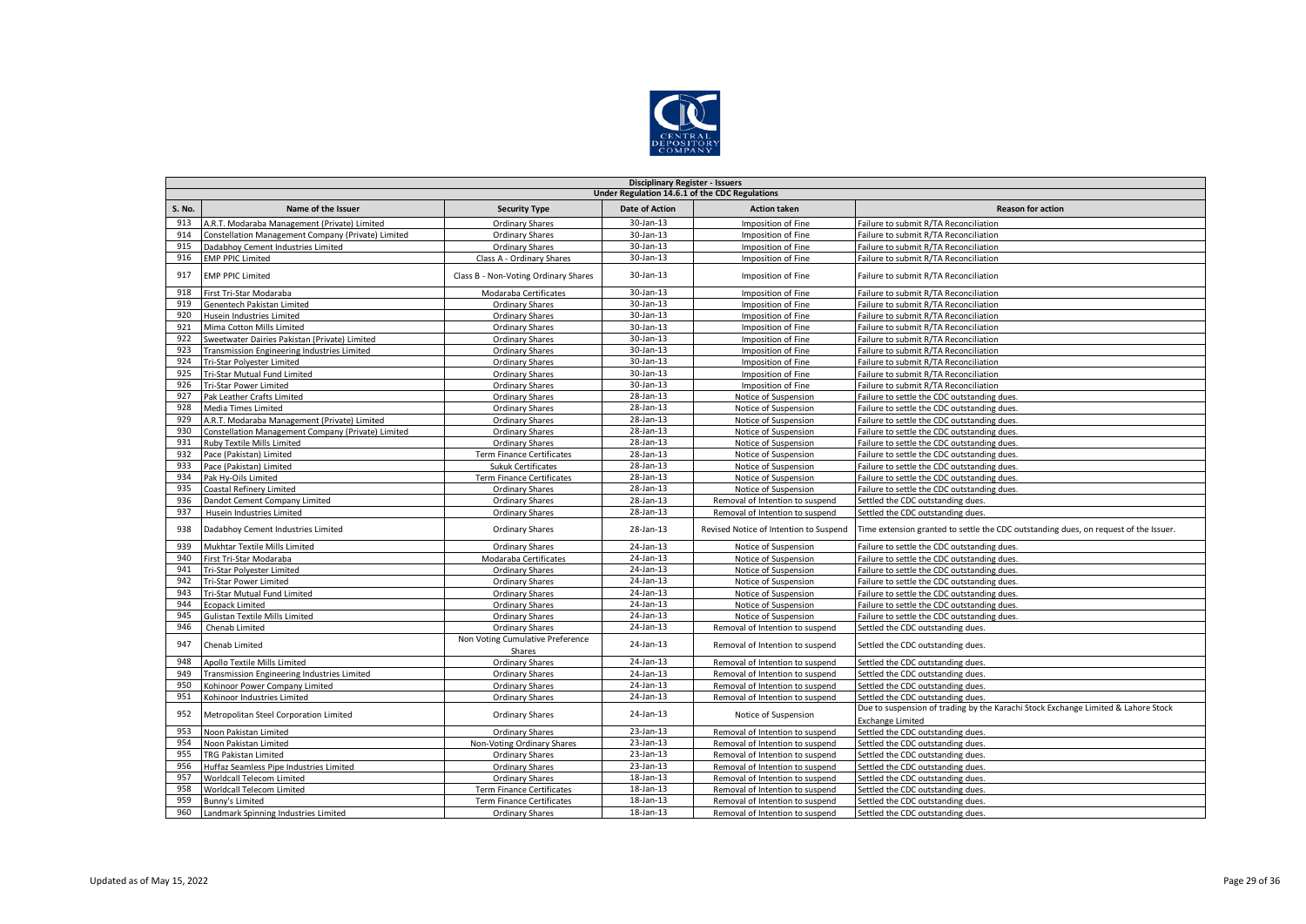

|        | <b>Disciplinary Register - Issuers</b>             |                                            |                       |                                        |                                                                                                              |  |  |  |  |
|--------|----------------------------------------------------|--------------------------------------------|-----------------------|----------------------------------------|--------------------------------------------------------------------------------------------------------------|--|--|--|--|
|        | Under Regulation 14.6.1 of the CDC Regulations     |                                            |                       |                                        |                                                                                                              |  |  |  |  |
| S. No. | Name of the Issuer                                 | <b>Security Type</b>                       | <b>Date of Action</b> | <b>Action taken</b>                    | <b>Reason for action</b>                                                                                     |  |  |  |  |
| 913    | A.R.T. Modaraba Management (Private) Limited       | Ordinary Shares                            | 30-Jan-13             | Imposition of Fine                     | Failure to submit R/TA Reconciliation                                                                        |  |  |  |  |
| 914    | Constellation Management Company (Private) Limited | Ordinary Shares                            | 30-Jan-13             | Imposition of Fine                     | Failure to submit R/TA Reconciliation                                                                        |  |  |  |  |
| 915    | Dadabhoy Cement Industries Limited                 | <b>Ordinary Shares</b>                     | 30-Jan-13             | Imposition of Fine                     | Failure to submit R/TA Reconciliation                                                                        |  |  |  |  |
| 916    | <b>EMP PPIC Limited</b>                            | Class A - Ordinary Shares                  | 30-Jan-13             | Imposition of Fine                     | Failure to submit R/TA Reconciliation                                                                        |  |  |  |  |
| 917    | <b>EMP PPIC Limited</b>                            | Class B - Non-Voting Ordinary Shares       | 30-Jan-13             | Imposition of Fine                     | Failure to submit R/TA Reconciliation                                                                        |  |  |  |  |
| 918    | First Tri-Star Modaraba                            | Modaraba Certificates                      | 30-Jan-13             | Imposition of Fine                     | Failure to submit R/TA Reconciliation                                                                        |  |  |  |  |
| 919    | Genentech Pakistan Limited                         | <b>Ordinary Shares</b>                     | 30-Jan-13             | Imposition of Fine                     | Failure to submit R/TA Reconciliation                                                                        |  |  |  |  |
| 920    | Husein Industries Limited                          | <b>Ordinary Shares</b>                     | 30-Jan-13             | Imposition of Fine                     | Failure to submit R/TA Reconciliation                                                                        |  |  |  |  |
| 921    | Mima Cotton Mills Limited                          | <b>Ordinary Shares</b>                     | 30-Jan-13             | Imposition of Fine                     | Failure to submit R/TA Reconciliation                                                                        |  |  |  |  |
| 922    | Sweetwater Dairies Pakistan (Private) Limited      | <b>Ordinary Shares</b>                     | 30-Jan-13             | Imposition of Fine                     | Failure to submit R/TA Reconciliation                                                                        |  |  |  |  |
| 923    | Transmission Engineering Industries Limited        | <b>Ordinary Shares</b>                     | 30-Jan-13             | Imposition of Fine                     | Failure to submit R/TA Reconciliation                                                                        |  |  |  |  |
| 924    | Tri-Star Polyester Limited                         | <b>Ordinary Shares</b>                     | 30-Jan-13             | Imposition of Fine                     | Failure to submit R/TA Reconciliation                                                                        |  |  |  |  |
| 925    | Tri-Star Mutual Fund Limited                       | <b>Ordinary Shares</b>                     | 30-Jan-13             | Imposition of Fine                     | Failure to submit R/TA Reconciliation                                                                        |  |  |  |  |
| 926    | <b>Tri-Star Power Limited</b>                      | <b>Ordinary Shares</b>                     | 30-Jan-13             | Imposition of Fine                     | Failure to submit R/TA Reconciliation                                                                        |  |  |  |  |
| 927    | Pak Leather Crafts Limited                         | <b>Ordinary Shares</b>                     | 28-Jan-13             | Notice of Suspension                   | Failure to settle the CDC outstanding dues.                                                                  |  |  |  |  |
| 928    | Media Times Limited                                | <b>Ordinary Shares</b>                     | 28-Jan-13             | Notice of Suspension                   | Failure to settle the CDC outstanding dues.                                                                  |  |  |  |  |
| 929    | A.R.T. Modaraba Management (Private) Limited       | <b>Ordinary Shares</b>                     | 28-Jan-13             | Notice of Suspension                   | Failure to settle the CDC outstanding dues.                                                                  |  |  |  |  |
| 930    | Constellation Management Company (Private) Limited | <b>Ordinary Shares</b>                     | $28$ -Jan-13          | Notice of Suspension                   | Failure to settle the CDC outstanding dues.                                                                  |  |  |  |  |
| 931    | Ruby Textile Mills Limited                         | Ordinary Shares                            | 28-Jan-13             | Notice of Suspension                   | Failure to settle the CDC outstanding dues.                                                                  |  |  |  |  |
| 932    | Pace (Pakistan) Limited                            | <b>Term Finance Certificates</b>           | 28-Jan-13             | Notice of Suspension                   | Failure to settle the CDC outstanding dues.                                                                  |  |  |  |  |
| 933    | Pace (Pakistan) Limited                            | <b>Sukuk Certificates</b>                  | 28-Jan-13             | Notice of Suspension                   | Failure to settle the CDC outstanding dues.                                                                  |  |  |  |  |
| 934    | Pak Hv-Oils Limited                                | <b>Term Finance Certificates</b>           | 28-Jan-13             | Notice of Suspension                   | Failure to settle the CDC outstanding dues.                                                                  |  |  |  |  |
| 935    | <b>Coastal Refinery Limited</b>                    | <b>Ordinary Shares</b>                     | 28-Jan-13             | Notice of Suspension                   | Failure to settle the CDC outstanding dues.                                                                  |  |  |  |  |
| 936    | Dandot Cement Company Limited                      | <b>Ordinary Shares</b>                     | 28-Jan-13             | Removal of Intention to suspend        | Settled the CDC outstanding dues.                                                                            |  |  |  |  |
| 937    | Husein Industries Limited                          | <b>Ordinary Shares</b>                     | 28-Jan-13             | Removal of Intention to suspend        | Settled the CDC outstanding dues.                                                                            |  |  |  |  |
| 938    | Dadabhoy Cement Industries Limited                 | Ordinary Shares                            | 28-Jan-13             | Revised Notice of Intention to Suspend | Time extension granted to settle the CDC outstanding dues, on request of the Issuer.                         |  |  |  |  |
| 939    | Mukhtar Textile Mills Limited                      | <b>Ordinary Shares</b>                     | 24-Jan-13             | Notice of Suspension                   | Failure to settle the CDC outstanding dues.                                                                  |  |  |  |  |
| 940    | First Tri-Star Modaraba                            | Modaraba Certificates                      | 24-Jan-13             | Notice of Suspension                   | Failure to settle the CDC outstanding dues.                                                                  |  |  |  |  |
| 941    | Tri-Star Polyester Limited                         | <b>Ordinary Shares</b>                     | 24-Jan-13             | Notice of Suspension                   | Failure to settle the CDC outstanding dues.                                                                  |  |  |  |  |
| 942    | Tri-Star Power Limited                             | <b>Ordinary Shares</b>                     | 24-Jan-13             | Notice of Suspension                   | Failure to settle the CDC outstanding dues.                                                                  |  |  |  |  |
| 943    | Tri-Star Mutual Fund Limited                       | Ordinary Shares                            | 24-Jan-13             | Notice of Suspension                   | Failure to settle the CDC outstanding dues.                                                                  |  |  |  |  |
| 944    | <b>Ecopack Limited</b>                             | <b>Ordinary Shares</b>                     | 24-Jan-13             | Notice of Suspension                   | Failure to settle the CDC outstanding dues.                                                                  |  |  |  |  |
| 945    | <b>Gulistan Textile Mills Limited</b>              | Ordinary Shares                            | 24-Jan-13             | Notice of Suspension                   | Failure to settle the CDC outstanding dues.                                                                  |  |  |  |  |
| 946    | Chenab Limited                                     | <b>Ordinary Shares</b>                     | 24-Jan-13             | Removal of Intention to suspend        | Settled the CDC outstanding dues.                                                                            |  |  |  |  |
| 947    | Chenab Limited                                     | Non Voting Cumulative Preference<br>Shares | 24-Jan-13             | Removal of Intention to suspend        | Settled the CDC outstanding dues.                                                                            |  |  |  |  |
| 948    | Apollo Textile Mills Limited                       | <b>Ordinary Shares</b>                     | 24-Jan-13             | Removal of Intention to suspend        | Settled the CDC outstanding dues.                                                                            |  |  |  |  |
| 949    | Transmission Engineering Industries Limited        | <b>Ordinary Shares</b>                     | 24-Jan-13             | Removal of Intention to suspend        | Settled the CDC outstanding dues.                                                                            |  |  |  |  |
| 950    | Kohinoor Power Company Limited                     | <b>Ordinary Shares</b>                     | 24-Jan-13             | Removal of Intention to suspend        | Settled the CDC outstanding dues.                                                                            |  |  |  |  |
| 951    | Kohinoor Industries Limited                        | <b>Ordinary Shares</b>                     | 24-Jan-13             | Removal of Intention to suspend        | Settled the CDC outstanding dues.                                                                            |  |  |  |  |
| 952    | Metropolitan Steel Corporation Limited             | Ordinary Shares                            | 24-Jan-13             | Notice of Suspension                   | Due to suspension of trading by the Karachi Stock Exchange Limited & Lahore Stock<br><b>Exchange Limited</b> |  |  |  |  |
| 953    | Noon Pakistan Limited                              | <b>Ordinary Shares</b>                     | 23-Jan-13             | Removal of Intention to suspend        | Settled the CDC outstanding dues.                                                                            |  |  |  |  |
| 954    | Noon Pakistan Limited                              | Non-Voting Ordinary Shares                 | 23-Jan-13             | Removal of Intention to suspend        | Settled the CDC outstanding dues.                                                                            |  |  |  |  |
| 955    | <b>TRG Pakistan Limited</b>                        | <b>Ordinary Shares</b>                     | 23-Jan-13             | Removal of Intention to suspend        | Settled the CDC outstanding dues.                                                                            |  |  |  |  |
| 956    | Huffaz Seamless Pipe Industries Limited            | Ordinary Shares                            | 23-Jan-13             | Removal of Intention to suspend        | Settled the CDC outstanding dues.                                                                            |  |  |  |  |
| 957    | Worldcall Telecom Limited                          | <b>Ordinary Shares</b>                     | 18-Jan-13             | Removal of Intention to suspend        | Settled the CDC outstanding dues.                                                                            |  |  |  |  |
| 958    | Worldcall Telecom Limited                          | <b>Term Finance Certificates</b>           | 18-Jan-13             | Removal of Intention to suspend        | Settled the CDC outstanding dues.                                                                            |  |  |  |  |
| 959    | Bunny's Limited                                    | Term Finance Certificates                  | 18-Jan-13             | Removal of Intention to suspend        | Settled the CDC outstanding dues.                                                                            |  |  |  |  |
| 960    | Landmark Spinning Industries Limited               | Ordinary Shares                            | 18-Jan-13             | Removal of Intention to suspend        | Settled the CDC outstanding dues.                                                                            |  |  |  |  |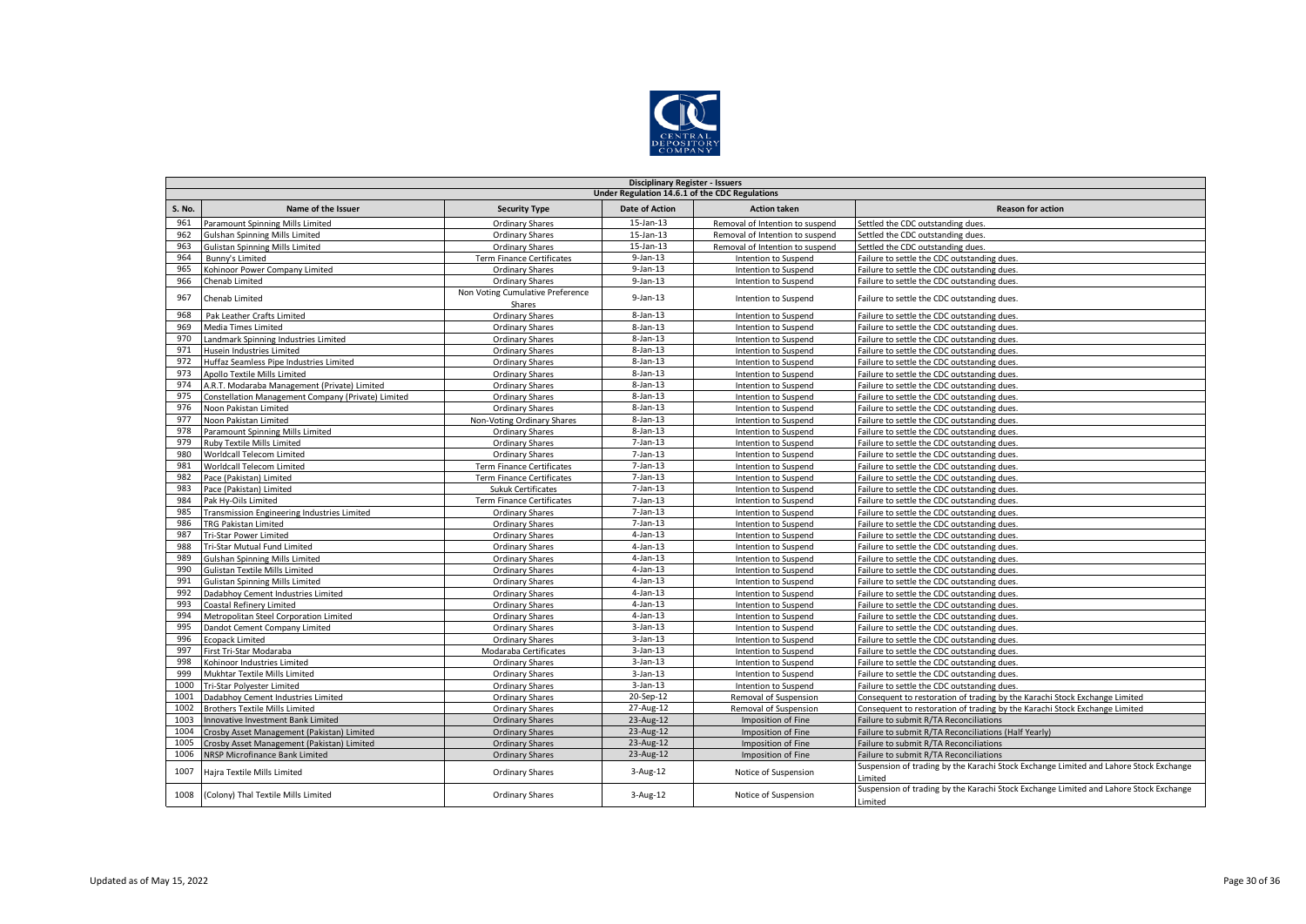

|               | <b>Disciplinary Register - Issuers</b>             |                                            |                       |                                 |                                                                                                  |  |  |  |
|---------------|----------------------------------------------------|--------------------------------------------|-----------------------|---------------------------------|--------------------------------------------------------------------------------------------------|--|--|--|
|               | Under Regulation 14.6.1 of the CDC Regulations     |                                            |                       |                                 |                                                                                                  |  |  |  |
| <b>S. No.</b> | Name of the Issuer                                 | <b>Security Type</b>                       | <b>Date of Action</b> | <b>Action taken</b>             | <b>Reason for action</b>                                                                         |  |  |  |
| 961           | Paramount Spinning Mills Limited                   | <b>Ordinary Shares</b>                     | 15-Jan-13             | Removal of Intention to suspend | Settled the CDC outstanding dues.                                                                |  |  |  |
| 962           | <b>Gulshan Spinning Mills Limited</b>              | <b>Ordinary Shares</b>                     | $15$ -Jan- $13$       | Removal of Intention to suspend | Settled the CDC outstanding dues.                                                                |  |  |  |
| 963           | <b>Gulistan Spinning Mills Limited</b>             | Ordinary Shares                            | 15-Jan-13             | Removal of Intention to suspend | Settled the CDC outstanding dues.                                                                |  |  |  |
| 964           | Bunny's Limited                                    | <b>Term Finance Certificates</b>           | $9$ -Jan-13           | Intention to Suspend            | Failure to settle the CDC outstanding dues.                                                      |  |  |  |
| 965           | Kohinoor Power Company Limited                     | <b>Ordinary Shares</b>                     | $9$ -Jan-13           | Intention to Suspend            | Failure to settle the CDC outstanding dues.                                                      |  |  |  |
| 966           | Chenab Limited                                     | <b>Ordinary Shares</b>                     | $9$ -Jan-13           | Intention to Suspend            | Failure to settle the CDC outstanding dues.                                                      |  |  |  |
| 967           | Chenab Limited                                     | Non Voting Cumulative Preference<br>Shares | $9$ -Jan-13           | Intention to Suspend            | Failure to settle the CDC outstanding dues.                                                      |  |  |  |
| 968           | Pak Leather Crafts Limited                         | <b>Ordinary Shares</b>                     | 8-Jan-13              | Intention to Suspend            | Failure to settle the CDC outstanding dues.                                                      |  |  |  |
| 969           | Media Times Limited                                | <b>Ordinary Shares</b>                     | $8 - Jan - 13$        | Intention to Suspend            | Failure to settle the CDC outstanding dues.                                                      |  |  |  |
| 970           | Landmark Spinning Industries Limited               | <b>Ordinary Shares</b>                     | $8 - Jan - 13$        | Intention to Suspend            | Failure to settle the CDC outstanding dues.                                                      |  |  |  |
| 971           | Husein Industries Limited                          | <b>Ordinary Shares</b>                     | $8 - Jan - 13$        | Intention to Suspend            | Failure to settle the CDC outstanding dues.                                                      |  |  |  |
| 972           | Huffaz Seamless Pipe Industries Limited            | <b>Ordinary Shares</b>                     | $8 - Jan - 13$        | Intention to Suspend            | Failure to settle the CDC outstanding dues.                                                      |  |  |  |
| 973           | Apollo Textile Mills Limited                       | Ordinary Shares                            | 8-Jan-13              | Intention to Suspend            | Failure to settle the CDC outstanding dues.                                                      |  |  |  |
| 974           | A.R.T. Modaraba Management (Private) Limited       | <b>Ordinary Shares</b>                     | 8-Jan-13              | Intention to Suspend            | Failure to settle the CDC outstanding dues.                                                      |  |  |  |
| 975           | Constellation Management Company (Private) Limited | <b>Ordinary Shares</b>                     | $8 - Jan - 13$        | Intention to Suspend            | Failure to settle the CDC outstanding dues.                                                      |  |  |  |
| 976           | Noon Pakistan Limited                              | <b>Ordinary Shares</b>                     | $8 - Jan - 13$        | Intention to Suspend            | Failure to settle the CDC outstanding dues.                                                      |  |  |  |
| 977           | Noon Pakistan Limited                              | Non-Voting Ordinary Shares                 | 8-Jan-13              | Intention to Suspend            | Failure to settle the CDC outstanding dues.                                                      |  |  |  |
| 978           | Paramount Spinning Mills Limited                   | <b>Ordinary Shares</b>                     | 8-Jan-13              | Intention to Suspend            | Failure to settle the CDC outstanding dues.                                                      |  |  |  |
| 979           | Ruby Textile Mills Limited                         | <b>Ordinary Shares</b>                     | 7-Jan-13              | Intention to Suspend            | Failure to settle the CDC outstanding dues.                                                      |  |  |  |
| 980           | Worldcall Telecom Limited                          | <b>Ordinary Shares</b>                     | $7$ -Jan-13           | Intention to Suspend            | Failure to settle the CDC outstanding dues.                                                      |  |  |  |
| 981           | Worldcall Telecom Limited                          | <b>Term Finance Certificates</b>           | $7$ -Jan-13           | Intention to Suspend            | Failure to settle the CDC outstanding dues.                                                      |  |  |  |
| 982           | Pace (Pakistan) Limited                            | <b>Term Finance Certificates</b>           | $7$ -Jan-13           | Intention to Suspend            | Failure to settle the CDC outstanding dues.                                                      |  |  |  |
| 983           | Pace (Pakistan) Limited                            | <b>Sukuk Certificates</b>                  | $7$ -Jan-13           | Intention to Suspend            | Failure to settle the CDC outstanding dues.                                                      |  |  |  |
| 984           | Pak Hv-Oils Limited                                | <b>Term Finance Certificates</b>           | $7$ -Jan-13           | Intention to Suspend            | Failure to settle the CDC outstanding dues.                                                      |  |  |  |
| 985           | Transmission Engineering Industries Limited        | <b>Ordinary Shares</b>                     | $7$ -Jan-13           | Intention to Suspend            | Failure to settle the CDC outstanding dues.                                                      |  |  |  |
| 986           | <b>TRG Pakistan Limited</b>                        | <b>Ordinary Shares</b>                     | 7-Jan-13              | Intention to Suspend            | Failure to settle the CDC outstanding dues.                                                      |  |  |  |
| 987           | Tri-Star Power Limited                             | <b>Ordinary Shares</b>                     | $4$ -Jan-13           | Intention to Suspend            | Failure to settle the CDC outstanding dues.                                                      |  |  |  |
| 988           | <b>Tri-Star Mutual Fund Limited</b>                | <b>Ordinary Shares</b>                     | $4$ -Jan-13           | Intention to Suspend            | Failure to settle the CDC outstanding dues.                                                      |  |  |  |
| 989           | <b>Gulshan Spinning Mills Limited</b>              | <b>Ordinary Shares</b>                     | $4$ -Jan-13           | Intention to Suspend            | Failure to settle the CDC outstanding dues.                                                      |  |  |  |
| 990           | <b>Gulistan Textile Mills Limited</b>              | <b>Ordinary Shares</b>                     | $4$ -Jan-13           | Intention to Suspend            | Failure to settle the CDC outstanding dues.                                                      |  |  |  |
| 991           | <b>Gulistan Spinning Mills Limited</b>             | <b>Ordinary Shares</b>                     | $4$ -Jan-13           | Intention to Suspend            | Failure to settle the CDC outstanding dues.                                                      |  |  |  |
| 992           | Dadabhoy Cement Industries Limited                 | <b>Ordinary Shares</b>                     | $4$ -Jan-13           | Intention to Suspend            | Failure to settle the CDC outstanding dues.                                                      |  |  |  |
| 993           | Coastal Refinery Limited                           | <b>Ordinary Shares</b>                     | $4$ -Jan-13           | Intention to Suspend            | Failure to settle the CDC outstanding dues.                                                      |  |  |  |
| 994           | Metropolitan Steel Corporation Limited             | <b>Ordinary Shares</b>                     | $4$ -Jan-13           | Intention to Suspend            | Failure to settle the CDC outstanding dues.                                                      |  |  |  |
| 995           | Dandot Cement Company Limited                      | <b>Ordinary Shares</b>                     | $3$ -Jan-13           | Intention to Suspend            | Failure to settle the CDC outstanding dues.                                                      |  |  |  |
| 996           | <b>Ecopack Limited</b>                             | <b>Ordinary Shares</b>                     | $3$ -Jan-13           | Intention to Suspend            | Failure to settle the CDC outstanding dues.                                                      |  |  |  |
| 997           | First Tri-Star Modaraba                            | Modaraba Certificates                      | $3$ -Jan-13           | Intention to Suspend            | Failure to settle the CDC outstanding dues.                                                      |  |  |  |
| 998           | Kohinoor Industries Limited                        | <b>Ordinary Shares</b>                     | $3$ -Jan-13           | Intention to Suspend            | Failure to settle the CDC outstanding dues.                                                      |  |  |  |
| 999           | Mukhtar Textile Mills Limited                      | <b>Ordinary Shares</b>                     | $3$ -Jan-13           | Intention to Suspend            | Failure to settle the CDC outstanding dues.                                                      |  |  |  |
| 1000          | Tri-Star Polyester Limited                         | <b>Ordinary Shares</b>                     | $3$ -Jan-13           | Intention to Suspend            | Failure to settle the CDC outstanding dues.                                                      |  |  |  |
| 1001          | Dadabhoy Cement Industries Limited                 | <b>Ordinary Shares</b>                     | 20-Sep-12             | Removal of Suspension           | Consequent to restoration of trading by the Karachi Stock Exchange Limited                       |  |  |  |
| 1002          | <b>Brothers Textile Mills Limited</b>              | <b>Ordinary Shares</b>                     | 27-Aug-12             | Removal of Suspension           | Consequent to restoration of trading by the Karachi Stock Exchange Limited                       |  |  |  |
| 1003          | <b>Innovative Investment Bank Limited</b>          | <b>Ordinary Shares</b>                     | 23-Aug-12             | Imposition of Fine              | Failure to submit R/TA Reconciliations                                                           |  |  |  |
| 1004          | Crosby Asset Management (Pakistan) Limited         | <b>Ordinary Shares</b>                     | 23-Aug-12             | Imposition of Fine              | Failure to submit R/TA Reconciliations (Half Yearly)                                             |  |  |  |
| 1005          | Crosby Asset Management (Pakistan) Limited         | <b>Ordinary Shares</b>                     | 23-Aug-12             | Imposition of Fine              | Failure to submit R/TA Reconciliations                                                           |  |  |  |
| 1006          | <b>NRSP Microfinance Bank Limited</b>              | <b>Ordinary Shares</b>                     | 23-Aug-12             | Imposition of Fine              | Failure to submit R/TA Reconciliations                                                           |  |  |  |
| 1007          | Hajra Textile Mills Limited                        | <b>Ordinary Shares</b>                     | $3 - Aug-12$          | Notice of Suspension            | Suspension of trading by the Karachi Stock Exchange Limited and Lahore Stock Exchange<br>Limited |  |  |  |
| 1008          | (Colony) Thal Textile Mills Limited                | <b>Ordinary Shares</b>                     | $3$ -Aug-12           | Notice of Suspension            | Suspension of trading by the Karachi Stock Exchange Limited and Lahore Stock Exchange<br>Limited |  |  |  |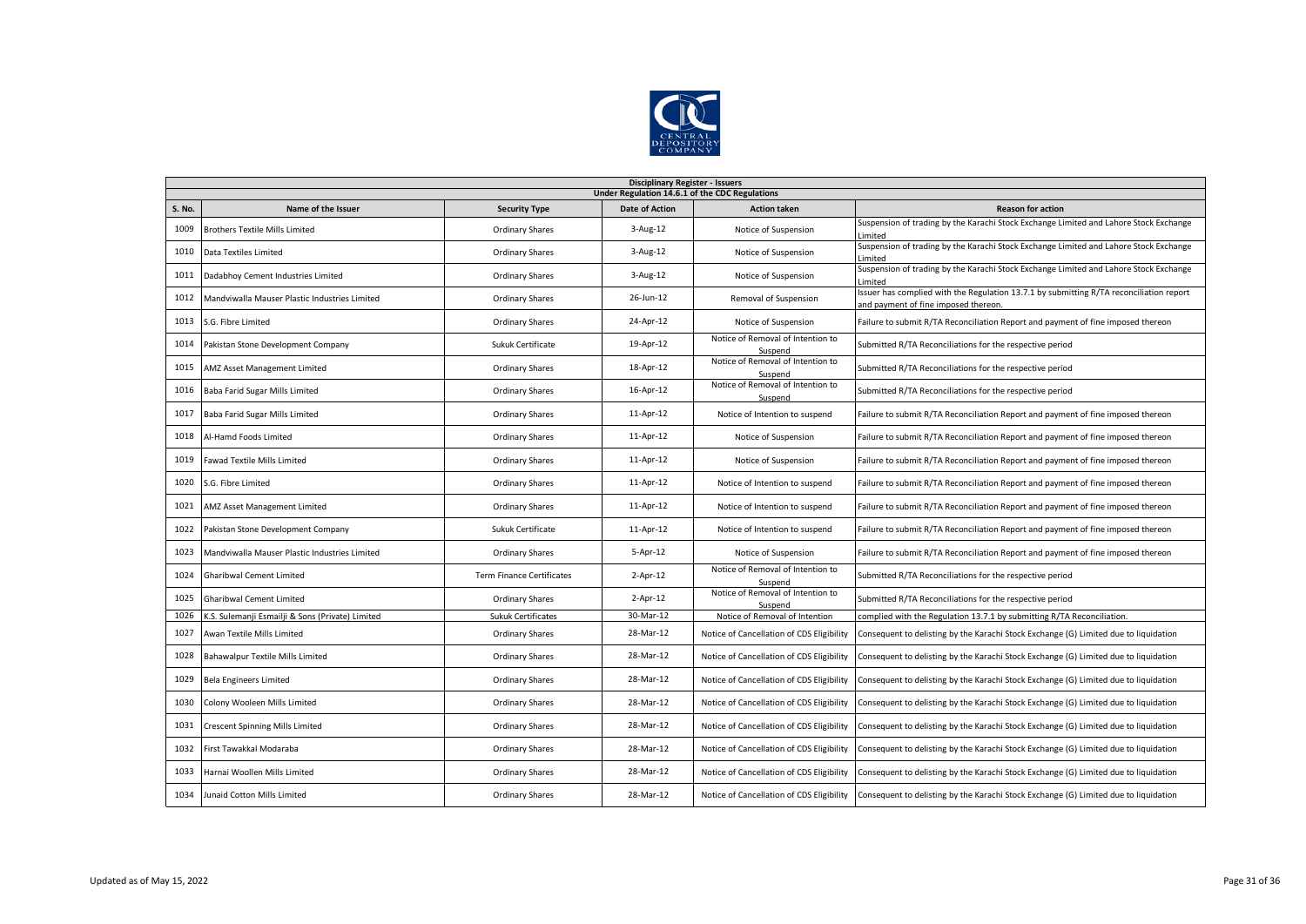

|               | <b>Disciplinary Register - Issuers</b>           |                                  |                       |                                              |                                                                                                                                 |  |  |  |  |  |
|---------------|--------------------------------------------------|----------------------------------|-----------------------|----------------------------------------------|---------------------------------------------------------------------------------------------------------------------------------|--|--|--|--|--|
|               | Under Regulation 14.6.1 of the CDC Regulations   |                                  |                       |                                              |                                                                                                                                 |  |  |  |  |  |
| <b>S. No.</b> | Name of the Issuer                               | <b>Security Type</b>             | <b>Date of Action</b> | <b>Action taken</b>                          | <b>Reason for action</b>                                                                                                        |  |  |  |  |  |
| 1009          | <b>Brothers Textile Mills Limited</b>            | <b>Ordinary Shares</b>           | $3-Aug-12$            | Notice of Suspension                         | Suspension of trading by the Karachi Stock Exchange Limited and Lahore Stock Exchange<br>Limited                                |  |  |  |  |  |
| 1010          | Data Textiles Limited                            | <b>Ordinary Shares</b>           | $3$ -Aug-12           | Notice of Suspension                         | Suspension of trading by the Karachi Stock Exchange Limited and Lahore Stock Exchange<br>Limited                                |  |  |  |  |  |
| 1011          | Dadabhoy Cement Industries Limited               | <b>Ordinary Shares</b>           | $3$ -Aug-12           | Notice of Suspension                         | Suspension of trading by the Karachi Stock Exchange Limited and Lahore Stock Exchange<br>Limited                                |  |  |  |  |  |
| 1012          | Mandviwalla Mauser Plastic Industries Limited    | <b>Ordinary Shares</b>           | 26-Jun-12             | Removal of Suspension                        | Issuer has complied with the Regulation 13.7.1 by submitting R/TA reconciliation report<br>and payment of fine imposed thereon. |  |  |  |  |  |
| 1013          | S.G. Fibre Limited                               | <b>Ordinary Shares</b>           | 24-Apr-12             | Notice of Suspension                         | Failure to submit R/TA Reconciliation Report and payment of fine imposed thereon                                                |  |  |  |  |  |
| 1014          | Pakistan Stone Development Company               | Sukuk Certificate                | 19-Apr-12             | Notice of Removal of Intention to<br>Suspend | Submitted R/TA Reconciliations for the respective period                                                                        |  |  |  |  |  |
| 1015          | AMZ Asset Management Limited                     | <b>Ordinary Shares</b>           | 18-Apr-12             | Notice of Removal of Intention to<br>Suspend | Submitted R/TA Reconciliations for the respective period                                                                        |  |  |  |  |  |
| 1016          | Baba Farid Sugar Mills Limited                   | <b>Ordinary Shares</b>           | 16-Apr-12             | Notice of Removal of Intention to<br>Suspend | Submitted R/TA Reconciliations for the respective period                                                                        |  |  |  |  |  |
| 1017          | Baba Farid Sugar Mills Limited                   | <b>Ordinary Shares</b>           | 11-Apr-12             | Notice of Intention to suspend               | Failure to submit R/TA Reconciliation Report and payment of fine imposed thereon                                                |  |  |  |  |  |
| 1018          | Al-Hamd Foods Limited                            | <b>Ordinary Shares</b>           | 11-Apr-12             | Notice of Suspension                         | Failure to submit R/TA Reconciliation Report and payment of fine imposed thereon                                                |  |  |  |  |  |
| 1019          | <b>Fawad Textile Mills Limited</b>               | <b>Ordinary Shares</b>           | 11-Apr-12             | Notice of Suspension                         | Failure to submit R/TA Reconciliation Report and payment of fine imposed thereon                                                |  |  |  |  |  |
| 1020          | S.G. Fibre Limited                               | <b>Ordinary Shares</b>           | 11-Apr-12             | Notice of Intention to suspend               | Failure to submit R/TA Reconciliation Report and payment of fine imposed thereon                                                |  |  |  |  |  |
| 1021          | AMZ Asset Management Limited                     | <b>Ordinary Shares</b>           | 11-Apr-12             | Notice of Intention to suspend               | Failure to submit R/TA Reconciliation Report and payment of fine imposed thereon                                                |  |  |  |  |  |
| 1022          | Pakistan Stone Development Company               | Sukuk Certificate                | 11-Apr-12             | Notice of Intention to suspend               | Failure to submit R/TA Reconciliation Report and payment of fine imposed thereon                                                |  |  |  |  |  |
| 1023          | Mandviwalla Mauser Plastic Industries Limited    | <b>Ordinary Shares</b>           | $5 - Apr - 12$        | Notice of Suspension                         | Failure to submit R/TA Reconciliation Report and payment of fine imposed thereon                                                |  |  |  |  |  |
| 1024          | <b>Gharibwal Cement Limited</b>                  | <b>Term Finance Certificates</b> | $2$ -Apr-12           | Notice of Removal of Intention to<br>Suspend | Submitted R/TA Reconciliations for the respective period                                                                        |  |  |  |  |  |
| 1025          | <b>Gharibwal Cement Limited</b>                  | <b>Ordinary Shares</b>           | $2-Apr-12$            | Notice of Removal of Intention to<br>Suspend | Submitted R/TA Reconciliations for the respective period                                                                        |  |  |  |  |  |
| 1026          | K.S. Sulemanji Esmailji & Sons (Private) Limited | Sukuk Certificates               | 30-Mar-12             | Notice of Removal of Intention               | complied with the Regulation 13.7.1 by submitting R/TA Reconciliation.                                                          |  |  |  |  |  |
| 1027          | Awan Textile Mills Limited                       | <b>Ordinary Shares</b>           | 28-Mar-12             | Notice of Cancellation of CDS Eligibility    | Consequent to delisting by the Karachi Stock Exchange (G) Limited due to liquidation                                            |  |  |  |  |  |
| 1028          | Bahawalpur Textile Mills Limited                 | <b>Ordinary Shares</b>           | 28-Mar-12             | Notice of Cancellation of CDS Eligibility    | Consequent to delisting by the Karachi Stock Exchange (G) Limited due to liquidation                                            |  |  |  |  |  |
| 1029          | <b>Bela Engineers Limited</b>                    | <b>Ordinary Shares</b>           | 28-Mar-12             | Notice of Cancellation of CDS Eligibility    | Consequent to delisting by the Karachi Stock Exchange (G) Limited due to liquidation                                            |  |  |  |  |  |
| 1030          | Colony Wooleen Mills Limited                     | <b>Ordinary Shares</b>           | 28-Mar-12             | Notice of Cancellation of CDS Eligibility    | Consequent to delisting by the Karachi Stock Exchange (G) Limited due to liquidation                                            |  |  |  |  |  |
| 1031          | <b>Crescent Spinning Mills Limited</b>           | <b>Ordinary Shares</b>           | 28-Mar-12             | Notice of Cancellation of CDS Eligibility    | Consequent to delisting by the Karachi Stock Exchange (G) Limited due to liquidation                                            |  |  |  |  |  |
| 1032          | First Tawakkal Modaraba                          | <b>Ordinary Shares</b>           | 28-Mar-12             | Notice of Cancellation of CDS Eligibility    | Consequent to delisting by the Karachi Stock Exchange (G) Limited due to liquidation                                            |  |  |  |  |  |
| 1033          | Harnai Woollen Mills Limited                     | <b>Ordinary Shares</b>           | 28-Mar-12             | Notice of Cancellation of CDS Eligibility    | Consequent to delisting by the Karachi Stock Exchange (G) Limited due to liquidation                                            |  |  |  |  |  |
| 1034          | Junaid Cotton Mills Limited                      | <b>Ordinary Shares</b>           | 28-Mar-12             | Notice of Cancellation of CDS Eligibility    | Consequent to delisting by the Karachi Stock Exchange (G) Limited due to liquidation                                            |  |  |  |  |  |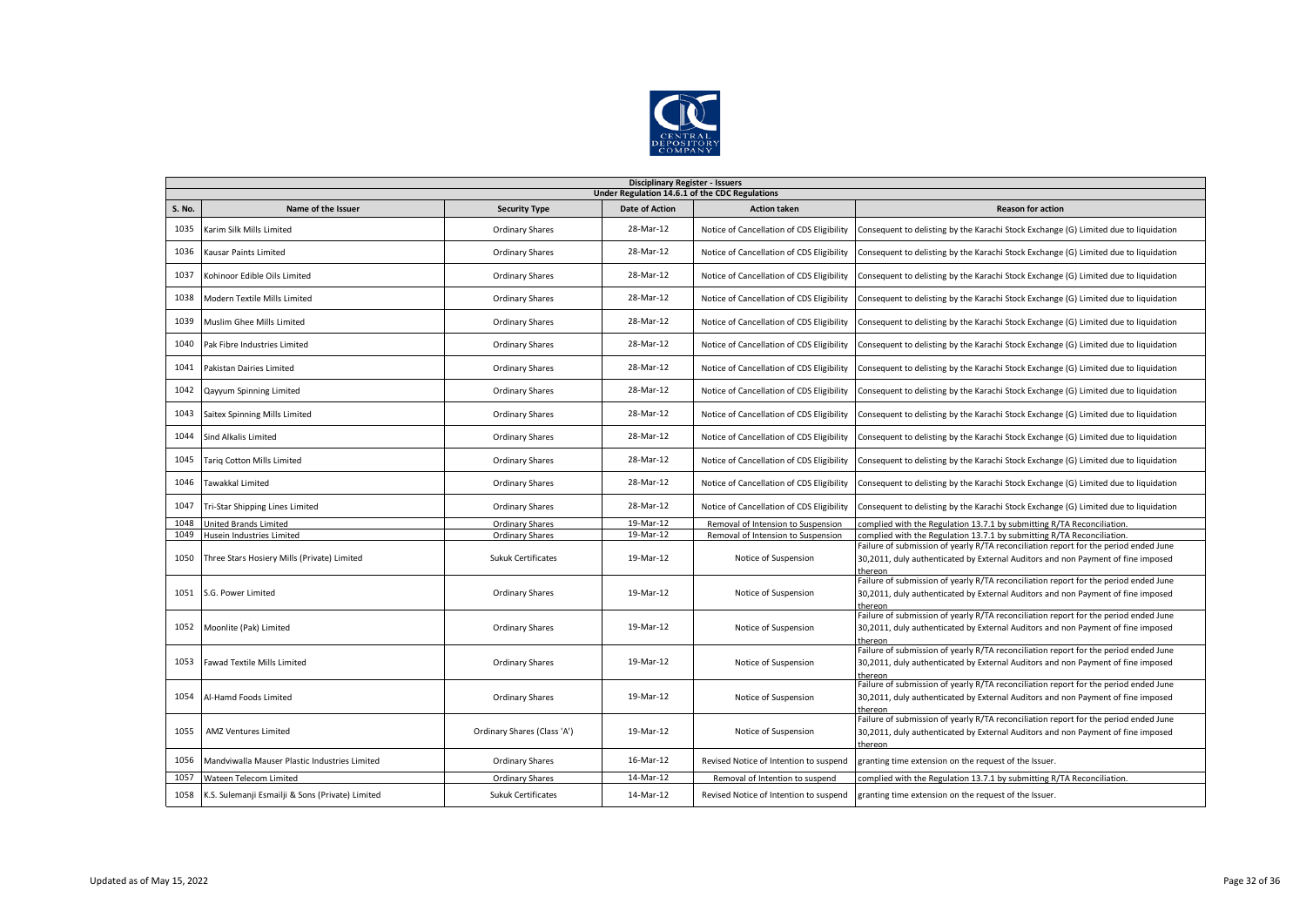

|        | <b>Disciplinary Register - Issuers</b><br>Under Regulation 14.6.1 of the CDC Regulations |                             |                       |                                           |                                                                                                                                                                                     |  |  |  |  |
|--------|------------------------------------------------------------------------------------------|-----------------------------|-----------------------|-------------------------------------------|-------------------------------------------------------------------------------------------------------------------------------------------------------------------------------------|--|--|--|--|
| S. No. | Name of the Issuer                                                                       | <b>Security Type</b>        | <b>Date of Action</b> | <b>Action taken</b>                       | <b>Reason for action</b>                                                                                                                                                            |  |  |  |  |
| 1035   | Karim Silk Mills Limited                                                                 | <b>Ordinary Shares</b>      | 28-Mar-12             | Notice of Cancellation of CDS Eligibility | Consequent to delisting by the Karachi Stock Exchange (G) Limited due to liquidation                                                                                                |  |  |  |  |
| 1036   | Kausar Paints Limited                                                                    | <b>Ordinary Shares</b>      | 28-Mar-12             | Notice of Cancellation of CDS Eligibility | Consequent to delisting by the Karachi Stock Exchange (G) Limited due to liquidation                                                                                                |  |  |  |  |
| 1037   | Kohinoor Edible Oils Limited                                                             | Ordinary Shares             | 28-Mar-12             | Notice of Cancellation of CDS Eligibility | Consequent to delisting by the Karachi Stock Exchange (G) Limited due to liquidation                                                                                                |  |  |  |  |
| 1038   | Modern Textile Mills Limited                                                             | <b>Ordinary Shares</b>      | 28-Mar-12             | Notice of Cancellation of CDS Eligibility | Consequent to delisting by the Karachi Stock Exchange (G) Limited due to liquidation                                                                                                |  |  |  |  |
| 1039   | Muslim Ghee Mills Limited                                                                | <b>Ordinary Shares</b>      | 28-Mar-12             | Notice of Cancellation of CDS Eligibility | Consequent to delisting by the Karachi Stock Exchange (G) Limited due to liquidation                                                                                                |  |  |  |  |
| 1040   | Pak Fibre Industries Limited                                                             | Ordinary Shares             | 28-Mar-12             | Notice of Cancellation of CDS Eligibility | Consequent to delisting by the Karachi Stock Exchange (G) Limited due to liquidation                                                                                                |  |  |  |  |
| 1041   | Pakistan Dairies Limited                                                                 | <b>Ordinary Shares</b>      | 28-Mar-12             | Notice of Cancellation of CDS Eligibility | Consequent to delisting by the Karachi Stock Exchange (G) Limited due to liquidation                                                                                                |  |  |  |  |
| 1042   | Qayyum Spinning Limited                                                                  | <b>Ordinary Shares</b>      | 28-Mar-12             | Notice of Cancellation of CDS Eligibility | Consequent to delisting by the Karachi Stock Exchange (G) Limited due to liquidation                                                                                                |  |  |  |  |
| 1043   | Saitex Spinning Mills Limited                                                            | <b>Ordinary Shares</b>      | 28-Mar-12             | Notice of Cancellation of CDS Eligibility | Consequent to delisting by the Karachi Stock Exchange (G) Limited due to liquidation                                                                                                |  |  |  |  |
| 1044   | Sind Alkalis Limited                                                                     | Ordinary Shares             | 28-Mar-12             | Notice of Cancellation of CDS Eligibility | Consequent to delisting by the Karachi Stock Exchange (G) Limited due to liquidation                                                                                                |  |  |  |  |
| 1045   | Tariq Cotton Mills Limited                                                               | <b>Ordinary Shares</b>      | 28-Mar-12             | Notice of Cancellation of CDS Eligibility | Consequent to delisting by the Karachi Stock Exchange (G) Limited due to liquidation                                                                                                |  |  |  |  |
| 1046   | Tawakkal Limited                                                                         | <b>Ordinary Shares</b>      | 28-Mar-12             | Notice of Cancellation of CDS Eligibility | Consequent to delisting by the Karachi Stock Exchange (G) Limited due to liquidation                                                                                                |  |  |  |  |
| 1047   | Tri-Star Shipping Lines Limited                                                          | Ordinary Shares             | 28-Mar-12             | Notice of Cancellation of CDS Eligibility | Consequent to delisting by the Karachi Stock Exchange (G) Limited due to liquidation                                                                                                |  |  |  |  |
| 1048   | <b>United Brands Limited</b>                                                             | Ordinary Shares             | 19-Mar-12             | Removal of Intension to Suspension        | complied with the Regulation 13.7.1 by submitting R/TA Reconciliation.                                                                                                              |  |  |  |  |
| 1049   | Husein Industries Limited                                                                | <b>Ordinary Shares</b>      | 19-Mar-12             | Removal of Intension to Suspension        | complied with the Regulation 13.7.1 by submitting R/TA Reconciliation.                                                                                                              |  |  |  |  |
| 1050   | Three Stars Hosiery Mills (Private) Limited                                              | Sukuk Certificates          | 19-Mar-12             | Notice of Suspension                      | Failure of submission of yearly R/TA reconciliation report for the period ended June<br>30,2011, duly authenticated by External Auditors and non Payment of fine imposed<br>thereon |  |  |  |  |
| 1051   | S.G. Power Limited                                                                       | Ordinary Shares             | 19-Mar-12             | Notice of Suspension                      | Failure of submission of yearly R/TA reconciliation report for the period ended June<br>30,2011, duly authenticated by External Auditors and non Payment of fine imposed<br>thereon |  |  |  |  |
|        | 1052 Moonlite (Pak) Limited                                                              | Ordinary Shares             | 19-Mar-12             | Notice of Suspension                      | Failure of submission of yearly R/TA reconciliation report for the period ended June<br>30,2011, duly authenticated by External Auditors and non Payment of fine imposed<br>thereor |  |  |  |  |
| 1053   | <b>Fawad Textile Mills Limited</b>                                                       | <b>Ordinary Shares</b>      | 19-Mar-12             | Notice of Suspension                      | Failure of submission of yearly R/TA reconciliation report for the period ended June<br>30,2011, duly authenticated by External Auditors and non Payment of fine imposed<br>thereon |  |  |  |  |
| 1054   | Al-Hamd Foods Limited                                                                    | Ordinary Shares             | 19-Mar-12             | Notice of Suspension                      | Failure of submission of yearly R/TA reconciliation report for the period ended June<br>30,2011, duly authenticated by External Auditors and non Payment of fine imposed<br>thereon |  |  |  |  |
| 1055   | <b>AMZ Ventures Limited</b>                                                              | Ordinary Shares (Class 'A') | 19-Mar-12             | Notice of Suspension                      | Failure of submission of yearly R/TA reconciliation report for the period ended June<br>30,2011, duly authenticated by External Auditors and non Payment of fine imposed<br>thereon |  |  |  |  |
| 1056   | Mandviwalla Mauser Plastic Industries Limited                                            | Ordinary Shares             | 16-Mar-12             | Revised Notice of Intention to suspend    | granting time extension on the request of the Issuer.                                                                                                                               |  |  |  |  |
| 1057   | Wateen Telecom Limited                                                                   | Ordinary Shares             | 14-Mar-12             | Removal of Intention to suspend           | complied with the Regulation 13.7.1 by submitting R/TA Reconciliation.                                                                                                              |  |  |  |  |
| 1058   | K.S. Sulemanji Esmailji & Sons (Private) Limited                                         | <b>Sukuk Certificates</b>   | 14-Mar-12             | Revised Notice of Intention to suspend    | granting time extension on the request of the Issuer.                                                                                                                               |  |  |  |  |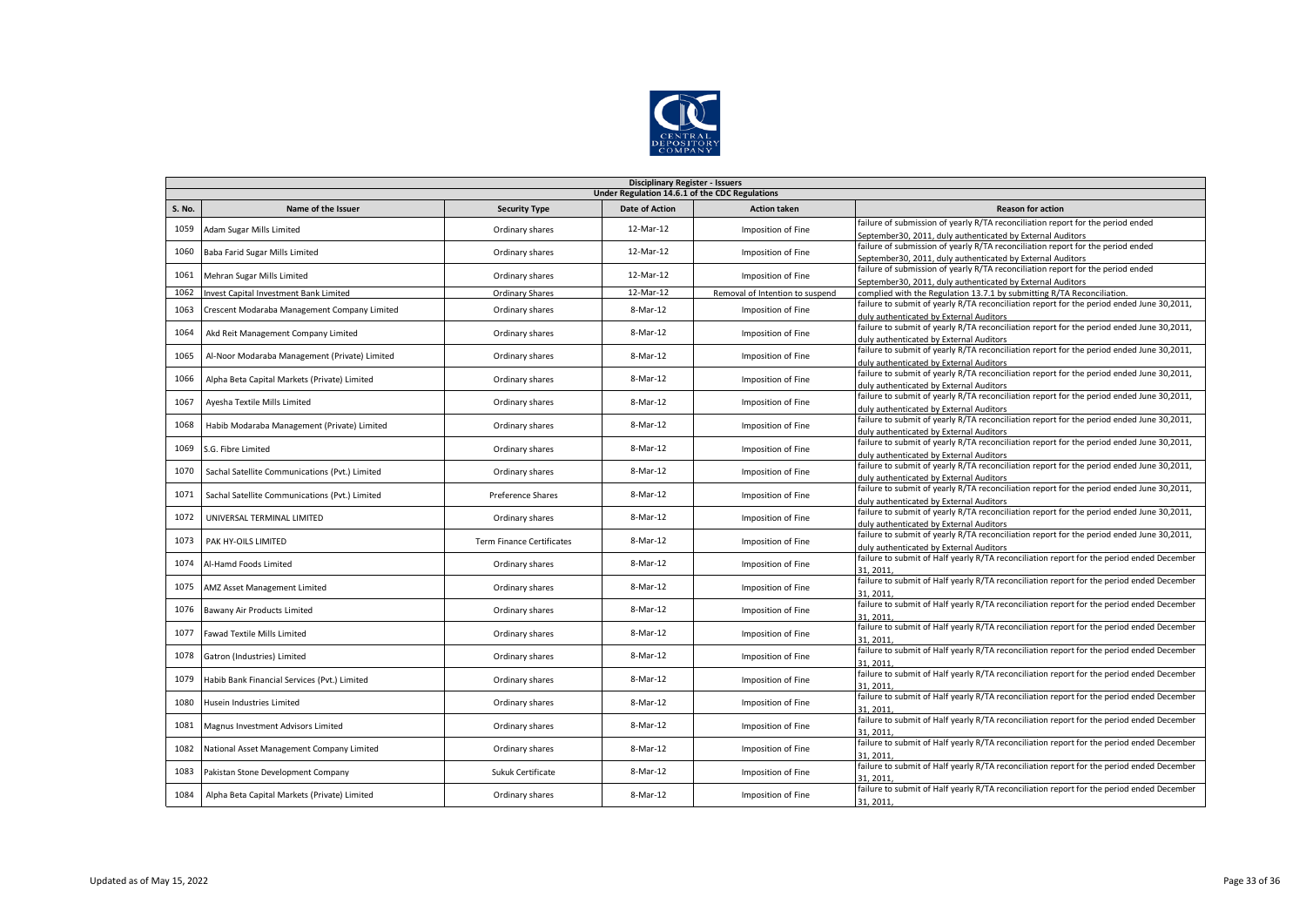

|        | <b>Disciplinary Register - Issuers</b>         |                                  |                       |                                 |                                                                                                                                               |  |  |  |  |  |
|--------|------------------------------------------------|----------------------------------|-----------------------|---------------------------------|-----------------------------------------------------------------------------------------------------------------------------------------------|--|--|--|--|--|
|        | Under Regulation 14.6.1 of the CDC Regulations |                                  |                       |                                 |                                                                                                                                               |  |  |  |  |  |
| S. No. | Name of the Issuer                             | <b>Security Type</b>             | <b>Date of Action</b> | <b>Action taken</b>             | <b>Reason for action</b>                                                                                                                      |  |  |  |  |  |
| 1059   | Adam Sugar Mills Limited                       | Ordinary shares                  | 12-Mar-12             | Imposition of Fine              | failure of submission of yearly R/TA reconciliation report for the period ended<br>September30, 2011, duly authenticated by External Auditors |  |  |  |  |  |
|        |                                                |                                  |                       |                                 | failure of submission of yearly R/TA reconciliation report for the period ended                                                               |  |  |  |  |  |
| 1060   | Baba Farid Sugar Mills Limited                 | Ordinary shares                  | 12-Mar-12             | Imposition of Fine              | September30, 2011, duly authenticated by External Auditors                                                                                    |  |  |  |  |  |
| 1061   | Mehran Sugar Mills Limited                     | Ordinary shares                  | 12-Mar-12             | Imposition of Fine              | failure of submission of yearly R/TA reconciliation report for the period ended                                                               |  |  |  |  |  |
|        |                                                |                                  |                       |                                 | September30, 2011, duly authenticated by External Auditors                                                                                    |  |  |  |  |  |
| 1062   | Invest Capital Investment Bank Limited         | <b>Ordinary Shares</b>           | 12-Mar-12             | Removal of Intention to suspend | complied with the Regulation 13.7.1 by submitting R/TA Reconciliation.                                                                        |  |  |  |  |  |
| 1063   | Crescent Modaraba Management Company Limited   | Ordinary shares                  | 8-Mar-12              | Imposition of Fine              | failure to submit of yearly R/TA reconciliation report for the period ended June 30,2011,<br>duly authenticated by External Auditors          |  |  |  |  |  |
|        |                                                |                                  | 8-Mar-12              |                                 | failure to submit of yearly R/TA reconciliation report for the period ended June 30,2011,                                                     |  |  |  |  |  |
| 1064   | Akd Reit Management Company Limited            | Ordinary shares                  |                       | Imposition of Fine              | duly authenticated by External Auditors                                                                                                       |  |  |  |  |  |
| 1065   | Al-Noor Modaraba Management (Private) Limited  | Ordinary shares                  | 8-Mar-12              | Imposition of Fine              | failure to submit of yearly R/TA reconciliation report for the period ended June 30,2011,                                                     |  |  |  |  |  |
|        |                                                |                                  |                       |                                 | duly authenticated by External Auditors                                                                                                       |  |  |  |  |  |
| 1066   | Alpha Beta Capital Markets (Private) Limited   | Ordinary shares                  | 8-Mar-12              | Imposition of Fine              | failure to submit of yearly R/TA reconciliation report for the period ended June 30,2011,                                                     |  |  |  |  |  |
|        |                                                |                                  |                       |                                 | duly authenticated by External Auditors                                                                                                       |  |  |  |  |  |
| 1067   | Ayesha Textile Mills Limited                   | Ordinary shares                  | 8-Mar-12              | Imposition of Fine              | failure to submit of yearly R/TA reconciliation report for the period ended June 30,2011,                                                     |  |  |  |  |  |
|        |                                                |                                  |                       |                                 | duly authenticated by External Auditors<br>failure to submit of yearly R/TA reconciliation report for the period ended June 30,2011,          |  |  |  |  |  |
| 1068   | Habib Modaraba Management (Private) Limited    | Ordinary shares                  | 8-Mar-12              | Imposition of Fine              | duly authenticated by External Auditors                                                                                                       |  |  |  |  |  |
|        |                                                |                                  |                       |                                 | failure to submit of yearly R/TA reconciliation report for the period ended June 30,2011,                                                     |  |  |  |  |  |
| 1069   | S.G. Fibre Limited                             | Ordinary shares                  | 8-Mar-12              | Imposition of Fine              | duly authenticated by External Auditors                                                                                                       |  |  |  |  |  |
|        |                                                |                                  |                       |                                 | failure to submit of yearly R/TA reconciliation report for the period ended June 30,2011,                                                     |  |  |  |  |  |
| 1070   | Sachal Satellite Communications (Pvt.) Limited | Ordinary shares                  | 8-Mar-12              | Imposition of Fine              | duly authenticated by External Auditors                                                                                                       |  |  |  |  |  |
|        |                                                |                                  | 8-Mar-12              |                                 | failure to submit of yearly R/TA reconciliation report for the period ended June 30,2011,                                                     |  |  |  |  |  |
| 1071   | Sachal Satellite Communications (Pvt.) Limited | Preference Shares                |                       | Imposition of Fine              | duly authenticated by External Auditors                                                                                                       |  |  |  |  |  |
| 1072   | UNIVERSAL TERMINAL LIMITED                     | Ordinary shares                  | 8-Mar-12              | Imposition of Fine              | failure to submit of yearly R/TA reconciliation report for the period ended June 30,2011,                                                     |  |  |  |  |  |
|        |                                                |                                  |                       |                                 | duly authenticated by External Auditors                                                                                                       |  |  |  |  |  |
| 1073   | PAK HY-OILS LIMITED                            | <b>Term Finance Certificates</b> | 8-Mar-12              | Imposition of Fine              | failure to submit of yearly R/TA reconciliation report for the period ended June 30,2011,<br>duly authenticated by External Auditors          |  |  |  |  |  |
|        |                                                |                                  |                       |                                 | failure to submit of Half yearly R/TA reconciliation report for the period ended December                                                     |  |  |  |  |  |
| 1074   | Al-Hamd Foods Limited                          | Ordinary shares                  | 8-Mar-12              | Imposition of Fine              | 31.2011                                                                                                                                       |  |  |  |  |  |
| 1075   |                                                |                                  | 8-Mar-12              |                                 | failure to submit of Half yearly R/TA reconciliation report for the period ended December                                                     |  |  |  |  |  |
|        | AMZ Asset Management Limited                   | Ordinary shares                  |                       | Imposition of Fine              | 31, 2011                                                                                                                                      |  |  |  |  |  |
| 1076   | Bawany Air Products Limited                    | Ordinary shares                  | 8-Mar-12              | Imposition of Fine              | failure to submit of Half yearly R/TA reconciliation report for the period ended December                                                     |  |  |  |  |  |
|        |                                                |                                  |                       |                                 | 31.2011                                                                                                                                       |  |  |  |  |  |
| 1077   | <b>Fawad Textile Mills Limited</b>             | Ordinary shares                  | 8-Mar-12              | Imposition of Fine              | failure to submit of Half yearly R/TA reconciliation report for the period ended December                                                     |  |  |  |  |  |
|        |                                                |                                  |                       |                                 | 31.2011                                                                                                                                       |  |  |  |  |  |
| 1078   | Gatron (Industries) Limited                    | Ordinary shares                  | 8-Mar-12              | Imposition of Fine              | failure to submit of Half yearly R/TA reconciliation report for the period ended December                                                     |  |  |  |  |  |
|        |                                                |                                  |                       |                                 | 31.2011<br>failure to submit of Half yearly R/TA reconciliation report for the period ended December                                          |  |  |  |  |  |
| 1079   | Habib Bank Financial Services (Pvt.) Limited   | Ordinary shares                  | 8-Mar-12              | Imposition of Fine              | 31.2011                                                                                                                                       |  |  |  |  |  |
|        |                                                |                                  |                       |                                 | failure to submit of Half yearly R/TA reconciliation report for the period ended December                                                     |  |  |  |  |  |
| 1080   | Husein Industries Limited                      | Ordinary shares                  | 8-Mar-12              | Imposition of Fine              | 31.2011                                                                                                                                       |  |  |  |  |  |
|        |                                                |                                  |                       |                                 | failure to submit of Half yearly R/TA reconciliation report for the period ended December                                                     |  |  |  |  |  |
| 1081   | Magnus Investment Advisors Limited             | Ordinary shares                  | 8-Mar-12              | Imposition of Fine              | 31.2011                                                                                                                                       |  |  |  |  |  |
| 1082   | National Asset Management Company Limited      | Ordinary shares                  | 8-Mar-12              | Imposition of Fine              | failure to submit of Half yearly R/TA reconciliation report for the period ended December                                                     |  |  |  |  |  |
|        |                                                |                                  |                       |                                 | 31.2011                                                                                                                                       |  |  |  |  |  |
| 1083   | Pakistan Stone Development Company             | Sukuk Certificate                | 8-Mar-12              | Imposition of Fine              | failure to submit of Half yearly R/TA reconciliation report for the period ended December                                                     |  |  |  |  |  |
|        |                                                |                                  |                       |                                 | 31.2011                                                                                                                                       |  |  |  |  |  |
| 1084   | Alpha Beta Capital Markets (Private) Limited   | Ordinary shares                  | 8-Mar-12              | Imposition of Fine              | failure to submit of Half yearly R/TA reconciliation report for the period ended December                                                     |  |  |  |  |  |
|        |                                                |                                  |                       |                                 | 31, 2011                                                                                                                                      |  |  |  |  |  |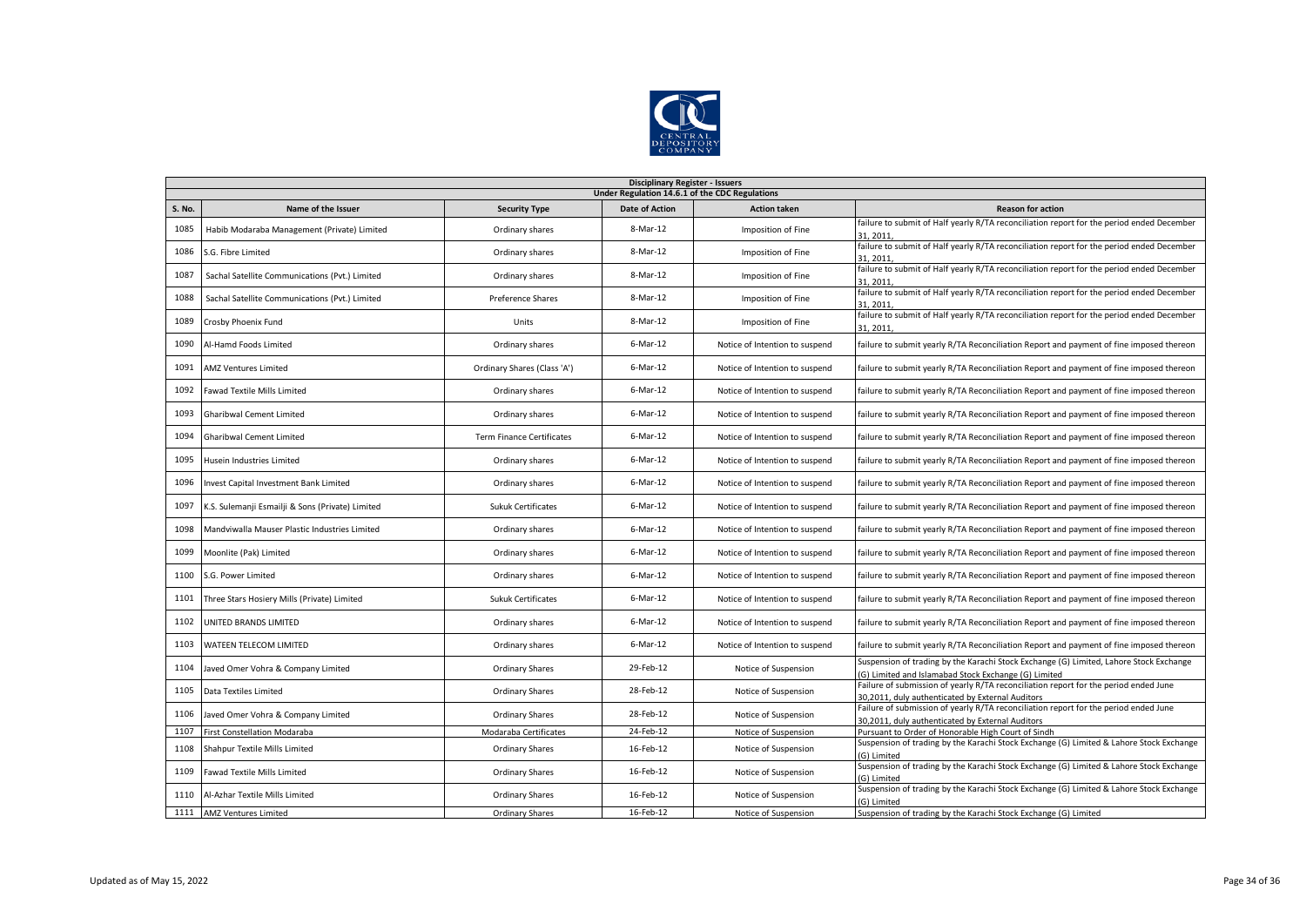

|               | <b>Disciplinary Register - Issuers</b>           |                                  |                       |                                |                                                                                                                                               |  |  |  |  |
|---------------|--------------------------------------------------|----------------------------------|-----------------------|--------------------------------|-----------------------------------------------------------------------------------------------------------------------------------------------|--|--|--|--|
|               | Under Regulation 14.6.1 of the CDC Regulations   |                                  |                       |                                |                                                                                                                                               |  |  |  |  |
| <b>S. No.</b> | Name of the Issuer                               | <b>Security Type</b>             | <b>Date of Action</b> | <b>Action taken</b>            | <b>Reason for action</b>                                                                                                                      |  |  |  |  |
| 1085          | Habib Modaraba Management (Private) Limited      | Ordinary shares                  | 8-Mar-12              | Imposition of Fine             | failure to submit of Half yearly R/TA reconciliation report for the period ended December<br>31.2011                                          |  |  |  |  |
| 1086          | S.G. Fibre Limited                               | Ordinary shares                  | 8-Mar-12              | Imposition of Fine             | failure to submit of Half yearly R/TA reconciliation report for the period ended December<br>31, 2011                                         |  |  |  |  |
| 1087          | Sachal Satellite Communications (Pvt.) Limited   | Ordinary shares                  | 8-Mar-12              | Imposition of Fine             | failure to submit of Half yearly R/TA reconciliation report for the period ended December<br>31.2011                                          |  |  |  |  |
| 1088          | Sachal Satellite Communications (Pvt.) Limited   | Preference Shares                | 8-Mar-12              | Imposition of Fine             | failure to submit of Half yearly R/TA reconciliation report for the period ended December<br>31.2011                                          |  |  |  |  |
| 1089          | Crosby Phoenix Fund                              | Units                            | 8-Mar-12              | Imposition of Fine             | failure to submit of Half yearly R/TA reconciliation report for the period ended December<br>31, 2011                                         |  |  |  |  |
| 1090          | Al-Hamd Foods Limited                            | Ordinary shares                  | $6$ -Mar-12           | Notice of Intention to suspend | failure to submit yearly R/TA Reconciliation Report and payment of fine imposed thereon                                                       |  |  |  |  |
| 1091          | <b>AMZ Ventures Limited</b>                      | Ordinary Shares (Class 'A')      | 6-Mar-12              | Notice of Intention to suspend | failure to submit yearly R/TA Reconciliation Report and payment of fine imposed thereon                                                       |  |  |  |  |
| 1092          | Fawad Textile Mills Limited                      | Ordinary shares                  | $6$ -Mar-12           | Notice of Intention to suspend | failure to submit yearly R/TA Reconciliation Report and payment of fine imposed thereon                                                       |  |  |  |  |
| 1093          | <b>Gharibwal Cement Limited</b>                  | Ordinary shares                  | 6-Mar-12              | Notice of Intention to suspend | failure to submit yearly R/TA Reconciliation Report and payment of fine imposed thereon                                                       |  |  |  |  |
| 1094          | <b>Gharibwal Cement Limited</b>                  | <b>Term Finance Certificates</b> | 6-Mar-12              | Notice of Intention to suspend | failure to submit yearly R/TA Reconciliation Report and payment of fine imposed thereon                                                       |  |  |  |  |
| 1095          | <b>Husein Industries Limited</b>                 | Ordinary shares                  | 6-Mar-12              | Notice of Intention to suspend | failure to submit yearly R/TA Reconciliation Report and payment of fine imposed thereon                                                       |  |  |  |  |
| 1096          | Invest Capital Investment Bank Limited           | Ordinary shares                  | $6$ -Mar-12           | Notice of Intention to suspend | failure to submit yearly R/TA Reconciliation Report and payment of fine imposed thereon                                                       |  |  |  |  |
| 1097          | K.S. Sulemanji Esmailji & Sons (Private) Limited | <b>Sukuk Certificates</b>        | $6$ -Mar-12           | Notice of Intention to suspend | failure to submit yearly R/TA Reconciliation Report and payment of fine imposed thereon                                                       |  |  |  |  |
| 1098          | Mandviwalla Mauser Plastic Industries Limited    | Ordinary shares                  | 6-Mar-12              | Notice of Intention to suspend | failure to submit yearly R/TA Reconciliation Report and payment of fine imposed thereon                                                       |  |  |  |  |
| 1099          | Moonlite (Pak) Limited                           | Ordinary shares                  | 6-Mar-12              | Notice of Intention to suspend | failure to submit yearly R/TA Reconciliation Report and payment of fine imposed thereon                                                       |  |  |  |  |
| 1100          | S.G. Power Limited                               | Ordinary shares                  | 6-Mar-12              | Notice of Intention to suspend | failure to submit yearly R/TA Reconciliation Report and payment of fine imposed thereon                                                       |  |  |  |  |
| 1101          | Three Stars Hosiery Mills (Private) Limited      | <b>Sukuk Certificates</b>        | 6-Mar-12              | Notice of Intention to suspend | failure to submit yearly R/TA Reconciliation Report and payment of fine imposed thereon                                                       |  |  |  |  |
| 1102          | UNITED BRANDS LIMITED                            | Ordinary shares                  | 6-Mar-12              | Notice of Intention to suspend | failure to submit yearly R/TA Reconciliation Report and payment of fine imposed thereon                                                       |  |  |  |  |
| 1103          | WATEEN TELECOM LIMITED                           | Ordinary shares                  | $6$ -Mar-12           | Notice of Intention to suspend | failure to submit yearly R/TA Reconciliation Report and payment of fine imposed thereon                                                       |  |  |  |  |
| 1104          | Javed Omer Vohra & Company Limited               | <b>Ordinary Shares</b>           | 29-Feb-12             | Notice of Suspension           | Suspension of trading by the Karachi Stock Exchange (G) Limited, Lahore Stock Exchange<br>G) Limited and Islamabad Stock Exchange (G) Limited |  |  |  |  |
| 1105          | Data Textiles Limited                            | <b>Ordinary Shares</b>           | 28-Feb-12             | Notice of Suspension           | Failure of submission of yearly R/TA reconciliation report for the period ended June<br>30,2011, duly authenticated by External Auditors      |  |  |  |  |
| 1106          | Javed Omer Vohra & Company Limited               | <b>Ordinary Shares</b>           | 28-Feb-12             | Notice of Suspension           | Failure of submission of yearly R/TA reconciliation report for the period ended June<br>30.2011. duly authenticated by External Auditors      |  |  |  |  |
| 1107          | First Constellation Modaraba                     | Modaraba Certificates            | 24-Feb-12             | Notice of Suspension           | Pursuant to Order of Honorable High Court of Sindh                                                                                            |  |  |  |  |
| 1108          | Shahpur Textile Mills Limited                    | <b>Ordinary Shares</b>           | 16-Feb-12             | Notice of Suspension           | Suspension of trading by the Karachi Stock Exchange (G) Limited & Lahore Stock Exchange<br>(G) Limited                                        |  |  |  |  |
| 1109          | Fawad Textile Mills Limited                      | <b>Ordinary Shares</b>           | 16-Feb-12             | Notice of Suspension           | Suspension of trading by the Karachi Stock Exchange (G) Limited & Lahore Stock Exchange<br>G) Limited                                         |  |  |  |  |
| 1110          | Al-Azhar Textile Mills Limited                   | Ordinary Shares                  | 16-Feb-12             | Notice of Suspension           | Suspension of trading by the Karachi Stock Exchange (G) Limited & Lahore Stock Exchange<br>(G) Limited                                        |  |  |  |  |
| 1111          | <b>AMZ Ventures Limited</b>                      | <b>Ordinary Shares</b>           | 16-Feb-12             | Notice of Suspension           | Suspension of trading by the Karachi Stock Exchange (G) Limited                                                                               |  |  |  |  |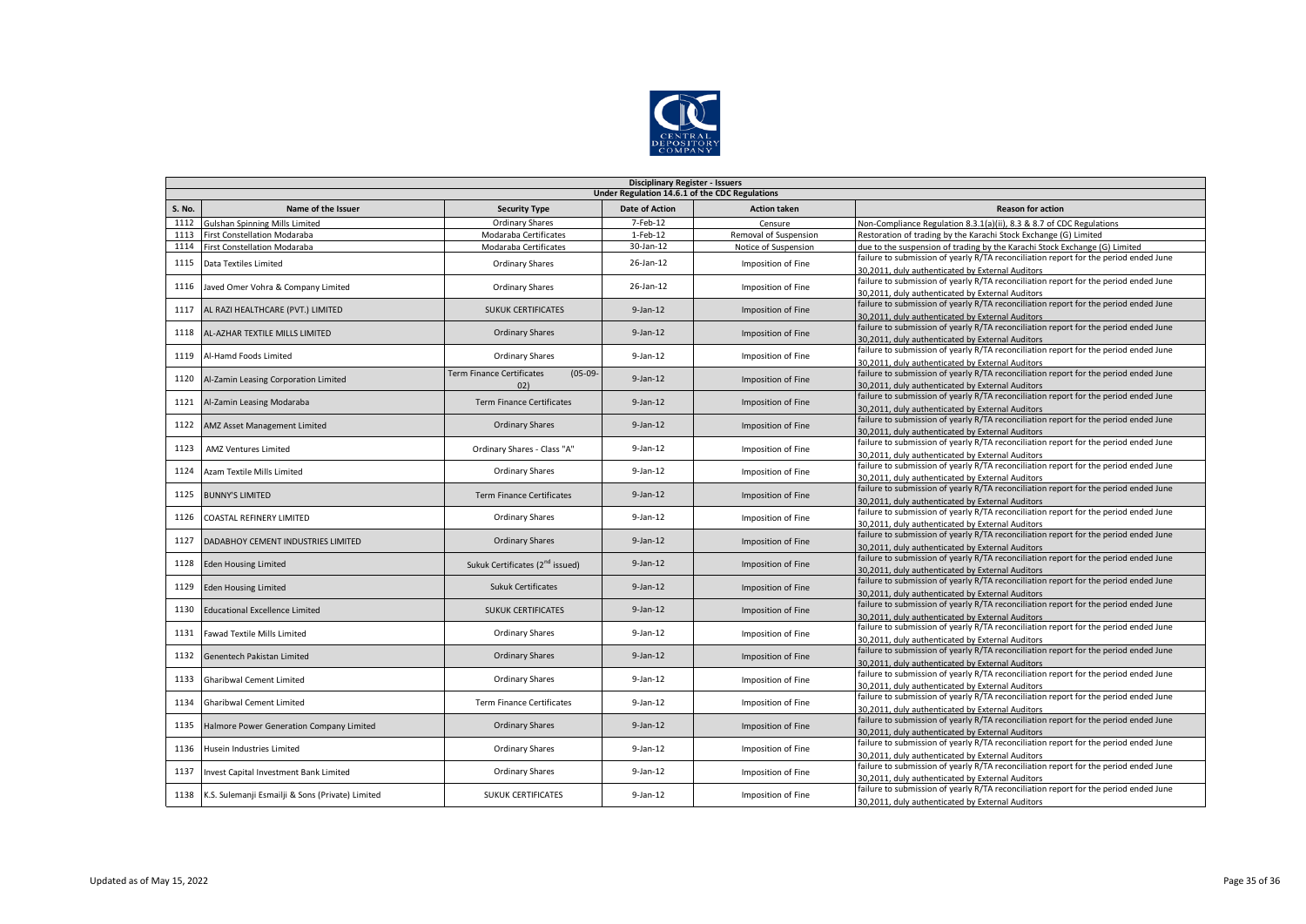

|               | <b>Disciplinary Register - Issuers</b>           |                                             |                       |                       |                                                                                                                                          |  |  |  |  |  |
|---------------|--------------------------------------------------|---------------------------------------------|-----------------------|-----------------------|------------------------------------------------------------------------------------------------------------------------------------------|--|--|--|--|--|
|               | Under Regulation 14.6.1 of the CDC Regulations   |                                             |                       |                       |                                                                                                                                          |  |  |  |  |  |
| <b>S. No.</b> | Name of the Issuer                               | <b>Security Type</b>                        | <b>Date of Action</b> | <b>Action taken</b>   | <b>Reason for action</b>                                                                                                                 |  |  |  |  |  |
| 1112          | Gulshan Spinning Mills Limited                   | Ordinary Shares                             | 7-Feb-12              | Censure               | Non-Compliance Regulation 8.3.1(a)(ii), 8.3 & 8.7 of CDC Regulations                                                                     |  |  |  |  |  |
| 1113          | First Constellation Modaraba                     | Modaraba Certificates                       | 1-Feb-12              | Removal of Suspension | Restoration of trading by the Karachi Stock Exchange (G) Limited                                                                         |  |  |  |  |  |
| 1114          | First Constellation Modaraba                     | Modaraba Certificates                       | 30-Jan-12             | Notice of Suspension  | due to the suspension of trading by the Karachi Stock Exchange (G) Limited                                                               |  |  |  |  |  |
| 1115          | Data Textiles Limited                            | <b>Ordinary Shares</b>                      | 26-Jan-12             | Imposition of Fine    | failure to submission of yearly R/TA reconciliation report for the period ended June                                                     |  |  |  |  |  |
|               |                                                  |                                             |                       |                       | 30,2011, duly authenticated by External Auditors                                                                                         |  |  |  |  |  |
| 1116          | Javed Omer Vohra & Company Limited               | <b>Ordinary Shares</b>                      | 26-Jan-12             | Imposition of Fine    | failure to submission of yearly R/TA reconciliation report for the period ended June                                                     |  |  |  |  |  |
|               |                                                  |                                             |                       |                       | 30,2011, duly authenticated by External Auditors                                                                                         |  |  |  |  |  |
| 1117          | AL RAZI HEALTHCARE (PVT.) LIMITED                | <b>SUKUK CERTIFICATES</b>                   | $9$ -Jan-12           | Imposition of Fine    | failure to submission of yearly R/TA reconciliation report for the period ended June                                                     |  |  |  |  |  |
|               |                                                  |                                             |                       |                       | 30,2011, duly authenticated by External Auditors                                                                                         |  |  |  |  |  |
| 1118          | AL-AZHAR TEXTILE MILLS LIMITED                   | <b>Ordinary Shares</b>                      | $9$ -Jan-12           | Imposition of Fine    | failure to submission of yearly R/TA reconciliation report for the period ended June                                                     |  |  |  |  |  |
|               |                                                  |                                             |                       |                       | 30,2011, duly authenticated by External Auditors                                                                                         |  |  |  |  |  |
| 1119          | Al-Hamd Foods Limited                            | <b>Ordinary Shares</b>                      | $9$ -Jan-12           | Imposition of Fine    | failure to submission of yearly R/TA reconciliation report for the period ended June                                                     |  |  |  |  |  |
|               |                                                  | Term Finance Certificates<br>$(05-09-$      |                       |                       | 30,2011, duly authenticated by External Auditors<br>failure to submission of yearly R/TA reconciliation report for the period ended June |  |  |  |  |  |
| 1120          | Al-Zamin Leasing Corporation Limited             | (02)                                        | $9$ -Jan-12           | Imposition of Fine    |                                                                                                                                          |  |  |  |  |  |
|               |                                                  |                                             |                       |                       | 30,2011, duly authenticated by External Auditors<br>failure to submission of yearly R/TA reconciliation report for the period ended June |  |  |  |  |  |
| 1121          | Al-Zamin Leasing Modaraba                        | <b>Term Finance Certificates</b>            | $9$ -Jan-12           | Imposition of Fine    | 30,2011, duly authenticated by External Auditors                                                                                         |  |  |  |  |  |
|               |                                                  |                                             |                       |                       | failure to submission of yearly R/TA reconciliation report for the period ended June                                                     |  |  |  |  |  |
| 1122          | AMZ Asset Management Limited                     | <b>Ordinary Shares</b>                      | $9$ -Jan-12           | Imposition of Fine    | 30,2011, duly authenticated by External Auditors                                                                                         |  |  |  |  |  |
|               |                                                  |                                             |                       |                       | failure to submission of yearly R/TA reconciliation report for the period ended June                                                     |  |  |  |  |  |
| 1123          | AMZ Ventures Limited                             | Ordinary Shares - Class "A"                 | $9$ -Jan-12           | Imposition of Fine    | 30,2011, duly authenticated by External Auditors                                                                                         |  |  |  |  |  |
|               |                                                  |                                             |                       |                       | failure to submission of yearly R/TA reconciliation report for the period ended June                                                     |  |  |  |  |  |
| 1124          | Azam Textile Mills Limited                       | Ordinary Shares                             | $9$ -Jan-12           | Imposition of Fine    | 30,2011, duly authenticated by External Auditors                                                                                         |  |  |  |  |  |
|               |                                                  |                                             |                       |                       | failure to submission of yearly R/TA reconciliation report for the period ended June                                                     |  |  |  |  |  |
| 1125          | <b>BUNNY'S LIMITED</b>                           | <b>Term Finance Certificates</b>            | $9$ -Jan-12           | Imposition of Fine    | 30,2011, duly authenticated by External Auditors                                                                                         |  |  |  |  |  |
| 1126          |                                                  | <b>Ordinary Shares</b>                      | $9$ -Jan-12           |                       | failure to submission of yearly R/TA reconciliation report for the period ended June                                                     |  |  |  |  |  |
|               | COASTAL REFINERY LIMITED                         |                                             |                       | Imposition of Fine    | 30,2011, duly authenticated by External Auditors                                                                                         |  |  |  |  |  |
| 1127          | DADABHOY CEMENT INDUSTRIES LIMITED               | <b>Ordinary Shares</b>                      | $9$ -Jan-12           | Imposition of Fine    | failure to submission of yearly R/TA reconciliation report for the period ended June                                                     |  |  |  |  |  |
|               |                                                  |                                             |                       |                       | 30,2011, duly authenticated by External Auditors                                                                                         |  |  |  |  |  |
| 1128          | <b>Eden Housing Limited</b>                      | Sukuk Certificates (2 <sup>nd</sup> issued) | $9$ -Jan-12           | Imposition of Fine    | failure to submission of yearly R/TA reconciliation report for the period ended June                                                     |  |  |  |  |  |
|               |                                                  |                                             |                       |                       | 30.2011. duly authenticated by External Auditors                                                                                         |  |  |  |  |  |
| 1129          | <b>Eden Housing Limited</b>                      | <b>Sukuk Certificates</b>                   | $9$ -Jan-12           | Imposition of Fine    | failure to submission of yearly R/TA reconciliation report for the period ended June                                                     |  |  |  |  |  |
|               |                                                  |                                             |                       |                       | 30,2011, duly authenticated by External Auditors                                                                                         |  |  |  |  |  |
| 1130          | <b>Educational Excellence Limited</b>            | <b>SUKUK CERTIFICATES</b>                   | $9$ -Jan-12           | Imposition of Fine    | failure to submission of yearly R/TA reconciliation report for the period ended June                                                     |  |  |  |  |  |
|               |                                                  |                                             |                       |                       | 30.2011. duly authenticated by External Auditors                                                                                         |  |  |  |  |  |
| 1131          | <b>Fawad Textile Mills Limited</b>               | <b>Ordinary Shares</b>                      | $9$ -Jan-12           | Imposition of Fine    | failure to submission of yearly R/TA reconciliation report for the period ended June                                                     |  |  |  |  |  |
|               |                                                  |                                             |                       |                       | 30,2011, duly authenticated by External Auditors<br>failure to submission of yearly R/TA reconciliation report for the period ended June |  |  |  |  |  |
| 1132          | Genentech Pakistan Limited                       | <b>Ordinary Shares</b>                      | $9$ -Jan-12           | Imposition of Fine    | 30,2011, duly authenticated by External Auditors                                                                                         |  |  |  |  |  |
|               |                                                  |                                             |                       |                       | failure to submission of yearly R/TA reconciliation report for the period ended June                                                     |  |  |  |  |  |
| 1133          | <b>Gharibwal Cement Limited</b>                  | Ordinary Shares                             | $9$ -Jan-12           | Imposition of Fine    | 30,2011, duly authenticated by External Auditors                                                                                         |  |  |  |  |  |
|               |                                                  |                                             |                       |                       | failure to submission of yearly R/TA reconciliation report for the period ended June                                                     |  |  |  |  |  |
| 1134          | <b>Gharibwal Cement Limited</b>                  | <b>Term Finance Certificates</b>            | $9$ -Jan-12           | Imposition of Fine    | 30,2011, duly authenticated by External Auditors                                                                                         |  |  |  |  |  |
|               |                                                  |                                             |                       |                       | failure to submission of yearly R/TA reconciliation report for the period ended June                                                     |  |  |  |  |  |
| 1135          | Halmore Power Generation Company Limited         | <b>Ordinary Shares</b>                      | $9$ -Jan-12           | Imposition of Fine    | 30,2011, duly authenticated by External Auditors                                                                                         |  |  |  |  |  |
|               |                                                  |                                             |                       |                       | failure to submission of yearly R/TA reconciliation report for the period ended June                                                     |  |  |  |  |  |
| 1136          | Husein Industries Limited                        | <b>Ordinary Shares</b>                      | $9$ -Jan-12           | Imposition of Fine    | 30,2011, duly authenticated by External Auditors                                                                                         |  |  |  |  |  |
|               |                                                  |                                             |                       |                       | failure to submission of yearly R/TA reconciliation report for the period ended June                                                     |  |  |  |  |  |
| 1137          | Invest Capital Investment Bank Limited           | <b>Ordinary Shares</b>                      | $9$ -Jan-12           | Imposition of Fine    | 30,2011, duly authenticated by External Auditors                                                                                         |  |  |  |  |  |
| 1138          |                                                  | <b>SUKUK CERTIFICATES</b>                   | $9$ -Jan-12           |                       | failure to submission of yearly R/TA reconciliation report for the period ended June                                                     |  |  |  |  |  |
|               | K.S. Sulemanji Esmailji & Sons (Private) Limited |                                             |                       | Imposition of Fine    | 30,2011, duly authenticated by External Auditors                                                                                         |  |  |  |  |  |